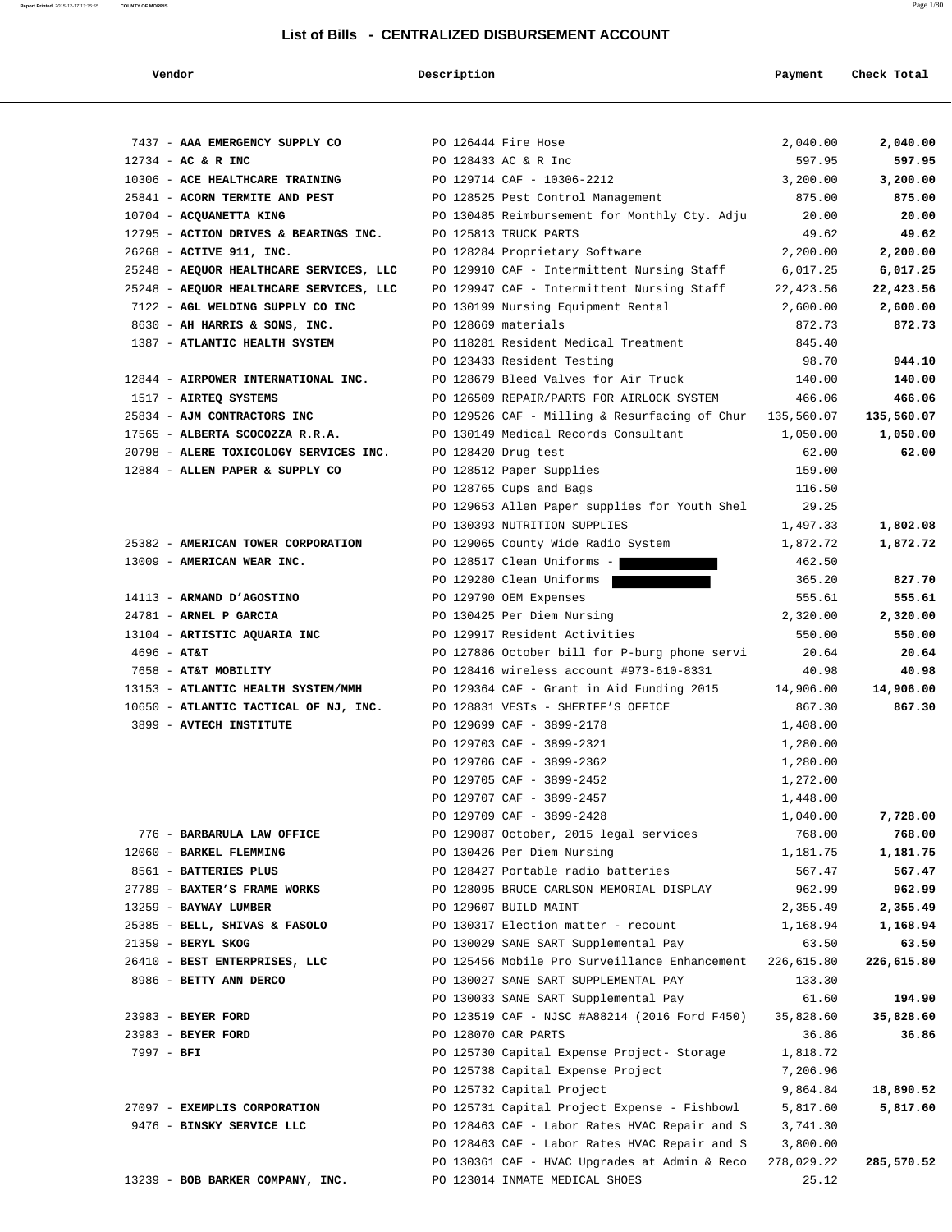| 7437 - AAA EMERGENCY SUPPLY CO BODY PO 126444 Fire Hose | 2,040.00                                                    | 2,040.00   |
|---------------------------------------------------------|-------------------------------------------------------------|------------|
| $12734 - AC & R$ INC                                    | PO 128433 AC & R Inc<br>597.95                              | 597.95     |
| 10306 - ACE HEALTHCARE TRAINING                         | PO 129714 CAF - 10306-2212<br>3,200.00                      | 3,200.00   |
| 25841 - ACORN TERMITE AND PEST                          | PO 128525 Pest Control Management<br>875.00                 | 875.00     |
| 10704 - ACQUANETTA KING                                 | PO 130485 Reimbursement for Monthly Cty. Adju<br>20.00      | 20.00      |
| 12795 - ACTION DRIVES & BEARINGS INC.                   | PO 125813 TRUCK PARTS<br>49.62                              | 49.62      |
| 26268 - ACTIVE 911, INC.                                | PO 128284 Proprietary Software<br>2,200.00                  | 2,200.00   |
| 25248 - AEQUOR HEALTHCARE SERVICES, LLC                 | PO 129910 CAF - Intermittent Nursing Staff<br>6,017.25      | 6,017.25   |
| 25248 - AEQUOR HEALTHCARE SERVICES, LLC                 | PO 129947 CAF - Intermittent Nursing Staff<br>22,423.56     | 22,423.56  |
| 7122 - AGL WELDING SUPPLY CO INC                        | PO 130199 Nursing Equipment Rental<br>2,600.00              | 2,600.00   |
| 8630 - AH HARRIS & SONS, INC.                           | PO 128669 materials<br>872.73                               | 872.73     |
| 1387 - ATLANTIC HEALTH SYSTEM                           | PO 118281 Resident Medical Treatment<br>845.40              |            |
|                                                         | PO 123433 Resident Testing<br>98.70                         | 944.10     |
| 12844 - AIRPOWER INTERNATIONAL INC.                     | PO 128679 Bleed Valves for Air Truck<br>140.00              | 140.00     |
| 1517 - AIRTEQ SYSTEMS                                   | PO 126509 REPAIR/PARTS FOR AIRLOCK SYSTEM<br>466.06         | 466.06     |
| 25834 - AJM CONTRACTORS INC                             | PO 129526 CAF - Milling & Resurfacing of Chur $135,560.07$  | 135,560.07 |
| 17565 - ALBERTA SCOCOZZA R.R.A.                         | PO 130149 Medical Records Consultant<br>1,050.00            | 1,050.00   |
| 20798 - ALERE TOXICOLOGY SERVICES INC.                  | PO 128420 Drug test<br>62.00                                | 62.00      |
| 12884 - ALLEN PAPER & SUPPLY CO                         | PO 128512 Paper Supplies<br>159.00                          |            |
|                                                         | PO 128765 Cups and Bags<br>116.50                           |            |
|                                                         | PO 129653 Allen Paper supplies for Youth Shel<br>29.25      |            |
|                                                         | PO 130393 NUTRITION SUPPLIES<br>1,497.33                    | 1,802.08   |
| 25382 - AMERICAN TOWER CORPORATION                      | PO 129065 County Wide Radio System<br>1,872.72              | 1,872.72   |
| 13009 - AMERICAN WEAR INC.                              | PO 128517 Clean Uniforms -<br>462.50                        |            |
|                                                         | PO 129280 Clean Uniforms<br>365.20                          | 827.70     |
| 14113 - ARMAND D'AGOSTINO                               | PO 129790 OEM Expenses<br>555.61                            | 555.61     |
| 24781 - ARNEL P GARCIA                                  | PO 130425 Per Diem Nursing<br>2,320.00                      | 2,320.00   |
| 13104 - ARTISTIC AQUARIA INC                            | PO 129917 Resident Activities<br>550.00                     | 550.00     |
| $4696 - AT&T$                                           | PO 127886 October bill for P-burg phone servi<br>20.64      | 20.64      |
| 7658 - AT&T MOBILITY                                    | PO 128416 wireless account #973-610-8331<br>40.98           | 40.98      |
| 13153 - ATLANTIC HEALTH SYSTEM/MMH                      | PO 129364 CAF - Grant in Aid Funding 2015<br>14,906.00      | 14,906.00  |
| 10650 - ATLANTIC TACTICAL OF NJ, INC.                   | PO 128831 VESTs - SHERIFF'S OFFICE<br>867.30                | 867.30     |
| 3899 - AVTECH INSTITUTE                                 | PO 129699 CAF - 3899-2178<br>1,408.00                       |            |
|                                                         | PO 129703 CAF - 3899-2321<br>1,280.00                       |            |
|                                                         | PO 129706 CAF - 3899-2362<br>1,280.00                       |            |
|                                                         | PO 129705 CAF - 3899-2452<br>1,272.00                       |            |
|                                                         | PO 129707 CAF - 3899-2457<br>1,448.00                       |            |
|                                                         | PO 129709 CAF - 3899-2428<br>1,040.00                       | 7,728.00   |
| 776 - BARBARULA LAW OFFICE                              | PO 129087 October, 2015 legal services<br>768.00            | 768.00     |
| 12060 - BARKEL FLEMMING                                 | PO 130426 Per Diem Nursing<br>1,181.75                      | 1,181.75   |
| 8561 - BATTERIES PLUS                                   | PO 128427 Portable radio batteries<br>567.47                | 567.47     |
| 27789 - BAXTER'S FRAME WORKS                            | PO 128095 BRUCE CARLSON MEMORIAL DISPLAY<br>962.99          | 962.99     |
| 13259 - BAYWAY LUMBER                                   | PO 129607 BUILD MAINT<br>2,355.49                           | 2,355.49   |
| 25385 - BELL, SHIVAS & FASOLO                           | PO 130317 Election matter - recount<br>1,168.94             | 1,168.94   |
| 21359 - BERYL SKOG                                      | PO 130029 SANE SART Supplemental Pay<br>63.50               | 63.50      |
| 26410 - BEST ENTERPRISES, LLC                           | PO 125456 Mobile Pro Surveillance Enhancement<br>226,615.80 | 226,615.80 |
| 8986 - BETTY ANN DERCO                                  | PO 130027 SANE SART SUPPLEMENTAL PAY<br>133.30              |            |
|                                                         | PO 130033 SANE SART Supplemental Pay<br>61.60               | 194.90     |
| 23983 - BEYER FORD                                      | PO 123519 CAF - NJSC #A88214 (2016 Ford F450)<br>35,828.60  | 35,828.60  |
| 23983 - BEYER FORD                                      | PO 128070 CAR PARTS<br>36.86                                | 36.86      |
| $7997 - BFI$                                            | PO 125730 Capital Expense Project- Storage<br>1,818.72      |            |
|                                                         | PO 125738 Capital Expense Project<br>7,206.96               |            |
|                                                         | PO 125732 Capital Project<br>9,864.84                       | 18,890.52  |
| 27097 - EXEMPLIS CORPORATION                            | PO 125731 Capital Project Expense - Fishbowl<br>5,817.60    | 5,817.60   |
| 9476 - BINSKY SERVICE LLC                               | PO 128463 CAF - Labor Rates HVAC Repair and S<br>3,741.30   |            |
|                                                         | PO 128463 CAF - Labor Rates HVAC Repair and S<br>3,800.00   |            |
|                                                         | PO 130361 CAF - HVAC Upgrades at Admin & Reco<br>278,029.22 | 285,570.52 |
| 13239 - BOB BARKER COMPANY, INC.                        | 25.12<br>PO 123014 INMATE MEDICAL SHOES                     |            |

### **Vendor Description Payment Check Total**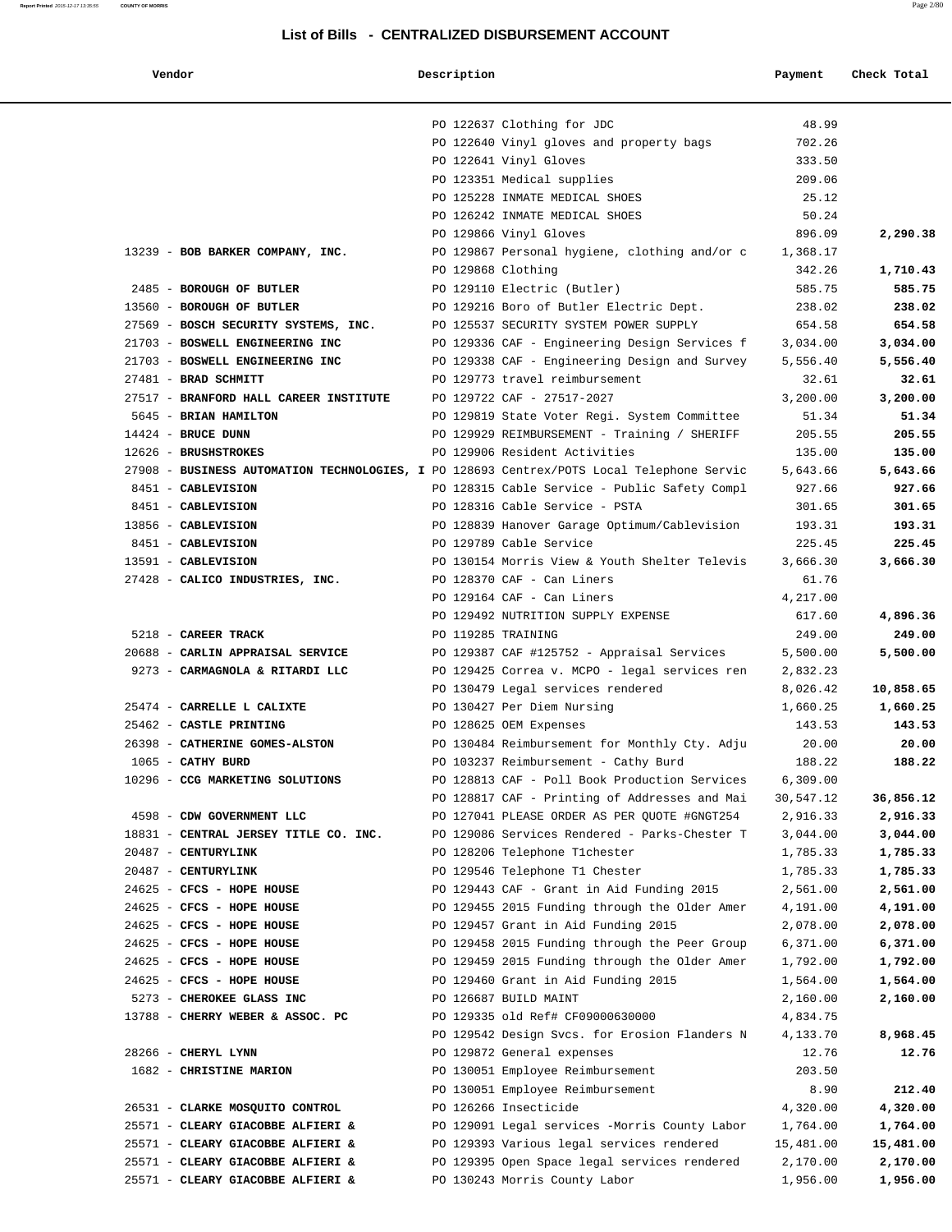### **Report Printed** 2015-12-17 13:35:55 **COUNTY OF MORRIS** Page 2/80

| Vendor                                                                                    | Description        |                                                                                    | Payment              | Check Total        |
|-------------------------------------------------------------------------------------------|--------------------|------------------------------------------------------------------------------------|----------------------|--------------------|
|                                                                                           |                    |                                                                                    |                      |                    |
|                                                                                           |                    | PO 122637 Clothing for JDC                                                         | 48.99                |                    |
|                                                                                           |                    | PO 122640 Vinyl gloves and property bags                                           | 702.26               |                    |
|                                                                                           |                    | PO 122641 Vinyl Gloves                                                             | 333.50               |                    |
|                                                                                           |                    | PO 123351 Medical supplies                                                         | 209.06               |                    |
|                                                                                           |                    | PO 125228 INMATE MEDICAL SHOES                                                     | 25.12                |                    |
|                                                                                           |                    | PO 126242 INMATE MEDICAL SHOES                                                     | 50.24                |                    |
|                                                                                           |                    | PO 129866 Vinyl Gloves                                                             | 896.09               | 2,290.38           |
| 13239 - BOB BARKER COMPANY, INC.                                                          |                    | PO 129867 Personal hygiene, clothing and/or c                                      | 1,368.17             |                    |
|                                                                                           | PO 129868 Clothing |                                                                                    | 342.26               | 1,710.43           |
| 2485 - BOROUGH OF BUTLER                                                                  |                    | PO 129110 Electric (Butler)                                                        | 585.75               | 585.75             |
| 13560 - BOROUGH OF BUTLER                                                                 |                    | PO 129216 Boro of Butler Electric Dept.                                            | 238.02               | 238.02             |
| 27569 - BOSCH SECURITY SYSTEMS, INC.                                                      |                    | PO 125537 SECURITY SYSTEM POWER SUPPLY                                             | 654.58               | 654.58             |
| 21703 - BOSWELL ENGINEERING INC                                                           |                    | PO 129336 CAF - Engineering Design Services f                                      | 3,034.00             | 3,034.00           |
| 21703 - BOSWELL ENGINEERING INC                                                           |                    | PO 129338 CAF - Engineering Design and Survey                                      | 5,556.40             | 5,556.40           |
| 27481 - BRAD SCHMITT                                                                      |                    | PO 129773 travel reimbursement                                                     | 32.61                | 32.61              |
| 27517 - BRANFORD HALL CAREER INSTITUTE                                                    |                    | PO 129722 CAF - 27517-2027                                                         | 3,200.00             | 3,200.00           |
| 5645 - BRIAN HAMILTON                                                                     |                    | PO 129819 State Voter Regi. System Committee                                       | 51.34                | 51.34              |
| $14424$ - BRUCE DUNN                                                                      |                    | PO 129929 REIMBURSEMENT - Training / SHERIFF                                       | 205.55               | 205.55             |
| 12626 - BRUSHSTROKES                                                                      |                    | PO 129906 Resident Activities                                                      | 135.00               | 135.00             |
| 27908 - BUSINESS AUTOMATION TECHNOLOGIES, I PO 128693 Centrex/POTS Local Telephone Servic |                    |                                                                                    | 5,643.66             | 5,643.66           |
| 8451 - CABLEVISION                                                                        |                    | PO 128315 Cable Service - Public Safety Compl                                      | 927.66               | 927.66             |
| 8451 - CABLEVISION                                                                        |                    | PO 128316 Cable Service - PSTA                                                     | 301.65               | 301.65             |
| 13856 - CABLEVISION                                                                       |                    | PO 128839 Hanover Garage Optimum/Cablevision                                       | 193.31               | 193.31             |
| 8451 - CABLEVISION                                                                        |                    | PO 129789 Cable Service                                                            | 225.45               | 225.45             |
| 13591 - CABLEVISION                                                                       |                    | PO 130154 Morris View & Youth Shelter Televis                                      | 3,666.30             | 3,666.30           |
| 27428 - CALICO INDUSTRIES, INC.                                                           |                    | PO 128370 CAF - Can Liners                                                         | 61.76                |                    |
|                                                                                           |                    | PO 129164 CAF - Can Liners                                                         | 4,217.00             |                    |
|                                                                                           |                    | PO 129492 NUTRITION SUPPLY EXPENSE                                                 | 617.60               | 4,896.36           |
| 5218 - CAREER TRACK<br>20688 - CARLIN APPRAISAL SERVICE                                   | PO 119285 TRAINING |                                                                                    | 249.00               | 249.00<br>5,500.00 |
| 9273 - CARMAGNOLA & RITARDI LLC                                                           |                    | PO 129387 CAF #125752 - Appraisal Services                                         | 5,500.00             |                    |
|                                                                                           |                    | PO 129425 Correa v. MCPO - legal services ren<br>PO 130479 Legal services rendered | 2,832.23             | 10,858.65          |
| 25474 - CARRELLE L CALIXTE                                                                |                    | PO 130427 Per Diem Nursing                                                         | 8,026.42<br>1,660.25 | 1,660.25           |
| 25462 - CASTLE PRINTING                                                                   |                    | PO 128625 OEM Expenses                                                             | 143.53               | 143.53             |
| 26398 - CATHERINE GOMES-ALSTON                                                            |                    | PO 130484 Reimbursement for Monthly Cty. Adju                                      | 20.00                | 20.00              |
| 1065 - CATHY BURD                                                                         |                    | PO 103237 Reimbursement - Cathy Burd                                               | 188.22               | 188.22             |
| 10296 - CCG MARKETING SOLUTIONS                                                           |                    | PO 128813 CAF - Poll Book Production Services                                      | 6,309.00             |                    |
|                                                                                           |                    | PO 128817 CAF - Printing of Addresses and Mai                                      | 30,547.12            | 36,856.12          |
| 4598 - CDW GOVERNMENT LLC                                                                 |                    | PO 127041 PLEASE ORDER AS PER QUOTE #GNGT254                                       | 2,916.33             | 2,916.33           |
| 18831 - CENTRAL JERSEY TITLE CO. INC.                                                     |                    | PO 129086 Services Rendered - Parks-Chester T                                      | 3,044.00             | 3,044.00           |
| 20487 - CENTURYLINK                                                                       |                    | PO 128206 Telephone Tichester                                                      | 1,785.33             | 1,785.33           |
| 20487 - CENTURYLINK                                                                       |                    | PO 129546 Telephone T1 Chester                                                     | 1,785.33             | 1,785.33           |
| 24625 - CFCS - HOPE HOUSE                                                                 |                    | PO 129443 CAF - Grant in Aid Funding 2015                                          | 2,561.00             | 2,561.00           |
| 24625 - CFCS - HOPE HOUSE                                                                 |                    | PO 129455 2015 Funding through the Older Amer                                      | 4,191.00             | 4,191.00           |
| 24625 - CFCS - HOPE HOUSE                                                                 |                    | PO 129457 Grant in Aid Funding 2015                                                | 2,078.00             | 2,078.00           |
| 24625 - CFCS - HOPE HOUSE                                                                 |                    | PO 129458 2015 Funding through the Peer Group                                      | 6,371.00             | 6,371.00           |
| 24625 - CFCS - HOPE HOUSE                                                                 |                    | PO 129459 2015 Funding through the Older Amer                                      | 1,792.00             | 1,792.00           |
| 24625 - CFCS - HOPE HOUSE                                                                 |                    | PO 129460 Grant in Aid Funding 2015                                                | 1,564.00             | 1,564.00           |
| 5273 - CHEROKEE GLASS INC                                                                 |                    | PO 126687 BUILD MAINT                                                              | 2,160.00             | 2,160.00           |
| 13788 - CHERRY WEBER & ASSOC. PC                                                          |                    | PO 129335 old Ref# CF09000630000                                                   | 4,834.75             |                    |
|                                                                                           |                    | PO 129542 Design Svcs. for Erosion Flanders N                                      | 4,133.70             | 8,968.45           |
| 28266 - CHERYL LYNN                                                                       |                    | PO 129872 General expenses                                                         | 12.76                | 12.76              |
| 1682 - CHRISTINE MARION                                                                   |                    | PO 130051 Employee Reimbursement                                                   | 203.50               |                    |
|                                                                                           |                    | PO 130051 Employee Reimbursement                                                   | 8.90                 | 212.40             |
| 26531 - CLARKE MOSQUITO CONTROL                                                           |                    | PO 126266 Insecticide                                                              | 4,320.00             | 4,320.00           |
| 25571 - CLEARY GIACOBBE ALFIERI &                                                         |                    | PO 129091 Legal services -Morris County Labor                                      | 1,764.00             | 1,764.00           |
| 25571 - CLEARY GIACOBBE ALFIERI &                                                         |                    | PO 129393 Various legal services rendered                                          | 15,481.00            | 15,481.00          |
| 25571 - CLEARY GIACOBBE ALFIERI &                                                         |                    | PO 129395 Open Space legal services rendered                                       | 2,170.00             | 2,170.00           |
| 25571 - CLEARY GIACOBBE ALFIERI &                                                         |                    | PO 130243 Morris County Labor                                                      | 1,956.00             | 1,956.00           |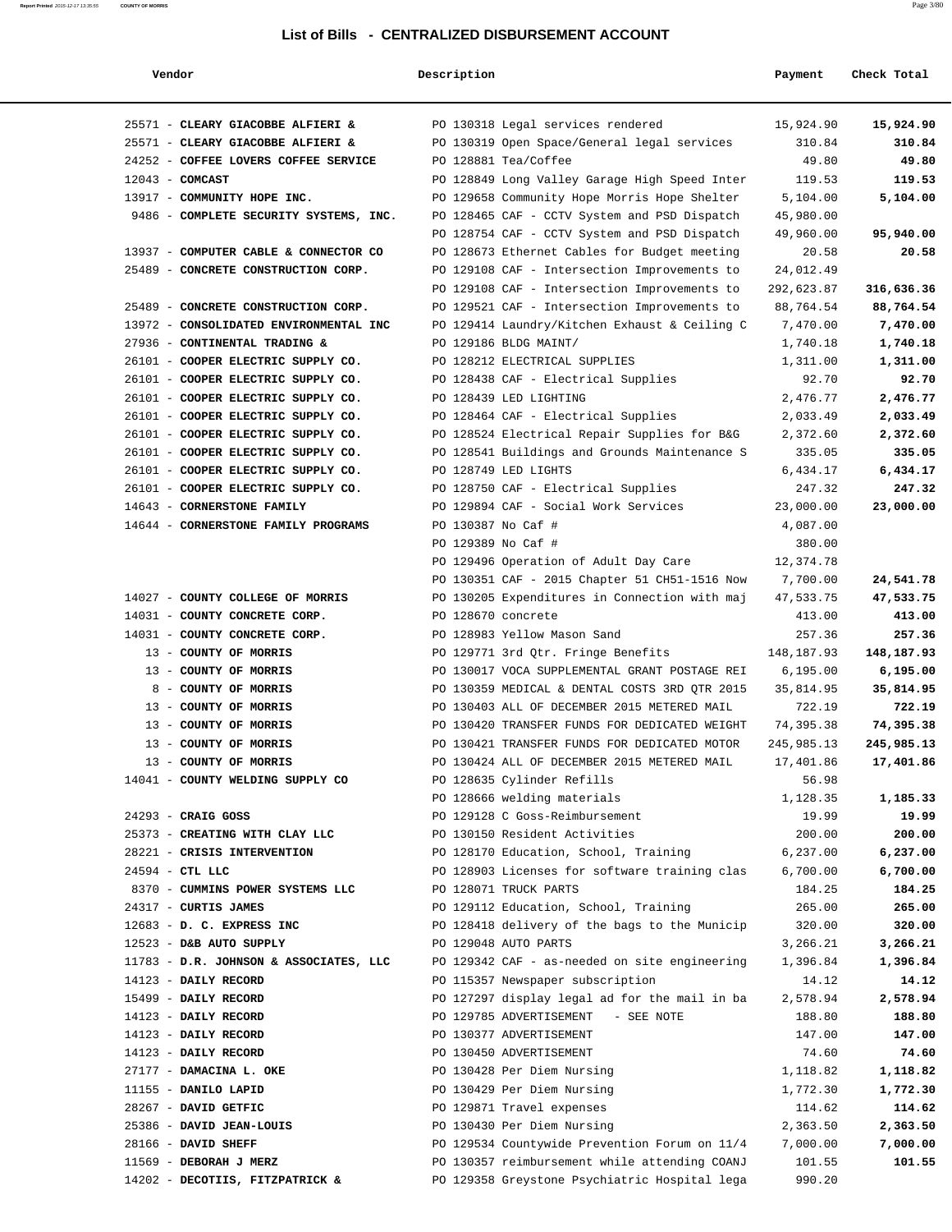|  | Vendor |  |  |
|--|--------|--|--|
|  |        |  |  |

| Vendor                                 | Description        |                                                                 | Payment           | Check Total     |
|----------------------------------------|--------------------|-----------------------------------------------------------------|-------------------|-----------------|
| 25571 - CLEARY GIACOBBE ALFIERI &      |                    | PO 130318 Legal services rendered                               | 15,924.90         | 15,924.90       |
| 25571 - CLEARY GIACOBBE ALFIERI &      |                    | PO 130319 Open Space/General legal services                     | 310.84            | 310.84          |
| 24252 - COFFEE LOVERS COFFEE SERVICE   |                    | PO 128881 Tea/Coffee                                            | 49.80             | 49.80           |
| $12043$ - COMCAST                      |                    | PO 128849 Long Valley Garage High Speed Inter                   | 119.53            | 119.53          |
| 13917 - COMMUNITY HOPE INC.            |                    | PO 129658 Community Hope Morris Hope Shelter                    | 5,104.00          | 5,104.00        |
| 9486 - COMPLETE SECURITY SYSTEMS, INC. |                    | PO 128465 CAF - CCTV System and PSD Dispatch                    | 45,980.00         |                 |
|                                        |                    | PO 128754 CAF - CCTV System and PSD Dispatch                    | 49,960.00         | 95,940.00       |
| 13937 - COMPUTER CABLE & CONNECTOR CO  |                    | PO 128673 Ethernet Cables for Budget meeting                    | 20.58             | 20.58           |
| 25489 - CONCRETE CONSTRUCTION CORP.    |                    | PO 129108 CAF - Intersection Improvements to                    | 24,012.49         |                 |
|                                        |                    | PO 129108 CAF - Intersection Improvements to                    | 292,623.87        | 316,636.36      |
| 25489 - CONCRETE CONSTRUCTION CORP.    |                    | PO 129521 CAF - Intersection Improvements to                    | 88,764.54         | 88,764.54       |
| 13972 - CONSOLIDATED ENVIRONMENTAL INC |                    | PO 129414 Laundry/Kitchen Exhaust & Ceiling C                   | 7,470.00          | 7,470.00        |
| 27936 - CONTINENTAL TRADING &          |                    | PO 129186 BLDG MAINT/                                           | 1,740.18          | 1,740.18        |
| 26101 - COOPER ELECTRIC SUPPLY CO.     |                    | PO 128212 ELECTRICAL SUPPLIES                                   | 1,311.00          | 1,311.00        |
| 26101 - COOPER ELECTRIC SUPPLY CO.     |                    | PO 128438 CAF - Electrical Supplies                             | 92.70             | 92.70           |
| 26101 - COOPER ELECTRIC SUPPLY CO.     |                    | PO 128439 LED LIGHTING                                          | 2,476.77          | 2,476.77        |
| 26101 - COOPER ELECTRIC SUPPLY CO.     |                    | PO 128464 CAF - Electrical Supplies                             | 2,033.49          | 2,033.49        |
| 26101 - COOPER ELECTRIC SUPPLY CO.     |                    | PO 128524 Electrical Repair Supplies for B&G                    | 2,372.60          | 2,372.60        |
| 26101 - COOPER ELECTRIC SUPPLY CO.     |                    | PO 128541 Buildings and Grounds Maintenance S                   | 335.05            | 335.05          |
| 26101 - COOPER ELECTRIC SUPPLY CO.     |                    | PO 128749 LED LIGHTS                                            | 6,434.17          | 6,434.17        |
| 26101 - COOPER ELECTRIC SUPPLY CO.     |                    | PO 128750 CAF - Electrical Supplies                             | 247.32            | 247.32          |
| 14643 - CORNERSTONE FAMILY             |                    | PO 129894 CAF - Social Work Services                            | 23,000.00         | 23,000.00       |
| 14644 - CORNERSTONE FAMILY PROGRAMS    | PO 130387 No Caf # |                                                                 | 4,087.00          |                 |
|                                        | PO 129389 No Caf # |                                                                 | 380.00            |                 |
|                                        |                    | PO 129496 Operation of Adult Day Care                           | 12,374.78         |                 |
|                                        |                    | PO 130351 CAF - 2015 Chapter 51 CH51-1516 Now                   | 7,700.00          | 24,541.78       |
| 14027 - COUNTY COLLEGE OF MORRIS       |                    | PO 130205 Expenditures in Connection with maj                   | 47,533.75         | 47,533.75       |
| 14031 - COUNTY CONCRETE CORP.          | PO 128670 concrete |                                                                 | 413.00            | 413.00          |
| 14031 - COUNTY CONCRETE CORP.          |                    | PO 128983 Yellow Mason Sand                                     | 257.36            | 257.36          |
| 13 - COUNTY OF MORRIS                  |                    | PO 129771 3rd Qtr. Fringe Benefits                              | 148, 187.93       | 148,187.93      |
| 13 - COUNTY OF MORRIS                  |                    | PO 130017 VOCA SUPPLEMENTAL GRANT POSTAGE REI                   | 6,195.00          | 6,195.00        |
| 8 - COUNTY OF MORRIS                   |                    | PO 130359 MEDICAL & DENTAL COSTS 3RD OTR 2015                   | 35,814.95         | 35,814.95       |
| 13 - COUNTY OF MORRIS                  |                    | PO 130403 ALL OF DECEMBER 2015 METERED MAIL                     | 722.19            | 722.19          |
| 13 - COUNTY OF MORRIS                  |                    | PO 130420 TRANSFER FUNDS FOR DEDICATED WEIGHT                   | 74,395.38         | 74,395.38       |
| 13 - COUNTY OF MORRIS                  |                    | PO 130421 TRANSFER FUNDS FOR DEDICATED MOTOR                    | 245,985.13        | 245,985.13      |
| 13 - COUNTY OF MORRIS                  |                    | PO 130424 ALL OF DECEMBER 2015 METERED MAIL                     | 17,401.86         | 17,401.86       |
| 14041 - COUNTY WELDING SUPPLY CO       |                    | PO 128635 Cylinder Refills                                      | 56.98             |                 |
| $24293$ - CRAIG GOSS                   |                    | PO 128666 welding materials                                     | 1,128.35<br>19.99 | 1,185.33        |
| 25373 - CREATING WITH CLAY LLC         |                    | PO 129128 C Goss-Reimbursement<br>PO 130150 Resident Activities | 200.00            | 19.99<br>200.00 |
| 28221 - CRISIS INTERVENTION            |                    | PO 128170 Education, School, Training                           | 6,237.00          | 6,237.00        |
| 24594 - CTL LLC                        |                    | PO 128903 Licenses for software training clas                   | 6,700.00          | 6,700.00        |
| 8370 - CUMMINS POWER SYSTEMS LLC       |                    | PO 128071 TRUCK PARTS                                           | 184.25            | 184.25          |
| 24317 - CURTIS JAMES                   |                    | PO 129112 Education, School, Training                           | 265.00            | 265.00          |
| 12683 - D. C. EXPRESS INC              |                    | PO 128418 delivery of the bags to the Municip                   | 320.00            | 320.00          |
| 12523 - D&B AUTO SUPPLY                |                    | PO 129048 AUTO PARTS                                            | 3,266.21          | 3,266.21        |
| 11783 - D.R. JOHNSON & ASSOCIATES, LLC |                    | PO 129342 CAF - as-needed on site engineering                   | 1,396.84          | 1,396.84        |
| 14123 - DAILY RECORD                   |                    | PO 115357 Newspaper subscription                                | 14.12             | 14.12           |
| 15499 - DAILY RECORD                   |                    | PO 127297 display legal ad for the mail in ba                   | 2,578.94          | 2,578.94        |
| 14123 - DAILY RECORD                   |                    | PO 129785 ADVERTISEMENT<br>- SEE NOTE                           | 188.80            | 188.80          |
| 14123 - DAILY RECORD                   |                    | PO 130377 ADVERTISEMENT                                         | 147.00            | 147.00          |
| 14123 - DAILY RECORD                   |                    | PO 130450 ADVERTISEMENT                                         | 74.60             | 74.60           |
| 27177 - DAMACINA L. OKE                |                    | PO 130428 Per Diem Nursing                                      | 1,118.82          | 1,118.82        |
| 11155 - DANILO LAPID                   |                    | PO 130429 Per Diem Nursing                                      | 1,772.30          | 1,772.30        |
| 28267 - DAVID GETFIC                   |                    | PO 129871 Travel expenses                                       | 114.62            | 114.62          |
| 25386 - DAVID JEAN-LOUIS               |                    | PO 130430 Per Diem Nursing                                      | 2,363.50          | 2,363.50        |
| 28166 - DAVID SHEFF                    |                    | PO 129534 Countywide Prevention Forum on 11/4                   | 7,000.00          | 7,000.00        |
| 11569 - DEBORAH J MERZ                 |                    | PO 130357 reimbursement while attending COANJ                   | 101.55            | 101.55          |
| 14202 - DECOTIIS, FITZPATRICK &        |                    | PO 129358 Greystone Psychiatric Hospital lega                   | 990.20            |                 |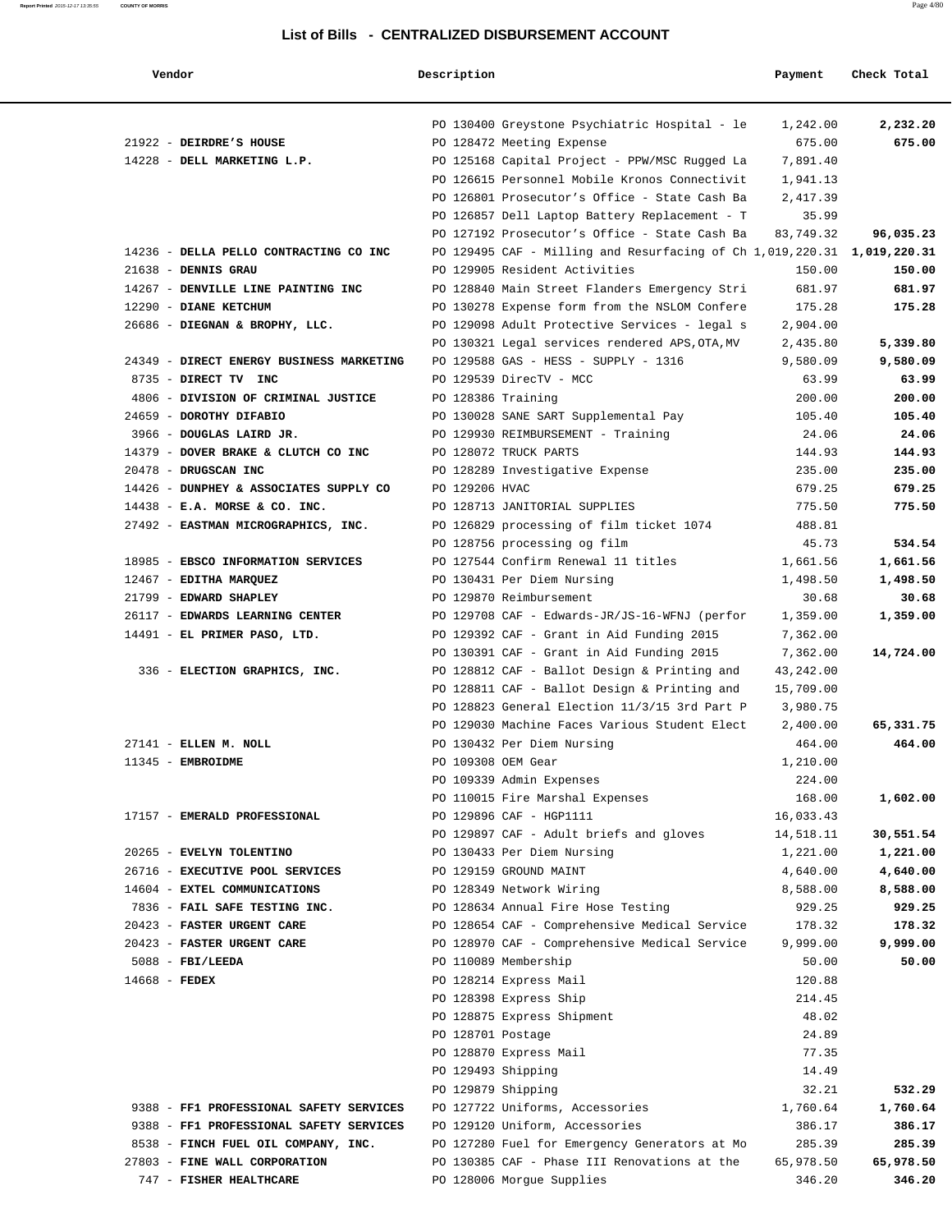| Vendor                                   | Description        |                                                                         | Payment   | Check Total |
|------------------------------------------|--------------------|-------------------------------------------------------------------------|-----------|-------------|
|                                          |                    |                                                                         |           |             |
|                                          |                    | PO 130400 Greystone Psychiatric Hospital - le                           | 1,242.00  | 2,232.20    |
| 21922 - DEIRDRE'S HOUSE                  |                    | PO 128472 Meeting Expense                                               | 675.00    | 675.00      |
| 14228 - DELL MARKETING L.P.              |                    | PO 125168 Capital Project - PPW/MSC Rugged La                           | 7,891.40  |             |
|                                          |                    | PO 126615 Personnel Mobile Kronos Connectivit                           | 1,941.13  |             |
|                                          |                    | PO 126801 Prosecutor's Office - State Cash Ba                           | 2,417.39  |             |
|                                          |                    | PO 126857 Dell Laptop Battery Replacement - T                           | 35.99     |             |
|                                          |                    | PO 127192 Prosecutor's Office - State Cash Ba                           | 83,749.32 | 96,035.23   |
| 14236 - DELLA PELLO CONTRACTING CO INC   |                    | PO 129495 CAF - Milling and Resurfacing of Ch 1,019,220.31 1,019,220.31 |           |             |
| $21638$ - DENNIS GRAU                    |                    | PO 129905 Resident Activities                                           | 150.00    | 150.00      |
| 14267 - DENVILLE LINE PAINTING INC       |                    | PO 128840 Main Street Flanders Emergency Stri                           | 681.97    | 681.97      |
| 12290 - DIANE KETCHUM                    |                    | PO 130278 Expense form from the NSLOM Confere                           | 175.28    | 175.28      |
| 26686 - DIEGNAN & BROPHY, LLC.           |                    | PO 129098 Adult Protective Services - legal s                           | 2,904.00  |             |
|                                          |                    | PO 130321 Legal services rendered APS, OTA, MV                          | 2,435.80  | 5,339.80    |
| 24349 - DIRECT ENERGY BUSINESS MARKETING |                    | PO 129588 GAS - HESS - SUPPLY - 1316                                    | 9,580.09  | 9,580.09    |
| 8735 - DIRECT TV INC                     |                    | PO 129539 DirecTV - MCC                                                 | 63.99     | 63.99       |
| 4806 - DIVISION OF CRIMINAL JUSTICE      | PO 128386 Training |                                                                         | 200.00    | 200.00      |
| 24659 - DOROTHY DIFABIO                  |                    | PO 130028 SANE SART Supplemental Pay                                    | 105.40    | 105.40      |
| 3966 - DOUGLAS LAIRD JR.                 |                    | PO 129930 REIMBURSEMENT - Training                                      | 24.06     | 24.06       |
| 14379 - DOVER BRAKE & CLUTCH CO INC      |                    | PO 128072 TRUCK PARTS                                                   | 144.93    | 144.93      |
| 20478 - DRUGSCAN INC                     |                    | PO 128289 Investigative Expense                                         | 235.00    | 235.00      |
| 14426 - DUNPHEY & ASSOCIATES SUPPLY CO   | PO 129206 HVAC     |                                                                         | 679.25    | 679.25      |
| $14438$ - E.A. MORSE & CO. INC.          |                    | PO 128713 JANITORIAL SUPPLIES                                           | 775.50    | 775.50      |
| 27492 - EASTMAN MICROGRAPHICS, INC.      |                    | PO 126829 processing of film ticket 1074                                | 488.81    |             |
|                                          |                    | PO 128756 processing og film                                            | 45.73     | 534.54      |
| 18985 - EBSCO INFORMATION SERVICES       |                    | PO 127544 Confirm Renewal 11 titles                                     | 1,661.56  | 1,661.56    |
| 12467 - EDITHA MARQUEZ                   |                    | PO 130431 Per Diem Nursing                                              | 1,498.50  | 1,498.50    |
| 21799 - EDWARD SHAPLEY                   |                    | PO 129870 Reimbursement                                                 | 30.68     | 30.68       |
| 26117 - EDWARDS LEARNING CENTER          |                    | PO 129708 CAF - Edwards-JR/JS-16-WFNJ (perfor                           | 1,359.00  | 1,359.00    |
|                                          |                    |                                                                         |           |             |
| 14491 - EL PRIMER PASO, LTD.             |                    | PO 129392 CAF - Grant in Aid Funding 2015                               | 7,362.00  |             |
|                                          |                    | PO 130391 CAF - Grant in Aid Funding 2015                               | 7,362.00  | 14,724.00   |
| 336 - ELECTION GRAPHICS, INC.            |                    | PO 128812 CAF - Ballot Design & Printing and                            | 43,242.00 |             |
|                                          |                    | PO 128811 CAF - Ballot Design & Printing and                            | 15,709.00 |             |
|                                          |                    | PO 128823 General Election 11/3/15 3rd Part P                           | 3,980.75  |             |
|                                          |                    | PO 129030 Machine Faces Various Student Elect                           | 2,400.00  | 65,331.75   |
| 27141 - ELLEN M. NOLL                    |                    | PO 130432 Per Diem Nursing                                              | 464.00    | 464.00      |
| 11345 - EMBROIDME                        |                    | PO 109308 OEM Gear                                                      | 1,210.00  |             |
|                                          |                    | PO 109339 Admin Expenses                                                | 224.00    |             |
|                                          |                    | PO 110015 Fire Marshal Expenses                                         | 168.00    | 1,602.00    |
| 17157 - EMERALD PROFESSIONAL             |                    | PO 129896 CAF - HGP1111                                                 | 16,033.43 |             |
|                                          |                    | PO 129897 CAF - Adult briefs and gloves                                 | 14,518.11 | 30,551.54   |
| 20265 - EVELYN TOLENTINO                 |                    | PO 130433 Per Diem Nursing                                              | 1,221.00  | 1,221.00    |
| 26716 - EXECUTIVE POOL SERVICES          |                    | PO 129159 GROUND MAINT                                                  | 4,640.00  | 4,640.00    |
| 14604 - EXTEL COMMUNICATIONS             |                    | PO 128349 Network Wiring                                                | 8,588.00  | 8,588.00    |
| 7836 - FAIL SAFE TESTING INC.            |                    | PO 128634 Annual Fire Hose Testing                                      | 929.25    | 929.25      |
| 20423 - FASTER URGENT CARE               |                    | PO 128654 CAF - Comprehensive Medical Service                           | 178.32    | 178.32      |
| 20423 - FASTER URGENT CARE               |                    | PO 128970 CAF - Comprehensive Medical Service                           | 9,999.00  | 9,999.00    |
| $5088$ - FBI/LEEDA                       |                    | PO 110089 Membership                                                    | 50.00     | 50.00       |
| 14668 - FEDEX                            |                    | PO 128214 Express Mail                                                  | 120.88    |             |
|                                          |                    | PO 128398 Express Ship                                                  | 214.45    |             |
|                                          |                    | PO 128875 Express Shipment                                              | 48.02     |             |
|                                          | PO 128701 Postage  |                                                                         | 24.89     |             |
|                                          |                    | PO 128870 Express Mail                                                  | 77.35     |             |
|                                          | PO 129493 Shipping |                                                                         | 14.49     |             |
|                                          | PO 129879 Shipping |                                                                         | 32.21     | 532.29      |
| 9388 - FF1 PROFESSIONAL SAFETY SERVICES  |                    | PO 127722 Uniforms, Accessories                                         | 1,760.64  | 1,760.64    |
| 9388 - FF1 PROFESSIONAL SAFETY SERVICES  |                    | PO 129120 Uniform, Accessories                                          | 386.17    | 386.17      |
| 8538 - FINCH FUEL OIL COMPANY, INC.      |                    | PO 127280 Fuel for Emergency Generators at Mo                           | 285.39    | 285.39      |
| 27803 - FINE WALL CORPORATION            |                    | PO 130385 CAF - Phase III Renovations at the                            | 65,978.50 | 65,978.50   |
| 747 - FISHER HEALTHCARE                  |                    | PO 128006 Morgue Supplies                                               | 346.20    | 346.20      |
|                                          |                    |                                                                         |           |             |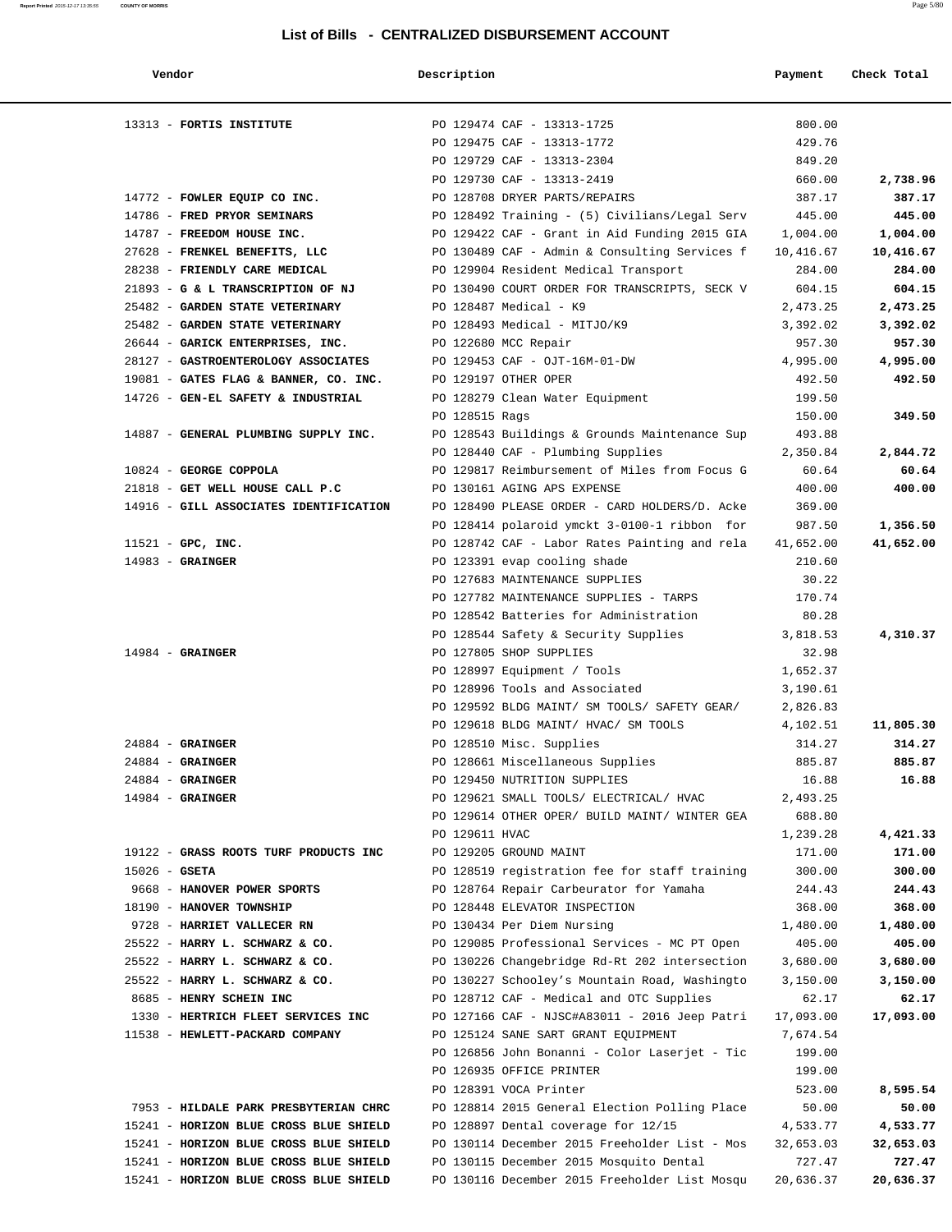| Vendor                                 | Description    |                                               | Payment   | Check Total |
|----------------------------------------|----------------|-----------------------------------------------|-----------|-------------|
|                                        |                |                                               |           |             |
| 13313 - FORTIS INSTITUTE               |                | PO 129474 CAF - 13313-1725                    | 800.00    |             |
|                                        |                | PO 129475 CAF - 13313-1772                    | 429.76    |             |
|                                        |                | PO 129729 CAF - 13313-2304                    | 849.20    |             |
|                                        |                | PO 129730 CAF - 13313-2419                    | 660.00    | 2,738.96    |
| 14772 - FOWLER EQUIP CO INC.           |                | PO 128708 DRYER PARTS/REPAIRS                 | 387.17    | 387.17      |
| 14786 - FRED PRYOR SEMINARS            |                | PO 128492 Training - (5) Civilians/Legal Serv | 445.00    | 445.00      |
| 14787 - FREEDOM HOUSE INC.             |                | PO 129422 CAF - Grant in Aid Funding 2015 GIA | 1,004.00  | 1,004.00    |
| 27628 - FRENKEL BENEFITS, LLC          |                | PO 130489 CAF - Admin & Consulting Services f | 10,416.67 | 10,416.67   |
| 28238 - FRIENDLY CARE MEDICAL          |                | PO 129904 Resident Medical Transport          | 284.00    | 284.00      |
| 21893 - G & L TRANSCRIPTION OF NJ      |                | PO 130490 COURT ORDER FOR TRANSCRIPTS, SECK V | 604.15    | 604.15      |
| 25482 - GARDEN STATE VETERINARY        |                | PO 128487 Medical - K9                        | 2,473.25  | 2,473.25    |
| 25482 - GARDEN STATE VETERINARY        |                | PO 128493 Medical - MITJO/K9                  | 3,392.02  | 3,392.02    |
| 26644 - GARICK ENTERPRISES, INC.       |                | PO 122680 MCC Repair                          | 957.30    | 957.30      |
| 28127 - GASTROENTEROLOGY ASSOCIATES    |                | PO 129453 CAF - OJT-16M-01-DW                 | 4,995.00  | 4,995.00    |
| 19081 - GATES FLAG & BANNER, CO. INC.  |                | PO 129197 OTHER OPER                          | 492.50    | 492.50      |
| 14726 - GEN-EL SAFETY & INDUSTRIAL     |                | PO 128279 Clean Water Equipment               | 199.50    |             |
|                                        | PO 128515 Rags |                                               | 150.00    | 349.50      |
| 14887 - GENERAL PLUMBING SUPPLY INC.   |                | PO 128543 Buildings & Grounds Maintenance Sup | 493.88    |             |
|                                        |                | PO 128440 CAF - Plumbing Supplies             | 2,350.84  | 2,844.72    |
| 10824 - GEORGE COPPOLA                 |                | PO 129817 Reimbursement of Miles from Focus G | 60.64     | 60.64       |
| 21818 - GET WELL HOUSE CALL P.C        |                | PO 130161 AGING APS EXPENSE                   | 400.00    | 400.00      |
| 14916 - GILL ASSOCIATES IDENTIFICATION |                | PO 128490 PLEASE ORDER - CARD HOLDERS/D. Acke | 369.00    |             |
|                                        |                | PO 128414 polaroid ymckt 3-0100-1 ribbon for  | 987.50    | 1,356.50    |
| $11521$ - GPC, INC.                    |                | PO 128742 CAF - Labor Rates Painting and rela | 41,652.00 | 41,652.00   |
| $14983$ - GRAINGER                     |                | PO 123391 evap cooling shade                  | 210.60    |             |
|                                        |                | PO 127683 MAINTENANCE SUPPLIES                | 30.22     |             |
|                                        |                | PO 127782 MAINTENANCE SUPPLIES - TARPS        | 170.74    |             |
|                                        |                | PO 128542 Batteries for Administration        | 80.28     |             |
|                                        |                | PO 128544 Safety & Security Supplies          | 3,818.53  | 4,310.37    |
| $14984$ - GRAINGER                     |                | PO 127805 SHOP SUPPLIES                       | 32.98     |             |
|                                        |                | PO 128997 Equipment / Tools                   | 1,652.37  |             |
|                                        |                | PO 128996 Tools and Associated                | 3,190.61  |             |
|                                        |                | PO 129592 BLDG MAINT/ SM TOOLS/ SAFETY GEAR/  | 2,826.83  |             |
|                                        |                | PO 129618 BLDG MAINT/ HVAC/ SM TOOLS          | 4,102.51  | 11,805.30   |
| $24884$ - GRAINGER                     |                | PO 128510 Misc. Supplies                      | 314.27    | 314.27      |
| $24884$ - GRAINGER                     |                | PO 128661 Miscellaneous Supplies              | 885.87    | 885.87      |
| $24884$ - GRAINGER                     |                | PO 129450 NUTRITION SUPPLIES                  | 16.88     | 16.88       |
| $14984$ - GRAINGER                     |                | PO 129621 SMALL TOOLS/ ELECTRICAL/ HVAC       | 2,493.25  |             |
|                                        |                | PO 129614 OTHER OPER/ BUILD MAINT/ WINTER GEA | 688.80    |             |
|                                        | PO 129611 HVAC |                                               | 1,239.28  | 4,421.33    |
| 19122 - GRASS ROOTS TURF PRODUCTS INC  |                | PO 129205 GROUND MAINT                        | 171.00    | 171.00      |
| $15026$ - GSETA                        |                | PO 128519 registration fee for staff training | 300.00    | 300.00      |
| 9668 - HANOVER POWER SPORTS            |                | PO 128764 Repair Carbeurator for Yamaha       | 244.43    | 244.43      |
| 18190 - HANOVER TOWNSHIP               |                | PO 128448 ELEVATOR INSPECTION                 | 368.00    | 368.00      |
| 9728 - HARRIET VALLECER RN             |                | PO 130434 Per Diem Nursing                    | 1,480.00  | 1,480.00    |
| 25522 - HARRY L. SCHWARZ & CO.         |                | PO 129085 Professional Services - MC PT Open  | 405.00    | 405.00      |
| 25522 - HARRY L. SCHWARZ & CO.         |                | PO 130226 Changebridge Rd-Rt 202 intersection | 3,680.00  | 3,680.00    |
| 25522 - HARRY L. SCHWARZ & CO.         |                | PO 130227 Schooley's Mountain Road, Washingto | 3,150.00  | 3,150.00    |
| 8685 - HENRY SCHEIN INC                |                | PO 128712 CAF - Medical and OTC Supplies      | 62.17     | 62.17       |
| 1330 - HERTRICH FLEET SERVICES INC     |                | PO 127166 CAF - NJSC#A83011 - 2016 Jeep Patri | 17,093.00 | 17,093.00   |
| 11538 - HEWLETT-PACKARD COMPANY        |                | PO 125124 SANE SART GRANT EQUIPMENT           | 7,674.54  |             |
|                                        |                | PO 126856 John Bonanni - Color Laserjet - Tic | 199.00    |             |
|                                        |                | PO 126935 OFFICE PRINTER                      | 199.00    |             |
|                                        |                | PO 128391 VOCA Printer                        | 523.00    | 8,595.54    |
| 7953 - HILDALE PARK PRESBYTERIAN CHRC  |                | PO 128814 2015 General Election Polling Place | 50.00     | 50.00       |
| 15241 - HORIZON BLUE CROSS BLUE SHIELD |                | PO 128897 Dental coverage for 12/15           | 4,533.77  | 4,533.77    |
| 15241 - HORIZON BLUE CROSS BLUE SHIELD |                | PO 130114 December 2015 Freeholder List - Mos | 32,653.03 | 32,653.03   |
| 15241 - HORIZON BLUE CROSS BLUE SHIELD |                | PO 130115 December 2015 Mosquito Dental       | 727.47    | 727.47      |
| 15241 - HORIZON BLUE CROSS BLUE SHIELD |                | PO 130116 December 2015 Freeholder List Mosqu | 20,636.37 | 20,636.37   |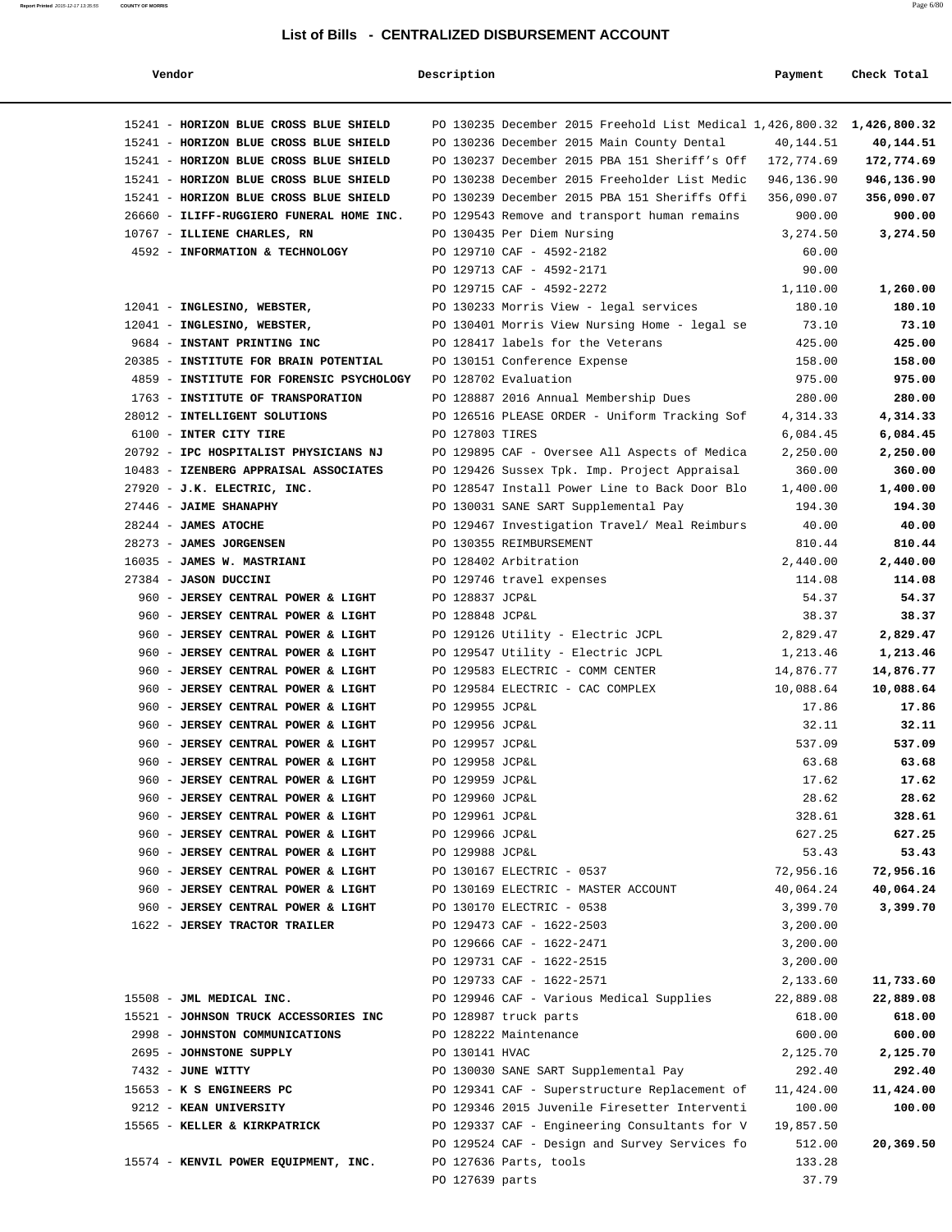| Vendor                                                                   | Description     |                                                                      | Payment                | Check Total            |
|--------------------------------------------------------------------------|-----------------|----------------------------------------------------------------------|------------------------|------------------------|
| 15241 - HORIZON BLUE CROSS BLUE SHIELD                                   |                 | PO 130235 December 2015 Freehold List Medical 1,426,800.32           |                        | 1,426,800.32           |
| 15241 - HORIZON BLUE CROSS BLUE SHIELD                                   |                 | PO 130236 December 2015 Main County Dental                           | 40,144.51              | 40,144.51              |
| 15241 - HORIZON BLUE CROSS BLUE SHIELD                                   |                 | PO 130237 December 2015 PBA 151 Sheriff's Off                        | 172,774.69             | 172,774.69             |
| 15241 - HORIZON BLUE CROSS BLUE SHIELD                                   |                 | PO 130238 December 2015 Freeholder List Medic                        | 946,136.90             | 946,136.90             |
| 15241 - HORIZON BLUE CROSS BLUE SHIELD                                   |                 | PO 130239 December 2015 PBA 151 Sheriffs Offi                        | 356,090.07             | 356,090.07             |
| 26660 - ILIFF-RUGGIERO FUNERAL HOME INC.                                 |                 | PO 129543 Remove and transport human remains                         | 900.00                 | 900.00                 |
| 10767 - ILLIENE CHARLES, RN                                              |                 | PO 130435 Per Diem Nursing                                           | 3,274.50               | 3,274.50               |
| 4592 - INFORMATION & TECHNOLOGY                                          |                 | PO 129710 CAF - 4592-2182                                            | 60.00                  |                        |
|                                                                          |                 | PO 129713 CAF - 4592-2171                                            | 90.00                  |                        |
|                                                                          |                 | PO 129715 CAF - 4592-2272                                            | 1,110.00               | 1,260.00               |
| 12041 - INGLESINO, WEBSTER,                                              |                 | PO 130233 Morris View - legal services                               | 180.10                 | 180.10                 |
| 12041 - INGLESINO, WEBSTER,                                              |                 | PO 130401 Morris View Nursing Home - legal se                        | 73.10                  | 73.10                  |
| 9684 - INSTANT PRINTING INC<br>20385 - INSTITUTE FOR BRAIN POTENTIAL     |                 | PO 128417 labels for the Veterans<br>PO 130151 Conference Expense    | 425.00<br>158.00       | 425.00<br>158.00       |
| 4859 - INSTITUTE FOR FORENSIC PSYCHOLOGY                                 |                 | PO 128702 Evaluation                                                 | 975.00                 | 975.00                 |
| 1763 - INSTITUTE OF TRANSPORATION                                        |                 | PO 128887 2016 Annual Membership Dues                                | 280.00                 | 280.00                 |
| 28012 - INTELLIGENT SOLUTIONS                                            |                 | PO 126516 PLEASE ORDER - Uniform Tracking Sof                        | 4,314.33               | 4,314.33               |
| 6100 - INTER CITY TIRE                                                   | PO 127803 TIRES |                                                                      | 6,084.45               | 6,084.45               |
| 20792 - IPC HOSPITALIST PHYSICIANS NJ                                    |                 | PO 129895 CAF - Oversee All Aspects of Medica                        | 2,250.00               | 2,250.00               |
| 10483 - IZENBERG APPRAISAL ASSOCIATES                                    |                 | PO 129426 Sussex Tpk. Imp. Project Appraisal                         | 360.00                 | 360.00                 |
| 27920 - J.K. ELECTRIC, INC.                                              |                 | PO 128547 Install Power Line to Back Door Blo                        | 1,400.00               | 1,400.00               |
| 27446 - JAIME SHANAPHY                                                   |                 | PO 130031 SANE SART Supplemental Pay                                 | 194.30                 | 194.30                 |
| $28244$ - JAMES ATOCHE                                                   |                 | PO 129467 Investigation Travel/ Meal Reimburs                        | 40.00                  | 40.00                  |
| 28273 - JAMES JORGENSEN                                                  |                 | PO 130355 REIMBURSEMENT                                              | 810.44                 | 810.44                 |
| 16035 - JAMES W. MASTRIANI                                               |                 | PO 128402 Arbitration                                                | 2,440.00               | 2,440.00               |
| 27384 - JASON DUCCINI                                                    |                 | PO 129746 travel expenses                                            | 114.08                 | 114.08                 |
| 960 - JERSEY CENTRAL POWER & LIGHT                                       | PO 128837 JCP&L |                                                                      | 54.37                  | 54.37                  |
| 960 - JERSEY CENTRAL POWER & LIGHT                                       | PO 128848 JCP&L |                                                                      | 38.37                  | 38.37                  |
| 960 - JERSEY CENTRAL POWER & LIGHT                                       |                 | PO 129126 Utility - Electric JCPL                                    | 2,829.47               | 2,829.47               |
| 960 - JERSEY CENTRAL POWER & LIGHT                                       |                 | PO 129547 Utility - Electric JCPL                                    | 1,213.46               | 1,213.46               |
| 960 - JERSEY CENTRAL POWER & LIGHT<br>960 - JERSEY CENTRAL POWER & LIGHT |                 | PO 129583 ELECTRIC - COMM CENTER<br>PO 129584 ELECTRIC - CAC COMPLEX | 14,876.77<br>10,088.64 | 14,876.77<br>10,088.64 |
| 960 - JERSEY CENTRAL POWER & LIGHT                                       | PO 129955 JCP&L |                                                                      | 17.86                  | 17.86                  |
| 960 - JERSEY CENTRAL POWER & LIGHT                                       | PO 129956 JCP&L |                                                                      | 32.11                  | 32.11                  |
| 960 - JERSEY CENTRAL POWER & LIGHT                                       | PO 129957 JCP&L |                                                                      | 537.09                 | 537.09                 |
| 960 - JERSEY CENTRAL POWER & LIGHT                                       | PO 129958 JCP&L |                                                                      | 63.68                  | 63.68                  |
| 960 - JERSEY CENTRAL POWER & LIGHT                                       | PO 129959 JCP&L |                                                                      | 17.62                  | 17.62                  |
| 960 - JERSEY CENTRAL POWER & LIGHT                                       | PO 129960 JCP&L |                                                                      | 28.62                  | 28.62                  |
| 960 - JERSEY CENTRAL POWER & LIGHT                                       | PO 129961 JCP&L |                                                                      | 328.61                 | 328.61                 |
| 960 - JERSEY CENTRAL POWER & LIGHT                                       | PO 129966 JCP&L |                                                                      | 627.25                 | 627.25                 |
| 960 - JERSEY CENTRAL POWER & LIGHT                                       | PO 129988 JCP&L |                                                                      | 53.43                  | 53.43                  |
| 960 - JERSEY CENTRAL POWER & LIGHT                                       |                 | PO 130167 ELECTRIC - 0537                                            | 72,956.16              | 72,956.16              |
| 960 - JERSEY CENTRAL POWER & LIGHT                                       |                 | PO 130169 ELECTRIC - MASTER ACCOUNT                                  | 40,064.24              | 40,064.24              |
| 960 - JERSEY CENTRAL POWER & LIGHT                                       |                 | PO 130170 ELECTRIC - 0538                                            | 3,399.70               | 3,399.70               |
| 1622 - JERSEY TRACTOR TRAILER                                            |                 | PO 129473 CAF - 1622-2503                                            | 3,200.00               |                        |
|                                                                          |                 | PO 129666 CAF - 1622-2471                                            | 3,200.00               |                        |
|                                                                          |                 | PO 129731 CAF - 1622-2515<br>PO 129733 CAF - 1622-2571               | 3,200.00<br>2,133.60   | 11,733.60              |
| 15508 - JML MEDICAL INC.                                                 |                 | PO 129946 CAF - Various Medical Supplies                             | 22,889.08              | 22,889.08              |
| 15521 - JOHNSON TRUCK ACCESSORIES INC                                    |                 | PO 128987 truck parts                                                | 618.00                 | 618.00                 |
| 2998 - JOHNSTON COMMUNICATIONS                                           |                 | PO 128222 Maintenance                                                | 600.00                 | 600.00                 |
| 2695 - JOHNSTONE SUPPLY                                                  | PO 130141 HVAC  |                                                                      | 2,125.70               | 2,125.70               |
| 7432 - JUNE WITTY                                                        |                 | PO 130030 SANE SART Supplemental Pay                                 | 292.40                 | 292.40                 |
| 15653 - K S ENGINEERS PC                                                 |                 | PO 129341 CAF - Superstructure Replacement of                        | 11,424.00              | 11,424.00              |
| 9212 - KEAN UNIVERSITY                                                   |                 | PO 129346 2015 Juvenile Firesetter Interventi                        | 100.00                 | 100.00                 |
| 15565 - KELLER & KIRKPATRICK                                             |                 | PO 129337 CAF - Engineering Consultants for V                        | 19,857.50              |                        |
|                                                                          |                 | PO 129524 CAF - Design and Survey Services fo                        | 512.00                 | 20,369.50              |
| 15574 - KENVIL POWER EQUIPMENT, INC.                                     |                 | PO 127636 Parts, tools                                               | 133.28                 |                        |
|                                                                          | PO 127639 parts |                                                                      | 37.79                  |                        |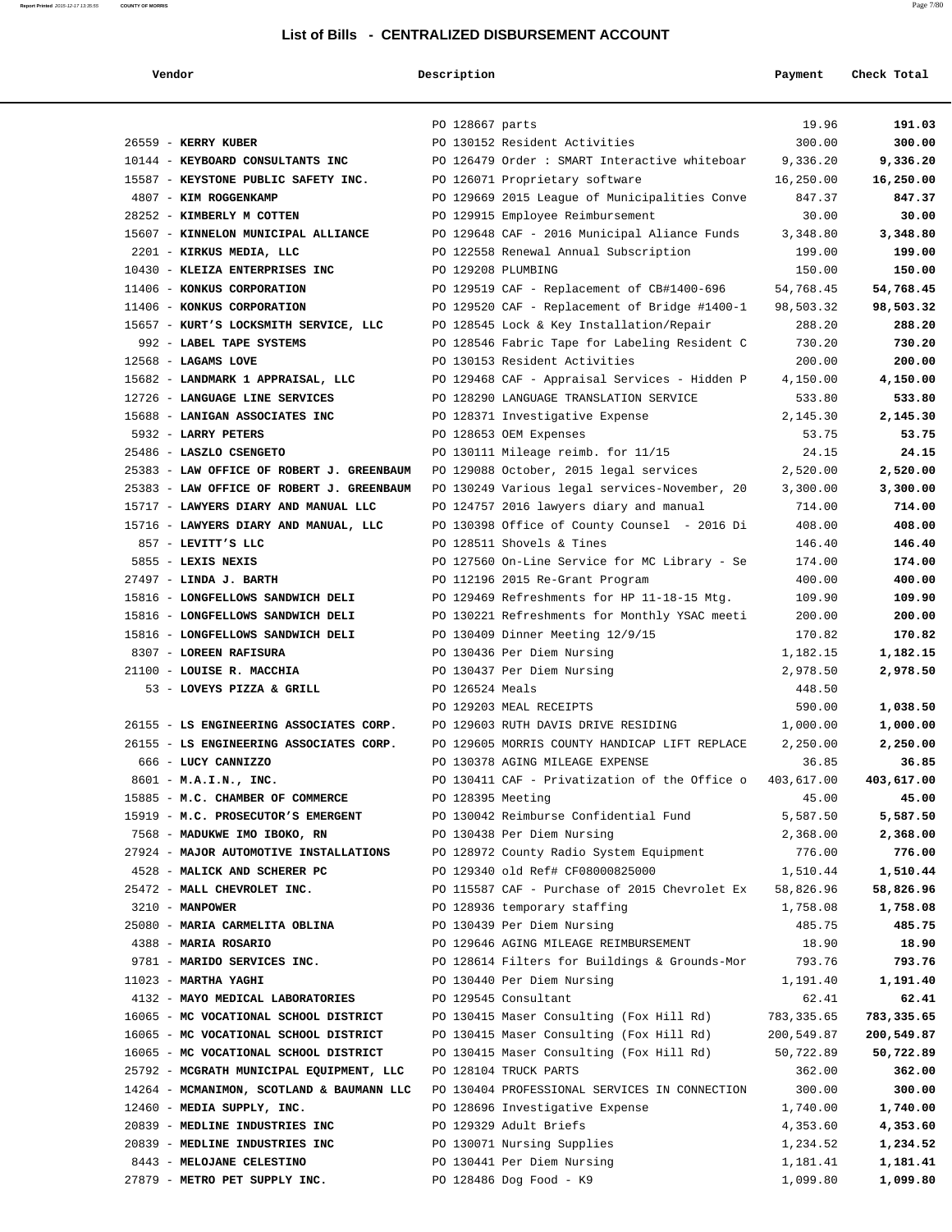| Vendor                                                             | Description        |                                                                                      | Payment            | Check Total        |
|--------------------------------------------------------------------|--------------------|--------------------------------------------------------------------------------------|--------------------|--------------------|
|                                                                    |                    |                                                                                      |                    |                    |
|                                                                    | PO 128667 parts    |                                                                                      | 19.96              | 191.03             |
| 26559 - KERRY KUBER                                                |                    | PO 130152 Resident Activities                                                        | 300.00             | 300.00             |
| 10144 - KEYBOARD CONSULTANTS INC                                   |                    | PO 126479 Order : SMART Interactive whiteboar                                        | 9,336.20           | 9,336.20           |
| 15587 - KEYSTONE PUBLIC SAFETY INC.                                |                    | PO 126071 Proprietary software                                                       | 16,250.00          | 16,250.00          |
| 4807 - KIM ROGGENKAMP                                              |                    | PO 129669 2015 League of Municipalities Conve                                        | 847.37             | 847.37             |
| 28252 - KIMBERLY M COTTEN                                          |                    | PO 129915 Employee Reimbursement                                                     | 30.00              | 30.00              |
| 15607 - KINNELON MUNICIPAL ALLIANCE                                |                    | PO 129648 CAF - 2016 Municipal Aliance Funds                                         | 3,348.80           | 3,348.80           |
| 2201 - KIRKUS MEDIA, LLC                                           |                    | PO 122558 Renewal Annual Subscription                                                | 199.00             | 199.00             |
| 10430 - KLEIZA ENTERPRISES INC                                     | PO 129208 PLUMBING |                                                                                      | 150.00             | 150.00             |
| 11406 - KONKUS CORPORATION                                         |                    | PO 129519 CAF - Replacement of CB#1400-696                                           | 54,768.45          | 54,768.45          |
| 11406 - KONKUS CORPORATION                                         |                    | PO 129520 CAF - Replacement of Bridge #1400-1                                        | 98,503.32          | 98,503.32          |
| 15657 - KURT'S LOCKSMITH SERVICE, LLC                              |                    | PO 128545 Lock & Key Installation/Repair                                             | 288.20             | 288.20             |
| 992 - LABEL TAPE SYSTEMS                                           |                    | PO 128546 Fabric Tape for Labeling Resident C                                        | 730.20             | 730.20             |
| $12568$ - LAGAMS LOVE                                              |                    | PO 130153 Resident Activities                                                        | 200.00             | 200.00             |
| 15682 - LANDMARK 1 APPRAISAL, LLC                                  |                    | PO 129468 CAF - Appraisal Services - Hidden P                                        | 4,150.00           | 4,150.00           |
| 12726 - LANGUAGE LINE SERVICES                                     |                    | PO 128290 LANGUAGE TRANSLATION SERVICE                                               | 533.80             | 533.80             |
| 15688 - LANIGAN ASSOCIATES INC                                     |                    | PO 128371 Investigative Expense                                                      | 2,145.30           | 2,145.30           |
| 5932 - LARRY PETERS                                                |                    | PO 128653 OEM Expenses                                                               | 53.75              | 53.75              |
| 25486 - LASZLO CSENGETO                                            |                    | PO 130111 Mileage reimb. for 11/15                                                   | 24.15              | 24.15              |
| 25383 - LAW OFFICE OF ROBERT J. GREENBAUM                          |                    | PO 129088 October, 2015 legal services                                               | 2,520.00           | 2,520.00           |
| 25383 - LAW OFFICE OF ROBERT J. GREENBAUM                          |                    | PO 130249 Various legal services-November, 20                                        | 3,300.00           | 3,300.00           |
| 15717 - LAWYERS DIARY AND MANUAL LLC                               |                    | PO 124757 2016 lawyers diary and manual                                              | 714.00             | 714.00             |
| 15716 - LAWYERS DIARY AND MANUAL, LLC                              |                    | PO 130398 Office of County Counsel - 2016 Di                                         | 408.00             | 408.00             |
| 857 - LEVITT'S LLC                                                 |                    | PO 128511 Shovels & Tines                                                            | 146.40             | 146.40             |
| 5855 - LEXIS NEXIS                                                 |                    | PO 127560 On-Line Service for MC Library - Se                                        | 174.00             | 174.00             |
| 27497 - LINDA J. BARTH                                             |                    | PO 112196 2015 Re-Grant Program                                                      | 400.00             | 400.00             |
| 15816 - LONGFELLOWS SANDWICH DELI                                  |                    | PO 129469 Refreshments for HP 11-18-15 Mtg.                                          | 109.90             | 109.90             |
| 15816 - LONGFELLOWS SANDWICH DELI                                  |                    | PO 130221 Refreshments for Monthly YSAC meeti                                        | 200.00             | 200.00             |
| 15816 - LONGFELLOWS SANDWICH DELI                                  |                    | PO 130409 Dinner Meeting 12/9/15                                                     | 170.82             | 170.82             |
| 8307 - LOREEN RAFISURA                                             |                    | PO 130436 Per Diem Nursing                                                           | 1,182.15           | 1,182.15           |
| 21100 - LOUISE R. MACCHIA                                          |                    | PO 130437 Per Diem Nursing                                                           | 2,978.50           | 2,978.50           |
| 53 - LOVEYS PIZZA & GRILL                                          | PO 126524 Meals    |                                                                                      | 448.50             |                    |
|                                                                    |                    | PO 129203 MEAL RECEIPTS                                                              | 590.00             | 1,038.50           |
| 26155 - LS ENGINEERING ASSOCIATES CORP.                            |                    | PO 129603 RUTH DAVIS DRIVE RESIDING<br>PO 129605 MORRIS COUNTY HANDICAP LIFT REPLACE | 1,000.00           | 1,000.00           |
| 26155 - LS ENGINEERING ASSOCIATES CORP.                            |                    |                                                                                      | 2,250.00           | 2,250.00           |
| 666 - LUCY CANNIZZO                                                |                    | PO 130378 AGING MILEAGE EXPENSE                                                      | 36.85              | 36.85              |
| 8601 - M.A.I.N., INC.                                              |                    | PO 130411 CAF - Privatization of the Office o $403,617.00$                           |                    | 403,617.00         |
| 15885 - M.C. CHAMBER OF COMMERCE                                   | PO 128395 Meeting  |                                                                                      | 45.00              | 45.00              |
| 15919 - M.C. PROSECUTOR'S EMERGENT<br>7568 - MADUKWE IMO IBOKO, RN |                    | PO 130042 Reimburse Confidential Fund<br>PO 130438 Per Diem Nursing                  | 5,587.50           | 5,587.50           |
| 27924 - MAJOR AUTOMOTIVE INSTALLATIONS                             |                    | PO 128972 County Radio System Equipment                                              | 2,368.00<br>776.00 | 2,368.00<br>776.00 |
| 4528 - MALICK AND SCHERER PC                                       |                    | PO 129340 old Ref# CF08000825000                                                     | 1,510.44           | 1,510.44           |
| 25472 - MALL CHEVROLET INC.                                        |                    | PO 115587 CAF - Purchase of 2015 Chevrolet Ex                                        | 58,826.96          | 58,826.96          |
| 3210 - MANPOWER                                                    |                    | PO 128936 temporary staffing                                                         | 1,758.08           | 1,758.08           |
| 25080 - MARIA CARMELITA OBLINA                                     |                    | PO 130439 Per Diem Nursing                                                           | 485.75             | 485.75             |
| 4388 - MARIA ROSARIO                                               |                    | PO 129646 AGING MILEAGE REIMBURSEMENT                                                | 18.90              | 18.90              |
| 9781 - MARIDO SERVICES INC.                                        |                    | PO 128614 Filters for Buildings & Grounds-Mor                                        | 793.76             | 793.76             |
| $11023$ - MARTHA YAGHI                                             |                    | PO 130440 Per Diem Nursing                                                           | 1,191.40           | 1,191.40           |
| 4132 - MAYO MEDICAL LABORATORIES                                   |                    | PO 129545 Consultant                                                                 | 62.41              | 62.41              |
| 16065 - MC VOCATIONAL SCHOOL DISTRICT                              |                    | PO 130415 Maser Consulting (Fox Hill Rd)                                             | 783,335.65         | 783,335.65         |
| 16065 - MC VOCATIONAL SCHOOL DISTRICT                              |                    | PO 130415 Maser Consulting (Fox Hill Rd)                                             | 200,549.87         | 200,549.87         |
| 16065 - MC VOCATIONAL SCHOOL DISTRICT                              |                    | PO 130415 Maser Consulting (Fox Hill Rd)                                             | 50,722.89          | 50,722.89          |
| 25792 - MCGRATH MUNICIPAL EQUIPMENT, LLC                           |                    | PO 128104 TRUCK PARTS                                                                | 362.00             | 362.00             |
| 14264 - MCMANIMON, SCOTLAND & BAUMANN LLC                          |                    | PO 130404 PROFESSIONAL SERVICES IN CONNECTION                                        | 300.00             | 300.00             |
| 12460 - MEDIA SUPPLY, INC.                                         |                    | PO 128696 Investigative Expense                                                      | 1,740.00           | 1,740.00           |
| 20839 - MEDLINE INDUSTRIES INC                                     |                    | PO 129329 Adult Briefs                                                               | 4,353.60           | 4,353.60           |
| 20839 - MEDLINE INDUSTRIES INC                                     |                    | PO 130071 Nursing Supplies                                                           | 1,234.52           | 1,234.52           |
| 8443 - MELOJANE CELESTINO                                          |                    | PO 130441 Per Diem Nursing                                                           | 1,181.41           | 1,181.41           |
| 27879 - METRO PET SUPPLY INC.                                      |                    | PO 128486 Dog Food - K9                                                              | 1,099.80           | 1,099.80           |
|                                                                    |                    |                                                                                      |                    |                    |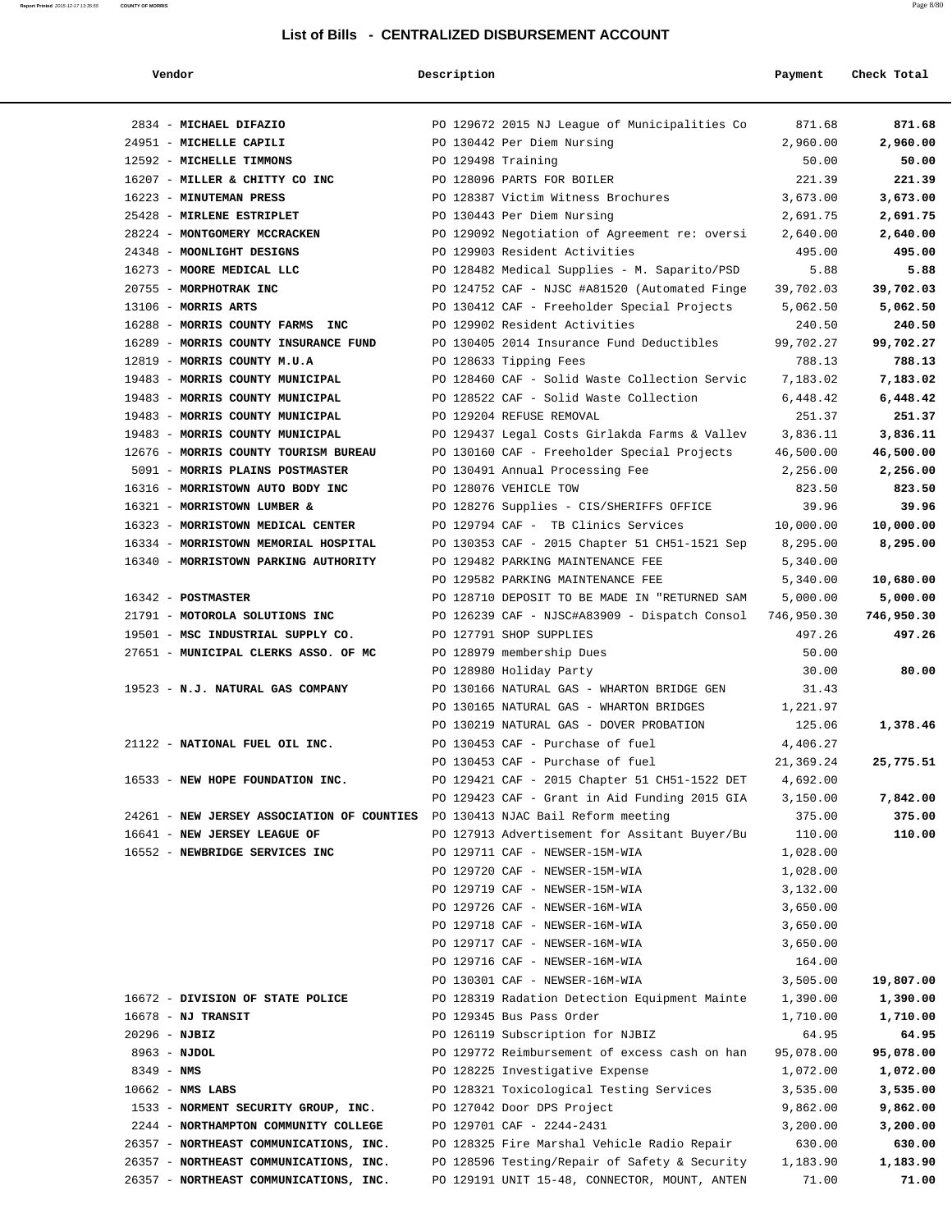| endor |
|-------|
|-------|

| List of Bills - CENTRALIZED DISBURSEMENT ACCOUNT<br>Vendor<br>Description<br>Payment<br>Check Total |                                      |                                               |            |            |  |
|-----------------------------------------------------------------------------------------------------|--------------------------------------|-----------------------------------------------|------------|------------|--|
|                                                                                                     |                                      |                                               |            |            |  |
|                                                                                                     | 2834 - MICHAEL DIFAZIO               | PO 129672 2015 NJ League of Municipalities Co | 871.68     | 871.68     |  |
|                                                                                                     | 24951 - MICHELLE CAPILI              | PO 130442 Per Diem Nursing                    | 2,960.00   | 2,960.00   |  |
|                                                                                                     | 12592 - MICHELLE TIMMONS             | PO 129498 Training                            | 50.00      | 50.00      |  |
|                                                                                                     | 16207 - MILLER & CHITTY CO INC       | PO 128096 PARTS FOR BOILER                    | 221.39     | 221.39     |  |
|                                                                                                     | 16223 - MINUTEMAN PRESS              | PO 128387 Victim Witness Brochures            | 3,673.00   | 3,673.00   |  |
|                                                                                                     | 25428 - MIRLENE ESTRIPLET            | PO 130443 Per Diem Nursing                    | 2,691.75   | 2,691.75   |  |
|                                                                                                     | 28224 - MONTGOMERY MCCRACKEN         | PO 129092 Negotiation of Agreement re: oversi | 2,640.00   | 2,640.00   |  |
|                                                                                                     | 24348 - MOONLIGHT DESIGNS            | PO 129903 Resident Activities                 | 495.00     | 495.00     |  |
|                                                                                                     | 16273 - MOORE MEDICAL LLC            | PO 128482 Medical Supplies - M. Saparito/PSD  | 5.88       | 5.88       |  |
|                                                                                                     | 20755 - MORPHOTRAK INC               | PO 124752 CAF - NJSC #A81520 (Automated Finge | 39,702.03  | 39,702.03  |  |
|                                                                                                     | 13106 - MORRIS ARTS                  | PO 130412 CAF - Freeholder Special Projects   | 5,062.50   | 5,062.50   |  |
|                                                                                                     | 16288 - MORRIS COUNTY FARMS INC      | PO 129902 Resident Activities                 | 240.50     | 240.50     |  |
|                                                                                                     | 16289 - MORRIS COUNTY INSURANCE FUND | PO 130405 2014 Insurance Fund Deductibles     | 99,702.27  | 99,702.27  |  |
|                                                                                                     | 12819 - MORRIS COUNTY M.U.A          | PO 128633 Tipping Fees                        | 788.13     | 788.13     |  |
|                                                                                                     | 19483 - MORRIS COUNTY MUNICIPAL      | PO 128460 CAF - Solid Waste Collection Servic | 7,183.02   | 7,183.02   |  |
|                                                                                                     | 19483 - MORRIS COUNTY MUNICIPAL      | PO 128522 CAF - Solid Waste Collection        | 6,448.42   | 6,448.42   |  |
|                                                                                                     | 19483 - MORRIS COUNTY MUNICIPAL      | PO 129204 REFUSE REMOVAL                      | 251.37     | 251.37     |  |
|                                                                                                     | 19483 - MORRIS COUNTY MUNICIPAL      | PO 129437 Legal Costs Girlakda Farms & Vallev | 3,836.11   | 3,836.11   |  |
|                                                                                                     | 12676 - MORRIS COUNTY TOURISM BUREAU | PO 130160 CAF - Freeholder Special Projects   | 46,500.00  | 46,500.00  |  |
|                                                                                                     | 5091 - MORRIS PLAINS POSTMASTER      | PO 130491 Annual Processing Fee               | 2,256.00   | 2,256.00   |  |
|                                                                                                     | 16316 - MORRISTOWN AUTO BODY INC     | PO 128076 VEHICLE TOW                         | 823.50     | 823.50     |  |
|                                                                                                     | 16321 - MORRISTOWN LUMBER &          | PO 128276 Supplies - CIS/SHERIFFS OFFICE      | 39.96      | 39.96      |  |
|                                                                                                     | 16323 - MORRISTOWN MEDICAL CENTER    | PO 129794 CAF - TB Clinics Services           | 10,000.00  | 10,000.00  |  |
|                                                                                                     | 16334 - MORRISTOWN MEMORIAL HOSPITAL | PO 130353 CAF - 2015 Chapter 51 CH51-1521 Sep | 8,295.00   | 8,295.00   |  |
|                                                                                                     | 16340 - MORRISTOWN PARKING AUTHORITY | PO 129482 PARKING MAINTENANCE FEE             | 5,340.00   |            |  |
|                                                                                                     |                                      | PO 129582 PARKING MAINTENANCE FEE             | 5,340.00   | 10,680.00  |  |
|                                                                                                     | 16342 - POSTMASTER                   | PO 128710 DEPOSIT TO BE MADE IN "RETURNED SAM | 5,000.00   | 5,000.00   |  |
|                                                                                                     | 21791 - MOTOROLA SOLUTIONS INC       | PO 126239 CAF - NJSC#A83909 - Dispatch Consol | 746,950.30 | 746,950.30 |  |
|                                                                                                     | 19501 - MSC INDUSTRIAL SUPPLY CO.    | PO 127791 SHOP SUPPLIES                       | 497.26     | 497.26     |  |
|                                                                                                     | 27651 - MUNICIPAL CLERKS ASSO. OF MC | PO 128979 membership Dues                     | 50.00      |            |  |
|                                                                                                     |                                      | PO 128980 Holiday Party                       | 30.00      | 80.00      |  |
|                                                                                                     | 19523 - N.J. NATURAL GAS COMPANY     | PO 130166 NATURAL GAS - WHARTON BRIDGE GEN    | 31.43      |            |  |
|                                                                                                     |                                      | PO 130165 NATURAL GAS - WHARTON BRIDGES       | 1,221.97   |            |  |
|                                                                                                     |                                      | PO 130219 NATURAL GAS - DOVER PROBATION       | 125.06     | 1,378.46   |  |
|                                                                                                     | 21122 - NATIONAL FUEL OIL INC.       | PO 130453 CAF - Purchase of fuel              | 4,406.27   |            |  |
|                                                                                                     |                                      | PO 130453 CAF - Purchase of fuel              | 21,369.24  | 25,775.51  |  |
|                                                                                                     |                                      |                                               |            |            |  |

PO 129421 CAF - 2015 Chapter 51 CH51-1522 DET 4,692.00

 16552 - **NEWBRIDGE SERVICES INC** PO 129711 CAF - NEWSER-15M-WIA 1,028.00 PO 129720 CAF - NEWSER-15M-WIA 1,028.00 PO 129719 CAF - NEWSER-15M-WIA 3,132.00 PO 129726 CAF - NEWSER-16M-WIA 3,650.00 PO 129718 CAF - NEWSER-16M-WIA 3,650.00 PO 129717 CAF - NEWSER-16M-WIA 3,650.00 PO 129716 CAF - NEWSER-16M-WIA 164.00

26357 - **NORTHEAST COMMUNICATIONS, INC.** PO 129191 UNIT 15-48, CONNECTOR, MOUNT, ANTEN 71.00 **71.00**

24261 - **NEW JERSEY ASSOCIATION OF COUNTIES** PO 130413 NJAC Bail Reform meeting 375.00 **375.00**

PO 129423 CAF - Grant in Aid Funding 2015 GIA 3,150.00 **7,842.00**

16641 - **NEW JERSEY LEAGUE OF** PO 127913 Advertisement for Assitant Buyer/Bu 110.00 **110.00**

PO 130301 CAF - NEWSER-16M-WIA 3,505.00 19,807.00 16672 - **DIVISION OF STATE POLICE** PO 128319 Radation Detection Equipment Mainte 1,390.00 **1,390.00** 16678 - **NJ TRANSIT** PO 129345 Bus Pass Order 1,710.00 **1,710.00** 20296 - **NJBIZ** PO 126119 Subscription for NJBIZ 64.95 **64.95** 8963 - **NJDOL** PO 129772 Reimbursement of excess cash on han 95,078.00 **95,078.00** 8349 - **NMS** PO 128225 Investigative Expense 1,072.00 **1,072.00** 10662 - **NMS LABS** PO 128321 Toxicological Testing Services 3,535.00 **3,535.00**

|  | 16533 - NEW HOPE FOUNDATION INC.  |
|--|-----------------------------------|
|  | 24261 - NEW JERSEY ASSOCIATION OF |
|  | 16641 - NEW JERSEY LEAGUE OF      |
|  | 16552 - NEWBRIDGE SERVICES INC    |
|  |                                   |
|  |                                   |
|  |                                   |

| $166/2$ - DIVISION OF STATE POLICE     | PO 128319 Radation Detection Equipment Mainte | 1,390.00  | 1,390.00  |
|----------------------------------------|-----------------------------------------------|-----------|-----------|
| $16678$ - NJ TRANSIT                   | PO 129345 Bus Pass Order                      | 1,710.00  | 1,710.00  |
| $20296$ - NJBIZ                        | PO 126119 Subscription for NJBIZ              | 64.95     | 64.95     |
| 8963 - NJDOL                           | PO 129772 Reimbursement of excess cash on han | 95,078.00 | 95,078.00 |
| $8349 - NMS$                           | PO 128225 Investigative Expense               | 1,072.00  | 1,072.00  |
| $10662 - NMS$ LABS                     | PO 128321 Toxicological Testing Services      | 3,535.00  | 3,535.00  |
| 1533 - NORMENT SECURITY GROUP, INC.    | PO 127042 Door DPS Project                    | 9,862.00  | 9,862.00  |
| 2244 - NORTHAMPTON COMMUNITY COLLEGE   | $PO$ 129701 CAF - 2244-2431                   | 3,200.00  | 3,200.00  |
| 26357 - NORTHEAST COMMUNICATIONS, INC. | PO 128325 Fire Marshal Vehicle Radio Repair   | 630.00    | 630.00    |
| 26357 - NORTHEAST COMMUNICATIONS, INC. | PO 128596 Testing/Repair of Safety & Security | 1,183.90  | 1,183.90  |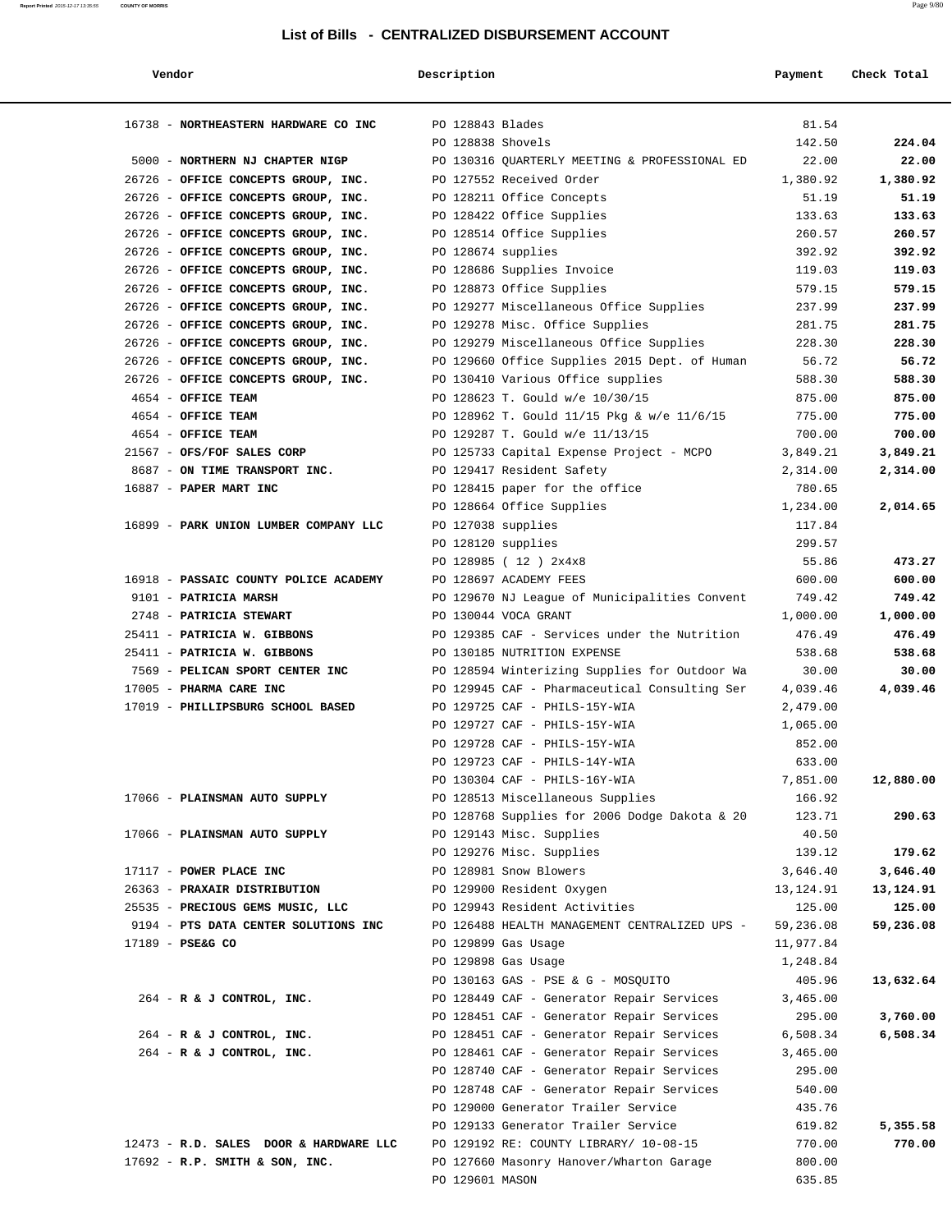| Vendor                                 | Description        |                                               | Payment   | Check Total |
|----------------------------------------|--------------------|-----------------------------------------------|-----------|-------------|
| 16738 - NORTHEASTERN HARDWARE CO INC   | PO 128843 Blades   |                                               | 81.54     |             |
|                                        | PO 128838 Shovels  |                                               | 142.50    | 224.04      |
| 5000 - NORTHERN NJ CHAPTER NIGP        |                    | PO 130316 OUARTERLY MEETING & PROFESSIONAL ED | 22.00     | 22.00       |
| 26726 - OFFICE CONCEPTS GROUP, INC.    |                    | PO 127552 Received Order                      | 1,380.92  | 1,380.92    |
| 26726 - OFFICE CONCEPTS GROUP, INC.    |                    |                                               | 51.19     | 51.19       |
|                                        |                    | PO 128211 Office Concepts                     |           |             |
| 26726 - OFFICE CONCEPTS GROUP, INC.    |                    | PO 128422 Office Supplies                     | 133.63    | 133.63      |
| 26726 - OFFICE CONCEPTS GROUP, INC.    |                    | PO 128514 Office Supplies                     | 260.57    | 260.57      |
| 26726 - OFFICE CONCEPTS GROUP, INC.    | PO 128674 supplies |                                               | 392.92    | 392.92      |
| 26726 - OFFICE CONCEPTS GROUP, INC.    |                    | PO 128686 Supplies Invoice                    | 119.03    | 119.03      |
| 26726 - OFFICE CONCEPTS GROUP, INC.    |                    | PO 128873 Office Supplies                     | 579.15    | 579.15      |
| 26726 - OFFICE CONCEPTS GROUP, INC.    |                    | PO 129277 Miscellaneous Office Supplies       | 237.99    | 237.99      |
| 26726 - OFFICE CONCEPTS GROUP, INC.    |                    | PO 129278 Misc. Office Supplies               | 281.75    | 281.75      |
| 26726 - OFFICE CONCEPTS GROUP, INC.    |                    | PO 129279 Miscellaneous Office Supplies       | 228.30    | 228.30      |
| 26726 - OFFICE CONCEPTS GROUP, INC.    |                    | PO 129660 Office Supplies 2015 Dept. of Human | 56.72     | 56.72       |
| 26726 - OFFICE CONCEPTS GROUP, INC.    |                    | PO 130410 Various Office supplies             | 588.30    | 588.30      |
| 4654 - OFFICE TEAM                     |                    | PO 128623 T. Gould w/e 10/30/15               | 875.00    | 875.00      |
| 4654 - OFFICE TEAM                     |                    | PO 128962 T. Gould 11/15 Pkg & w/e 11/6/15    | 775.00    | 775.00      |
| 4654 - OFFICE TEAM                     |                    | PO 129287 T. Gould w/e 11/13/15               | 700.00    | 700.00      |
| 21567 - OFS/FOF SALES CORP             |                    | PO 125733 Capital Expense Project - MCPO      | 3,849.21  | 3,849.21    |
| 8687 - ON TIME TRANSPORT INC.          |                    | PO 129417 Resident Safety                     | 2,314.00  | 2,314.00    |
| 16887 - PAPER MART INC                 |                    | PO 128415 paper for the office                | 780.65    |             |
|                                        |                    | PO 128664 Office Supplies                     | 1,234.00  | 2,014.65    |
| 16899 - PARK UNION LUMBER COMPANY LLC  | PO 127038 supplies |                                               | 117.84    |             |
|                                        | PO 128120 supplies |                                               | 299.57    |             |
|                                        |                    | PO 128985 (12) 2x4x8                          | 55.86     | 473.27      |
| 16918 - PASSAIC COUNTY POLICE ACADEMY  |                    | PO 128697 ACADEMY FEES                        | 600.00    | 600.00      |
| 9101 - PATRICIA MARSH                  |                    |                                               | 749.42    | 749.42      |
|                                        |                    | PO 129670 NJ League of Municipalities Convent |           |             |
| 2748 - PATRICIA STEWART                |                    | PO 130044 VOCA GRANT                          | 1,000.00  | 1,000.00    |
| 25411 - PATRICIA W. GIBBONS            |                    | PO 129385 CAF - Services under the Nutrition  | 476.49    | 476.49      |
| 25411 - PATRICIA W. GIBBONS            |                    | PO 130185 NUTRITION EXPENSE                   | 538.68    | 538.68      |
| 7569 - PELICAN SPORT CENTER INC        |                    | PO 128594 Winterizing Supplies for Outdoor Wa | 30.00     | 30.00       |
| 17005 - PHARMA CARE INC                |                    | PO 129945 CAF - Pharmaceutical Consulting Ser | 4,039.46  | 4,039.46    |
| 17019 - PHILLIPSBURG SCHOOL BASED      |                    | PO 129725 CAF - PHILS-15Y-WIA                 | 2,479.00  |             |
|                                        |                    | PO 129727 CAF - PHILS-15Y-WIA                 | 1,065.00  |             |
|                                        |                    | PO 129728 CAF - PHILS-15Y-WIA                 | 852.00    |             |
|                                        |                    | PO 129723 CAF - PHILS-14Y-WIA                 | 633.00    |             |
|                                        |                    | PO 130304 CAF - PHILS-16Y-WIA                 | 7,851.00  | 12,880.00   |
| 17066 - PLAINSMAN AUTO SUPPLY          |                    | PO 128513 Miscellaneous Supplies              | 166.92    |             |
|                                        |                    | PO 128768 Supplies for 2006 Dodge Dakota & 20 | 123.71    | 290.63      |
| 17066 - PLAINSMAN AUTO SUPPLY          |                    | PO 129143 Misc. Supplies                      | 40.50     |             |
|                                        |                    | PO 129276 Misc. Supplies                      | 139.12    | 179.62      |
| 17117 - POWER PLACE INC                |                    | PO 128981 Snow Blowers                        | 3,646.40  | 3,646.40    |
| 26363 - PRAXAIR DISTRIBUTION           |                    | PO 129900 Resident Oxygen                     | 13,124.91 | 13,124.91   |
| 25535 - PRECIOUS GEMS MUSIC, LLC       |                    | PO 129943 Resident Activities                 | 125.00    | 125.00      |
| 9194 - PTS DATA CENTER SOLUTIONS INC   |                    | PO 126488 HEALTH MANAGEMENT CENTRALIZED UPS - | 59,236.08 | 59,236.08   |
| 17189 - PSE&G CO                       |                    | PO 129899 Gas Usage                           | 11,977.84 |             |
|                                        |                    | PO 129898 Gas Usage                           | 1,248.84  |             |
|                                        |                    | PO 130163 GAS - PSE & G - MOSQUITO            | 405.96    | 13,632.64   |
| $264$ - R & J CONTROL, INC.            |                    | PO 128449 CAF - Generator Repair Services     | 3,465.00  |             |
|                                        |                    | PO 128451 CAF - Generator Repair Services     | 295.00    | 3,760.00    |
| 264 - R & J CONTROL, INC.              |                    | PO 128451 CAF - Generator Repair Services     | 6,508.34  | 6,508.34    |
| $264$ - R & J CONTROL, INC.            |                    | PO 128461 CAF - Generator Repair Services     | 3,465.00  |             |
|                                        |                    | PO 128740 CAF - Generator Repair Services     | 295.00    |             |
|                                        |                    | PO 128748 CAF - Generator Repair Services     | 540.00    |             |
|                                        |                    |                                               |           |             |
|                                        |                    | PO 129000 Generator Trailer Service           | 435.76    |             |
|                                        |                    | PO 129133 Generator Trailer Service           | 619.82    | 5,355.58    |
| 12473 - R.D. SALES DOOR & HARDWARE LLC |                    | PO 129192 RE: COUNTY LIBRARY/ 10-08-15        | 770.00    | 770.00      |
| $17692$ - R.P. SMITH & SON, INC.       |                    | PO 127660 Masonry Hanover/Wharton Garage      | 800.00    |             |
|                                        | PO 129601 MASON    |                                               | 635.85    |             |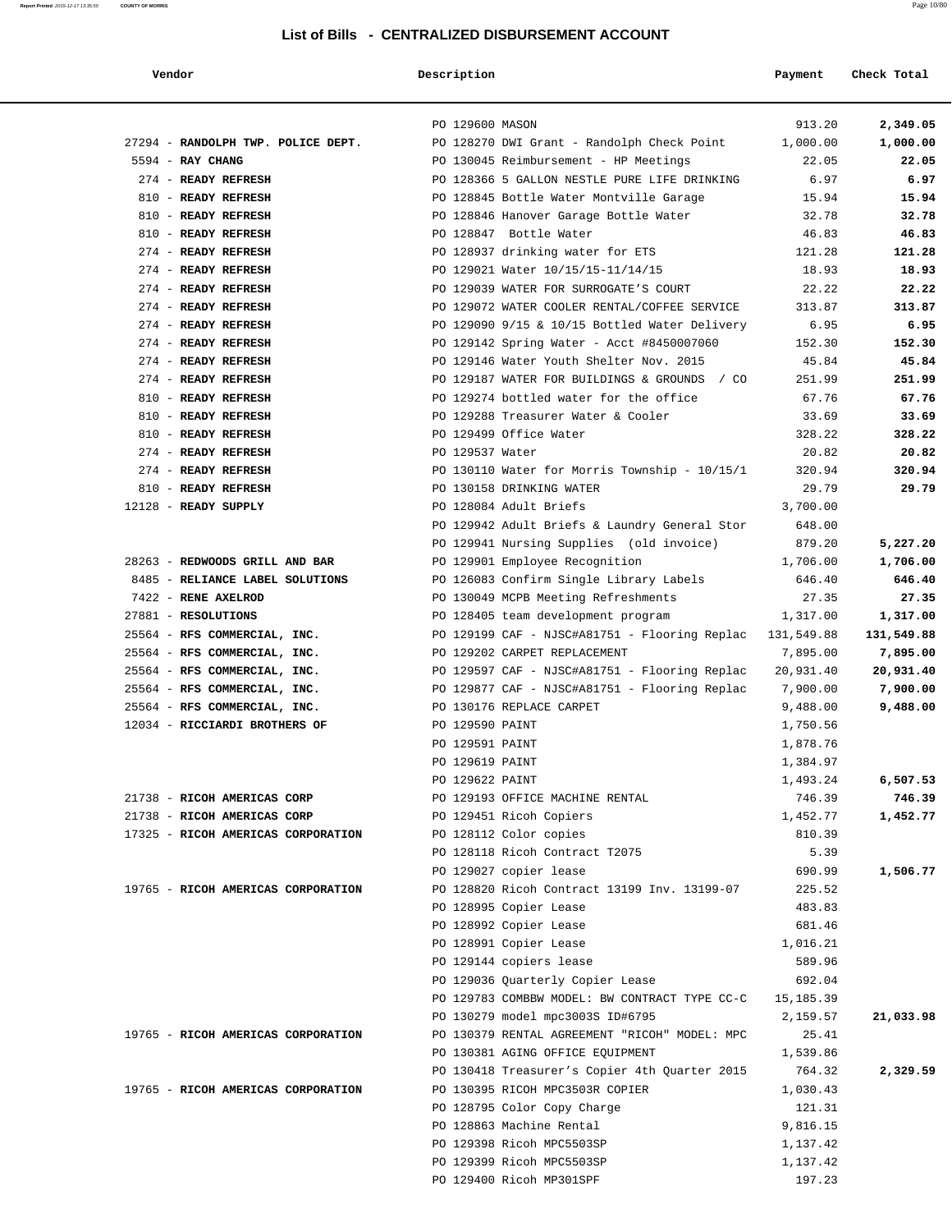|  | Vendor                             |
|--|------------------------------------|
|  |                                    |
|  | 27294 - RANDOLPH TWP. POLICE DEPT. |
|  | $5594$ - RAY CHANG                 |
|  | 274 - READY REFRESH                |
|  | 810 - READY REFRESH                |
|  | 810 - READY REFRESH                |
|  | 810 - READY REFRESH                |
|  | 274 - READY REFRESH                |
|  | 274 - READY REFRESH                |
|  | 274 - READY REFRESH                |
|  | 274 - READY REFRESH                |
|  | 274 - READY REFRESH                |
|  | 274 - READY REFRESH                |
|  | 274 - READY REFRESH                |
|  | 274 - READY REFRESH                |
|  | 810 - READY REFRESH                |
|  | 810 - READY REFRESH                |

| 274 - READY REFRESH            |
|--------------------------------|
| 274 - READY REFRESH            |
| 810 - READY REFRESH            |
| 12128 - READY SUPPLY           |
|                                |
|                                |
| 28263 - REDWOODS GRILL AND BAI |
| 8485 - RELIANCE LABEL SOLUTIO  |
| 7422 - RENE AXELROD            |
| 27881 - RESOLUTIONS            |
| 25564 - RFS COMMERCIAL, INC.   |
| 25564 - RFS COMMERCIAL, INC.   |
| 25564 - RFS COMMERCIAL, INC.   |
| 25564 - RFS COMMERCIAL, INC.   |
| 25564 - RFS COMMERCIAL, INC.   |
| 12034 - RICCIARDI BROTHERS OF  |
|                                |

|  |  | 21738 - RICOH AMERICAS CORP |                                   |
|--|--|-----------------------------|-----------------------------------|
|  |  | 21738 - RICOH AMERICAS CORP |                                   |
|  |  |                             | 17325 - RICOH AMERICAS CORPORATIO |

| Vendor                                                        | Description                        |                                               | Payment              | Check Total |
|---------------------------------------------------------------|------------------------------------|-----------------------------------------------|----------------------|-------------|
|                                                               |                                    |                                               |                      |             |
|                                                               | PO 129600 MASON                    |                                               | 913.20               | 2,349.05    |
| 27294 - RANDOLPH TWP. POLICE DEPT.                            |                                    | PO 128270 DWI Grant - Randolph Check Point    | 1,000.00             | 1,000.00    |
| 5594 - RAY CHANG                                              |                                    | PO 130045 Reimbursement - HP Meetings         | 22.05                | 22.05       |
| 274 - READY REFRESH                                           |                                    | PO 128366 5 GALLON NESTLE PURE LIFE DRINKING  | 6.97                 | 6.97        |
| 810 - READY REFRESH                                           |                                    | PO 128845 Bottle Water Montville Garage       | 15.94                | 15.94       |
| 810 - READY REFRESH                                           |                                    | PO 128846 Hanover Garage Bottle Water         | 32.78                | 32.78       |
| 810 - READY REFRESH                                           |                                    | PO 128847 Bottle Water                        | 46.83                | 46.83       |
| 274 - READY REFRESH                                           |                                    | PO 128937 drinking water for ETS              | 121.28               | 121.28      |
| 274 - READY REFRESH                                           |                                    | PO 129021 Water 10/15/15-11/14/15             | 18.93                | 18.93       |
| 274 - READY REFRESH                                           |                                    | PO 129039 WATER FOR SURROGATE'S COURT         | 22.22                | 22.22       |
| 274 - READY REFRESH                                           |                                    | PO 129072 WATER COOLER RENTAL/COFFEE SERVICE  | 313.87               | 313.87      |
| 274 - READY REFRESH                                           |                                    | PO 129090 9/15 & 10/15 Bottled Water Delivery | 6.95                 | 6.95        |
| 274 - READY REFRESH                                           |                                    | PO 129142 Spring Water - Acct #8450007060     | 152.30               | 152.30      |
| 274 - READY REFRESH                                           |                                    | PO 129146 Water Youth Shelter Nov. 2015       | 45.84                | 45.84       |
| 274 - READY REFRESH                                           |                                    | PO 129187 WATER FOR BUILDINGS & GROUNDS / CO  | 251.99               | 251.99      |
| 810 - READY REFRESH                                           |                                    | PO 129274 bottled water for the office        | 67.76                | 67.76       |
| 810 - READY REFRESH                                           |                                    | PO 129288 Treasurer Water & Cooler            | 33.69                | 33.69       |
| 810 - READY REFRESH                                           |                                    | PO 129499 Office Water                        | 328.22               | 328.22      |
| 274 - READY REFRESH                                           | PO 129537 Water                    |                                               | 20.82                | 20.82       |
| 274 - READY REFRESH                                           |                                    | PO 130110 Water for Morris Township - 10/15/1 | 320.94               | 320.94      |
| 810 - READY REFRESH                                           |                                    | PO 130158 DRINKING WATER                      | 29.79                | 29.79       |
| 12128 - READY SUPPLY                                          |                                    | PO 128084 Adult Briefs                        | 3,700.00             |             |
|                                                               |                                    | PO 129942 Adult Briefs & Laundry General Stor | 648.00               |             |
|                                                               |                                    | PO 129941 Nursing Supplies (old invoice)      | 879.20               | 5,227.20    |
| 28263 - REDWOODS GRILL AND BAR                                |                                    | PO 129901 Employee Recognition                | 1,706.00             | 1,706.00    |
| 8485 - RELIANCE LABEL SOLUTIONS                               |                                    | PO 126083 Confirm Single Library Labels       | 646.40               | 646.40      |
| 7422 - RENE AXELROD                                           |                                    | PO 130049 MCPB Meeting Refreshments           | 27.35                | 27.35       |
| 27881 - RESOLUTIONS                                           |                                    | PO 128405 team development program            | 1,317.00             | 1,317.00    |
| 25564 - RFS COMMERCIAL, INC.                                  |                                    | PO 129199 CAF - NJSC#A81751 - Flooring Replac | 131,549.88           | 131,549.88  |
| 25564 - RFS COMMERCIAL, INC.                                  |                                    | PO 129202 CARPET REPLACEMENT                  | 7,895.00             | 7,895.00    |
| 25564 - RFS COMMERCIAL, INC.                                  |                                    | PO 129597 CAF - NJSC#A81751 - Flooring Replac | 20,931.40            | 20,931.40   |
| 25564 - RFS COMMERCIAL, INC.                                  |                                    | PO 129877 CAF - NJSC#A81751 - Flooring Replac | 7,900.00             | 7,900.00    |
| 25564 - RFS COMMERCIAL, INC.<br>12034 - RICCIARDI BROTHERS OF |                                    | PO 130176 REPLACE CARPET                      | 9,488.00             | 9,488.00    |
|                                                               | PO 129590 PAINT<br>PO 129591 PAINT |                                               | 1,750.56<br>1,878.76 |             |
|                                                               | PO 129619 PAINT                    |                                               | 1,384.97             |             |
|                                                               | PO 129622 PAINT                    |                                               |                      | 6,507.53    |
| 21738 - RICOH AMERICAS CORP                                   |                                    | PO 129193 OFFICE MACHINE RENTAL               | 1,493.24<br>746.39   | 746.39      |
| 21738 - RICOH AMERICAS CORP                                   |                                    | PO 129451 Ricoh Copiers                       | 1,452.77             | 1,452.77    |
| 17325 - RICOH AMERICAS CORPORATION                            |                                    | PO 128112 Color copies                        | 810.39               |             |
|                                                               |                                    | PO 128118 Ricoh Contract T2075                | 5.39                 |             |
|                                                               |                                    | PO 129027 copier lease                        | 690.99               | 1,506.77    |
| 19765 - RICOH AMERICAS CORPORATION                            |                                    | PO 128820 Ricoh Contract 13199 Inv. 13199-07  | 225.52               |             |
|                                                               |                                    | PO 128995 Copier Lease                        | 483.83               |             |
|                                                               |                                    | PO 128992 Copier Lease                        | 681.46               |             |
|                                                               |                                    | PO 128991 Copier Lease                        | 1,016.21             |             |
|                                                               |                                    | PO 129144 copiers lease                       | 589.96               |             |
|                                                               |                                    | PO 129036 Quarterly Copier Lease              | 692.04               |             |
|                                                               |                                    | PO 129783 COMBBW MODEL: BW CONTRACT TYPE CC-C | 15,185.39            |             |
|                                                               |                                    | PO 130279 model mpc3003S ID#6795              | 2,159.57             | 21,033.98   |
| 19765 - RICOH AMERICAS CORPORATION                            |                                    | PO 130379 RENTAL AGREEMENT "RICOH" MODEL: MPC | 25.41                |             |
|                                                               |                                    | PO 130381 AGING OFFICE EQUIPMENT              | 1,539.86             |             |
|                                                               |                                    | PO 130418 Treasurer's Copier 4th Quarter 2015 | 764.32               | 2,329.59    |
| 19765 - RICOH AMERICAS CORPORATION                            |                                    | PO 130395 RICOH MPC3503R COPIER               | 1,030.43             |             |
|                                                               |                                    | PO 128795 Color Copy Charge                   | 121.31               |             |
|                                                               |                                    | PO 128863 Machine Rental                      | 9,816.15             |             |
|                                                               |                                    | PO 129398 Ricoh MPC5503SP                     | 1,137.42             |             |
|                                                               |                                    | PO 129399 Ricoh MPC5503SP                     | 1,137.42             |             |
|                                                               |                                    | PO 129400 Ricoh MP301SPF                      | 197.23               |             |
|                                                               |                                    |                                               |                      |             |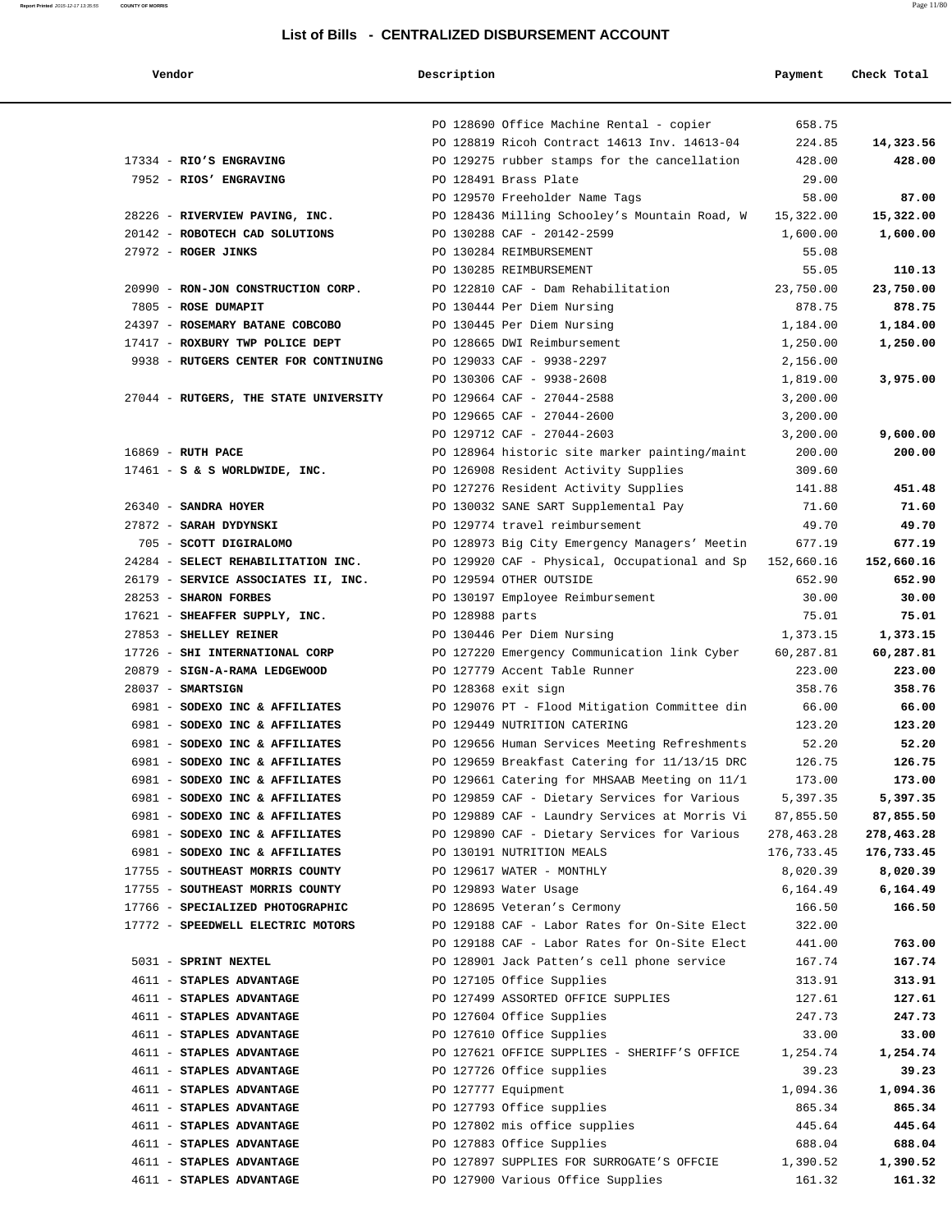|  | Vendor | Description | Payment<br>Check Total |
|--|--------|-------------|------------------------|
|--|--------|-------------|------------------------|

|                                       |                 | PO 128690 Office Machine Rental - copier                 | 658.75     |            |
|---------------------------------------|-----------------|----------------------------------------------------------|------------|------------|
|                                       |                 | PO 128819 Ricoh Contract 14613 Inv. 14613-04             | 224.85     | 14,323.56  |
| 17334 - RIO'S ENGRAVING               |                 | PO 129275 rubber stamps for the cancellation             | 428.00     | 428.00     |
| 7952 - RIOS' ENGRAVING                |                 | PO 128491 Brass Plate                                    | 29.00      |            |
|                                       |                 | PO 129570 Freeholder Name Tags                           | 58.00      | 87.00      |
| 28226 - RIVERVIEW PAVING, INC.        |                 | PO 128436 Milling Schooley's Mountain Road, W            | 15,322.00  | 15,322.00  |
| 20142 - ROBOTECH CAD SOLUTIONS        |                 | PO 130288 CAF - 20142-2599                               | 1,600.00   | 1,600.00   |
| $27972$ - ROGER JINKS                 |                 | PO 130284 REIMBURSEMENT                                  | 55.08      |            |
|                                       |                 | PO 130285 REIMBURSEMENT                                  | 55.05      | 110.13     |
| 20990 - RON-JON CONSTRUCTION CORP.    |                 | PO 122810 CAF - Dam Rehabilitation                       | 23,750.00  | 23,750.00  |
| 7805 - ROSE DUMAPIT                   |                 | PO 130444 Per Diem Nursing                               | 878.75     | 878.75     |
| 24397 - ROSEMARY BATANE COBCOBO       |                 | PO 130445 Per Diem Nursing                               | 1,184.00   | 1,184.00   |
| 17417 - ROXBURY TWP POLICE DEPT       |                 | PO 128665 DWI Reimbursement                              | 1,250.00   | 1,250.00   |
| 9938 - RUTGERS CENTER FOR CONTINUING  |                 | PO 129033 CAF - 9938-2297                                | 2,156.00   |            |
|                                       |                 | PO 130306 CAF - 9938-2608                                | 1,819.00   | 3,975.00   |
| 27044 - RUTGERS, THE STATE UNIVERSITY |                 | PO 129664 CAF - 27044-2588                               | 3,200.00   |            |
|                                       |                 | PO 129665 CAF - 27044-2600                               | 3,200.00   |            |
|                                       |                 | PO 129712 CAF - 27044-2603                               | 3,200.00   | 9,600.00   |
| 16869 - RUTH PACE                     |                 | PO 128964 historic site marker painting/maint            | 200.00     | 200.00     |
| $17461 - S$ & S WORLDWIDE, INC.       |                 | PO 126908 Resident Activity Supplies                     | 309.60     |            |
|                                       |                 | PO 127276 Resident Activity Supplies                     | 141.88     | 451.48     |
| 26340 - SANDRA HOYER                  |                 | PO 130032 SANE SART Supplemental Pay                     | 71.60      | 71.60      |
| 27872 - SARAH DYDYNSKI                |                 | PO 129774 travel reimbursement                           | 49.70      | 49.70      |
| 705 - SCOTT DIGIRALOMO                |                 | PO 128973 Big City Emergency Managers' Meetin            | 677.19     | 677.19     |
| 24284 - SELECT REHABILITATION INC.    |                 | PO 129920 CAF - Physical, Occupational and Sp 152,660.16 |            | 152,660.16 |
| 26179 - SERVICE ASSOCIATES II, INC.   |                 | PO 129594 OTHER OUTSIDE                                  | 652.90     | 652.90     |
| 28253 - SHARON FORBES                 |                 | PO 130197 Employee Reimbursement                         | 30.00      | 30.00      |
| 17621 - SHEAFFER SUPPLY, INC.         | PO 128988 parts |                                                          | 75.01      | 75.01      |
| 27853 - SHELLEY REINER                |                 | PO 130446 Per Diem Nursing                               | 1,373.15   | 1,373.15   |
| 17726 - SHI INTERNATIONAL CORP        |                 | PO 127220 Emergency Communication link Cyber             | 60,287.81  | 60,287.81  |
| 20879 - SIGN-A-RAMA LEDGEWOOD         |                 | PO 127779 Accent Table Runner                            | 223.00     | 223.00     |
| $28037 - SMARTSIGN$                   |                 | PO 128368 exit sign                                      | 358.76     | 358.76     |
| 6981 - SODEXO INC & AFFILIATES        |                 | PO 129076 PT - Flood Mitigation Committee din            | 66.00      | 66.00      |
| 6981 - SODEXO INC & AFFILIATES        |                 | PO 129449 NUTRITION CATERING                             | 123.20     | 123.20     |
| 6981 - SODEXO INC & AFFILIATES        |                 | PO 129656 Human Services Meeting Refreshments            | 52.20      | 52.20      |
| 6981 - SODEXO INC & AFFILIATES        |                 | PO 129659 Breakfast Catering for 11/13/15 DRC            | 126.75     | 126.75     |
| 6981 - SODEXO INC & AFFILIATES        |                 | PO 129661 Catering for MHSAAB Meeting on 11/1            | 173.00     | 173.00     |
| 6981 - SODEXO INC & AFFILIATES        |                 | PO 129859 CAF - Dietary Services for Various             | 5,397.35   | 5,397.35   |
| 6981 - SODEXO INC & AFFILIATES        |                 | PO 129889 CAF - Laundry Services at Morris Vi 87,855.50  |            | 87,855.50  |
| 6981 - SODEXO INC & AFFILIATES        |                 | PO 129890 CAF - Dietary Services for Various             | 278,463.28 | 278,463.28 |
| 6981 - SODEXO INC & AFFILIATES        |                 | PO 130191 NUTRITION MEALS                                | 176,733.45 | 176,733.45 |
| 17755 - SOUTHEAST MORRIS COUNTY       |                 | PO 129617 WATER - MONTHLY                                | 8,020.39   | 8,020.39   |
| 17755 - SOUTHEAST MORRIS COUNTY       |                 | PO 129893 Water Usage                                    | 6,164.49   | 6,164.49   |
| 17766 - SPECIALIZED PHOTOGRAPHIC      |                 | PO 128695 Veteran's Cermony                              | 166.50     | 166.50     |
| 17772 - SPEEDWELL ELECTRIC MOTORS     |                 | PO 129188 CAF - Labor Rates for On-Site Elect            | 322.00     |            |
|                                       |                 | PO 129188 CAF - Labor Rates for On-Site Elect            | 441.00     | 763.00     |
| 5031 - SPRINT NEXTEL                  |                 | PO 128901 Jack Patten's cell phone service               | 167.74     | 167.74     |
| 4611 - STAPLES ADVANTAGE              |                 | PO 127105 Office Supplies                                | 313.91     | 313.91     |
| 4611 - STAPLES ADVANTAGE              |                 | PO 127499 ASSORTED OFFICE SUPPLIES                       | 127.61     | 127.61     |
| 4611 - STAPLES ADVANTAGE              |                 | PO 127604 Office Supplies                                | 247.73     | 247.73     |
| 4611 - STAPLES ADVANTAGE              |                 | PO 127610 Office Supplies                                | 33.00      | 33.00      |
| 4611 - STAPLES ADVANTAGE              |                 | PO 127621 OFFICE SUPPLIES - SHERIFF'S OFFICE             | 1,254.74   | 1,254.74   |
| 4611 - STAPLES ADVANTAGE              |                 | PO 127726 Office supplies                                | 39.23      | 39.23      |
| 4611 - STAPLES ADVANTAGE              |                 | PO 127777 Equipment                                      | 1,094.36   | 1,094.36   |
| 4611 - STAPLES ADVANTAGE              |                 | PO 127793 Office supplies                                | 865.34     | 865.34     |
| 4611 - STAPLES ADVANTAGE              |                 | PO 127802 mis office supplies                            | 445.64     | 445.64     |
| 4611 - STAPLES ADVANTAGE              |                 | PO 127883 Office Supplies                                | 688.04     | 688.04     |
| 4611 - STAPLES ADVANTAGE              |                 | PO 127897 SUPPLIES FOR SURROGATE'S OFFCIE                | 1,390.52   | 1,390.52   |
| 4611 - STAPLES ADVANTAGE              |                 | PO 127900 Various Office Supplies                        | 161.32     | 161.32     |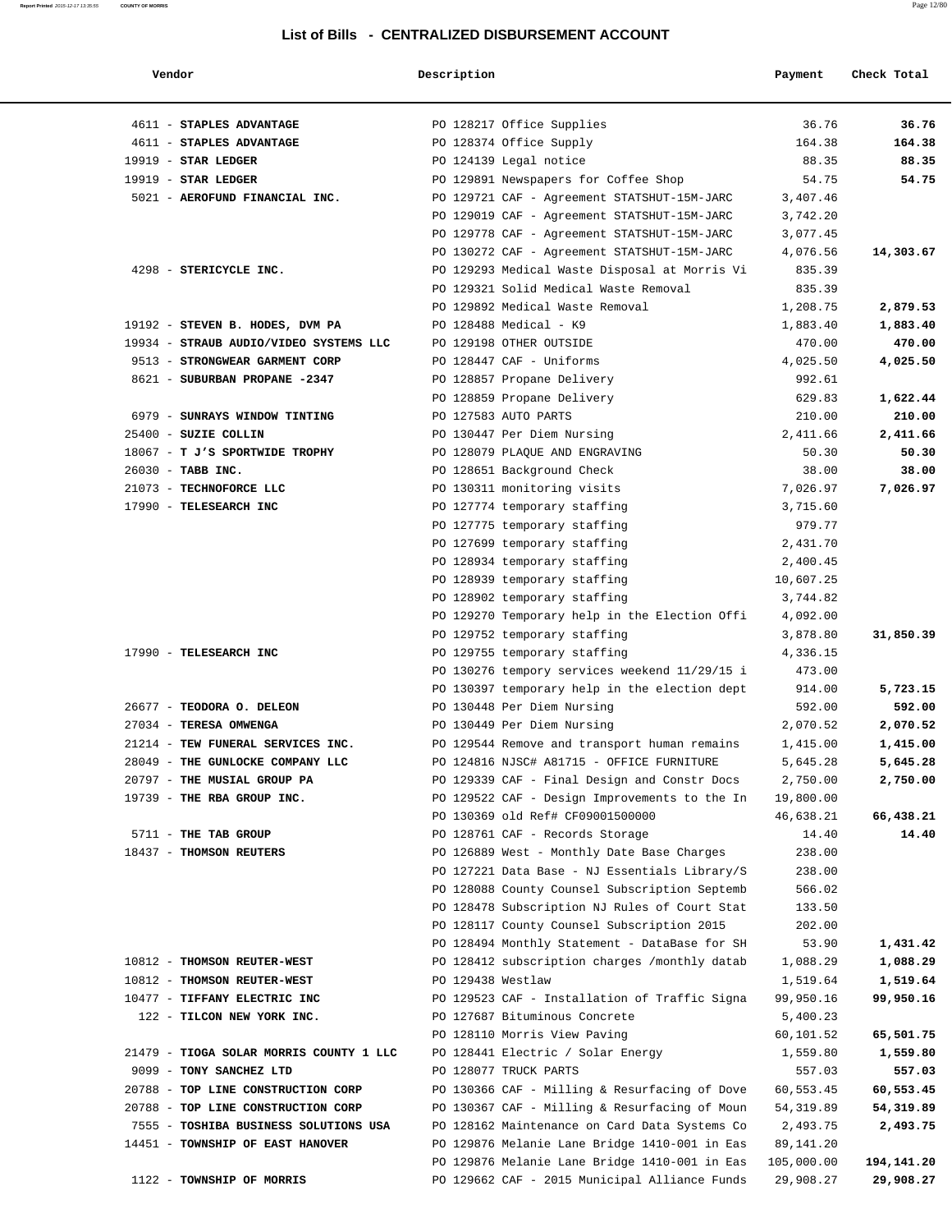| Vendor                                  | Description       |                                                                               | Payment              | Check Total |
|-----------------------------------------|-------------------|-------------------------------------------------------------------------------|----------------------|-------------|
| 4611 - STAPLES ADVANTAGE                |                   | PO 128217 Office Supplies                                                     | 36.76                | 36.76       |
| 4611 - STAPLES ADVANTAGE                |                   | PO 128374 Office Supply                                                       | 164.38               | 164.38      |
| $19919$ - STAR LEDGER                   |                   | PO 124139 Legal notice                                                        | 88.35                | 88.35       |
| $19919$ - STAR LEDGER                   |                   | PO 129891 Newspapers for Coffee Shop                                          | 54.75                | 54.75       |
| 5021 - AEROFUND FINANCIAL INC.          |                   | PO 129721 CAF - Agreement STATSHUT-15M-JARC                                   | 3,407.46             |             |
|                                         |                   | PO 129019 CAF - Agreement STATSHUT-15M-JARC                                   | 3,742.20             |             |
|                                         |                   | PO 129778 CAF - Agreement STATSHUT-15M-JARC                                   | 3,077.45             |             |
|                                         |                   | PO 130272 CAF - Agreement STATSHUT-15M-JARC                                   | 4,076.56             | 14,303.67   |
| 4298 - STERICYCLE INC.                  |                   | PO 129293 Medical Waste Disposal at Morris Vi                                 | 835.39               |             |
|                                         |                   | PO 129321 Solid Medical Waste Removal                                         | 835.39               |             |
|                                         |                   | PO 129892 Medical Waste Removal                                               | 1,208.75             | 2,879.53    |
| 19192 - STEVEN B. HODES, DVM PA         |                   | PO 128488 Medical - K9                                                        | 1,883.40             | 1,883.40    |
| 19934 - STRAUB AUDIO/VIDEO SYSTEMS LLC  |                   | PO 129198 OTHER OUTSIDE                                                       | 470.00               | 470.00      |
| 9513 - STRONGWEAR GARMENT CORP          |                   | PO 128447 CAF - Uniforms                                                      | 4,025.50             | 4,025.50    |
| 8621 - SUBURBAN PROPANE -2347           |                   | PO 128857 Propane Delivery                                                    | 992.61               |             |
|                                         |                   | PO 128859 Propane Delivery                                                    | 629.83               | 1,622.44    |
| 6979 - SUNRAYS WINDOW TINTING           |                   | PO 127583 AUTO PARTS                                                          | 210.00               | 210.00      |
| 25400 - SUZIE COLLIN                    |                   | PO 130447 Per Diem Nursing                                                    | 2,411.66             | 2,411.66    |
| 18067 - T J'S SPORTWIDE TROPHY          |                   | PO 128079 PLAQUE AND ENGRAVING                                                | 50.30                | 50.30       |
| 26030 - TABB INC.                       |                   | PO 128651 Background Check                                                    | 38.00                | 38.00       |
| 21073 - TECHNOFORCE LLC                 |                   | PO 130311 monitoring visits                                                   | 7,026.97             | 7,026.97    |
| 17990 - TELESEARCH INC                  |                   | PO 127774 temporary staffing                                                  | 3,715.60             |             |
|                                         |                   | PO 127775 temporary staffing                                                  | 979.77               |             |
|                                         |                   | PO 127699 temporary staffing                                                  | 2,431.70             |             |
|                                         |                   | PO 128934 temporary staffing                                                  | 2,400.45             |             |
|                                         |                   | PO 128939 temporary staffing                                                  | 10,607.25            |             |
|                                         |                   | PO 128902 temporary staffing<br>PO 129270 Temporary help in the Election Offi | 3,744.82<br>4,092.00 |             |
|                                         |                   | PO 129752 temporary staffing                                                  | 3,878.80             | 31,850.39   |
| 17990 - TELESEARCH INC                  |                   | PO 129755 temporary staffing                                                  | 4,336.15             |             |
|                                         |                   | PO 130276 tempory services weekend 11/29/15 i                                 | 473.00               |             |
|                                         |                   | PO 130397 temporary help in the election dept                                 | 914.00               | 5,723.15    |
| 26677 - TEODORA O. DELEON               |                   | PO 130448 Per Diem Nursing                                                    | 592.00               | 592.00      |
| 27034 - TERESA OMWENGA                  |                   | PO 130449 Per Diem Nursing                                                    | 2,070.52             | 2,070.52    |
| 21214 - TEW FUNERAL SERVICES INC.       |                   | PO 129544 Remove and transport human remains                                  | 1,415.00             | 1,415.00    |
| 28049 - THE GUNLOCKE COMPANY LLC        |                   | PO 124816 NJSC# A81715 - OFFICE FURNITURE                                     | 5,645.28             | 5,645.28    |
| 20797 - THE MUSIAL GROUP PA             |                   | PO 129339 CAF - Final Design and Constr Docs                                  | 2,750.00             | 2,750.00    |
| 19739 - THE RBA GROUP INC.              |                   | PO 129522 CAF - Design Improvements to the In                                 | 19,800.00            |             |
|                                         |                   | PO 130369 old Ref# CF09001500000                                              | 46,638.21            | 66,438.21   |
| 5711 - THE TAB GROUP                    |                   | PO 128761 CAF - Records Storage                                               | 14.40                | 14.40       |
| 18437 - THOMSON REUTERS                 |                   | PO 126889 West - Monthly Date Base Charges                                    | 238.00               |             |
|                                         |                   | PO 127221 Data Base - NJ Essentials Library/S                                 | 238.00               |             |
|                                         |                   | PO 128088 County Counsel Subscription Septemb                                 | 566.02               |             |
|                                         |                   | PO 128478 Subscription NJ Rules of Court Stat                                 | 133.50               |             |
|                                         |                   | PO 128117 County Counsel Subscription 2015                                    | 202.00               |             |
|                                         |                   | PO 128494 Monthly Statement - DataBase for SH                                 | 53.90                | 1,431.42    |
| 10812 - THOMSON REUTER-WEST             |                   | PO 128412 subscription charges /monthly datab                                 | 1,088.29             | 1,088.29    |
| 10812 - THOMSON REUTER-WEST             | PO 129438 Westlaw |                                                                               | 1,519.64             | 1,519.64    |
| 10477 - TIFFANY ELECTRIC INC            |                   | PO 129523 CAF - Installation of Traffic Signa                                 | 99,950.16            | 99,950.16   |
| 122 - TILCON NEW YORK INC.              |                   | PO 127687 Bituminous Concrete                                                 | 5,400.23             |             |
|                                         |                   | PO 128110 Morris View Paving                                                  | 60,101.52            | 65,501.75   |
| 21479 - TIOGA SOLAR MORRIS COUNTY 1 LLC |                   | PO 128441 Electric / Solar Energy                                             | 1,559.80             | 1,559.80    |
| 9099 - TONY SANCHEZ LTD                 |                   | PO 128077 TRUCK PARTS                                                         | 557.03               | 557.03      |
| 20788 - TOP LINE CONSTRUCTION CORP      |                   | PO 130366 CAF - Milling & Resurfacing of Dove                                 | 60,553.45            | 60,553.45   |
| 20788 - TOP LINE CONSTRUCTION CORP      |                   | PO 130367 CAF - Milling & Resurfacing of Moun                                 | 54,319.89            | 54,319.89   |
| 7555 - TOSHIBA BUSINESS SOLUTIONS USA   |                   | PO 128162 Maintenance on Card Data Systems Co                                 | 2,493.75             | 2,493.75    |
| 14451 - TOWNSHIP OF EAST HANOVER        |                   | PO 129876 Melanie Lane Bridge 1410-001 in Eas                                 | 89,141.20            |             |
|                                         |                   | PO 129876 Melanie Lane Bridge 1410-001 in Eas                                 | 105,000.00           | 194,141.20  |
| 1122 - TOWNSHIP OF MORRIS               |                   | PO 129662 CAF - 2015 Municipal Alliance Funds                                 | 29,908.27            | 29,908.27   |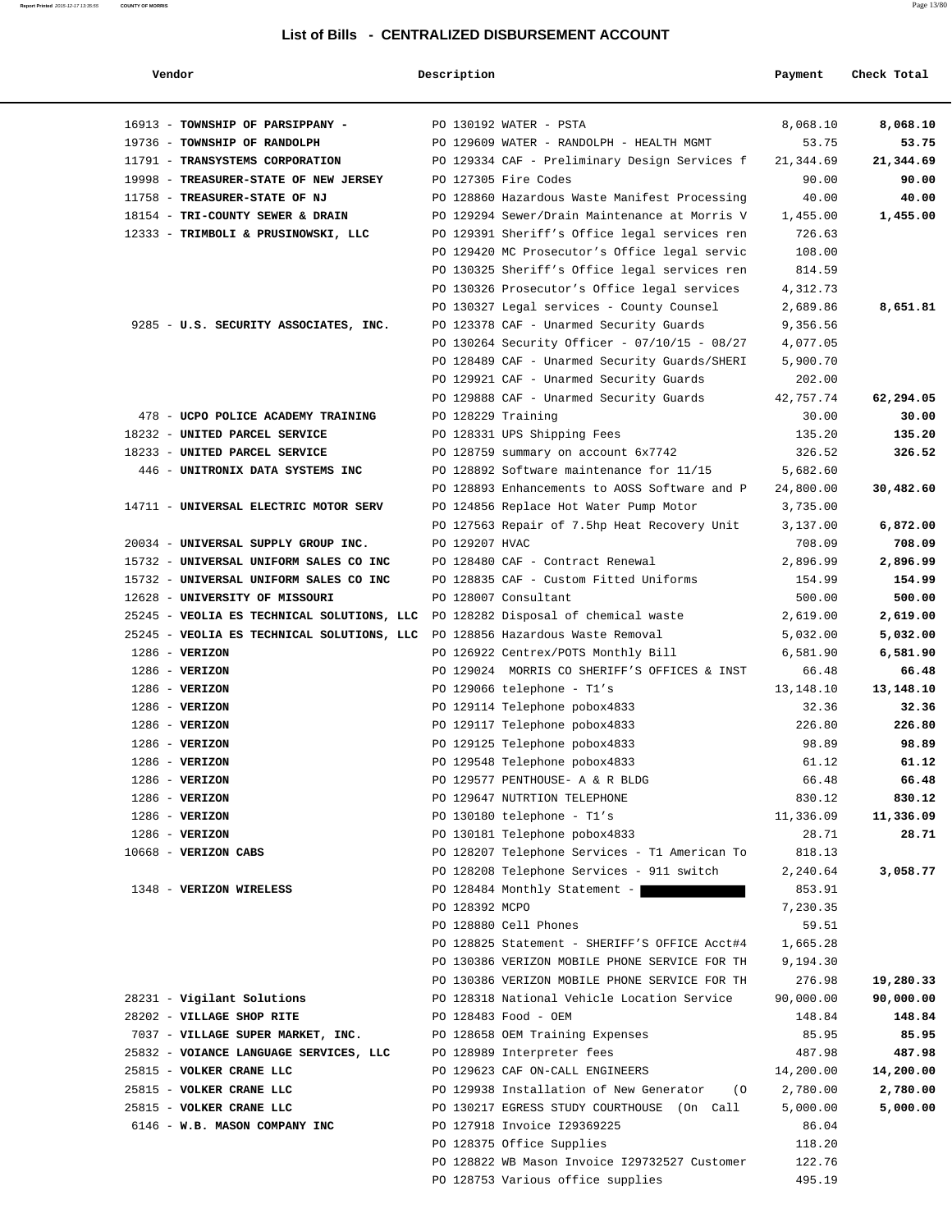| Vendor                                     | Description        |                                                             | Payment             | Check Total        |
|--------------------------------------------|--------------------|-------------------------------------------------------------|---------------------|--------------------|
| 16913 - TOWNSHIP OF PARSIPPANY -           |                    | PO 130192 WATER - PSTA                                      | 8,068.10            | 8,068.10           |
| 19736 - TOWNSHIP OF RANDOLPH               |                    | PO 129609 WATER - RANDOLPH - HEALTH MGMT                    | 53.75               | 53.75              |
| 11791 - TRANSYSTEMS CORPORATION            |                    | PO 129334 CAF - Preliminary Design Services f               | 21,344.69           | 21,344.69          |
| 19998 - TREASURER-STATE OF NEW JERSEY      |                    | PO 127305 Fire Codes                                        | 90.00               | 90.00              |
| 11758 - TREASURER-STATE OF NJ              |                    | PO 128860 Hazardous Waste Manifest Processing               | 40.00               | 40.00              |
| 18154 - TRI-COUNTY SEWER & DRAIN           |                    | PO 129294 Sewer/Drain Maintenance at Morris V               | 1,455.00            | 1,455.00           |
| 12333 - TRIMBOLI & PRUSINOWSKI, LLC        |                    | PO 129391 Sheriff's Office legal services ren               | 726.63              |                    |
|                                            |                    | PO 129420 MC Prosecutor's Office legal servic               | 108.00              |                    |
|                                            |                    | PO 130325 Sheriff's Office legal services ren               | 814.59              |                    |
|                                            |                    | PO 130326 Prosecutor's Office legal services                | 4,312.73            |                    |
|                                            |                    | PO 130327 Legal services - County Counsel                   | 2,689.86            | 8,651.81           |
| 9285 - U.S. SECURITY ASSOCIATES, INC.      |                    | PO 123378 CAF - Unarmed Security Guards                     | 9,356.56            |                    |
|                                            |                    | PO 130264 Security Officer - 07/10/15 - 08/27               | 4,077.05            |                    |
|                                            |                    | PO 128489 CAF - Unarmed Security Guards/SHERI               | 5,900.70            |                    |
|                                            |                    | PO 129921 CAF - Unarmed Security Guards                     | 202.00              |                    |
|                                            |                    | PO 129888 CAF - Unarmed Security Guards                     | 42,757.74           | 62,294.05          |
| 478 - UCPO POLICE ACADEMY TRAINING         | PO 128229 Training |                                                             | 30.00               | 30.00              |
| 18232 - UNITED PARCEL SERVICE              |                    | PO 128331 UPS Shipping Fees                                 | 135.20              | 135.20             |
| 18233 - UNITED PARCEL SERVICE              |                    | PO 128759 summary on account 6x7742                         | 326.52              | 326.52             |
| 446 - UNITRONIX DATA SYSTEMS INC           |                    | PO 128892 Software maintenance for 11/15                    | 5,682.60            |                    |
|                                            |                    | PO 128893 Enhancements to AOSS Software and P               | 24,800.00           | 30,482.60          |
| 14711 - UNIVERSAL ELECTRIC MOTOR SERV      |                    | PO 124856 Replace Hot Water Pump Motor                      | 3,735.00            |                    |
|                                            |                    | PO 127563 Repair of 7.5hp Heat Recovery Unit                | 3,137.00            | 6,872.00           |
| 20034 - UNIVERSAL SUPPLY GROUP INC.        | PO 129207 HVAC     |                                                             | 708.09              | 708.09             |
| 15732 - UNIVERSAL UNIFORM SALES CO INC     |                    | PO 128480 CAF - Contract Renewal                            | 2,896.99            | 2,896.99           |
| 15732 - UNIVERSAL UNIFORM SALES CO INC     |                    | PO 128835 CAF - Custom Fitted Uniforms                      | 154.99              | 154.99             |
| 12628 - UNIVERSITY OF MISSOURI             |                    | PO 128007 Consultant                                        | 500.00              | 500.00             |
| 25245 - VEOLIA ES TECHNICAL SOLUTIONS, LLC |                    | PO 128282 Disposal of chemical waste                        | 2,619.00            | 2,619.00           |
| 25245 - VEOLIA ES TECHNICAL SOLUTIONS, LLC |                    | PO 128856 Hazardous Waste Removal                           | 5,032.00            | 5,032.00           |
| $1286$ - VERIZON                           |                    | PO 126922 Centrex/POTS Monthly Bill                         | 6,581.90            | 6,581.90           |
| $1286$ - VERIZON                           |                    | PO 129024 MORRIS CO SHERIFF'S OFFICES & INST                | 66.48               | 66.48              |
| $1286$ - VERIZON                           |                    | PO 129066 telephone - $T1's$                                | 13,148.10           | 13,148.10          |
| $1286$ - VERIZON                           |                    | PO 129114 Telephone pobox4833                               | 32.36               | 32.36              |
| $1286$ - VERIZON                           |                    | PO 129117 Telephone pobox4833                               | 226.80              | 226.80             |
| $1286$ - VERIZON                           |                    | PO 129125 Telephone pobox4833                               | 98.89               | 98.89              |
| 1286 - VERIZON                             |                    | PO 129548 Telephone pobox4833                               | 61.12               | 61.12              |
| $1286$ - VERIZON                           |                    | PO 129577 PENTHOUSE- A & R BLDG                             | 66.48               | 66.48              |
| $1286$ - VERIZON                           |                    | PO 129647 NUTRTION TELEPHONE                                | 830.12<br>11,336.09 | 830.12             |
| $1286$ - VERIZON<br>$1286$ - VERIZON       |                    | PO 130180 telephone - T1's<br>PO 130181 Telephone pobox4833 | 28.71               | 11,336.09<br>28.71 |
| 10668 - VERIZON CABS                       |                    | PO 128207 Telephone Services - T1 American To               | 818.13              |                    |
|                                            |                    | PO 128208 Telephone Services - 911 switch                   | 2,240.64            | 3,058.77           |
| 1348 - VERIZON WIRELESS                    |                    | PO 128484 Monthly Statement -                               | 853.91              |                    |
|                                            | PO 128392 MCPO     |                                                             | 7,230.35            |                    |
|                                            |                    | PO 128880 Cell Phones                                       | 59.51               |                    |
|                                            |                    | PO 128825 Statement - SHERIFF'S OFFICE Acct#4               | 1,665.28            |                    |
|                                            |                    | PO 130386 VERIZON MOBILE PHONE SERVICE FOR TH               | 9,194.30            |                    |
|                                            |                    | PO 130386 VERIZON MOBILE PHONE SERVICE FOR TH               | 276.98              | 19,280.33          |
| 28231 - Vigilant Solutions                 |                    | PO 128318 National Vehicle Location Service                 | 90,000.00           | 90,000.00          |
| 28202 - VILLAGE SHOP RITE                  |                    | PO 128483 Food - OEM                                        | 148.84              | 148.84             |
| 7037 - VILLAGE SUPER MARKET, INC.          |                    | PO 128658 OEM Training Expenses                             | 85.95               | 85.95              |
| 25832 - VOIANCE LANGUAGE SERVICES, LLC     |                    | PO 128989 Interpreter fees                                  | 487.98              | 487.98             |
| 25815 - VOLKER CRANE LLC                   |                    | PO 129623 CAF ON-CALL ENGINEERS                             | 14,200.00           | 14,200.00          |
| 25815 - VOLKER CRANE LLC                   |                    | PO 129938 Installation of New Generator<br>( O              | 2,780.00            | 2,780.00           |
| 25815 - VOLKER CRANE LLC                   |                    | PO 130217 EGRESS STUDY COURTHOUSE (On Call                  | 5,000.00            | 5,000.00           |
| 6146 - W.B. MASON COMPANY INC              |                    | PO 127918 Invoice I29369225                                 | 86.04               |                    |
|                                            |                    | PO 128375 Office Supplies                                   | 118.20              |                    |
|                                            |                    | PO 128822 WB Mason Invoice I29732527 Customer               | 122.76              |                    |
|                                            |                    | PO 128753 Various office supplies                           | 495.19              |                    |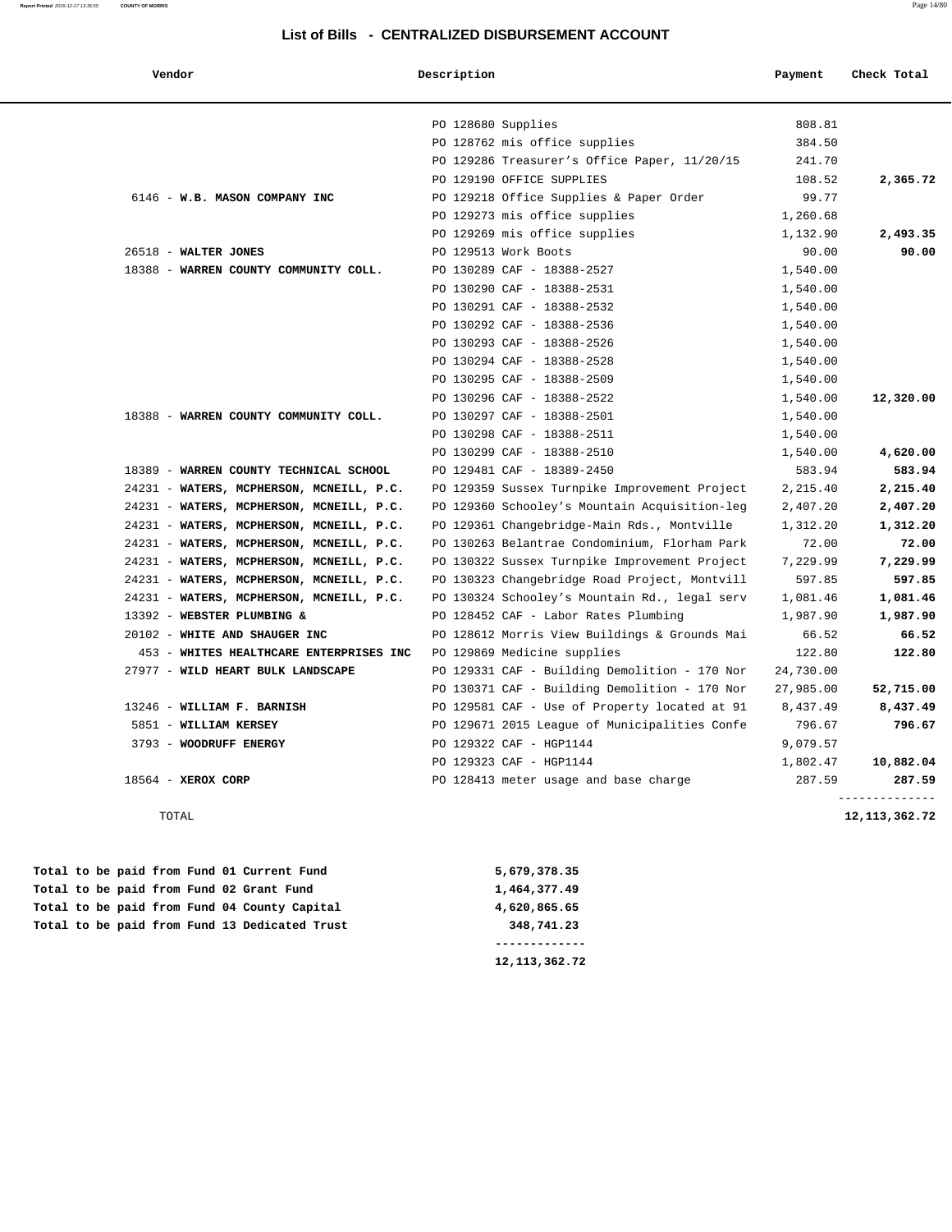| Vendor                                   | Description                                   | Payment   | Check Total              |
|------------------------------------------|-----------------------------------------------|-----------|--------------------------|
|                                          | PO 128680 Supplies                            | 808.81    |                          |
|                                          | PO 128762 mis office supplies                 | 384.50    |                          |
|                                          | PO 129286 Treasurer's Office Paper, 11/20/15  | 241.70    |                          |
|                                          | PO 129190 OFFICE SUPPLIES                     | 108.52    | 2,365.72                 |
| 6146 - W.B. MASON COMPANY INC            | PO 129218 Office Supplies & Paper Order       | 99.77     |                          |
|                                          | PO 129273 mis office supplies                 | 1,260.68  |                          |
|                                          | PO 129269 mis office supplies                 | 1,132.90  | 2,493.35                 |
| 26518 - WALTER JONES                     | PO 129513 Work Boots                          | 90.00     | 90.00                    |
| 18388 - WARREN COUNTY COMMUNITY COLL.    | PO 130289 CAF - 18388-2527                    | 1,540.00  |                          |
|                                          | PO 130290 CAF - 18388-2531                    | 1,540.00  |                          |
|                                          | PO 130291 CAF - 18388-2532                    | 1,540.00  |                          |
|                                          | PO 130292 CAF - 18388-2536                    | 1,540.00  |                          |
|                                          | PO 130293 CAF - 18388-2526                    | 1,540.00  |                          |
|                                          | PO 130294 CAF - 18388-2528                    | 1,540.00  |                          |
|                                          | PO 130295 CAF - 18388-2509                    | 1,540.00  |                          |
|                                          | PO 130296 CAF - 18388-2522                    | 1,540.00  | 12,320.00                |
| 18388 - WARREN COUNTY COMMUNITY COLL.    | PO 130297 CAF - 18388-2501                    | 1,540.00  |                          |
|                                          | PO 130298 CAF - 18388-2511                    | 1,540.00  |                          |
|                                          | PO 130299 CAF - 18388-2510                    | 1,540.00  | 4,620.00                 |
| 18389 - WARREN COUNTY TECHNICAL SCHOOL   | PO 129481 CAF - 18389-2450                    | 583.94    | 583.94                   |
| 24231 - WATERS, MCPHERSON, MCNEILL, P.C. | PO 129359 Sussex Turnpike Improvement Project | 2,215.40  | 2,215.40                 |
| 24231 - WATERS, MCPHERSON, MCNEILL, P.C. | PO 129360 Schooley's Mountain Acquisition-leg | 2,407.20  | 2,407.20                 |
| 24231 - WATERS, MCPHERSON, MCNEILL, P.C. | PO 129361 Changebridge-Main Rds., Montville   | 1,312.20  | 1,312.20                 |
| 24231 - WATERS, MCPHERSON, MCNEILL, P.C. | PO 130263 Belantrae Condominium, Florham Park | 72.00     | 72.00                    |
| 24231 - WATERS, MCPHERSON, MCNEILL, P.C. | PO 130322 Sussex Turnpike Improvement Project | 7,229.99  | 7,229.99                 |
| 24231 - WATERS, MCPHERSON, MCNEILL, P.C. | PO 130323 Changebridge Road Project, Montvill | 597.85    | 597.85                   |
| 24231 - WATERS, MCPHERSON, MCNEILL, P.C. | PO 130324 Schooley's Mountain Rd., legal serv | 1,081.46  | 1,081.46                 |
| 13392 - WEBSTER PLUMBING &               | PO 128452 CAF - Labor Rates Plumbing          | 1,987.90  | 1,987.90                 |
| 20102 - WHITE AND SHAUGER INC            | PO 128612 Morris View Buildings & Grounds Mai | 66.52     | 66.52                    |
| 453 - WHITES HEALTHCARE ENTERPRISES INC  | PO 129869 Medicine supplies                   | 122.80    | 122.80                   |
| 27977 - WILD HEART BULK LANDSCAPE        | PO 129331 CAF - Building Demolition - 170 Nor | 24,730.00 |                          |
|                                          | PO 130371 CAF - Building Demolition - 170 Nor | 27,985.00 | 52,715.00                |
| 13246 - WILLIAM F. BARNISH               | PO 129581 CAF - Use of Property located at 91 | 8,437.49  | 8,437.49                 |
| 5851 - WILLIAM KERSEY                    | PO 129671 2015 League of Municipalities Confe | 796.67    | 796.67                   |
| 3793 - WOODRUFF ENERGY                   | PO 129322 CAF - HGP1144                       | 9,079.57  |                          |
|                                          | PO 129323 CAF - HGP1144                       | 1,802.47  | 10,882.04                |
| 18564 - XEROX CORP                       | PO 128413 meter usage and base charge         | 287.59    | 287.59<br>-------------- |

TOTAL **12,113,362.72**

|  |  |  |  | Total to be paid from Fund 13 Dedicated Trust | 348,741.23   |
|--|--|--|--|-----------------------------------------------|--------------|
|  |  |  |  | Total to be paid from Fund 04 County Capital  | 4,620,865.65 |
|  |  |  |  | Total to be paid from Fund 02 Grant Fund      | 1,464,377.49 |
|  |  |  |  | Total to be paid from Fund 01 Current Fund    | 5,679,378.35 |

 **12,113,362.72**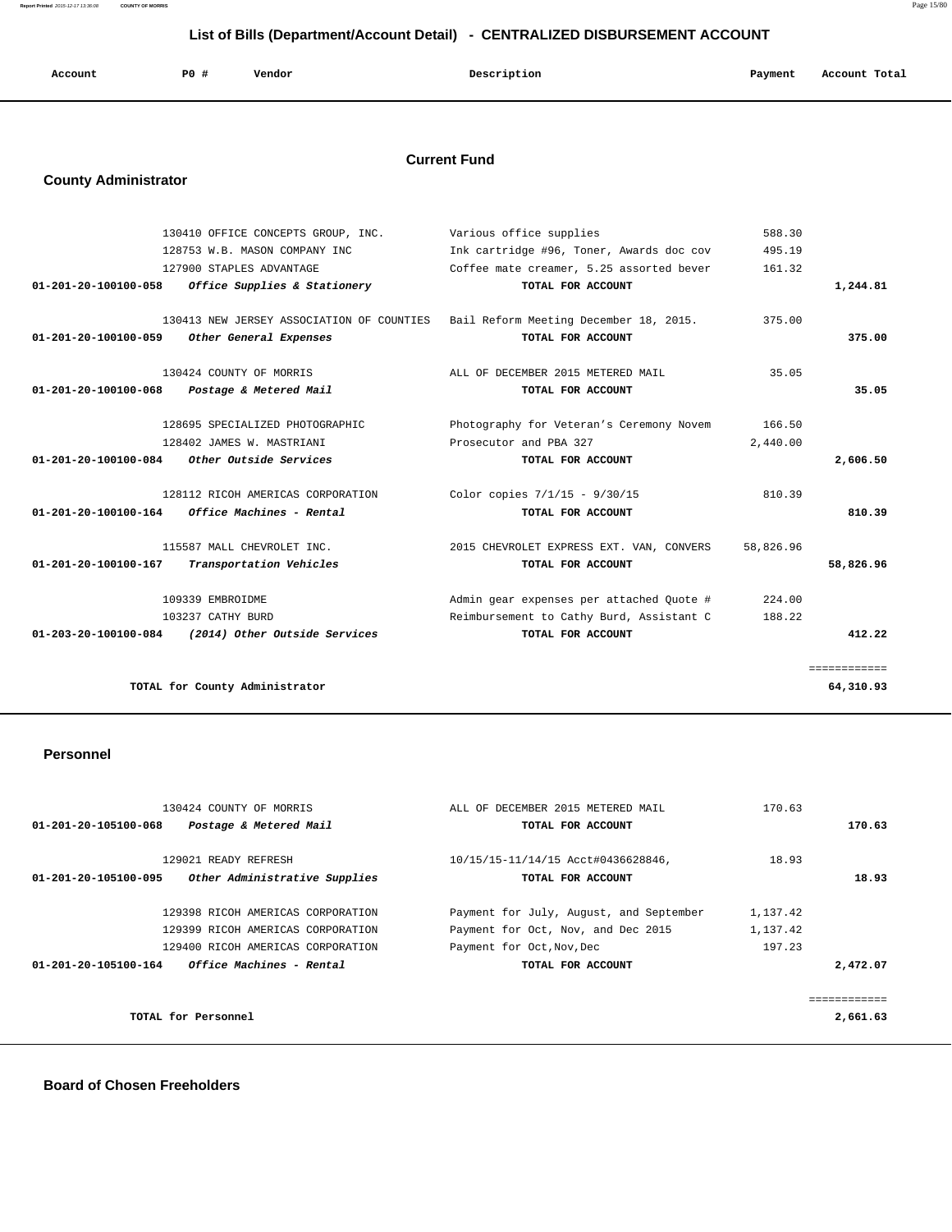**Report Printed** 2015-12-17 13:36:08 **COUNTY OF MORRIS** Page 15/80

## **List of Bills (Department/Account Detail) - CENTRALIZED DISBURSEMENT ACCOUNT**

| Account | P0 | Vendor | Description | Payment | Account Total |
|---------|----|--------|-------------|---------|---------------|
|         |    |        |             |         |               |

## **Current Fund**

## **County Administrator**

|                                             | 130410 OFFICE CONCEPTS GROUP, INC.        | Various office supplies                  | 588.30    |              |
|---------------------------------------------|-------------------------------------------|------------------------------------------|-----------|--------------|
|                                             | 128753 W.B. MASON COMPANY INC             | Ink cartridge #96, Toner, Awards doc cov | 495.19    |              |
|                                             | 127900 STAPLES ADVANTAGE                  | Coffee mate creamer, 5.25 assorted bever | 161.32    |              |
| 01-201-20-100100-058                        | Office Supplies & Stationery              | TOTAL FOR ACCOUNT                        |           | 1,244.81     |
|                                             | 130413 NEW JERSEY ASSOCIATION OF COUNTIES |                                          | 375.00    |              |
|                                             |                                           | Bail Reform Meeting December 18, 2015.   |           | 375.00       |
| 01-201-20-100100-059                        | Other General Expenses                    | TOTAL FOR ACCOUNT                        |           |              |
|                                             | 130424 COUNTY OF MORRIS                   | ALL OF DECEMBER 2015 METERED MAIL        | 35.05     |              |
| 01-201-20-100100-068                        | Postage & Metered Mail                    | TOTAL FOR ACCOUNT                        |           | 35.05        |
|                                             | 128695 SPECIALIZED PHOTOGRAPHIC           |                                          | 166.50    |              |
|                                             |                                           | Photography for Veteran's Ceremony Novem |           |              |
|                                             | 128402 JAMES W. MASTRIANI                 | Prosecutor and PBA 327                   | 2,440.00  |              |
| 01-201-20-100100-084 Other Outside Services |                                           | TOTAL FOR ACCOUNT                        |           | 2,606.50     |
|                                             | 128112 RICOH AMERICAS CORPORATION         | Color copies 7/1/15 - 9/30/15            | 810.39    |              |
| 01-201-20-100100-164                        | <i><b>Office Machines - Rental</b></i>    | TOTAL FOR ACCOUNT                        |           | 810.39       |
|                                             | 115587 MALL CHEVROLET INC.                | 2015 CHEVROLET EXPRESS EXT. VAN, CONVERS | 58,826.96 |              |
| 01-201-20-100100-167                        | Transportation Vehicles                   | TOTAL FOR ACCOUNT                        |           | 58,826.96    |
|                                             |                                           |                                          |           |              |
|                                             | 109339 EMBROIDME                          | Admin gear expenses per attached Ouote # | 224.00    |              |
|                                             | 103237 CATHY BURD                         | Reimbursement to Cathy Burd, Assistant C | 188.22    |              |
| 01-203-20-100100-084                        | (2014) Other Outside Services             | TOTAL FOR ACCOUNT                        |           | 412.22       |
|                                             |                                           |                                          |           | ============ |
|                                             | TOTAL for County Administrator            |                                          |           | 64,310.93    |
|                                             |                                           |                                          |           |              |

### **Personnel**

| 130424 COUNTY OF MORRIS                               | ALL OF DECEMBER 2015 METERED MAIL       | 170.63   |              |
|-------------------------------------------------------|-----------------------------------------|----------|--------------|
| 01-201-20-105100-068<br>Postage & Metered Mail        | TOTAL FOR ACCOUNT                       |          | 170.63       |
|                                                       |                                         |          |              |
| 129021 READY REFRESH                                  | 10/15/15-11/14/15 Acct#0436628846,      | 18.93    |              |
| Other Administrative Supplies<br>01-201-20-105100-095 | TOTAL FOR ACCOUNT                       |          | 18.93        |
|                                                       |                                         |          |              |
| 129398 RICOH AMERICAS CORPORATION                     | Payment for July, August, and September | 1,137.42 |              |
| 129399 RICOH AMERICAS CORPORATION                     | Payment for Oct, Nov, and Dec 2015      | 1,137.42 |              |
| 129400 RICOH AMERICAS CORPORATION                     | Payment for Oct, Nov, Dec               | 197.23   |              |
| Office Machines - Rental<br>01-201-20-105100-164      | TOTAL FOR ACCOUNT                       |          | 2,472.07     |
|                                                       |                                         |          |              |
|                                                       |                                         |          | :=========== |
| TOTAL for Personnel                                   |                                         |          | 2,661.63     |
|                                                       |                                         |          |              |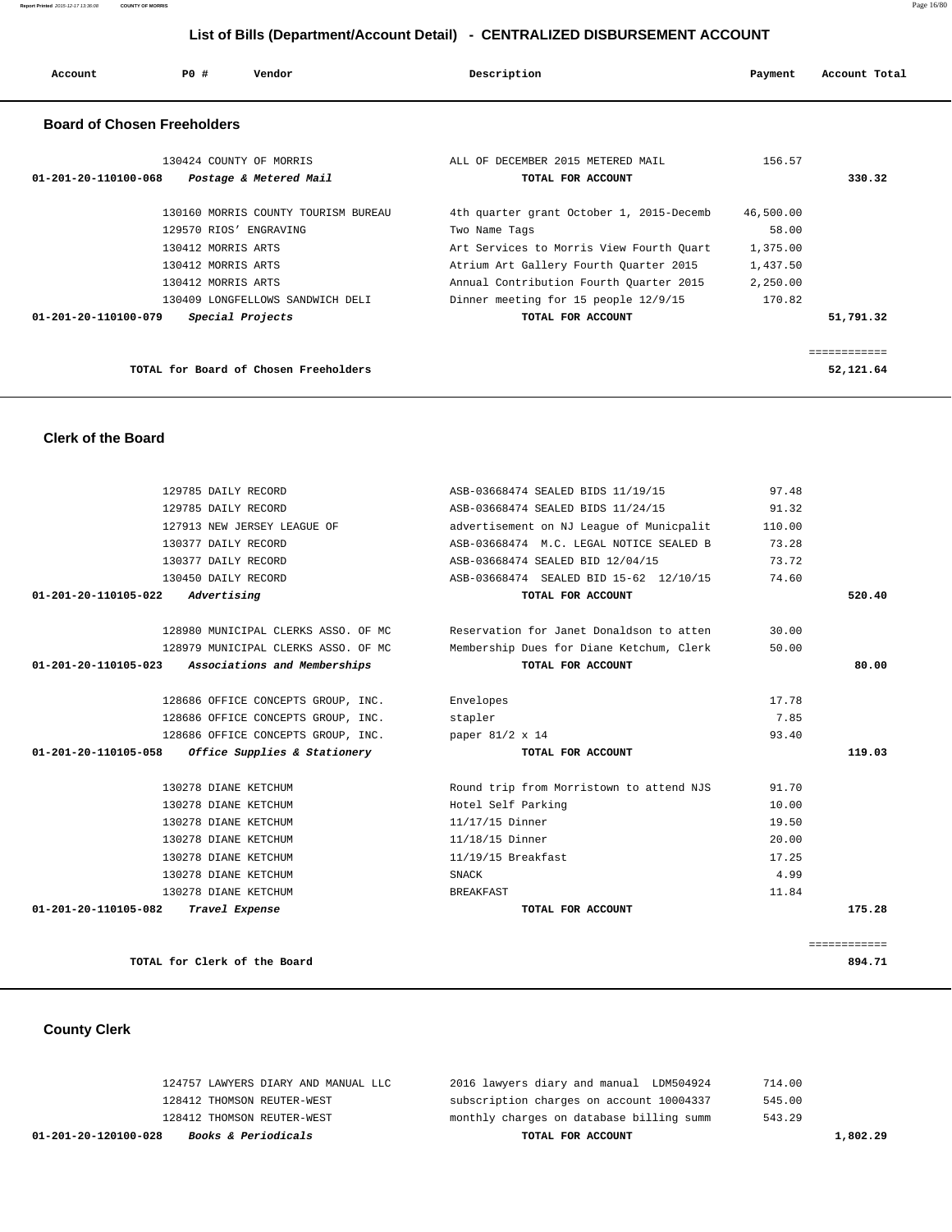## **List of Bills (Department/Account Detail) - CENTRALIZED DISBURSEMENT ACCOUNT**

| Account                            | PO#                                      | Vendor                                | Description                                                                       | Payment              | Account Total      |
|------------------------------------|------------------------------------------|---------------------------------------|-----------------------------------------------------------------------------------|----------------------|--------------------|
| <b>Board of Chosen Freeholders</b> |                                          |                                       |                                                                                   |                      |                    |
|                                    |                                          | 130424 COUNTY OF MORRIS               | ALL OF DECEMBER 2015 METERED MAIL                                                 | 156.57               |                    |
| 01-201-20-110100-068               |                                          | Postage & Metered Mail                | TOTAL FOR ACCOUNT                                                                 |                      | 330.32             |
|                                    |                                          |                                       |                                                                                   |                      |                    |
|                                    |                                          | 130160 MORRIS COUNTY TOURISM BUREAU   | 4th quarter grant October 1, 2015-Decemb                                          | 46,500.00            |                    |
|                                    |                                          | 129570 RIOS' ENGRAVING                | Two Name Tags                                                                     | 58.00                |                    |
|                                    | 130412 MORRIS ARTS                       |                                       | Art Services to Morris View Fourth Quart                                          | 1,375.00             |                    |
|                                    | 130412 MORRIS ARTS<br>130412 MORRIS ARTS |                                       | Atrium Art Gallery Fourth Quarter 2015<br>Annual Contribution Fourth Quarter 2015 | 1,437.50<br>2,250.00 |                    |
|                                    |                                          | 130409 LONGFELLOWS SANDWICH DELI      | Dinner meeting for 15 people 12/9/15                                              | 170.82               |                    |
| 01-201-20-110100-079               |                                          | Special Projects                      | TOTAL FOR ACCOUNT                                                                 |                      | 51,791.32          |
|                                    |                                          |                                       |                                                                                   |                      |                    |
|                                    |                                          |                                       |                                                                                   |                      | <b>EEEEEEEEEEE</b> |
|                                    |                                          | TOTAL for Board of Chosen Freeholders |                                                                                   |                      | 52,121.64          |
| <b>Clerk of the Board</b>          |                                          |                                       |                                                                                   |                      |                    |
|                                    | 129785 DAILY RECORD                      |                                       | ASB-03668474 SEALED BIDS 11/19/15                                                 | 97.48                |                    |
|                                    | 129785 DAILY RECORD                      |                                       | ASB-03668474 SEALED BIDS 11/24/15                                                 | 91.32                |                    |
|                                    |                                          | 127913 NEW JERSEY LEAGUE OF           | advertisement on NJ League of Municpalit                                          | 110.00               |                    |
|                                    | 130377 DAILY RECORD                      |                                       | ASB-03668474 M.C. LEGAL NOTICE SEALED B                                           | 73.28                |                    |
|                                    | 130377 DAILY RECORD                      |                                       | ASB-03668474 SEALED BID 12/04/15                                                  | 73.72                |                    |
|                                    | 130450 DAILY RECORD                      |                                       | ASB-03668474 SEALED BID 15-62 12/10/15                                            | 74.60                |                    |
| 01-201-20-110105-022               | Advertising                              |                                       | TOTAL FOR ACCOUNT                                                                 |                      | 520.40             |
|                                    |                                          | 128980 MUNICIPAL CLERKS ASSO. OF MC   | Reservation for Janet Donaldson to atten                                          | 30.00                |                    |
|                                    |                                          | 128979 MUNICIPAL CLERKS ASSO. OF MC   | Membership Dues for Diane Ketchum, Clerk                                          | 50.00                |                    |
| 01-201-20-110105-023               |                                          | Associations and Memberships          | TOTAL FOR ACCOUNT                                                                 |                      | 80.00              |
|                                    |                                          | 128686 OFFICE CONCEPTS GROUP, INC.    | Envelopes                                                                         | 17.78                |                    |
|                                    |                                          | 128686 OFFICE CONCEPTS GROUP, INC.    | stapler                                                                           | 7.85                 |                    |
|                                    |                                          | 128686 OFFICE CONCEPTS GROUP, INC.    | paper 81/2 x 14                                                                   | 93.40                |                    |
| 01-201-20-110105-058               |                                          | Office Supplies & Stationery          | TOTAL FOR ACCOUNT                                                                 |                      | 119.03             |
|                                    | 130278 DIANE KETCHUM                     |                                       | Round trip from Morristown to attend NJS                                          | 91.70                |                    |
|                                    | 130278 DIANE KETCHUM                     |                                       | Hotel Self Parking                                                                | 10.00                |                    |
|                                    | 130278 DIANE KETCHUM                     |                                       | 11/17/15 Dinner                                                                   | 19.50                |                    |
|                                    | 130278 DIANE KETCHUM                     |                                       | 11/18/15 Dinner                                                                   | 20.00                |                    |
|                                    | 130278 DIANE KETCHUM                     |                                       | 11/19/15 Breakfast                                                                | 17.25                |                    |
|                                    | 130278 DIANE KETCHUM                     |                                       | SNACK                                                                             | 4.99                 |                    |
|                                    | 130278 DIANE KETCHUM                     |                                       | <b>BREAKFAST</b>                                                                  | 11.84                |                    |
| 01-201-20-110105-082               |                                          | Travel Expense                        | TOTAL FOR ACCOUNT                                                                 |                      | 175.28             |

**TOTAL for Clerk of the Board 894.71**

============

# **County Clerk**

| <i>Books &amp; Periodicals</i><br>01-201-20-120100-028 | TOTAL FOR ACCOUNT                        | 1,802.29 |
|--------------------------------------------------------|------------------------------------------|----------|
| 128412 THOMSON REUTER-WEST                             | monthly charges on database billing summ | 543.29   |
| 128412 THOMSON REUTER-WEST                             | subscription charges on account 10004337 | 545.00   |
| 124757 LAWYERS DIARY AND MANUAL LLC                    | 2016 lawyers diary and manual LDM504924  | 714.00   |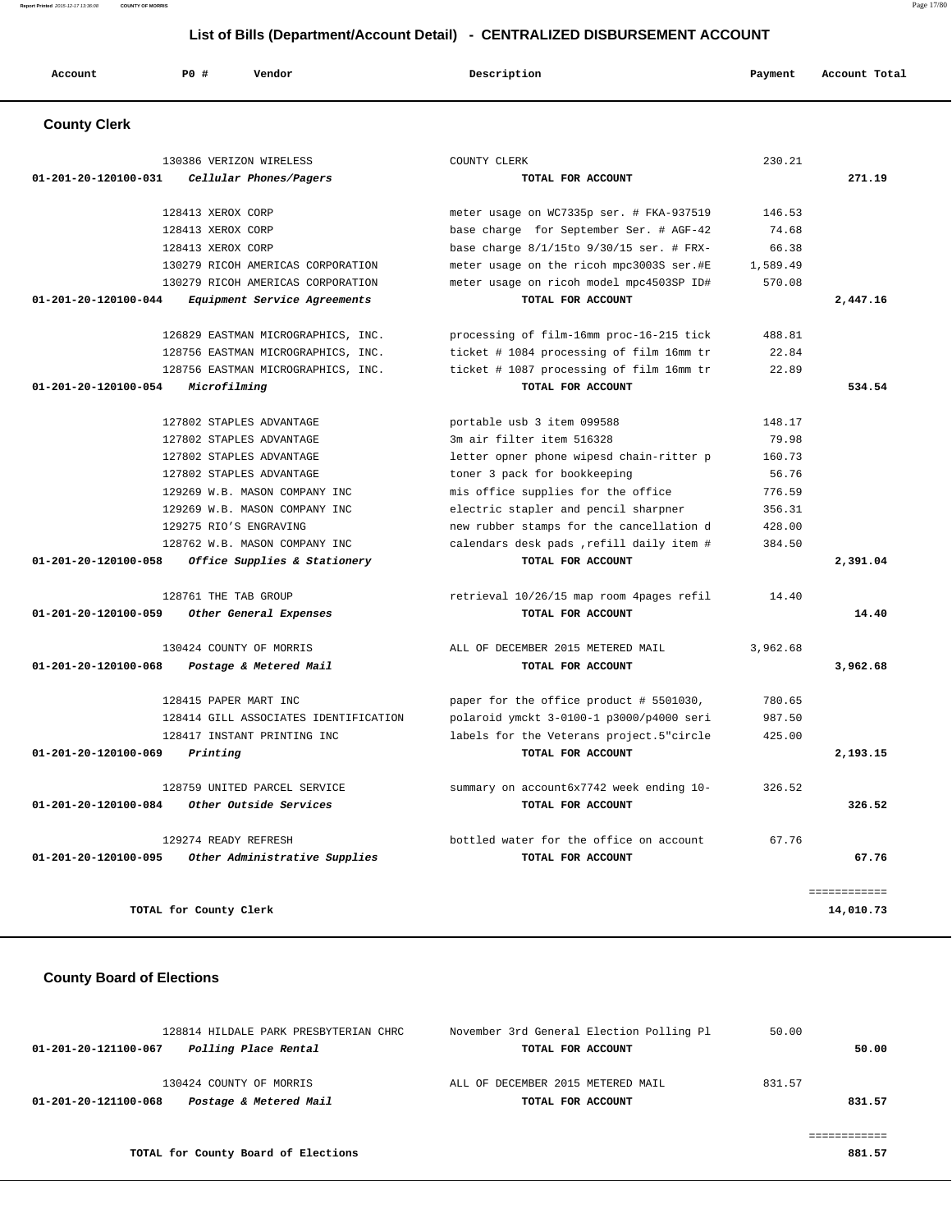**Report Printed** 2015-12-17 13:36:08 **COUNTY OF MORRIS** Page 17/80

# **List of Bills (Department/Account Detail) - CENTRALIZED DISBURSEMENT ACCOUNT**

| Account                                            | <b>PO #</b>           | Vendor                                | Description                                   | Payment  | Account Total |
|----------------------------------------------------|-----------------------|---------------------------------------|-----------------------------------------------|----------|---------------|
| <b>County Clerk</b>                                |                       |                                       |                                               |          |               |
|                                                    |                       | 130386 VERIZON WIRELESS               | COUNTY CLERK                                  | 230.21   |               |
| 01-201-20-120100-031                               |                       | Cellular Phones/Pagers                | TOTAL FOR ACCOUNT                             |          | 271.19        |
|                                                    | 128413 XEROX CORP     |                                       | meter usage on WC7335p ser. # FKA-937519      | 146.53   |               |
|                                                    | 128413 XEROX CORP     |                                       | base charge for September Ser. # AGF-42       | 74.68    |               |
|                                                    | 128413 XEROX CORP     |                                       | base charge $8/1/15$ to $9/30/15$ ser. # FRX- | 66.38    |               |
|                                                    |                       | 130279 RICOH AMERICAS CORPORATION     | meter usage on the ricoh mpc3003S ser.#E      | 1,589.49 |               |
|                                                    |                       | 130279 RICOH AMERICAS CORPORATION     | meter usage on ricoh model mpc4503SP ID#      | 570.08   |               |
| 01-201-20-120100-044                               |                       | Equipment Service Agreements          | TOTAL FOR ACCOUNT                             |          | 2,447.16      |
|                                                    |                       | 126829 EASTMAN MICROGRAPHICS, INC.    | processing of film-16mm proc-16-215 tick      | 488.81   |               |
|                                                    |                       | 128756 EASTMAN MICROGRAPHICS, INC.    | ticket # 1084 processing of film 16mm tr      | 22.84    |               |
|                                                    |                       | 128756 EASTMAN MICROGRAPHICS, INC.    | ticket # 1087 processing of film 16mm tr      | 22.89    |               |
| 01-201-20-120100-054                               | Microfilming          |                                       | TOTAL FOR ACCOUNT                             |          | 534.54        |
|                                                    |                       | 127802 STAPLES ADVANTAGE              | portable usb 3 item 099588                    | 148.17   |               |
|                                                    |                       | 127802 STAPLES ADVANTAGE              | 3m air filter item 516328                     | 79.98    |               |
|                                                    |                       | 127802 STAPLES ADVANTAGE              | letter opner phone wipesd chain-ritter p      | 160.73   |               |
|                                                    |                       | 127802 STAPLES ADVANTAGE              | toner 3 pack for bookkeeping                  | 56.76    |               |
|                                                    |                       | 129269 W.B. MASON COMPANY INC         | mis office supplies for the office            | 776.59   |               |
|                                                    |                       | 129269 W.B. MASON COMPANY INC         | electric stapler and pencil sharpner          | 356.31   |               |
|                                                    |                       | 129275 RIO'S ENGRAVING                | new rubber stamps for the cancellation d      | 428.00   |               |
|                                                    |                       | 128762 W.B. MASON COMPANY INC         | calendars desk pads , refill daily item #     | 384.50   |               |
| 01-201-20-120100-058                               |                       | Office Supplies & Stationery          | TOTAL FOR ACCOUNT                             |          | 2,391.04      |
|                                                    | 128761 THE TAB GROUP  |                                       | retrieval 10/26/15 map room 4pages refil      | 14.40    |               |
| 01-201-20-120100-059                               |                       | Other General Expenses                | TOTAL FOR ACCOUNT                             |          | 14.40         |
|                                                    |                       | 130424 COUNTY OF MORRIS               | ALL OF DECEMBER 2015 METERED MAIL             | 3,962.68 |               |
| 01-201-20-120100-068                               |                       | Postage & Metered Mail                | TOTAL FOR ACCOUNT                             |          | 3,962.68      |
|                                                    | 128415 PAPER MART INC |                                       | paper for the office product # 5501030,       | 780.65   |               |
|                                                    |                       | 128414 GILL ASSOCIATES IDENTIFICATION | polaroid ymckt 3-0100-1 p3000/p4000 seri      | 987.50   |               |
|                                                    |                       | 128417 INSTANT PRINTING INC           | labels for the Veterans project.5"circle      | 425.00   |               |
| 01-201-20-120100-069                               | Printing              |                                       | TOTAL FOR ACCOUNT                             |          | 2,193.15      |
|                                                    |                       |                                       |                                               |          |               |
|                                                    |                       | 128759 UNITED PARCEL SERVICE          | summary on account6x7742 week ending 10-      | 326.52   |               |
| 01-201-20-120100-084                               |                       | Other Outside Services                | TOTAL FOR ACCOUNT                             |          | 326.52        |
|                                                    | 129274 READY REFRESH  |                                       | bottled water for the office on account       | 67.76    |               |
| 01-201-20-120100-095 Other Administrative Supplies |                       |                                       | TOTAL FOR ACCOUNT                             |          | 67.76         |

## **County Board of Elections**

| 128814 HILDALE PARK PRESBYTERIAN CHRC          | November 3rd General Election Polling Pl | 50.00  |
|------------------------------------------------|------------------------------------------|--------|
| Polling Place Rental<br>01-201-20-121100-067   | TOTAL FOR ACCOUNT                        | 50.00  |
|                                                |                                          |        |
| 130424 COUNTY OF MORRIS                        | ALL OF DECEMBER 2015 METERED MAIL        | 831.57 |
| Postage & Metered Mail<br>01-201-20-121100-068 | TOTAL FOR ACCOUNT                        | 831.57 |
|                                                |                                          |        |
|                                                |                                          |        |
| TOTAL for County Board of Elections            |                                          | 881.57 |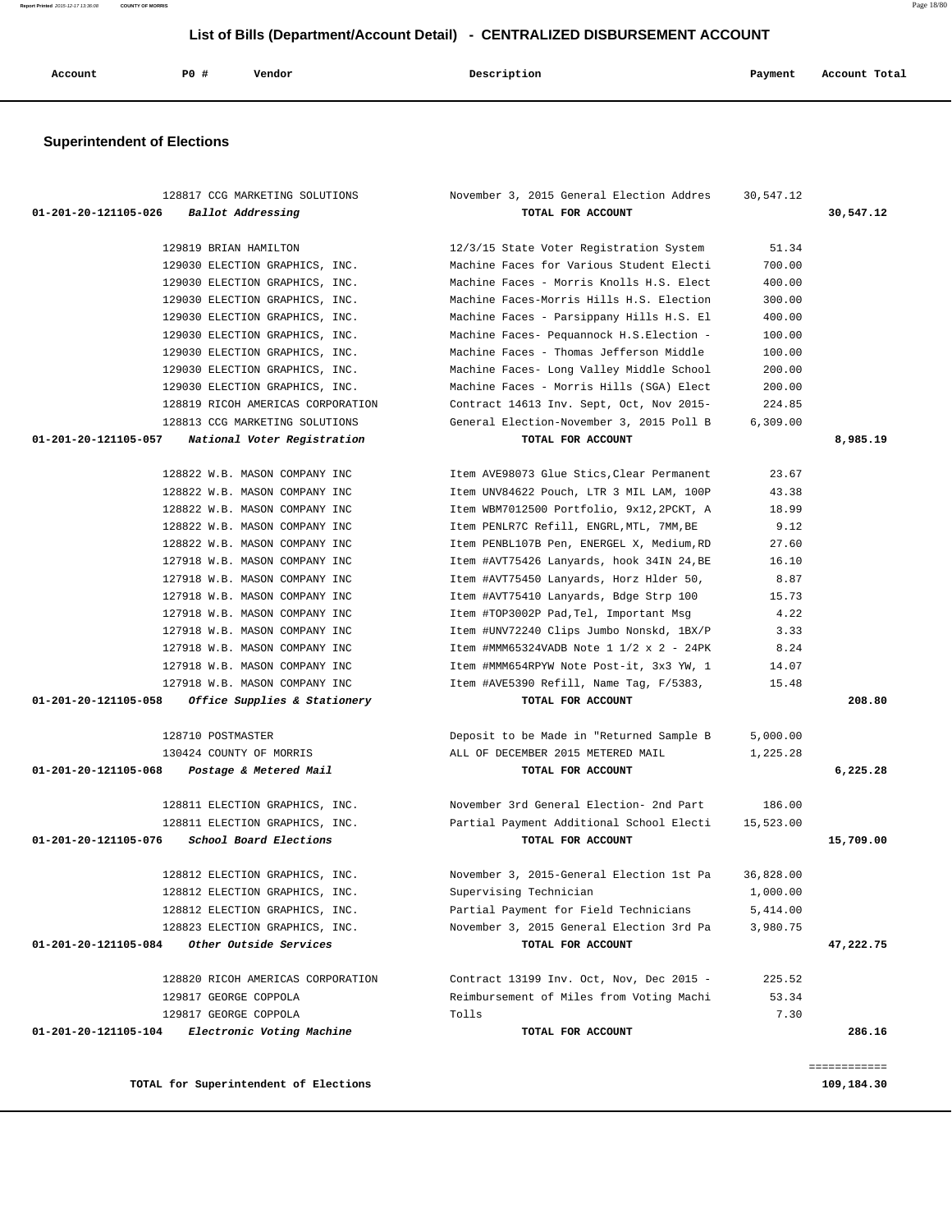**Report Printed** 2015-12-17 13:36:08 **COUNTY OF MORRIS** Page 18/80

 **List of Bills (Department/Account Detail) - CENTRALIZED DISBURSEMENT ACCOUNT**

| Account | <b>PO #</b> | Vendor | Description | Payment | Account Total |
|---------|-------------|--------|-------------|---------|---------------|
|         |             |        |             |         |               |

# **Superintendent of Elections**

| 128817 CCG MARKETING SOLUTIONS                       | November 3, 2015 General Election Addres                                                                   | 30,547.12 |              |
|------------------------------------------------------|------------------------------------------------------------------------------------------------------------|-----------|--------------|
| 01-201-20-121105-026 Ballot Addressing               | TOTAL FOR ACCOUNT                                                                                          |           | 30,547.12    |
| 129819 BRIAN HAMILTON                                | 12/3/15 State Voter Registration System                                                                    | 51.34     |              |
| 129030 ELECTION GRAPHICS, INC.                       | Machine Faces for Various Student Electi                                                                   | 700.00    |              |
| 129030 ELECTION GRAPHICS, INC.                       | Machine Faces - Morris Knolls H.S. Elect                                                                   | 400.00    |              |
| 129030 ELECTION GRAPHICS, INC.                       | Machine Faces-Morris Hills H.S. Election                                                                   | 300.00    |              |
| 129030 ELECTION GRAPHICS, INC.                       | Machine Faces - Parsippany Hills H.S. El                                                                   | 400.00    |              |
| 129030 ELECTION GRAPHICS, INC.                       | Machine Faces- Pequannock H.S.Election -                                                                   | 100.00    |              |
| 129030 ELECTION GRAPHICS, INC.                       | Machine Faces - Thomas Jefferson Middle                                                                    | 100.00    |              |
| 129030 ELECTION GRAPHICS, INC.                       | Machine Faces- Long Valley Middle School                                                                   | 200.00    |              |
| 129030 ELECTION GRAPHICS, INC.                       | Machine Faces - Morris Hills (SGA) Elect                                                                   | 200.00    |              |
| 128819 RICOH AMERICAS CORPORATION                    | Contract 14613 Inv. Sept, Oct, Nov 2015-                                                                   | 224.85    |              |
| 128813 CCG MARKETING SOLUTIONS                       | General Election-November 3, 2015 Poll B                                                                   | 6,309.00  |              |
| 01-201-20-121105-057<br>National Voter Registration  | TOTAL FOR ACCOUNT                                                                                          |           | 8,985.19     |
|                                                      |                                                                                                            |           |              |
| 128822 W.B. MASON COMPANY INC                        | Item AVE98073 Glue Stics, Clear Permanent                                                                  | 23.67     |              |
| 128822 W.B. MASON COMPANY INC                        | Item UNV84622 Pouch, LTR 3 MIL LAM, 100P                                                                   | 43.38     |              |
| 128822 W.B. MASON COMPANY INC                        | Item WBM7012500 Portfolio, 9x12,2PCKT, A                                                                   | 18.99     |              |
| 128822 W.B. MASON COMPANY INC                        | Item PENLR7C Refill, ENGRL, MTL, 7MM, BE                                                                   | 9.12      |              |
| 128822 W.B. MASON COMPANY INC                        | Item PENBL107B Pen, ENERGEL X, Medium, RD                                                                  | 27.60     |              |
| 127918 W.B. MASON COMPANY INC                        | Item #AVT75426 Lanyards, hook 34IN 24, BE                                                                  | 16.10     |              |
| 127918 W.B. MASON COMPANY INC                        | Item #AVT75450 Lanyards, Horz Hlder 50,                                                                    | 8.87      |              |
| 127918 W.B. MASON COMPANY INC                        | Item #AVT75410 Lanyards, Bdge Strp 100                                                                     | 15.73     |              |
| 127918 W.B. MASON COMPANY INC                        | Item #TOP3002P Pad, Tel, Important Msg                                                                     | 4.22      |              |
| 127918 W.B. MASON COMPANY INC                        | Item #UNV72240 Clips Jumbo Nonskd, 1BX/P                                                                   | 3.33      |              |
| 127918 W.B. MASON COMPANY INC                        | Item #MMM65324VADB Note $1 \frac{1}{2} \times 2 - \frac{24}{1}$                                            | 8.24      |              |
| 127918 W.B. MASON COMPANY INC                        | Item #MMM654RPYW Note Post-it, 3x3 YW, 1                                                                   | 14.07     |              |
| 127918 W.B. MASON COMPANY INC                        | Item #AVE5390 Refill, Name Tag, F/5383,                                                                    | 15.48     |              |
| 01-201-20-121105-058<br>Office Supplies & Stationery | TOTAL FOR ACCOUNT                                                                                          |           | 208.80       |
| 128710 POSTMASTER                                    | Deposit to be Made in "Returned Sample B                                                                   | 5,000.00  |              |
| 130424 COUNTY OF MORRIS                              | ALL OF DECEMBER 2015 METERED MAIL                                                                          | 1,225.28  |              |
| 01-201-20-121105-068 Postage & Metered Mail          | TOTAL FOR ACCOUNT                                                                                          |           | 6,225.28     |
|                                                      |                                                                                                            | 186.00    |              |
|                                                      | 128811 ELECTION GRAPHICS, INC. November 3rd General Election- 2nd Part                                     |           |              |
| 01-201-20-121105-076 School Board Elections          | 128811 ELECTION GRAPHICS, INC. The Partial Payment Additional School Electi 15,523.00<br>TOTAL FOR ACCOUNT |           | 15,709.00    |
|                                                      |                                                                                                            |           |              |
| 128812 ELECTION GRAPHICS, INC.                       | November 3, 2015-General Election 1st Pa                                                                   | 36,828.00 |              |
| 128812 ELECTION GRAPHICS, INC.                       | Supervising Technician                                                                                     | 1,000.00  |              |
| 128812 ELECTION GRAPHICS, INC.                       | Partial Payment for Field Technicians                                                                      | 5,414.00  |              |
| 128823 ELECTION GRAPHICS, INC.                       | November 3, 2015 General Election 3rd Pa                                                                   | 3,980.75  |              |
| Other Outside Services<br>01-201-20-121105-084       | TOTAL FOR ACCOUNT                                                                                          |           | 47,222.75    |
| 128820 RICOH AMERICAS CORPORATION                    | Contract 13199 Inv. Oct, Nov, Dec 2015 -                                                                   | 225.52    |              |
| 129817 GEORGE COPPOLA                                | Reimbursement of Miles from Voting Machi                                                                   | 53.34     |              |
| 129817 GEORGE COPPOLA                                | Tolls                                                                                                      | 7.30      |              |
| 01-201-20-121105-104<br>Electronic Voting Machine    | TOTAL FOR ACCOUNT                                                                                          |           | 286.16       |
|                                                      |                                                                                                            |           |              |
|                                                      |                                                                                                            |           | ============ |
| TOTAL for Superintendent of Elections                |                                                                                                            |           | 109,184.30   |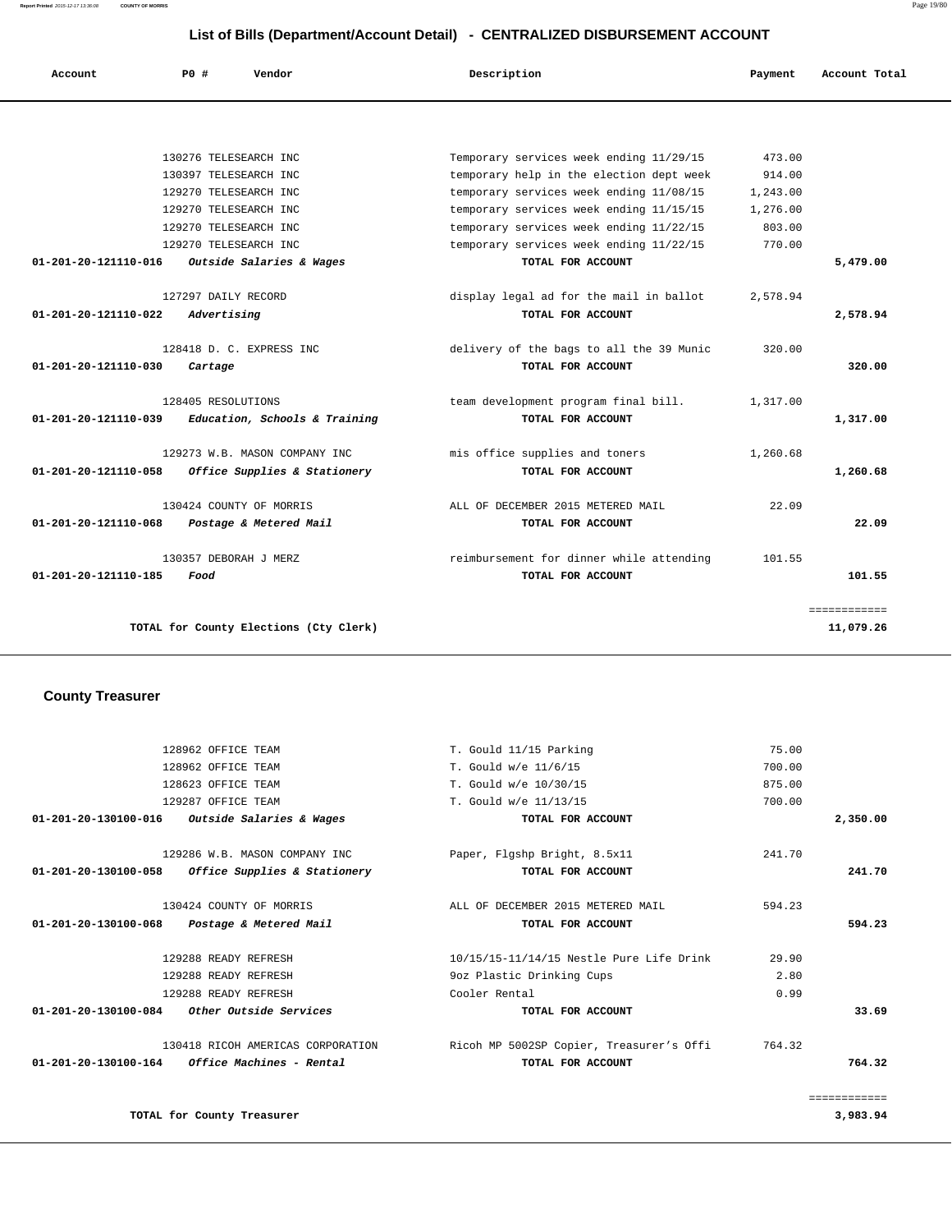**Report Printed** 2015-12-17 13:36:08 **COUNTY OF MORRIS** Page 19/80

## **List of Bills (Department/Account Detail) - CENTRALIZED DISBURSEMENT ACCOUNT**

| Account              | Vendor<br><b>PO #</b>                  | Description                              | Payment  | Account Total |
|----------------------|----------------------------------------|------------------------------------------|----------|---------------|
|                      |                                        |                                          |          |               |
|                      | 130276 TELESEARCH INC                  | Temporary services week ending 11/29/15  | 473.00   |               |
|                      | 130397 TELESEARCH INC                  | temporary help in the election dept week | 914.00   |               |
|                      | 129270 TELESEARCH INC                  | temporary services week ending 11/08/15  | 1,243.00 |               |
|                      | 129270 TELESEARCH INC                  | temporary services week ending 11/15/15  | 1,276.00 |               |
|                      | 129270 TELESEARCH INC                  | temporary services week ending 11/22/15  | 803.00   |               |
|                      | 129270 TELESEARCH INC                  | temporary services week ending 11/22/15  | 770.00   |               |
| 01-201-20-121110-016 | Outside Salaries & Wages               | TOTAL FOR ACCOUNT                        |          | 5,479.00      |
|                      | 127297 DAILY RECORD                    | display legal ad for the mail in ballot  | 2,578.94 |               |
| 01-201-20-121110-022 | Advertising                            | TOTAL FOR ACCOUNT                        |          | 2,578.94      |
|                      | 128418 D. C. EXPRESS INC               | delivery of the bags to all the 39 Munic | 320.00   |               |
| 01-201-20-121110-030 | Cartage                                | TOTAL FOR ACCOUNT                        |          | 320.00        |
|                      | 128405 RESOLUTIONS                     | team development program final bill.     | 1,317.00 |               |
| 01-201-20-121110-039 | Education, Schools & Training          | TOTAL FOR ACCOUNT                        |          | 1,317.00      |
|                      | 129273 W.B. MASON COMPANY INC          | mis office supplies and toners           | 1,260.68 |               |
| 01-201-20-121110-058 | Office Supplies & Stationery           | TOTAL FOR ACCOUNT                        |          | 1,260.68      |
|                      | 130424 COUNTY OF MORRIS                | ALL OF DECEMBER 2015 METERED MAIL        | 22.09    |               |
| 01-201-20-121110-068 | Postage & Metered Mail                 | TOTAL FOR ACCOUNT                        |          | 22.09         |
|                      | 130357 DEBORAH J MERZ                  | reimbursement for dinner while attending | 101.55   |               |
| 01-201-20-121110-185 | Food                                   | TOTAL FOR ACCOUNT                        |          | 101.55        |
|                      |                                        |                                          |          | ============  |
|                      | TOTAL for County Elections (Cty Clerk) |                                          |          | 11,079.26     |

## **County Treasurer**

|              | 75.00  | T. Gould 11/15 Parking                   | 128962 OFFICE TEAM                                      |                      |
|--------------|--------|------------------------------------------|---------------------------------------------------------|----------------------|
|              | 700.00 | T. Gould w/e 11/6/15                     | 128962 OFFICE TEAM                                      |                      |
|              | 875.00 | T. Gould w/e 10/30/15                    | 128623 OFFICE TEAM                                      |                      |
|              | 700.00 | T. Gould w/e 11/13/15                    | 129287 OFFICE TEAM                                      |                      |
| 2,350.00     |        | TOTAL FOR ACCOUNT                        | <i>Outside Salaries &amp; Wages</i>                     | 01-201-20-130100-016 |
|              | 241.70 | Paper, Flgshp Bright, 8.5x11             | 129286 W.B. MASON COMPANY INC                           |                      |
| 241.70       |        | TOTAL FOR ACCOUNT                        | 01-201-20-130100-058 Office Supplies & Stationery       |                      |
|              | 594.23 | ALL OF DECEMBER 2015 METERED MAIL        | 130424 COUNTY OF MORRIS                                 |                      |
| 594.23       |        | TOTAL FOR ACCOUNT                        | Postage & Metered Mail                                  | 01-201-20-130100-068 |
|              | 29.90  | 10/15/15-11/14/15 Nestle Pure Life Drink | 129288 READY REFRESH                                    |                      |
|              | 2.80   | 9oz Plastic Drinking Cups                | 129288 READY REFRESH                                    |                      |
|              | 0.99   | Cooler Rental                            | 129288 READY REFRESH                                    |                      |
| 33.69        |        | TOTAL FOR ACCOUNT                        | $01-201-20-130100-084$ Other Outside Services           |                      |
|              | 764.32 | Ricoh MP 5002SP Copier, Treasurer's Offi | 130418 RICOH AMERICAS CORPORATION                       |                      |
| 764.32       |        | TOTAL FOR ACCOUNT                        | $01 - 201 - 20 - 130100 - 164$ Office Machines - Rental |                      |
| ============ |        |                                          |                                                         |                      |
| 3,983.94     |        |                                          | TOTAL for County Treasurer                              |                      |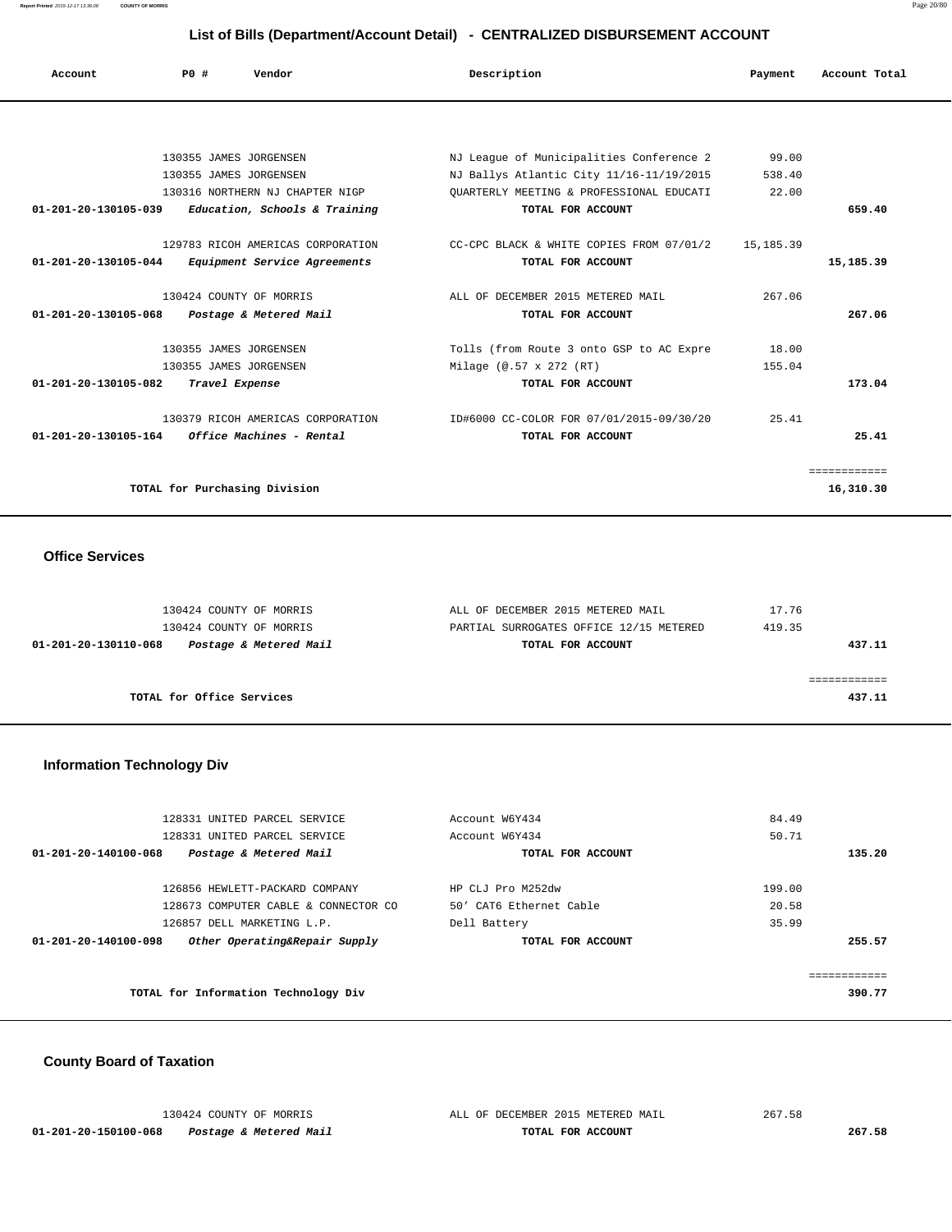**Report Printed** 2015-12-17 13:36:08 **COUNTY OF MORRIS** Page 20/80

## **List of Bills (Department/Account Detail) - CENTRALIZED DISBURSEMENT ACCOUNT**

| Account              | PO#<br>Vendor                       | Description                              | Payment   | Account Total |
|----------------------|-------------------------------------|------------------------------------------|-----------|---------------|
|                      |                                     |                                          |           |               |
|                      | 130355 JAMES JORGENSEN              | NJ League of Municipalities Conference 2 | 99.00     |               |
|                      | 130355 JAMES JORGENSEN              | NJ Ballys Atlantic City 11/16-11/19/2015 | 538.40    |               |
|                      | 130316 NORTHERN NJ CHAPTER NIGP     | OUARTERLY MEETING & PROFESSIONAL EDUCATI | 22.00     |               |
| 01-201-20-130105-039 | Education, Schools & Training       | TOTAL FOR ACCOUNT                        |           | 659.40        |
|                      | 129783 RICOH AMERICAS CORPORATION   | CC-CPC BLACK & WHITE COPIES FROM 07/01/2 | 15,185.39 |               |
| 01-201-20-130105-044 | <i>Equipment Service Agreements</i> | TOTAL FOR ACCOUNT                        |           | 15,185.39     |
|                      | 130424 COUNTY OF MORRIS             | ALL OF DECEMBER 2015 METERED MAIL        | 267.06    |               |
| 01-201-20-130105-068 | Postage & Metered Mail              | TOTAL FOR ACCOUNT                        |           | 267.06        |
|                      | 130355 JAMES JORGENSEN              | Tolls (from Route 3 onto GSP to AC Expre | 18.00     |               |
|                      | 130355 JAMES JORGENSEN              | Milage (@.57 x 272 (RT)                  | 155.04    |               |
| 01-201-20-130105-082 | Travel Expense                      | TOTAL FOR ACCOUNT                        |           | 173.04        |
|                      | 130379 RICOH AMERICAS CORPORATION   | ID#6000 CC-COLOR FOR 07/01/2015-09/30/20 | 25.41     |               |
| 01-201-20-130105-164 | Office Machines - Rental            | TOTAL FOR ACCOUNT                        |           | 25.41         |
|                      |                                     |                                          |           | ============  |
|                      | TOTAL for Purchasing Division       |                                          |           | 16,310.30     |

## **Office Services**

| 130424 COUNTY OF MORRIS                        | ALL OF DECEMBER 2015 METERED MAIL       | 17.76  |
|------------------------------------------------|-----------------------------------------|--------|
| 130424 COUNTY OF MORRIS                        | PARTIAL SURROGATES OFFICE 12/15 METERED | 419.35 |
| Postage & Metered Mail<br>01-201-20-130110-068 | TOTAL FOR ACCOUNT                       | 437.11 |
|                                                |                                         |        |
|                                                |                                         |        |
| TOTAL for Office Services                      |                                         | 437.11 |

## **Information Technology Div**

| Account W6Y434                       | 84.49                                        |  |  |
|--------------------------------------|----------------------------------------------|--|--|
| Account W6Y434                       | 50.71                                        |  |  |
| TOTAL FOR ACCOUNT                    | 135.20                                       |  |  |
|                                      |                                              |  |  |
|                                      | 199.00                                       |  |  |
|                                      | 20.58                                        |  |  |
| Dell Battery                         | 35.99                                        |  |  |
| TOTAL FOR ACCOUNT                    | 255.57                                       |  |  |
|                                      |                                              |  |  |
| TOTAL for Information Technology Div |                                              |  |  |
|                                      | HP CLJ Pro M252dw<br>50' CAT6 Ethernet Cable |  |  |

## **County Board of Taxation**

|                      | 130424 COUNTY OF MORRIS | ALL OF DECEMBER 2015 METERED MAIL | 267.58 |
|----------------------|-------------------------|-----------------------------------|--------|
| 01-201-20-150100-068 | Postage & Metered Mail  | TOTAL FOR ACCOUNT                 | 267.58 |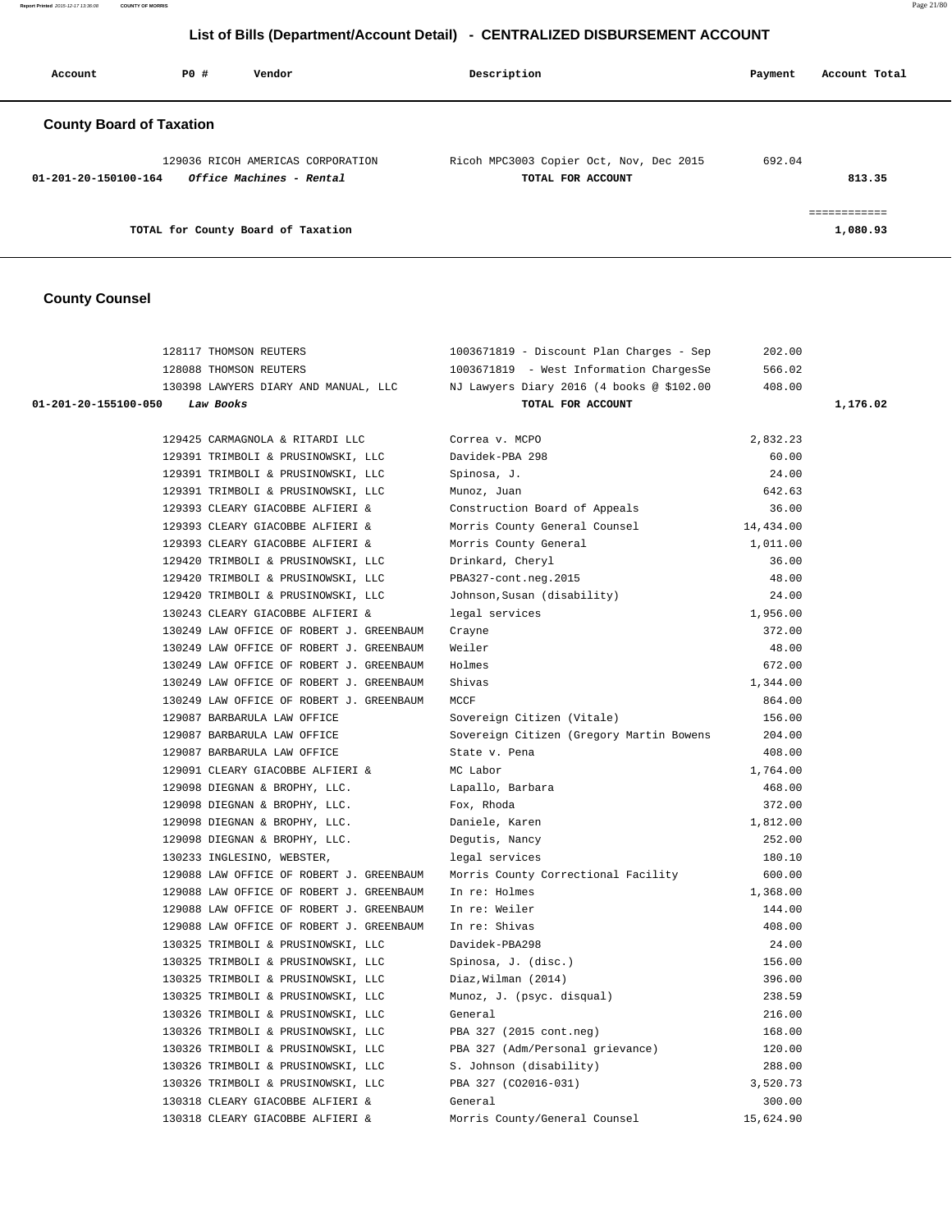**Report Printed** 2015-12-17 13:36:08 **COUNTY OF MORRIS** Page 21/80

# **List of Bills (Department/Account Detail) - CENTRALIZED DISBURSEMENT ACCOUNT**

| Account                         | PO# | Vendor                                                        | Description                                                  | Account Total<br>Payment               |
|---------------------------------|-----|---------------------------------------------------------------|--------------------------------------------------------------|----------------------------------------|
| <b>County Board of Taxation</b> |     |                                                               |                                                              |                                        |
| $01 - 201 - 20 - 150100 - 164$  |     | 129036 RICOH AMERICAS CORPORATION<br>Office Machines - Rental | Ricoh MPC3003 Copier Oct, Nov, Dec 2015<br>TOTAL FOR ACCOUNT | 692.04<br>813.35                       |
|                                 |     | TOTAL for County Board of Taxation                            |                                                              | ------------<br>__________<br>1,080.93 |

# **County Counsel**

|                                   | 128117 THOMSON REUTERS                                 | 1003671819 - Discount Plan Charges - Sep                                     | 202.00    |          |
|-----------------------------------|--------------------------------------------------------|------------------------------------------------------------------------------|-----------|----------|
|                                   | 128088 THOMSON REUTERS                                 | 1003671819 - West Information ChargesSe                                      | 566.02    |          |
|                                   | 130398 LAWYERS DIARY AND MANUAL, LLC                   | NJ Lawyers Diary 2016 (4 books @ \$102.00                                    | 408.00    |          |
| 01-201-20-155100-050<br>Law Books |                                                        | TOTAL FOR ACCOUNT                                                            |           | 1,176.02 |
|                                   |                                                        |                                                                              |           |          |
|                                   | 129425 CARMAGNOLA & RITARDI LLC                        | Correa v. MCPO                                                               | 2,832.23  |          |
|                                   | 129391 TRIMBOLI & PRUSINOWSKI, LLC                     | Davidek-PBA 298                                                              | 60.00     |          |
|                                   | 129391 TRIMBOLI & PRUSINOWSKI, LLC                     | Spinosa, J.                                                                  | 24.00     |          |
|                                   | 129391 TRIMBOLI & PRUSINOWSKI, LLC                     | Munoz, Juan                                                                  | 642.63    |          |
|                                   | 129393 CLEARY GIACOBBE ALFIERI &                       | Construction Board of Appeals                                                | 36.00     |          |
|                                   | 129393 CLEARY GIACOBBE ALFIERI &                       | Morris County General Counsel                                                | 14,434.00 |          |
|                                   | 129393 CLEARY GIACOBBE ALFIERI &                       | Morris County General                                                        | 1,011.00  |          |
|                                   | 129420 TRIMBOLI & PRUSINOWSKI, LLC                     | Drinkard, Cheryl                                                             | 36.00     |          |
|                                   | 129420 TRIMBOLI & PRUSINOWSKI, LLC                     | PBA327-cont.neg.2015                                                         | 48.00     |          |
|                                   | 129420 TRIMBOLI & PRUSINOWSKI, LLC                     | Johnson, Susan (disability)                                                  | 24.00     |          |
|                                   | 130243 CLEARY GIACOBBE ALFIERI &                       | legal services                                                               | 1,956.00  |          |
|                                   | 130249 LAW OFFICE OF ROBERT J. GREENBAUM               | Crayne                                                                       | 372.00    |          |
|                                   | 130249 LAW OFFICE OF ROBERT J. GREENBAUM               | Weiler                                                                       | 48.00     |          |
|                                   | 130249 LAW OFFICE OF ROBERT J. GREENBAUM               | Holmes                                                                       | 672.00    |          |
|                                   | 130249 LAW OFFICE OF ROBERT J. GREENBAUM               | Shivas                                                                       | 1,344.00  |          |
|                                   | 130249 LAW OFFICE OF ROBERT J. GREENBAUM               | MCCF                                                                         | 864.00    |          |
|                                   | 129087 BARBARULA LAW OFFICE                            | Sovereign Citizen (Vitale)                                                   | 156.00    |          |
|                                   | 129087 BARBARULA LAW OFFICE                            | Sovereign Citizen (Gregory Martin Bowens                                     | 204.00    |          |
|                                   | 129087 BARBARULA LAW OFFICE                            | State v. Pena                                                                | 408.00    |          |
|                                   | 129091 CLEARY GIACOBBE ALFIERI &                       | MC Labor                                                                     | 1,764.00  |          |
|                                   | 129098 DIEGNAN & BROPHY, LLC.                          | Lapallo, Barbara                                                             | 468.00    |          |
|                                   | 129098 DIEGNAN & BROPHY, LLC.                          | Fox, Rhoda                                                                   | 372.00    |          |
|                                   | 129098 DIEGNAN & BROPHY, LLC.                          | Daniele, Karen                                                               | 1,812.00  |          |
|                                   | 129098 DIEGNAN & BROPHY, LLC.                          | Degutis, Nancy                                                               | 252.00    |          |
|                                   | 130233 INGLESINO, WEBSTER,                             | legal services                                                               | 180.10    |          |
|                                   |                                                        | 129088 LAW OFFICE OF ROBERT J. GREENBAUM Morris County Correctional Facility | 600.00    |          |
|                                   | 129088 LAW OFFICE OF ROBERT J. GREENBAUM In re: Holmes |                                                                              | 1,368.00  |          |
|                                   | 129088 LAW OFFICE OF ROBERT J. GREENBAUM               | In re: Weiler                                                                | 144.00    |          |
|                                   | 129088 LAW OFFICE OF ROBERT J. GREENBAUM               | In re: Shivas                                                                | 408.00    |          |
|                                   | 130325 TRIMBOLI & PRUSINOWSKI, LLC                     | Davidek-PBA298                                                               | 24.00     |          |
|                                   | 130325 TRIMBOLI & PRUSINOWSKI, LLC                     | Spinosa, J. (disc.)                                                          | 156.00    |          |
|                                   | 130325 TRIMBOLI & PRUSINOWSKI, LLC                     | Diaz, Wilman (2014)                                                          | 396.00    |          |
|                                   | 130325 TRIMBOLI & PRUSINOWSKI, LLC                     | Munoz, J. (psyc. disqual)                                                    | 238.59    |          |
|                                   | 130326 TRIMBOLI & PRUSINOWSKI, LLC                     | General                                                                      | 216.00    |          |
|                                   | 130326 TRIMBOLI & PRUSINOWSKI, LLC                     | PBA 327 (2015 cont.neg)                                                      | 168.00    |          |
|                                   | 130326 TRIMBOLI & PRUSINOWSKI, LLC                     | PBA 327 (Adm/Personal grievance)                                             | 120.00    |          |
|                                   | 130326 TRIMBOLI & PRUSINOWSKI, LLC                     | S. Johnson (disability)                                                      | 288.00    |          |
|                                   | 130326 TRIMBOLI & PRUSINOWSKI, LLC                     | PBA 327 (CO2016-031)                                                         | 3,520.73  |          |
|                                   | 130318 CLEARY GIACOBBE ALFIERI &                       | General                                                                      | 300.00    |          |
|                                   | 130318 CLEARY GIACOBBE ALFIERI &                       | Morris County/General Counsel                                                | 15,624.90 |          |
|                                   |                                                        |                                                                              |           |          |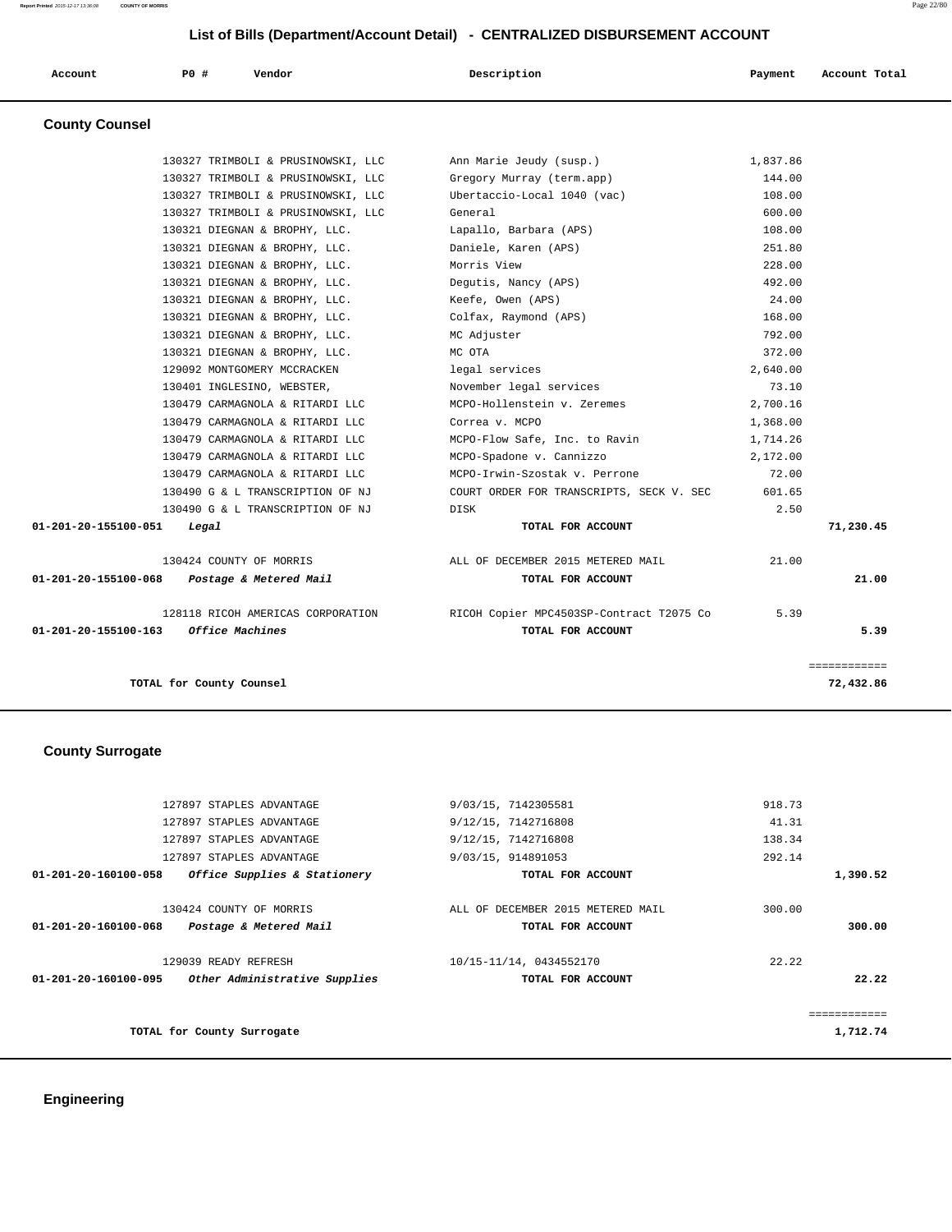# **List of Bills (Department/Account Detail) - CENTRALIZED DISBURSEMENT ACCOUNT**

| Account               | P0 # | Vendor | Description | Payment | Account Total |
|-----------------------|------|--------|-------------|---------|---------------|
| <b>County Counsel</b> |      |        |             |         |               |

| <i><b>Office Machines</b></i><br>01-201-20-155100-163 |                                                                | TOTAL FOR ACCOUNT                        |                  | 5.39      |
|-------------------------------------------------------|----------------------------------------------------------------|------------------------------------------|------------------|-----------|
|                                                       | 128118 RICOH AMERICAS CORPORATION                              | RICOH Copier MPC4503SP-Contract T2075 Co | 5.39             |           |
| $01 - 201 - 20 - 155100 - 068$ Postage & Metered Mail |                                                                | TOTAL FOR ACCOUNT                        |                  | 21.00     |
| 130424 COUNTY OF MORRIS                               |                                                                | ALL OF DECEMBER 2015 METERED MAIL        | 21.00            |           |
| 01-201-20-155100-051<br>Legal                         |                                                                | TOTAL FOR ACCOUNT                        |                  | 71,230.45 |
|                                                       | 130490 G & L TRANSCRIPTION OF NJ                               | DISK                                     | 2.50             |           |
|                                                       | 130490 G & L TRANSCRIPTION OF NJ                               | COURT ORDER FOR TRANSCRIPTS, SECK V. SEC | 601.65           |           |
|                                                       | 130479 CARMAGNOLA & RITARDI LLC                                | MCPO-Irwin-Szostak v. Perrone            | 72.00            |           |
|                                                       | 130479 CARMAGNOLA & RITARDI LLC                                | MCPO-Spadone v. Cannizzo                 | 2,172.00         |           |
|                                                       | 130479 CARMAGNOLA & RITARDI LLC                                | MCPO-Flow Safe, Inc. to Ravin            | 1,714.26         |           |
|                                                       | 130479 CARMAGNOLA & RITARDI LLC                                | Correa v. MCPO                           | 1,368.00         |           |
|                                                       | 130479 CARMAGNOLA & RITARDI LLC                                | MCPO-Hollenstein v. Zeremes              | 2,700.16         |           |
|                                                       | 130401 INGLESINO, WEBSTER,                                     | November legal services                  | 73.10            |           |
|                                                       | 129092 MONTGOMERY MCCRACKEN                                    | legal services                           | 2,640.00         |           |
|                                                       | 130321 DIEGNAN & BROPHY, LLC.                                  | MC OTA                                   | 372.00           |           |
|                                                       | 130321 DIEGNAN & BROPHY, LLC.<br>130321 DIEGNAN & BROPHY, LLC. | Colfax, Raymond (APS)<br>MC Adjuster     | 168.00<br>792.00 |           |
|                                                       | 130321 DIEGNAN & BROPHY, LLC.                                  | Keefe, Owen (APS)                        | 24.00            |           |
|                                                       | 130321 DIEGNAN & BROPHY, LLC.                                  | Degutis, Nancy (APS)                     | 492.00           |           |
|                                                       | 130321 DIEGNAN & BROPHY, LLC.                                  | Morris View                              | 228.00           |           |
|                                                       | 130321 DIEGNAN & BROPHY, LLC.                                  | Daniele, Karen (APS)                     | 251.80           |           |
|                                                       | 130321 DIEGNAN & BROPHY, LLC.                                  | Lapallo, Barbara (APS)                   | 108.00           |           |
|                                                       | 130327 TRIMBOLI & PRUSINOWSKI, LLC                             | General                                  | 600.00           |           |
|                                                       | 130327 TRIMBOLI & PRUSINOWSKI, LLC                             | Ubertaccio-Local 1040 (vac)              | 108.00           |           |
|                                                       | 130327 TRIMBOLI & PRUSINOWSKI, LLC                             | Gregory Murray (term.app)                | 144.00           |           |
|                                                       | 130327 TRIMBOLI & PRUSINOWSKI, LLC                             | Ann Marie Jeudy (susp.)                  | 1,837.86         |           |

# **County Surrogate**

|          | 918.73 | 9/03/15, 7142305581               | 127897 STAPLES ADVANTAGE      |                                |
|----------|--------|-----------------------------------|-------------------------------|--------------------------------|
|          | 41.31  | 9/12/15, 7142716808               | 127897 STAPLES ADVANTAGE      |                                |
|          | 138.34 | 9/12/15, 7142716808               | 127897 STAPLES ADVANTAGE      |                                |
|          | 292.14 | 9/03/15, 914891053                | 127897 STAPLES ADVANTAGE      |                                |
| 1,390.52 |        | TOTAL FOR ACCOUNT                 | Office Supplies & Stationery  | 01-201-20-160100-058           |
|          | 300.00 | ALL OF DECEMBER 2015 METERED MAIL | 130424 COUNTY OF MORRIS       |                                |
| 300.00   |        | TOTAL FOR ACCOUNT                 | Postage & Metered Mail        | $01 - 201 - 20 - 160100 - 068$ |
|          | 22.22  | 10/15-11/14, 0434552170           | 129039 READY REFRESH          |                                |
| 22.22    |        | TOTAL FOR ACCOUNT                 | Other Administrative Supplies | $01 - 201 - 20 - 160100 - 095$ |
|          |        |                                   |                               |                                |
| 1,712.74 |        |                                   | TOTAL for County Surrogate    |                                |
|          |        |                                   |                               |                                |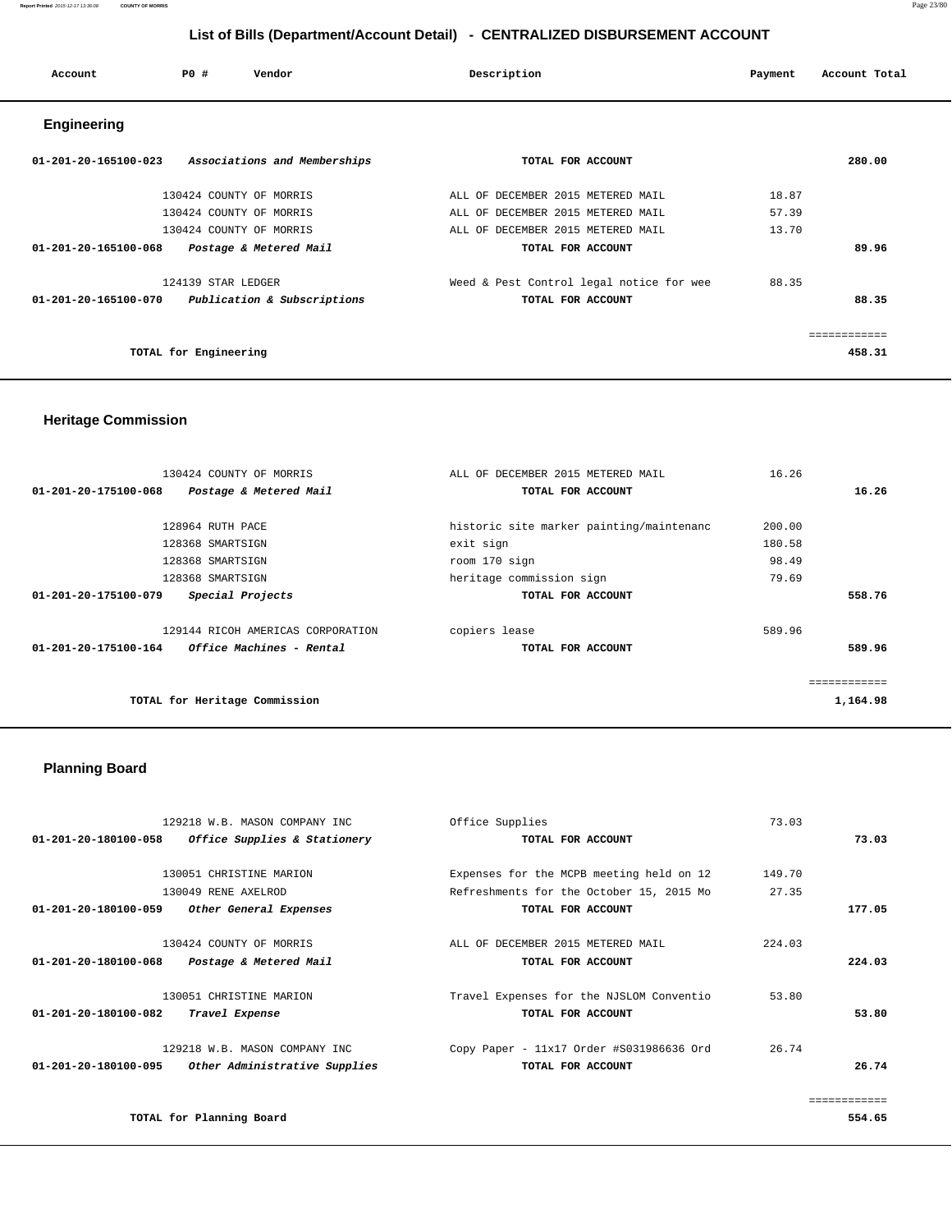**Report Printed** 2015-12-17 13:36:08 **COUNTY OF MORRIS** Page 23/80

## **List of Bills (Department/Account Detail) - CENTRALIZED DISBURSEMENT ACCOUNT**

| Account                        | PO#                   | Vendor                       | Description                       |                                          | Payment | Account Total |  |
|--------------------------------|-----------------------|------------------------------|-----------------------------------|------------------------------------------|---------|---------------|--|
| <b>Engineering</b>             |                       |                              |                                   |                                          |         |               |  |
| $01 - 201 - 20 - 165100 - 023$ |                       | Associations and Memberships | TOTAL FOR ACCOUNT                 |                                          |         | 280.00        |  |
|                                |                       | 130424 COUNTY OF MORRIS      | ALL OF DECEMBER 2015 METERED MAIL |                                          | 18.87   |               |  |
|                                |                       | 130424 COUNTY OF MORRIS      | ALL OF DECEMBER 2015 METERED MAIL |                                          | 57.39   |               |  |
|                                |                       | 130424 COUNTY OF MORRIS      | ALL OF DECEMBER 2015 METERED MAIL |                                          | 13.70   |               |  |
| $01 - 201 - 20 - 165100 - 068$ |                       | Postage & Metered Mail       | TOTAL FOR ACCOUNT                 |                                          |         | 89.96         |  |
|                                | 124139 STAR LEDGER    |                              |                                   | Weed & Pest Control legal notice for wee | 88.35   |               |  |
| 01-201-20-165100-070           |                       | Publication & Subscriptions  | TOTAL FOR ACCOUNT                 |                                          |         | 88.35         |  |
|                                |                       |                              |                                   |                                          |         | ============  |  |
|                                | TOTAL for Engineering |                              |                                   |                                          |         | 458.31        |  |

## **Heritage Commission**

| 130424 COUNTY OF MORRIS                          | ALL OF DECEMBER 2015 METERED MAIL        | 16.26  |              |
|--------------------------------------------------|------------------------------------------|--------|--------------|
| 01-201-20-175100-068<br>Postage & Metered Mail   | TOTAL FOR ACCOUNT                        |        | 16.26        |
|                                                  |                                          |        |              |
| 128964 RUTH PACE                                 | historic site marker painting/maintenanc | 200.00 |              |
| 128368 SMARTSIGN                                 | exit sign                                | 180.58 |              |
| 128368 SMARTSIGN                                 | room 170 sign                            | 98.49  |              |
| 128368 SMARTSIGN                                 | heritage commission sign                 | 79.69  |              |
| Special Projects<br>01-201-20-175100-079         | TOTAL FOR ACCOUNT                        |        | 558.76       |
| 129144 RICOH AMERICAS CORPORATION                | copiers lease                            | 589.96 |              |
| 01-201-20-175100-164<br>Office Machines - Rental | TOTAL FOR ACCOUNT                        |        | 589.96       |
|                                                  |                                          |        | ============ |
| TOTAL for Heritage Commission                    |                                          |        | 1,164.98     |
|                                                  |                                          |        |              |

# **Planning Board**

|                                | 129218 W.B. MASON COMPANY INC | Office Supplies                          | 73.03  |        |
|--------------------------------|-------------------------------|------------------------------------------|--------|--------|
| $01 - 201 - 20 - 180100 - 058$ | Office Supplies & Stationery  | TOTAL FOR ACCOUNT                        |        | 73.03  |
|                                |                               |                                          |        |        |
|                                | 130051 CHRISTINE MARION       | Expenses for the MCPB meeting held on 12 | 149.70 |        |
|                                | 130049 RENE AXELROD           | Refreshments for the October 15, 2015 Mo | 27.35  |        |
| 01-201-20-180100-059           | Other General Expenses        | TOTAL FOR ACCOUNT                        |        | 177.05 |
|                                | 130424 COUNTY OF MORRIS       | ALL OF DECEMBER 2015 METERED MAIL        | 224.03 |        |
| 01-201-20-180100-068           | Postage & Metered Mail        | TOTAL FOR ACCOUNT                        |        | 224.03 |
|                                | 130051 CHRISTINE MARION       | Travel Expenses for the NJSLOM Conventio | 53.80  |        |
| 01-201-20-180100-082           | Travel Expense                | TOTAL FOR ACCOUNT                        |        | 53.80  |
|                                | 129218 W.B. MASON COMPANY INC | Copy Paper - 11x17 Order #S031986636 Ord | 26.74  |        |
| 01-201-20-180100-095           | Other Administrative Supplies | TOTAL FOR ACCOUNT                        |        | 26.74  |
|                                |                               |                                          |        |        |
|                                | TOTAL for Planning Board      |                                          |        | 554.65 |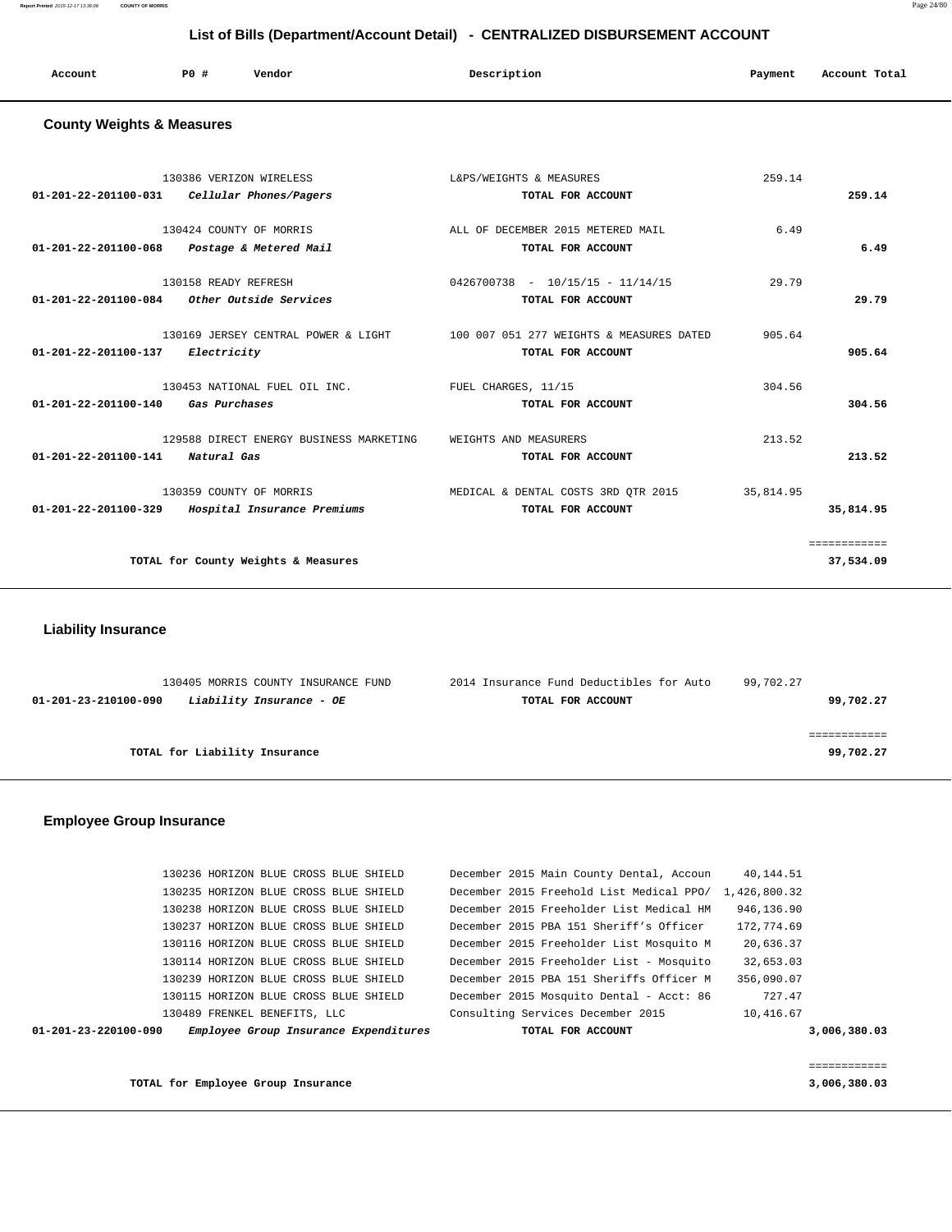**Report Printed** 2015-12-17 13:36:08 **COUNTY OF MORRIS** Page 24/80

## **List of Bills (Department/Account Detail) - CENTRALIZED DISBURSEMENT ACCOUNT**

| Account<br>. | <b>PO #</b> | Vendor | Description | Payment | Account Total |
|--------------|-------------|--------|-------------|---------|---------------|
|              |             |        |             |         |               |

### **County Weights & Measures**

|                                    | 130386 VERIZON WIRELESS<br>01-201-22-201100-031    Cellular Phones/Pagers | L&PS/WEIGHTS & MEASURES<br>TOTAL FOR ACCOUNT                                                      | 259.14    | 259.14                    |
|------------------------------------|---------------------------------------------------------------------------|---------------------------------------------------------------------------------------------------|-----------|---------------------------|
|                                    | 130424 COUNTY OF MORRIS<br>01-201-22-201100-068 Postage & Metered Mail    | ALL OF DECEMBER 2015 METERED MAIL<br>TOTAL FOR ACCOUNT                                            | 6.49      | 6.49                      |
|                                    | 130158 READY REFRESH<br>$01-201-22-201100-084$ Other Outside Services     | $0426700738 - 10/15/15 - 11/14/15$<br>TOTAL FOR ACCOUNT                                           | 29.79     | 29.79                     |
| 01-201-22-201100-137               | Electricity                                                               | 130169 JERSEY CENTRAL POWER & LIGHT 100 007 051 277 WEIGHTS & MEASURES DATED<br>TOTAL FOR ACCOUNT | 905.64    | 905.64                    |
| 01-201-22-201100-140 Gas Purchases | 130453 NATIONAL FUEL OIL INC.                                             | FUEL CHARGES, 11/15<br>TOTAL FOR ACCOUNT                                                          | 304.56    | 304.56                    |
| 01-201-22-201100-141               | 129588 DIRECT ENERGY BUSINESS MARKETING<br>Natural Gas                    | WEIGHTS AND MEASURERS<br>TOTAL FOR ACCOUNT                                                        | 213.52    | 213.52                    |
| 01-201-22-201100-329               | 130359 COUNTY OF MORRIS<br>Hospital Insurance Premiums                    | MEDICAL & DENTAL COSTS 3RD OTR 2015<br>TOTAL FOR ACCOUNT                                          | 35,814.95 | 35,814.95                 |
|                                    | TOTAL for County Weights & Measures                                       |                                                                                                   |           | ============<br>37,534.09 |

 **Liability Insurance** 

| 130405 MORRIS COUNTY INSURANCE FUND              | 2014 Insurance Fund Deductibles for Auto | 99,702.27 |
|--------------------------------------------------|------------------------------------------|-----------|
| Liability Insurance - OE<br>01-201-23-210100-090 | TOTAL FOR ACCOUNT                        | 99,702.27 |
|                                                  |                                          |           |
|                                                  |                                          |           |
| TOTAL for Liability Insurance                    |                                          | 99,702.27 |
|                                                  |                                          |           |

## **Employee Group Insurance**

| $01 - 201 - 23 - 220100 - 090$ | Employee Group Insurance Expenditures | TOTAL FOR ACCOUNT                                     |            | 3,006,380.03 |
|--------------------------------|---------------------------------------|-------------------------------------------------------|------------|--------------|
|                                | 130489 FRENKEL BENEFITS, LLC          | Consulting Services December 2015                     | 10,416.67  |              |
|                                | 130115 HORIZON BLUE CROSS BLUE SHIELD | December 2015 Mosquito Dental - Acct: 86              | 727.47     |              |
|                                | 130239 HORIZON BLUE CROSS BLUE SHIELD | December 2015 PBA 151 Sheriffs Officer M              | 356,090.07 |              |
|                                | 130114 HORIZON BLUE CROSS BLUE SHIELD | December 2015 Freeholder List - Mosquito              | 32,653.03  |              |
|                                | 130116 HORIZON BLUE CROSS BLUE SHIELD | December 2015 Freeholder List Mosquito M              | 20,636.37  |              |
|                                | 130237 HORIZON BLUE CROSS BLUE SHIELD | December 2015 PBA 151 Sheriff's Officer               | 172,774.69 |              |
|                                | 130238 HORIZON BLUE CROSS BLUE SHIELD | December 2015 Freeholder List Medical HM              | 946,136.90 |              |
|                                | 130235 HORIZON BLUE CROSS BLUE SHIELD | December 2015 Freehold List Medical PPO/ 1,426,800.32 |            |              |
|                                | 130236 HORIZON BLUE CROSS BLUE SHIELD | December 2015 Main County Dental, Accoun              | 40,144.51  |              |
|                                |                                       |                                                       |            |              |

**TOTAL for Employee Group Insurance 3,006,380.03**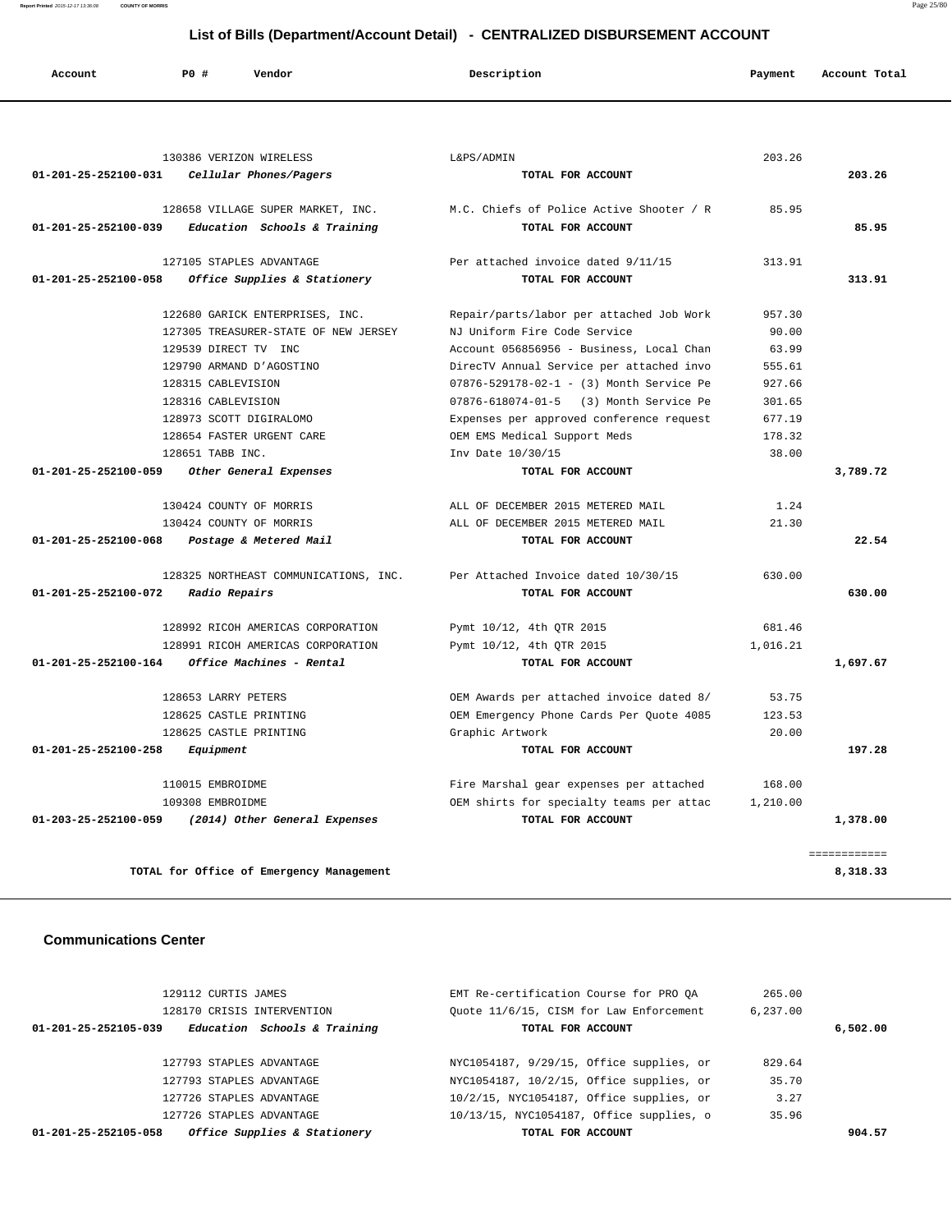**Report Printed** 2015-12-17 13:36:08 **COUNTY OF MORRIS** Page 25/80

# **List of Bills (Department/Account Detail) - CENTRALIZED DISBURSEMENT ACCOUNT**

| Account              | PO#                    | Vendor                                   | Description                              | Payment  | Account Total |
|----------------------|------------------------|------------------------------------------|------------------------------------------|----------|---------------|
|                      |                        |                                          |                                          |          |               |
|                      |                        | 130386 VERIZON WIRELESS                  | L&PS/ADMIN                               | 203.26   |               |
| 01-201-25-252100-031 |                        | Cellular Phones/Pagers                   | TOTAL FOR ACCOUNT                        |          | 203.26        |
|                      |                        | 128658 VILLAGE SUPER MARKET, INC.        | M.C. Chiefs of Police Active Shooter / R | 85.95    |               |
| 01-201-25-252100-039 |                        | Education Schools & Training             | TOTAL FOR ACCOUNT                        |          | 85.95         |
|                      |                        | 127105 STAPLES ADVANTAGE                 | Per attached invoice dated 9/11/15       | 313.91   |               |
| 01-201-25-252100-058 |                        | Office Supplies & Stationery             | TOTAL FOR ACCOUNT                        |          | 313.91        |
|                      |                        | 122680 GARICK ENTERPRISES, INC.          | Repair/parts/labor per attached Job Work | 957.30   |               |
|                      |                        | 127305 TREASURER-STATE OF NEW JERSEY     | NJ Uniform Fire Code Service             | 90.00    |               |
|                      | 129539 DIRECT TV INC   |                                          | Account 056856956 - Business, Local Chan | 63.99    |               |
|                      |                        | 129790 ARMAND D'AGOSTINO                 | DirecTV Annual Service per attached invo | 555.61   |               |
|                      | 128315 CABLEVISION     |                                          | 07876-529178-02-1 - (3) Month Service Pe | 927.66   |               |
|                      | 128316 CABLEVISION     |                                          | 07876-618074-01-5 (3) Month Service Pe   | 301.65   |               |
|                      |                        | 128973 SCOTT DIGIRALOMO                  | Expenses per approved conference request | 677.19   |               |
|                      |                        | 128654 FASTER URGENT CARE                | OEM EMS Medical Support Meds             | 178.32   |               |
|                      | 128651 TABB INC.       |                                          | Inv Date 10/30/15                        | 38.00    |               |
| 01-201-25-252100-059 |                        | Other General Expenses                   | TOTAL FOR ACCOUNT                        |          | 3,789.72      |
|                      |                        | 130424 COUNTY OF MORRIS                  | ALL OF DECEMBER 2015 METERED MAIL        | 1.24     |               |
|                      |                        | 130424 COUNTY OF MORRIS                  | ALL OF DECEMBER 2015 METERED MAIL        | 21.30    |               |
| 01-201-25-252100-068 |                        | Postage & Metered Mail                   | TOTAL FOR ACCOUNT                        |          | 22.54         |
|                      |                        | 128325 NORTHEAST COMMUNICATIONS, INC.    | Per Attached Invoice dated 10/30/15      | 630.00   |               |
| 01-201-25-252100-072 | Radio Repairs          |                                          | TOTAL FOR ACCOUNT                        |          | 630.00        |
|                      |                        | 128992 RICOH AMERICAS CORPORATION        | Pymt 10/12, 4th QTR 2015                 | 681.46   |               |
|                      |                        | 128991 RICOH AMERICAS CORPORATION        | Pymt 10/12, 4th QTR 2015                 | 1,016.21 |               |
| 01-201-25-252100-164 |                        | Office Machines - Rental                 | TOTAL FOR ACCOUNT                        |          | 1,697.67      |
|                      | 128653 LARRY PETERS    |                                          | OEM Awards per attached invoice dated 8/ | 53.75    |               |
|                      | 128625 CASTLE PRINTING |                                          | OEM Emergency Phone Cards Per Quote 4085 | 123.53   |               |
|                      | 128625 CASTLE PRINTING |                                          | Graphic Artwork                          | 20.00    |               |
| 01-201-25-252100-258 | Equipment              |                                          | TOTAL FOR ACCOUNT                        |          | 197.28        |
|                      | 110015 EMBROIDME       |                                          | Fire Marshal gear expenses per attached  | 168.00   |               |
|                      | 109308 EMBROIDME       |                                          | OEM shirts for specialty teams per attac | 1,210.00 |               |
| 01-203-25-252100-059 |                        | (2014) Other General Expenses            | TOTAL FOR ACCOUNT                        |          | 1,378.00      |
|                      |                        |                                          |                                          |          | ============  |
|                      |                        | TOTAL for Office of Emergency Management |                                          |          | 8,318.33      |

### **Communications Center**

| 129112 CURTIS JAMES        |                              | EMT Re-certification Course for PRO OA   | 265.00   |          |
|----------------------------|------------------------------|------------------------------------------|----------|----------|
| 128170 CRISIS INTERVENTION |                              | Quote 11/6/15, CISM for Law Enforcement  | 6.237.00 |          |
| 01-201-25-252105-039       | Education Schools & Training | TOTAL FOR ACCOUNT                        |          | 6,502.00 |
|                            |                              |                                          |          |          |
| 127793 STAPLES ADVANTAGE   |                              | NYC1054187, 9/29/15, Office supplies, or | 829.64   |          |
| 127793 STAPLES ADVANTAGE   |                              | NYC1054187, 10/2/15, Office supplies, or | 35.70    |          |
| 127726 STAPLES ADVANTAGE   |                              | 10/2/15, NYC1054187, Office supplies, or | 3.27     |          |
| 127726 STAPLES ADVANTAGE   |                              | 10/13/15, NYC1054187, Office supplies, o | 35.96    |          |
| 01-201-25-252105-058       | Office Supplies & Stationery | TOTAL FOR ACCOUNT                        |          | 904.57   |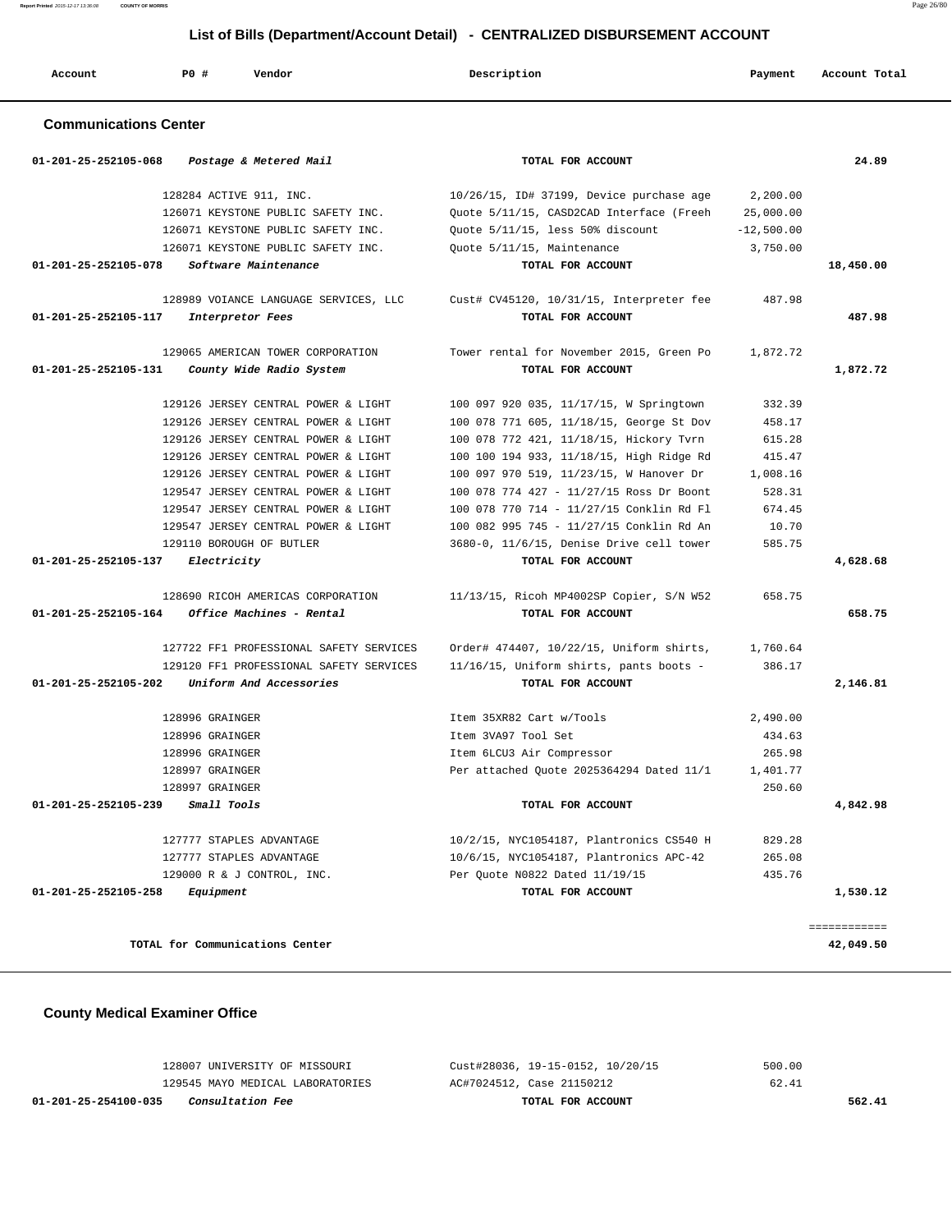| Report Printed 2015-12-17 13:36:08<br><b>COUNTY OF MORRIS</b> |     |                                       |                                                                              |              | Page 26/80    |
|---------------------------------------------------------------|-----|---------------------------------------|------------------------------------------------------------------------------|--------------|---------------|
|                                                               |     |                                       | List of Bills (Department/Account Detail) - CENTRALIZED DISBURSEMENT ACCOUNT |              |               |
| Account                                                       | PO# | Vendor                                | Description                                                                  | Payment      | Account Total |
| <b>Communications Center</b>                                  |     |                                       |                                                                              |              |               |
| $01 - 201 - 25 - 252105 - 068$                                |     | Postage & Metered Mail                | TOTAL FOR ACCOUNT                                                            |              | 24.89         |
|                                                               |     | 128284 ACTIVE 911, INC.               | $10/26/15$ , ID# 37199, Device purchase age                                  | 2,200.00     |               |
|                                                               |     | 126071 KEYSTONE PUBLIC SAFETY INC.    | Quote 5/11/15, CASD2CAD Interface (Freeh                                     | 25,000.00    |               |
|                                                               |     | 126071 KEYSTONE PUBLIC SAFETY INC.    | Quote 5/11/15, less 50% discount                                             | $-12,500.00$ |               |
|                                                               |     | 126071 KEYSTONE PUBLIC SAFETY INC.    | Ouote 5/11/15, Maintenance                                                   | 3,750.00     |               |
| 01-201-25-252105-078                                          |     | Software Maintenance                  | TOTAL FOR ACCOUNT                                                            |              | 18,450.00     |
|                                                               |     | 128989 VOIANCE LANGUAGE SERVICES, LLC | Cust# CV45120, 10/31/15, Interpreter fee                                     | 487.98       |               |
| 01-201-25-252105-117                                          |     | Interpretor Fees                      | TOTAL FOR ACCOUNT                                                            |              | 487.98        |
|                                                               |     | 129065 AMERICAN TOWER CORPORATION     | Tower rental for November 2015, Green Po                                     | 1,872.72     |               |
| 01-201-25-252105-131                                          |     | County Wide Radio System              | TOTAL FOR ACCOUNT                                                            |              | 1,872.72      |
|                                                               |     | 129126 JERSEY CENTRAL POWER & LIGHT   | 100 097 920 035, 11/17/15, W Springtown                                      | 332.39       |               |
|                                                               |     | 129126 JERSEY CENTRAL POWER & LIGHT   | 100 078 771 605, 11/18/15, George St Dov                                     | 458.17       |               |
|                                                               |     | 129126 JERSEY CENTRAL POWER & LIGHT   | 100 078 772 421, 11/18/15, Hickory Tvrn                                      | 615.28       |               |
|                                                               |     | 129126 JERSEY CENTRAL POWER & LIGHT   | 100 100 194 933, 11/18/15, High Ridge Rd                                     | 415.47       |               |
|                                                               |     | 129126 JERSEY CENTRAL POWER & LIGHT   | 100 097 970 519, 11/23/15, W Hanover Dr                                      | 1,008.16     |               |
|                                                               |     | 129547 JERSEY CENTRAL POWER & LIGHT   | 100 078 774 427 - 11/27/15 Ross Dr Boont                                     | 528.31       |               |
|                                                               |     | 129547 JERSEY CENTRAL POWER & LIGHT   | 100 078 770 714 - 11/27/15 Conklin Rd Fl                                     | 674.45       |               |
|                                                               |     | 129547 JERSEY CENTRAL POWER & LIGHT   | 100 082 995 745 - 11/27/15 Conklin Rd An                                     | 10.70        |               |
|                                                               |     | 129110 BOROUGH OF BUTLER              | 3680-0, 11/6/15, Denise Drive cell tower                                     | 585.75       |               |
| 01-201-25-252105-137                                          |     | Electricity                           | TOTAL FOR ACCOUNT                                                            |              | 4,628.68      |
|                                                               |     |                                       |                                                                              |              |               |

 128690 RICOH AMERICAS CORPORATION 11/13/15, Ricoh MP4002SP Copier, S/N W52 658.75  **01-201-25-252105-164 Office Machines - Rental TOTAL FOR ACCOUNT 658.75**

 127722 FF1 PROFESSIONAL SAFETY SERVICES Order# 474407, 10/22/15, Uniform shirts, 1,760.64 129120 FF1 PROFESSIONAL SAFETY SERVICES 11/16/15, Uniform shirts, pants boots - 386.17  **01-201-25-252105-202 Uniform And Accessories TOTAL FOR ACCOUNT 2,146.81**

 128996 GRAINGER Item 35XR82 Cart w/Tools 2,490.00 128996 GRAINGER Item 3VA97 Tool Set 434.63 128996 GRAINGER Item 6LCU3 Air Compressor 265.98 128997 GRAINGER Per attached Quote 2025364294 Dated 11/1 1,401.77 128997 GRAINGER 250.60  **01-201-25-252105-239 Small Tools TOTAL FOR ACCOUNT 4,842.98**

 127777 STAPLES ADVANTAGE 10/2/15, NYC1054187, Plantronics CS540 H 829.28 127777 STAPLES ADVANTAGE 10/6/15, NYC1054187, Plantronics APC-42 265.08 129000 R & J CONTROL, INC. Per Quote N0822 Dated 11/19/15 435.76

 **01-201-25-252105-258 Equipment TOTAL FOR ACCOUNT 1,530.12**

**TOTAL for Communications Center 42,049.50**

 **County Medical Examiner Office**

 128007 UNIVERSITY OF MISSOURI Cust#28036, 19-15-0152, 10/20/15 500.00 129545 MAYO MEDICAL LABORATORIES AC#7024512, Case 21150212 62.41  **01-201-25-254100-035 Consultation Fee TOTAL FOR ACCOUNT 562.41**

============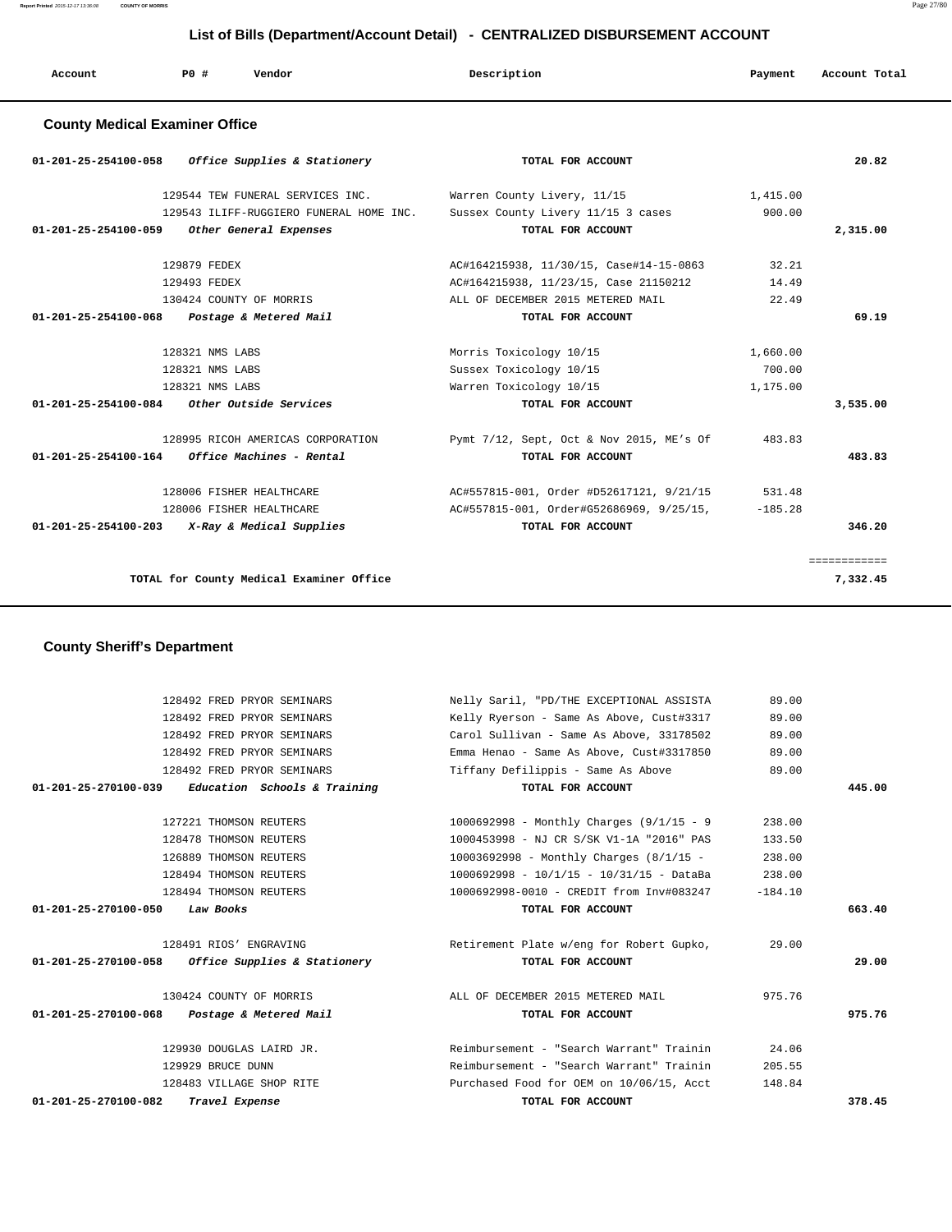# **List of Bills (Department/Account Detail) - CENTRALIZED DISBURSEMENT ACCOUNT**

| Account                               | PO# | Vendor | Description | Payment | Account Total |
|---------------------------------------|-----|--------|-------------|---------|---------------|
| <b>County Medical Examiner Office</b> |     |        |             |         |               |

| $01 - 201 - 25 - 254100 - 058$ | Office Supplies & Stationery                | TOTAL FOR ACCOUNT                        |           | 20.82        |
|--------------------------------|---------------------------------------------|------------------------------------------|-----------|--------------|
|                                | 129544 TEW FUNERAL SERVICES INC.            | Warren County Livery, 11/15              | 1,415.00  |              |
|                                | 129543 ILIFF-RUGGIERO FUNERAL HOME INC.     | Sussex County Livery 11/15 3 cases       | 900.00    |              |
| 01-201-25-254100-059           | Other General Expenses                      | TOTAL FOR ACCOUNT                        |           | 2,315.00     |
|                                | 129879 FEDEX                                | AC#164215938, 11/30/15, Case#14-15-0863  | 32.21     |              |
|                                | 129493 FEDEX                                | AC#164215938, 11/23/15, Case 21150212    | 14.49     |              |
|                                | 130424 COUNTY OF MORRIS                     | ALL OF DECEMBER 2015 METERED MAIL        | 22.49     |              |
| 01-201-25-254100-068           | Postage & Metered Mail                      | TOTAL FOR ACCOUNT                        |           | 69.19        |
|                                | 128321 NMS LABS                             | Morris Toxicology 10/15                  | 1,660.00  |              |
|                                | 128321 NMS LABS                             | Sussex Toxicology 10/15                  | 700.00    |              |
|                                | 128321 NMS LABS                             | Warren Toxicology 10/15                  | 1,175.00  |              |
|                                | 01-201-25-254100-084 Other Outside Services | TOTAL FOR ACCOUNT                        |           | 3,535.00     |
|                                | 128995 RICOH AMERICAS CORPORATION           | Pymt 7/12, Sept, Oct & Nov 2015, ME's Of | 483.83    |              |
| 01-201-25-254100-164           | Office Machines - Rental                    | TOTAL FOR ACCOUNT                        |           | 483.83       |
|                                | 128006 FISHER HEALTHCARE                    | AC#557815-001, Order #D52617121, 9/21/15 | 531.48    |              |
|                                | 128006 FISHER HEALTHCARE                    | AC#557815-001, Order#G52686969, 9/25/15, | $-185.28$ |              |
| $01 - 201 - 25 - 254100 - 203$ | X-Ray & Medical Supplies                    | TOTAL FOR ACCOUNT                        |           | 346.20       |
|                                |                                             |                                          |           | ============ |
|                                | TOTAL for County Medical Examiner Office    |                                          |           | 7,332.45     |
|                                |                                             |                                          |           |              |

## **County Sheriff's Department**

|                      | 128492 FRED PRYOR SEMINARS                          | Nelly Saril, "PD/THE EXCEPTIONAL ASSISTA    | 89.00     |        |
|----------------------|-----------------------------------------------------|---------------------------------------------|-----------|--------|
|                      | 128492 FRED PRYOR SEMINARS                          | Kelly Ryerson - Same As Above, Cust#3317    | 89.00     |        |
|                      | 128492 FRED PRYOR SEMINARS                          | Carol Sullivan - Same As Above, 33178502    | 89.00     |        |
|                      | 128492 FRED PRYOR SEMINARS                          | Emma Henao - Same As Above, Cust#3317850    | 89.00     |        |
|                      | 128492 FRED PRYOR SEMINARS                          | Tiffany Defilippis - Same As Above          | 89.00     |        |
|                      | $01-201-25-270100-039$ Education Schools & Training | TOTAL FOR ACCOUNT                           |           | 445.00 |
|                      | 127221 THOMSON REUTERS                              | 1000692998 - Monthly Charges $(9/1/15 - 9)$ | 238.00    |        |
|                      | 128478 THOMSON REUTERS                              | 1000453998 - NJ CR S/SK V1-1A "2016" PAS    | 133.50    |        |
|                      | 126889 THOMSON REUTERS                              | $10003692998$ - Monthly Charges $(8/1/15$ - | 238.00    |        |
|                      | 128494 THOMSON REUTERS                              | 1000692998 - 10/1/15 - 10/31/15 - DataBa    | 238.00    |        |
|                      | 128494 THOMSON REUTERS                              | 1000692998-0010 - CREDIT from Inv#083247    | $-184.10$ |        |
| 01-201-25-270100-050 | Law Books                                           | TOTAL FOR ACCOUNT                           |           | 663.40 |
|                      | 128491 RIOS' ENGRAVING                              | Retirement Plate w/eng for Robert Gupko,    | 29.00     |        |
|                      | $01-201-25-270100-058$ Office Supplies & Stationery | TOTAL FOR ACCOUNT                           |           | 29.00  |
|                      | 130424 COUNTY OF MORRIS                             | ALL OF DECEMBER 2015 METERED MAIL           | 975.76    |        |
|                      | 01-201-25-270100-068 Postage & Metered Mail         | TOTAL FOR ACCOUNT                           |           | 975.76 |
|                      | 129930 DOUGLAS LAIRD JR.                            | Reimbursement - "Search Warrant" Trainin    | 24.06     |        |
|                      | 129929 BRUCE DUNN                                   | Reimbursement - "Search Warrant" Trainin    | 205.55    |        |
|                      | 128483 VILLAGE SHOP RITE                            | Purchased Food for OEM on 10/06/15, Acct    | 148.84    |        |
| 01-201-25-270100-082 | Travel Expense                                      | TOTAL FOR ACCOUNT                           |           | 378.45 |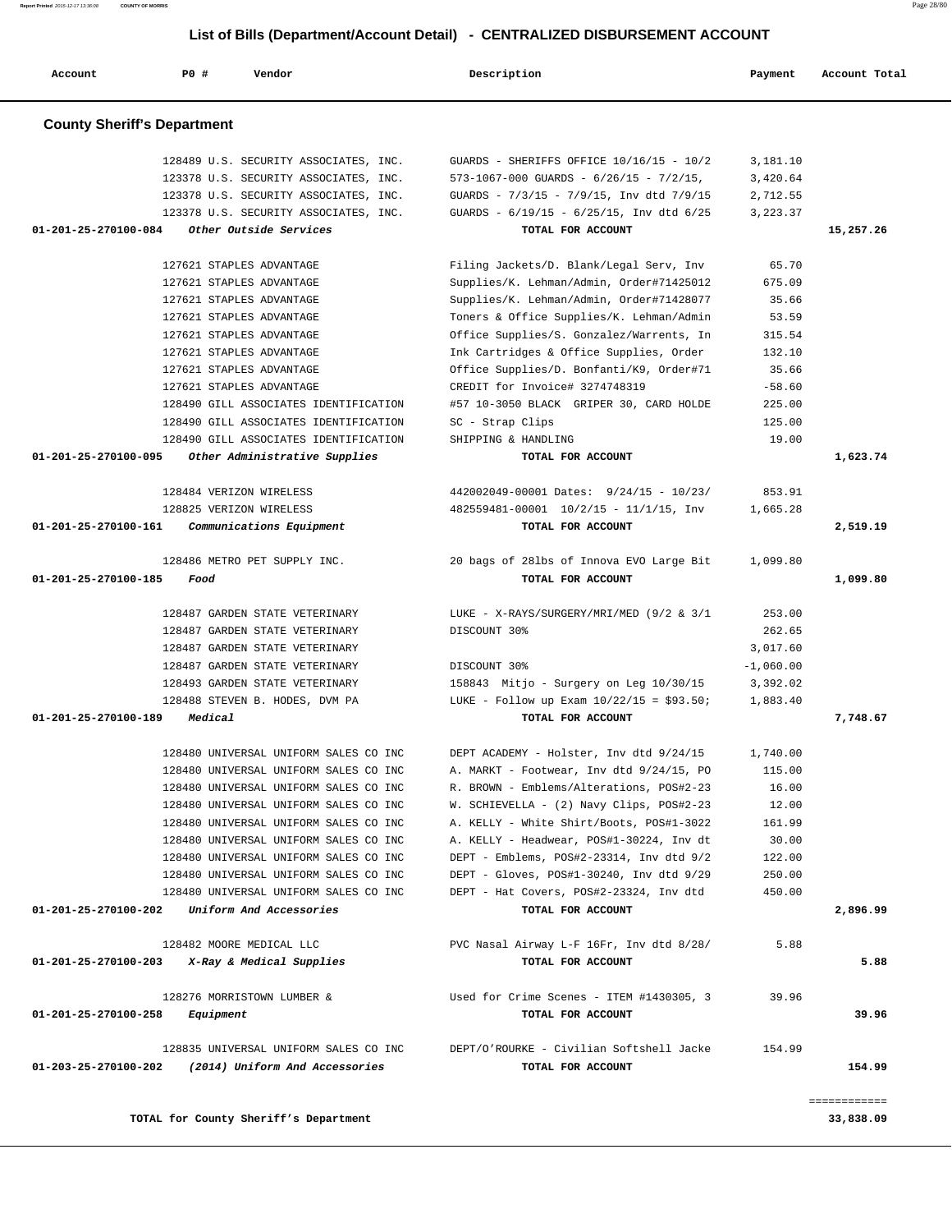**Account P0 # Vendor Description Payment Account Total County Sheriff's Department** 128489 U.S. SECURITY ASSOCIATES, INC. GUARDS - SHERIFFS OFFICE 10/16/15 - 10/2 3,181.10 123378 U.S. SECURITY ASSOCIATES, INC. 573-1067-000 GUARDS - 6/26/15 - 7/2/15, 3,420.64 123378 U.S. SECURITY ASSOCIATES, INC. GUARDS - 7/3/15 - 7/9/15, Inv dtd 7/9/15 2,712.55 123378 U.S. SECURITY ASSOCIATES, INC. GUARDS - 6/19/15 - 6/25/15, Inv dtd 6/25 3,223.37  **01-201-25-270100-084 Other Outside Services TOTAL FOR ACCOUNT 15,257.26** 127621 STAPLES ADVANTAGE Filing Jackets/D. Blank/Legal Serv, Inv 65.70 127621 STAPLES ADVANTAGE Supplies/K. Lehman/Admin, Order#71425012 675.09 127621 STAPLES ADVANTAGE Supplies/K. Lehman/Admin, Order#71428077 35.66 127621 STAPLES ADVANTAGE Toners & Office Supplies/K. Lehman/Admin 53.59 127621 STAPLES ADVANTAGE Office Supplies/S. Gonzalez/Warrents, In 315.54 127621 STAPLES ADVANTAGE Ink Cartridges & Office Supplies, Order 132.10 127621 STAPLES ADVANTAGE Office Supplies/D. Bonfanti/K9, Order#71 35.66 127621 STAPLES ADVANTAGE CREDIT for Invoice# 3274748319 -58.60 128490 GILL ASSOCIATES IDENTIFICATION #57 10-3050 BLACK GRIPER 30, CARD HOLDE 225.00 128490 GILL ASSOCIATES IDENTIFICATION SC - Strap Clips 125.00 128490 GILL ASSOCIATES IDENTIFICATION SHIPPING & HANDLING 19.00  **01-201-25-270100-095 Other Administrative Supplies TOTAL FOR ACCOUNT 1,623.74** 128484 VERIZON WIRELESS 442002049-00001 Dates: 9/24/15 - 10/23/ 853.91 128825 VERIZON WIRELESS 482559481-00001 10/2/15 - 11/1/15, Inv 1,665.28  **01-201-25-270100-161 Communications Equipment TOTAL FOR ACCOUNT 2,519.19** 128486 METRO PET SUPPLY INC. 20 bags of 28lbs of Innova EVO Large Bit 1,099.80  **01-201-25-270100-185 Food TOTAL FOR ACCOUNT 1,099.80** 128487 GARDEN STATE VETERINARY LUKE - X-RAYS/SURGERY/MRI/MED (9/2 & 3/1 253.00 128487 GARDEN STATE VETERINARY DISCOUNT 30% 262.65 128487 GARDEN STATE VETERINARY 3,017.60 128487 GARDEN STATE VETERINARY DISCOUNT 30% And the state of  $-1,060.00$  128493 GARDEN STATE VETERINARY 158843 Mitjo - Surgery on Leg 10/30/15 3,392.02 128488 STEVEN B. HODES, DVM PA LUKE - Follow up Exam 10/22/15 = \$93.50; 1,883.40  **01-201-25-270100-189 Medical TOTAL FOR ACCOUNT 7,748.67** 128480 UNIVERSAL UNIFORM SALES CO INC DEPT ACADEMY - Holster, Inv dtd 9/24/15 1,740.00 128480 UNIVERSAL UNIFORM SALES CO INC A. MARKT - Footwear, Inv dtd 9/24/15, PO 115.00 128480 UNIVERSAL UNIFORM SALES CO INC R. BROWN - Emblems/Alterations, POS#2-23 16.00 128480 UNIVERSAL UNIFORM SALES CO INC W. SCHIEVELLA - (2) Navy Clips, POS#2-23 12.00 128480 UNIVERSAL UNIFORM SALES CO INC A. KELLY - White Shirt/Boots, POS#1-3022 161.99 128480 UNIVERSAL UNIFORM SALES CO INC A. KELLY - Headwear, POS#1-30224, Inv dt 30.00 128480 UNIVERSAL UNIFORM SALES CO INC DEPT - Emblems, POS#2-23314, Inv dtd 9/2 122.00 128480 UNIVERSAL UNIFORM SALES CO INC DEPT - Gloves, POS#1-30240, Inv dtd 9/29 250.00 128480 UNIVERSAL UNIFORM SALES CO INC DEPT - Hat Covers, POS#2-23324, Inv dtd 450.00  **01-201-25-270100-202 Uniform And Accessories TOTAL FOR ACCOUNT 2,896.99** 128482 MOORE MEDICAL LLC PVC Nasal Airway L-F 16Fr, Inv dtd 8/28/ 5.88  **01-201-25-270100-203 X-Ray & Medical Supplies TOTAL FOR ACCOUNT 5.88** 128276 MORRISTOWN LUMBER & Used for Crime Scenes - ITEM #1430305, 3 39.96  **01-201-25-270100-258 Equipment TOTAL FOR ACCOUNT 39.96** 128835 UNIVERSAL UNIFORM SALES CO INC DEPT/O'ROURKE - Civilian Softshell Jacke 154.99  **01-203-25-270100-202 (2014) Uniform And Accessories TOTAL FOR ACCOUNT 154.99** ============

**TOTAL for County Sheriff's Department 33,838.09**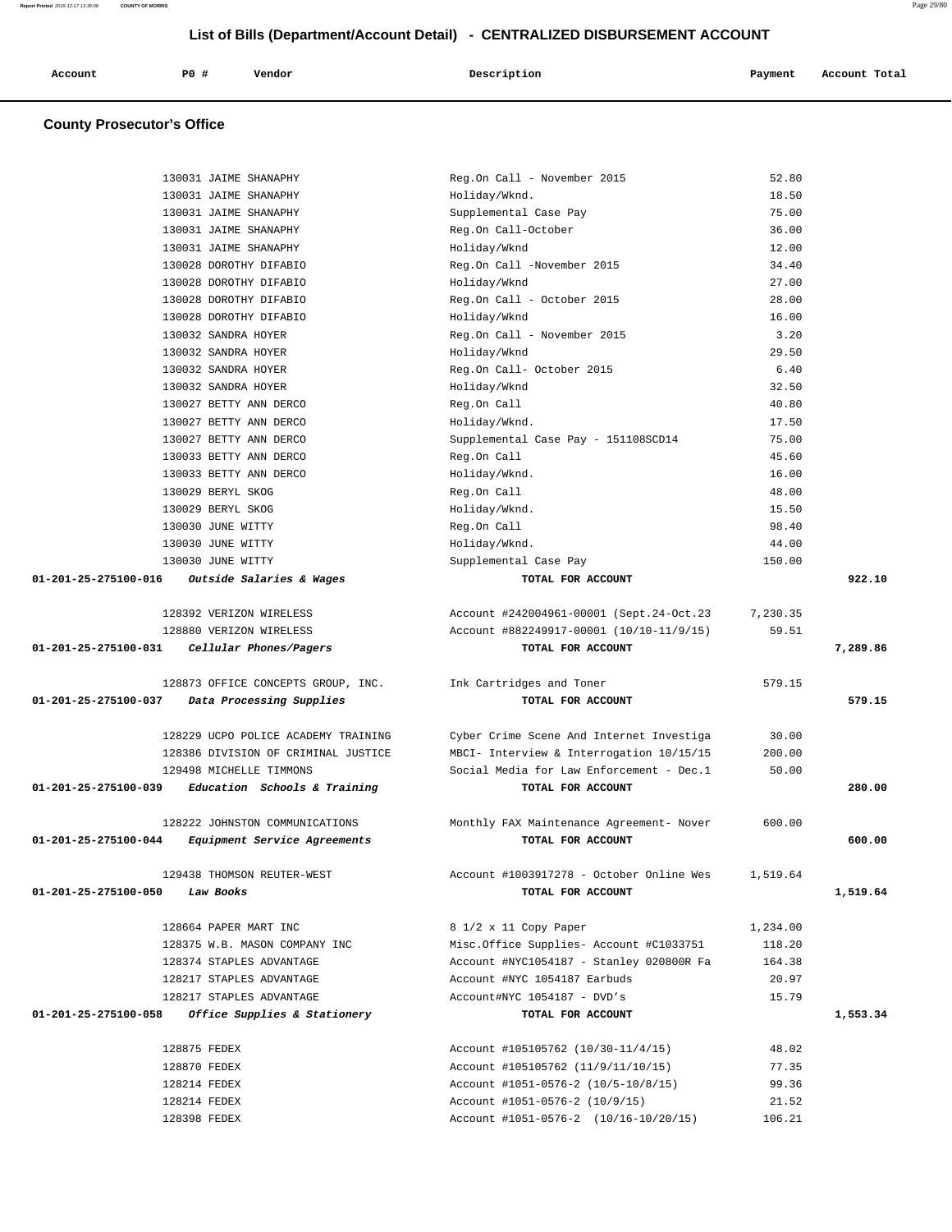| Account<br>. | P <sub>0</sub> | Vendor | Description<br>$\sim$ $\sim$ | Payment<br>$\sim$ $\sim$ | Account Total<br>. |
|--------------|----------------|--------|------------------------------|--------------------------|--------------------|
|              |                |        |                              |                          |                    |

# **County Prosecutor's Office**

|                      | 130031 JAIME SHANAPHY               | Reg.On Call - November 2015                                             | 52.80           |          |
|----------------------|-------------------------------------|-------------------------------------------------------------------------|-----------------|----------|
|                      | 130031 JAIME SHANAPHY               | Holiday/Wknd.                                                           | 18.50           |          |
|                      | 130031 JAIME SHANAPHY               | Supplemental Case Pay                                                   | 75.00           |          |
|                      | 130031 JAIME SHANAPHY               | Reg.On Call-October                                                     | 36.00           |          |
|                      | 130031 JAIME SHANAPHY               | Holiday/Wknd                                                            | 12.00           |          |
|                      | 130028 DOROTHY DIFABIO              | Reg.On Call -November 2015                                              | 34.40           |          |
|                      | 130028 DOROTHY DIFABIO              | Holiday/Wknd                                                            | 27.00           |          |
|                      | 130028 DOROTHY DIFABIO              | Reg.On Call - October 2015                                              | 28.00           |          |
|                      | 130028 DOROTHY DIFABIO              | Holiday/Wknd                                                            | 16.00           |          |
|                      | 130032 SANDRA HOYER                 | Reg.On Call - November 2015                                             | 3.20            |          |
|                      | 130032 SANDRA HOYER                 | Holiday/Wknd                                                            | 29.50           |          |
|                      | 130032 SANDRA HOYER                 | Reg.On Call- October 2015                                               | 6.40            |          |
|                      | 130032 SANDRA HOYER                 | Holiday/Wknd                                                            | 32.50           |          |
|                      | 130027 BETTY ANN DERCO              | Reg.On Call                                                             | 40.80           |          |
|                      | 130027 BETTY ANN DERCO              | Holiday/Wknd.                                                           | 17.50           |          |
|                      | 130027 BETTY ANN DERCO              | Supplemental Case Pay - 151108SCD14                                     | 75.00           |          |
|                      | 130033 BETTY ANN DERCO              | Reg.On Call                                                             | 45.60           |          |
|                      | 130033 BETTY ANN DERCO              | Holiday/Wknd.                                                           | 16.00           |          |
|                      | 130029 BERYL SKOG                   | Reg.On Call                                                             | 48.00           |          |
|                      | 130029 BERYL SKOG                   | Holiday/Wknd.                                                           | 15.50           |          |
|                      | 130030 JUNE WITTY                   | Reg.On Call                                                             | 98.40           |          |
|                      | 130030 JUNE WITTY                   | Holiday/Wknd.                                                           | 44.00           |          |
|                      | 130030 JUNE WITTY                   | Supplemental Case Pay                                                   | 150.00          |          |
| 01-201-25-275100-016 | Outside Salaries & Wages            | TOTAL FOR ACCOUNT                                                       |                 | 922.10   |
|                      | 128392 VERIZON WIRELESS             | Account #242004961-00001 (Sept.24-Oct.23                                | 7,230.35        |          |
|                      | 128880 VERIZON WIRELESS             | Account #882249917-00001 (10/10-11/9/15)                                | 59.51           |          |
| 01-201-25-275100-031 | Cellular Phones/Pagers              | TOTAL FOR ACCOUNT                                                       |                 | 7,289.86 |
|                      |                                     |                                                                         |                 |          |
|                      |                                     |                                                                         |                 |          |
|                      | 128873 OFFICE CONCEPTS GROUP, INC.  | Ink Cartridges and Toner                                                | 579.15          |          |
| 01-201-25-275100-037 | Data Processing Supplies            | TOTAL FOR ACCOUNT                                                       |                 | 579.15   |
|                      | 128229 UCPO POLICE ACADEMY TRAINING | Cyber Crime Scene And Internet Investiga                                | 30.00           |          |
|                      | 128386 DIVISION OF CRIMINAL JUSTICE | MBCI- Interview & Interrogation 10/15/15                                | 200.00          |          |
|                      | 129498 MICHELLE TIMMONS             | Social Media for Law Enforcement - Dec.1                                | 50.00           |          |
| 01-201-25-275100-039 | Education Schools & Training        | TOTAL FOR ACCOUNT                                                       |                 | 280.00   |
|                      | 128222 JOHNSTON COMMUNICATIONS      | Monthly FAX Maintenance Agreement- Nover                                | 600.00          |          |
| 01-201-25-275100-044 | Equipment Service Agreements        | TOTAL FOR ACCOUNT                                                       |                 | 600.00   |
|                      |                                     |                                                                         |                 |          |
|                      | 129438 THOMSON REUTER-WEST          | Account #1003917278 - October Online Wes                                | 1,519.64        |          |
| 01-201-25-275100-050 | Law Books                           | TOTAL FOR ACCOUNT                                                       |                 | 1,519.64 |
|                      | 128664 PAPER MART INC               | 8 1/2 x 11 Copy Paper                                                   | 1,234.00        |          |
|                      | 128375 W.B. MASON COMPANY INC       | Misc.Office Supplies- Account #C1033751                                 | 118.20          |          |
|                      | 128374 STAPLES ADVANTAGE            | Account #NYC1054187 - Stanley 020800R Fa                                | 164.38          |          |
|                      | 128217 STAPLES ADVANTAGE            | Account #NYC 1054187 Earbuds                                            | 20.97           |          |
|                      | 128217 STAPLES ADVANTAGE            | Account#NYC 1054187 - DVD's                                             | 15.79           |          |
| 01-201-25-275100-058 | Office Supplies & Stationery        | TOTAL FOR ACCOUNT                                                       |                 | 1,553.34 |
|                      |                                     |                                                                         |                 |          |
|                      | 128875 FEDEX                        | Account #105105762 (10/30-11/4/15)                                      | 48.02           |          |
|                      | 128870 FEDEX                        | Account #105105762 (11/9/11/10/15)                                      | 77.35           |          |
|                      | 128214 FEDEX                        | Account #1051-0576-2 (10/5-10/8/15)                                     | 99.36           |          |
|                      | 128214 FEDEX<br>128398 FEDEX        | Account #1051-0576-2 (10/9/15)<br>Account #1051-0576-2 (10/16-10/20/15) | 21.52<br>106.21 |          |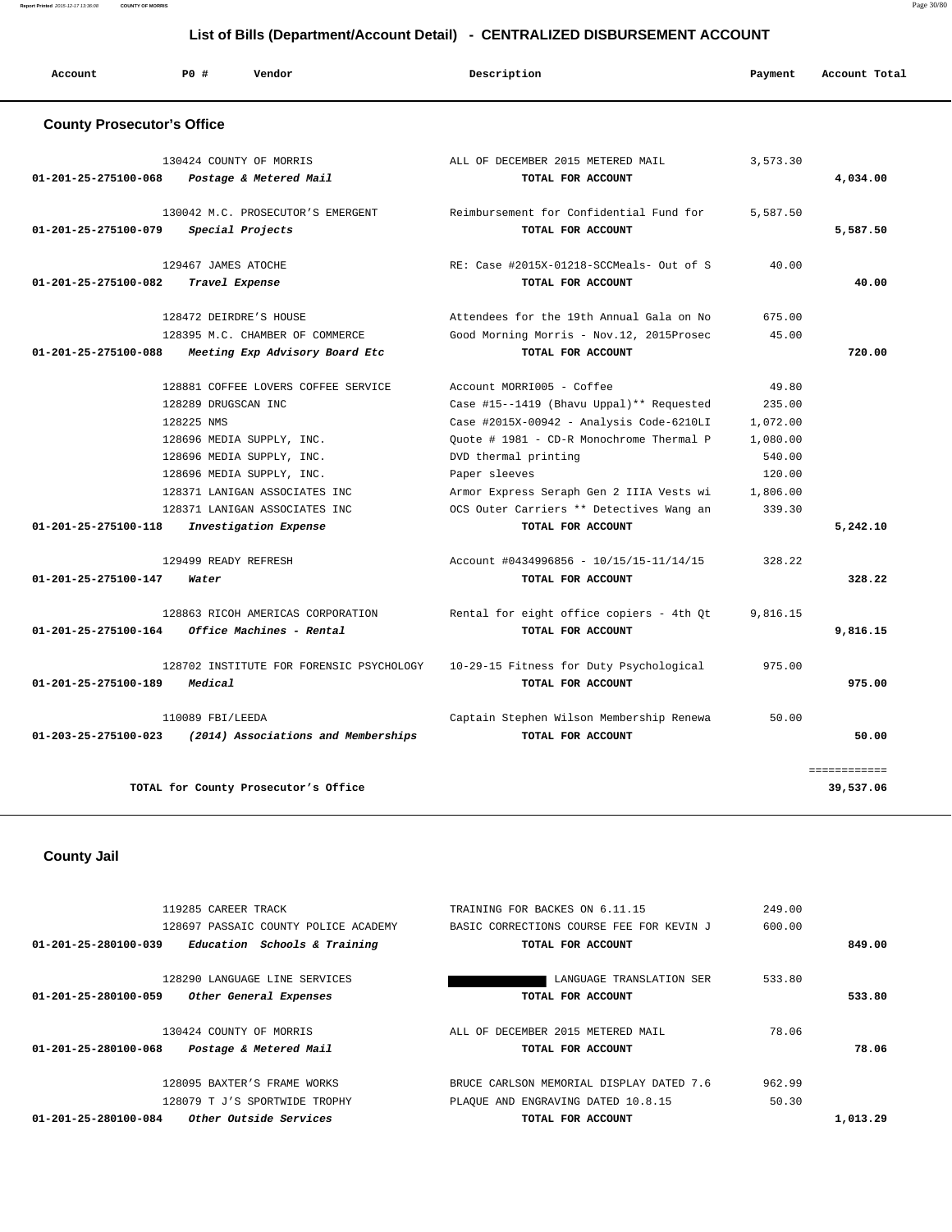**Report Printed** 2015-12-17 13:36:08 **COUNTY OF MORRIS** Page 30/80

# **List of Bills (Department/Account Detail) - CENTRALIZED DISBURSEMENT ACCOUNT**

| Account                                      | PO#<br>Vendor                                                                                                                                                                                                                     | Description                                                                                                                                                                                                                                                                                    | Payment                                                                           | Account Total             |
|----------------------------------------------|-----------------------------------------------------------------------------------------------------------------------------------------------------------------------------------------------------------------------------------|------------------------------------------------------------------------------------------------------------------------------------------------------------------------------------------------------------------------------------------------------------------------------------------------|-----------------------------------------------------------------------------------|---------------------------|
| <b>County Prosecutor's Office</b>            |                                                                                                                                                                                                                                   |                                                                                                                                                                                                                                                                                                |                                                                                   |                           |
| 01-201-25-275100-068                         | 130424 COUNTY OF MORRIS<br>Postage & Metered Mail                                                                                                                                                                                 | ALL OF DECEMBER 2015 METERED MAIL<br>TOTAL FOR ACCOUNT                                                                                                                                                                                                                                         | 3,573.30                                                                          | 4,034.00                  |
| 01-201-25-275100-079                         | 130042 M.C. PROSECUTOR'S EMERGENT<br>Special Projects                                                                                                                                                                             | Reimbursement for Confidential Fund for<br>TOTAL FOR ACCOUNT                                                                                                                                                                                                                                   | 5,587.50                                                                          | 5,587.50                  |
| 01-201-25-275100-082                         | 129467 JAMES ATOCHE<br>Travel Expense                                                                                                                                                                                             | RE: Case #2015X-01218-SCCMeals- Out of S<br>TOTAL FOR ACCOUNT                                                                                                                                                                                                                                  | 40.00                                                                             | 40.00                     |
| 01-201-25-275100-088                         | 128472 DEIRDRE'S HOUSE<br>128395 M.C. CHAMBER OF COMMERCE<br>Meeting Exp Advisory Board Etc                                                                                                                                       | Attendees for the 19th Annual Gala on No<br>Good Morning Morris - Nov.12, 2015Prosec<br>TOTAL FOR ACCOUNT                                                                                                                                                                                      | 675.00<br>45.00                                                                   | 720.00                    |
|                                              | 128881 COFFEE LOVERS COFFEE SERVICE<br>128289 DRUGSCAN INC<br>128225 NMS<br>128696 MEDIA SUPPLY, INC.<br>128696 MEDIA SUPPLY, INC.<br>128696 MEDIA SUPPLY, INC.<br>128371 LANIGAN ASSOCIATES INC<br>128371 LANIGAN ASSOCIATES INC | Account MORRI005 - Coffee<br>Case #15--1419 (Bhavu Uppal)** Requested<br>Case #2015X-00942 - Analysis Code-6210LI<br>Quote # 1981 - CD-R Monochrome Thermal P<br>DVD thermal printing<br>Paper sleeves<br>Armor Express Seraph Gen 2 IIIA Vests wi<br>OCS Outer Carriers ** Detectives Wang an | 49.80<br>235.00<br>1,072.00<br>1,080.00<br>540.00<br>120.00<br>1,806.00<br>339.30 |                           |
| 01-201-25-275100-118<br>01-201-25-275100-147 | Investigation Expense<br>129499 READY REFRESH<br>Water                                                                                                                                                                            | TOTAL FOR ACCOUNT<br>Account #0434996856 - 10/15/15-11/14/15<br>TOTAL FOR ACCOUNT                                                                                                                                                                                                              | 328.22                                                                            | 5,242.10<br>328.22        |
| 01-201-25-275100-164                         | 128863 RICOH AMERICAS CORPORATION<br>Office Machines - Rental                                                                                                                                                                     | Rental for eight office copiers - 4th Qt<br>TOTAL FOR ACCOUNT                                                                                                                                                                                                                                  | 9,816.15                                                                          | 9,816.15                  |
| 01-201-25-275100-189                         | 128702 INSTITUTE FOR FORENSIC PSYCHOLOGY<br>Medical                                                                                                                                                                               | 10-29-15 Fitness for Duty Psychological<br>TOTAL FOR ACCOUNT                                                                                                                                                                                                                                   | 975.00                                                                            | 975.00                    |
| 01-203-25-275100-023                         | 110089 FBI/LEEDA<br>(2014) Associations and Memberships                                                                                                                                                                           | Captain Stephen Wilson Membership Renewa<br>TOTAL FOR ACCOUNT                                                                                                                                                                                                                                  | 50.00                                                                             | 50.00                     |
|                                              | TOTAL for County Prosecutor's Office                                                                                                                                                                                              |                                                                                                                                                                                                                                                                                                |                                                                                   | ============<br>39,537.06 |
| <b>County Jail</b>                           |                                                                                                                                                                                                                                   |                                                                                                                                                                                                                                                                                                |                                                                                   |                           |

| Other Outside Services<br>01-201-25-280100-084       | TOTAL FOR ACCOUNT                        |        | 1,013.29 |
|------------------------------------------------------|------------------------------------------|--------|----------|
| 128079 T J'S SPORTWIDE TROPHY                        | PLAQUE AND ENGRAVING DATED 10.8.15       | 50.30  |          |
| 128095 BAXTER'S FRAME WORKS                          | BRUCE CARLSON MEMORIAL DISPLAY DATED 7.6 | 962.99 |          |
| 01-201-25-280100-068<br>Postage & Metered Mail       | TOTAL FOR ACCOUNT                        |        | 78.06    |
| 130424 COUNTY OF MORRIS                              | ALL OF DECEMBER 2015 METERED MAIL        | 78.06  |          |
| 01-201-25-280100-059<br>Other General Expenses       | TOTAL FOR ACCOUNT                        |        | 533.80   |
| 128290 LANGUAGE LINE SERVICES                        | LANGUAGE TRANSLATION SER                 | 533.80 |          |
| 01-201-25-280100-039<br>Education Schools & Training | TOTAL FOR ACCOUNT                        |        | 849.00   |
| 128697 PASSAIC COUNTY POLICE ACADEMY                 | BASIC CORRECTIONS COURSE FEE FOR KEVIN J | 600.00 |          |
| 119285 CAREER TRACK                                  | TRAINING FOR BACKES ON 6.11.15           | 249.00 |          |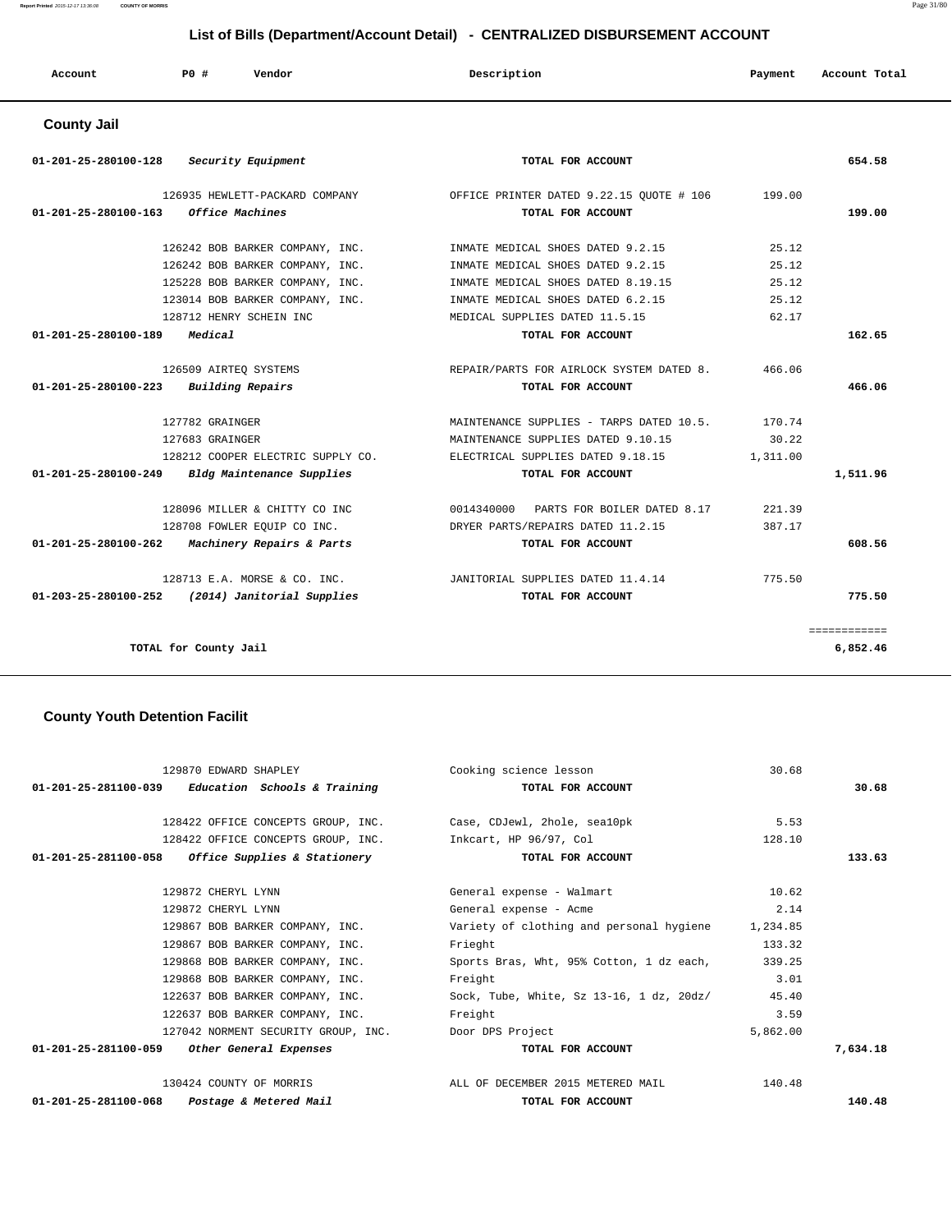**Report Printed** 2015-12-17 13:36:08 **COUNTY OF MORRIS** Page 31/80

# **List of Bills (Department/Account Detail) - CENTRALIZED DISBURSEMENT ACCOUNT**

| Account              | PO# | Vendor             | Description       | Payment | Account Total |
|----------------------|-----|--------------------|-------------------|---------|---------------|
| <b>County Jail</b>   |     |                    |                   |         |               |
| 01-201-25-280100-128 |     | Security Equipment | TOTAL FOR ACCOUNT |         | 654.58        |

| 126935 HEWLETT-PACKARD COMPANY                            | OFFICE PRINTER DATED 9.22.15 OUOTE # 106  | 199.00   |              |
|-----------------------------------------------------------|-------------------------------------------|----------|--------------|
| 01-201-25-280100-163<br>Office Machines                   | TOTAL FOR ACCOUNT                         |          | 199.00       |
|                                                           |                                           |          |              |
| 126242 BOB BARKER COMPANY, INC.                           | INMATE MEDICAL SHOES DATED 9.2.15         | 25.12    |              |
| 126242 BOB BARKER COMPANY, INC.                           | INMATE MEDICAL SHOES DATED 9.2.15         | 25.12    |              |
| 125228 BOB BARKER COMPANY, INC.                           | INMATE MEDICAL SHOES DATED 8.19.15        | 25.12    |              |
| 123014 BOB BARKER COMPANY, INC.                           | INMATE MEDICAL SHOES DATED 6.2.15         | 25.12    |              |
| 128712 HENRY SCHEIN INC                                   | MEDICAL SUPPLIES DATED 11.5.15            | 62.17    |              |
| 01-201-25-280100-189<br>Medical                           | TOTAL FOR ACCOUNT                         |          | 162.65       |
|                                                           |                                           |          |              |
| 126509 AIRTEO SYSTEMS                                     | REPAIR/PARTS FOR AIRLOCK SYSTEM DATED 8.  | 466.06   |              |
| Building Repairs<br>$01 - 201 - 25 - 280100 - 223$        | TOTAL FOR ACCOUNT                         |          | 466.06       |
| 127782 GRAINGER                                           | MAINTENANCE SUPPLIES - TARPS DATED 10.5.  | 170.74   |              |
| 127683 GRAINGER                                           | MAINTENANCE SUPPLIES DATED 9.10.15        | 30.22    |              |
| 128212 COOPER ELECTRIC SUPPLY CO.                         | ELECTRICAL SUPPLIES DATED 9.18.15         | 1,311.00 |              |
| 01-201-25-280100-249 Bldg Maintenance Supplies            | TOTAL FOR ACCOUNT                         |          | 1,511.96     |
| 128096 MILLER & CHITTY CO INC                             | 0014340000<br>PARTS FOR BOILER DATED 8.17 | 221.39   |              |
| 128708 FOWLER EQUIP CO INC.                               |                                           | 387.17   |              |
|                                                           | DRYER PARTS/REPAIRS DATED 11.2.15         |          |              |
| $01-201-25-280100-262$ Machinery Repairs & Parts          | TOTAL FOR ACCOUNT                         |          | 608.56       |
| 128713 E.A. MORSE & CO. INC.                              | JANITORIAL SUPPLIES DATED 11.4.14         | 775.50   |              |
| $01 - 203 - 25 - 280100 - 252$ (2014) Janitorial Supplies | TOTAL FOR ACCOUNT                         |          | 775.50       |
|                                                           |                                           |          |              |
|                                                           |                                           |          | ============ |
| TOTAL for County Jail                                     |                                           |          | 6,852.46     |

## **County Youth Detention Facilit**

| 129870 EDWARD SHAPLEY                                           | Cooking science lesson                            | 30.68    |          |
|-----------------------------------------------------------------|---------------------------------------------------|----------|----------|
| $01-201-25-281100-039$ Education Schools & Training             | TOTAL FOR ACCOUNT                                 |          | 30.68    |
| 128422 OFFICE CONCEPTS GROUP, INC. Case, CDJewl, 2hole, seal0pk |                                                   | 5.53     |          |
| 128422 OFFICE CONCEPTS GROUP, INC. Inkcart, HP 96/97, Col       |                                                   | 128.10   |          |
| $01-201-25-281100-058$ Office Supplies & Stationery             | TOTAL FOR ACCOUNT                                 |          | 133.63   |
| 129872 CHERYL LYNN                                              | General expense - Walmart                         | 10.62    |          |
| 129872 CHERYL LYNN                                              | General expense - Acme                            | 2.14     |          |
| 129867 BOB BARKER COMPANY, INC.                                 | Variety of clothing and personal hygiene 1,234.85 |          |          |
| 129867 BOB BARKER COMPANY, INC.                                 | Frieght                                           | 133.32   |          |
| 129868 BOB BARKER COMPANY, INC.                                 | Sports Bras, Wht, 95% Cotton, 1 dz each,          | 339.25   |          |
| 129868 BOB BARKER COMPANY, INC.                                 | Freight                                           | 3.01     |          |
| 122637 BOB BARKER COMPANY, INC.                                 | Sock, Tube, White, Sz 13-16, 1 dz, 20dz/ 45.40    |          |          |
| 122637 BOB BARKER COMPANY, INC.                                 | Freight                                           | 3.59     |          |
| 127042 NORMENT SECURITY GROUP, INC. Door DPS Project            |                                                   | 5,862.00 |          |
| 01-201-25-281100-059 Other General Expenses                     | TOTAL FOR ACCOUNT                                 |          | 7,634.18 |
| 130424 COUNTY OF MORRIS                                         | ALL OF DECEMBER 2015 METERED MAIL                 | 140.48   |          |
| 01-201-25-281100-068 Postage & Metered Mail                     | TOTAL FOR ACCOUNT                                 |          | 140.48   |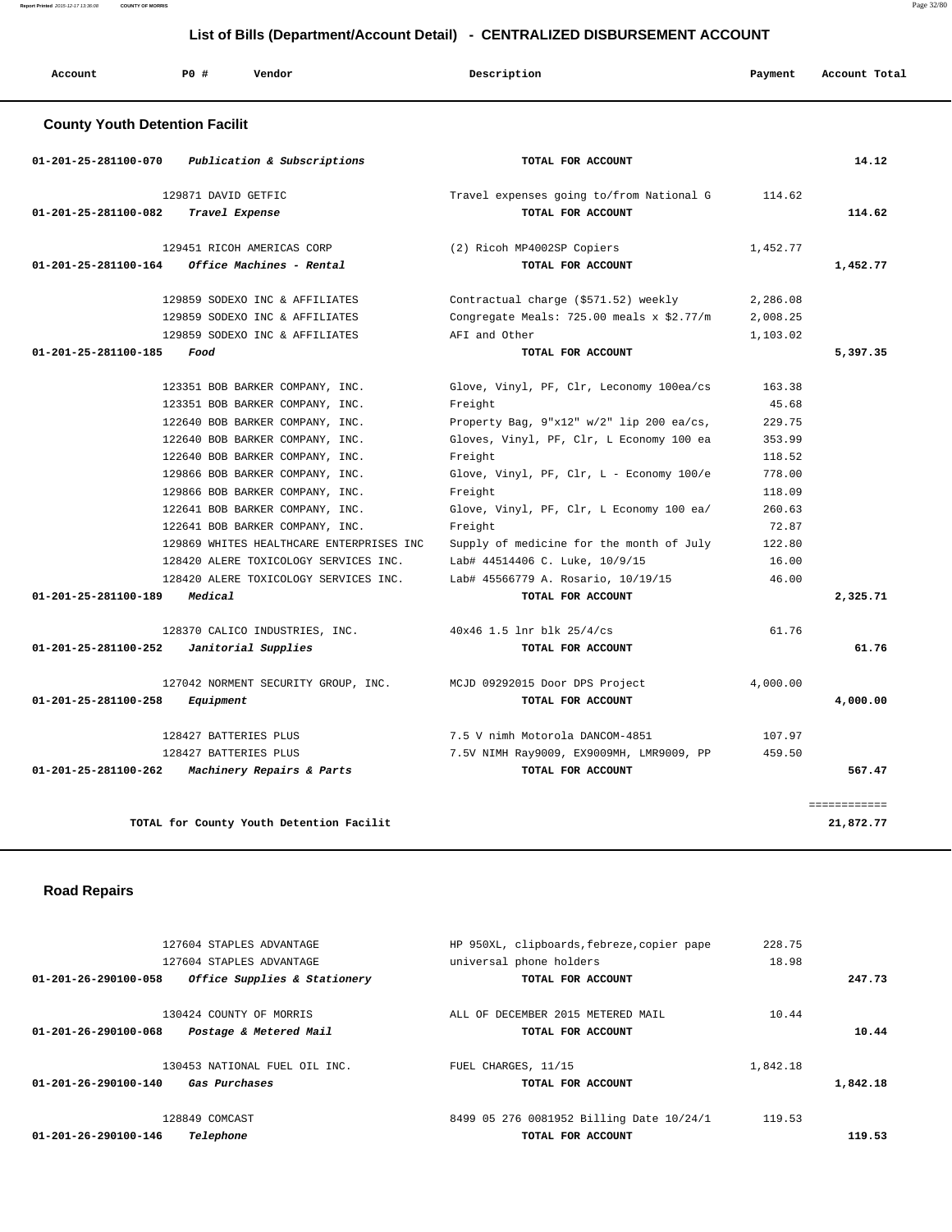**Report Printed** 2015-12-17 13:36:08 **COUNTY OF MORRIS** Page 32/80

|                                       | List of Bills (Department/Account Detail) - CENTRALIZED DISBURSEMENT ACCOUNT                                                                                                                                                                                                         |                                                                                                                                                                                                                                                           |                                                                             |               |  |
|---------------------------------------|--------------------------------------------------------------------------------------------------------------------------------------------------------------------------------------------------------------------------------------------------------------------------------------|-----------------------------------------------------------------------------------------------------------------------------------------------------------------------------------------------------------------------------------------------------------|-----------------------------------------------------------------------------|---------------|--|
| Account                               | PO#<br>Vendor                                                                                                                                                                                                                                                                        | Description                                                                                                                                                                                                                                               | Payment                                                                     | Account Total |  |
| <b>County Youth Detention Facilit</b> |                                                                                                                                                                                                                                                                                      |                                                                                                                                                                                                                                                           |                                                                             |               |  |
| 01-201-25-281100-070                  | Publication & Subscriptions                                                                                                                                                                                                                                                          | TOTAL FOR ACCOUNT                                                                                                                                                                                                                                         |                                                                             | 14.12         |  |
| 01-201-25-281100-082                  | 129871 DAVID GETFIC<br>Travel Expense                                                                                                                                                                                                                                                | Travel expenses going to/from National G<br>TOTAL FOR ACCOUNT                                                                                                                                                                                             | 114.62                                                                      | 114.62        |  |
| 01-201-25-281100-164                  | 129451 RICOH AMERICAS CORP<br>Office Machines - Rental                                                                                                                                                                                                                               | (2) Ricoh MP4002SP Copiers<br>TOTAL FOR ACCOUNT                                                                                                                                                                                                           | 1,452.77                                                                    | 1,452.77      |  |
|                                       | 129859 SODEXO INC & AFFILIATES<br>129859 SODEXO INC & AFFILIATES<br>129859 SODEXO INC & AFFILIATES                                                                                                                                                                                   | Contractual charge (\$571.52) weekly<br>Congregate Meals: 725.00 meals x \$2.77/m<br>AFI and Other                                                                                                                                                        | 2,286.08<br>2,008.25<br>1,103.02                                            |               |  |
| 01-201-25-281100-185                  | Food                                                                                                                                                                                                                                                                                 | TOTAL FOR ACCOUNT                                                                                                                                                                                                                                         |                                                                             | 5,397.35      |  |
|                                       | 123351 BOB BARKER COMPANY, INC.<br>123351 BOB BARKER COMPANY, INC.<br>122640 BOB BARKER COMPANY, INC.<br>122640 BOB BARKER COMPANY, INC.<br>122640 BOB BARKER COMPANY, INC.<br>129866 BOB BARKER COMPANY, INC.<br>129866 BOB BARKER COMPANY, INC.<br>122641 BOB BARKER COMPANY, INC. | Glove, Vinyl, PF, Clr, Leconomy 100ea/cs<br>Freight<br>Property Bag, 9"x12" w/2" lip 200 ea/cs,<br>Gloves, Vinyl, PF, Clr, L Economy 100 ea<br>Freight<br>Glove, Vinyl, PF, Clr, L - Economy 100/e<br>Freight<br>Glove, Vinyl, PF, Clr, L Economy 100 ea/ | 163.38<br>45.68<br>229.75<br>353.99<br>118.52<br>778.00<br>118.09<br>260.63 |               |  |
| 01-201-25-281100-189                  | 122641 BOB BARKER COMPANY, INC.<br>129869 WHITES HEALTHCARE ENTERPRISES INC<br>128420 ALERE TOXICOLOGY SERVICES INC.<br>128420 ALERE TOXICOLOGY SERVICES INC.<br>Medical                                                                                                             | Freight<br>Supply of medicine for the month of July<br>Lab# 44514406 C. Luke, 10/9/15<br>Lab# 45566779 A. Rosario, 10/19/15<br>TOTAL FOR ACCOUNT                                                                                                          | 72.87<br>122.80<br>16.00<br>46.00                                           | 2,325.71      |  |
| 01-201-25-281100-252                  | 128370 CALICO INDUSTRIES, INC.<br>Janitorial Supplies                                                                                                                                                                                                                                | 40x46 1.5 lnr blk 25/4/cs<br>TOTAL FOR ACCOUNT                                                                                                                                                                                                            | 61.76                                                                       | 61.76         |  |
| 01-201-25-281100-258                  | 127042 NORMENT SECURITY GROUP, INC.<br>Equipment                                                                                                                                                                                                                                     | MCJD 09292015 Door DPS Project<br>TOTAL FOR ACCOUNT                                                                                                                                                                                                       | 4,000.00                                                                    | 4,000.00      |  |
| 01-201-25-281100-262                  | 128427 BATTERIES PLUS<br>128427 BATTERIES PLUS<br>Machinery Repairs & Parts                                                                                                                                                                                                          | 7.5 V nimh Motorola DANCOM-4851<br>7.5V NIMH Ray9009, EX9009MH, LMR9009, PP<br>TOTAL FOR ACCOUNT                                                                                                                                                          | 107.97<br>459.50                                                            | 567.47        |  |

**TOTAL for County Youth Detention Facilit 21,872.77**

## **Road Repairs**

|          | 228.75   | HP 950XL, clipboards, febreze, copier pape | 127604 STAPLES ADVANTAGE                             |
|----------|----------|--------------------------------------------|------------------------------------------------------|
|          | 18.98    | universal phone holders                    | 127604 STAPLES ADVANTAGE                             |
| 247.73   |          | TOTAL FOR ACCOUNT                          | Office Supplies & Stationery<br>01-201-26-290100-058 |
|          | 10.44    | ALL OF DECEMBER 2015 METERED MAIL          | 130424 COUNTY OF MORRIS                              |
| 10.44    |          | TOTAL FOR ACCOUNT                          | 01-201-26-290100-068<br>Postage & Metered Mail       |
|          | 1,842.18 | FUEL CHARGES, 11/15                        | 130453 NATIONAL FUEL OIL INC.                        |
| 1,842.18 |          | TOTAL FOR ACCOUNT                          | 01-201-26-290100-140<br>Gas Purchases                |
|          | 119.53   | 8499 05 276 0081952 Billing Date 10/24/1   | 128849 COMCAST                                       |
| 119.53   |          | TOTAL FOR ACCOUNT                          | Telephone<br>$01 - 201 - 26 - 290100 - 146$          |

============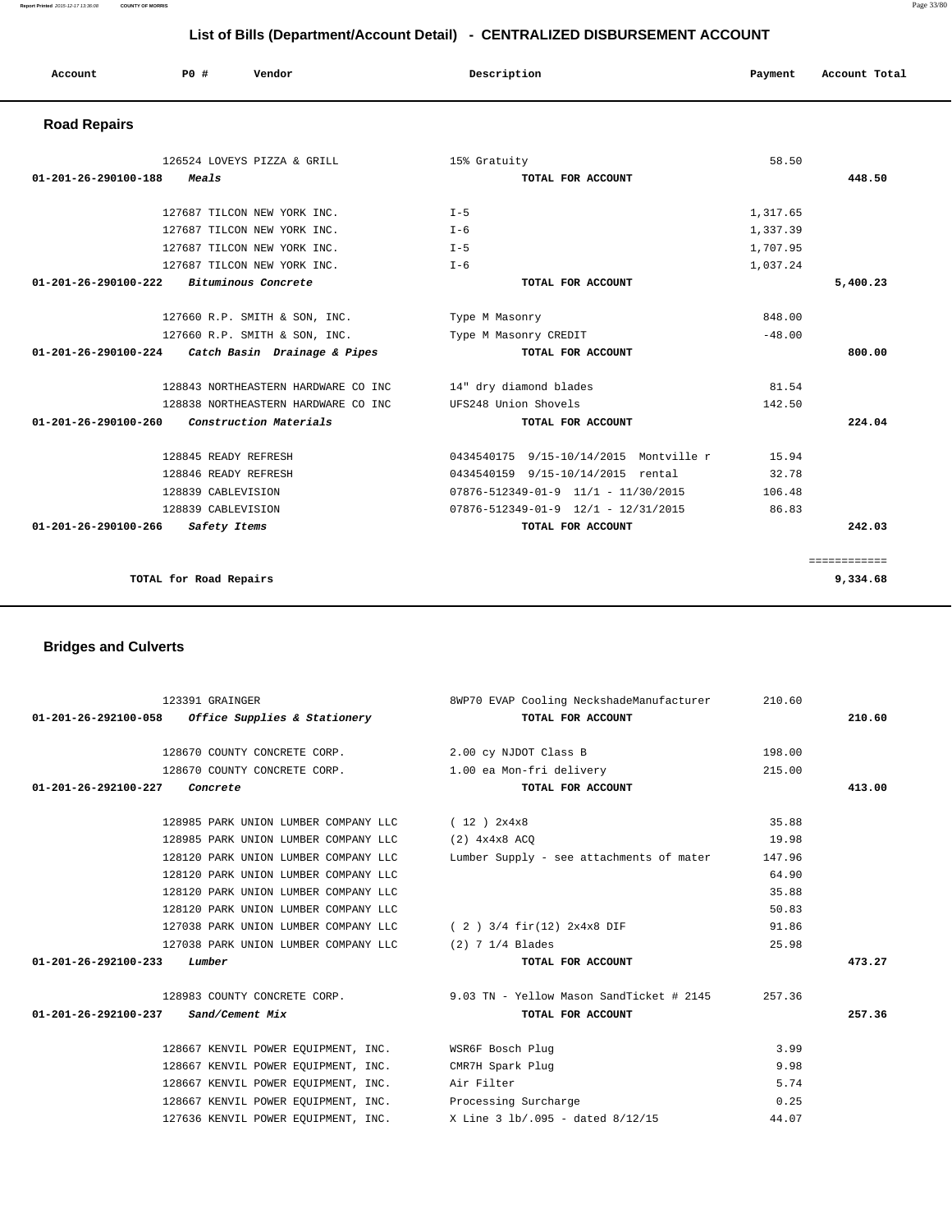## **List of Bills (Department/Account Detail) - CENTRALIZED DISBURSEMENT ACCOUNT**

| Account                        | PO#<br>Vendor                                     | Description                                     | Payment  | Account Total            |
|--------------------------------|---------------------------------------------------|-------------------------------------------------|----------|--------------------------|
| <b>Road Repairs</b>            |                                                   |                                                 |          |                          |
|                                | 126524 LOVEYS PIZZA & GRILL                       | 15% Gratuity                                    | 58.50    |                          |
| $01 - 201 - 26 - 290100 - 188$ | Meals                                             | TOTAL FOR ACCOUNT                               |          | 448.50                   |
|                                | 127687 TILCON NEW YORK INC.                       | $T - 5$                                         | 1,317.65 |                          |
|                                | 127687 TILCON NEW YORK INC.                       | $I - 6$                                         | 1,337.39 |                          |
|                                | 127687 TILCON NEW YORK INC.                       | $I - 5$                                         | 1,707.95 |                          |
|                                | 127687 TILCON NEW YORK INC.                       | $T - 6$                                         | 1,037.24 |                          |
| $01 - 201 - 26 - 290100 - 222$ | Bituminous Concrete                               | TOTAL FOR ACCOUNT                               |          | 5,400.23                 |
|                                | 127660 R.P. SMITH & SON, INC.                     | Type M Masonry                                  | 848.00   |                          |
|                                | 127660 R.P. SMITH & SON, INC.                     | Type M Masonry CREDIT                           | $-48.00$ |                          |
|                                | 01-201-26-290100-224 Catch Basin Drainage & Pipes | TOTAL FOR ACCOUNT                               |          | 800.00                   |
|                                | 128843 NORTHEASTERN HARDWARE CO INC               | 14" dry diamond blades                          | 81.54    |                          |
|                                | 128838 NORTHEASTERN HARDWARE CO INC               | UFS248 Union Shovels                            | 142.50   |                          |
| 01-201-26-290100-260           | Construction Materials                            | TOTAL FOR ACCOUNT                               |          | 224.04                   |
|                                | 128845 READY REFRESH                              | 0434540175 9/15-10/14/2015 Montville r          | 15.94    |                          |
|                                | 128846 READY REFRESH                              | 0434540159 9/15-10/14/2015 rental               | 32.78    |                          |
|                                | 128839 CABLEVISION                                | $07876 - 512349 - 01 - 9$ $11/1$ - $11/30/2015$ | 106.48   |                          |
|                                | 128839 CABLEVISION                                | $07876 - 512349 - 01 - 9$ $12/1$ - $12/31/2015$ | 86.83    |                          |
| 01-201-26-290100-266           | Safety Items                                      | TOTAL FOR ACCOUNT                               |          | 242.03                   |
|                                | TOTAL for Road Repairs                            |                                                 |          | ============<br>9,334.68 |
|                                |                                                   |                                                 |          |                          |

## **Bridges and Culverts**

| 123391 GRAINGER                                                      | 8WP70 EVAP Cooling NeckshadeManufacturer                                      | 210.60 |        |
|----------------------------------------------------------------------|-------------------------------------------------------------------------------|--------|--------|
| $01-201-26-292100-058$ Office Supplies & Stationery                  | TOTAL FOR ACCOUNT                                                             |        | 210.60 |
| 128670 COUNTY CONCRETE CORP. 2.00 cy NJDOT Class B                   |                                                                               | 198.00 |        |
|                                                                      |                                                                               | 215.00 |        |
| 128670 COUNTY CONCRETE CORP. 1.00 ea Mon-fri delivery                |                                                                               |        |        |
| $01 - 201 - 26 - 292100 - 227$ Concrete                              | TOTAL FOR ACCOUNT                                                             |        | 413.00 |
| 128985 PARK UNION LUMBER COMPANY LLC $(12)$ $2x4x8$                  |                                                                               | 35.88  |        |
| 128985 PARK UNION LUMBER COMPANY LLC (2) 4x4x8 ACO                   |                                                                               | 19.98  |        |
|                                                                      | 128120 PARK UNION LUMBER COMPANY LLC Lumber Supply - see attachments of mater | 147.96 |        |
| 128120 PARK UNION LUMBER COMPANY LLC                                 |                                                                               | 64.90  |        |
| 128120 PARK UNION LUMBER COMPANY LLC                                 |                                                                               | 35.88  |        |
| 128120 PARK UNION LUMBER COMPANY LLC                                 |                                                                               | 50.83  |        |
| 127038 PARK UNION LUMBER COMPANY LLC $(2)$ 3/4 fir(12) $2x4x8$ DIF   |                                                                               | 91.86  |        |
| 127038 PARK UNION LUMBER COMPANY LLC (2) 7 1/4 Blades                |                                                                               | 25.98  |        |
| 01-201-26-292100-233<br>Lumber                                       | TOTAL FOR ACCOUNT                                                             |        | 473.27 |
|                                                                      | 128983 COUNTY CONCRETE CORP. 9.03 TN - Yellow Mason SandTicket # 2145         | 257.36 |        |
| 01-201-26-292100-237 Sand/Cement Mix                                 | TOTAL FOR ACCOUNT                                                             |        | 257.36 |
|                                                                      |                                                                               |        |        |
| 128667 KENVIL POWER EQUIPMENT, INC. WSR6F Bosch Plug                 |                                                                               | 3.99   |        |
| 128667 KENVIL POWER EQUIPMENT, INC. CMR7H Spark Plug                 |                                                                               | 9.98   |        |
| 128667 KENVIL POWER EOUIPMENT, INC. Air Filter                       |                                                                               | 5.74   |        |
| 128667 KENVIL POWER EQUIPMENT, INC. Processing Surcharge             |                                                                               | 0.25   |        |
| 127636 KENVIL POWER EQUIPMENT, INC. X Line 3 lb/.095 - dated 8/12/15 |                                                                               | 44.07  |        |

**Report Printed** 2015-12-17 13:36:08 **COUNTY OF MORRIS** Page 33/80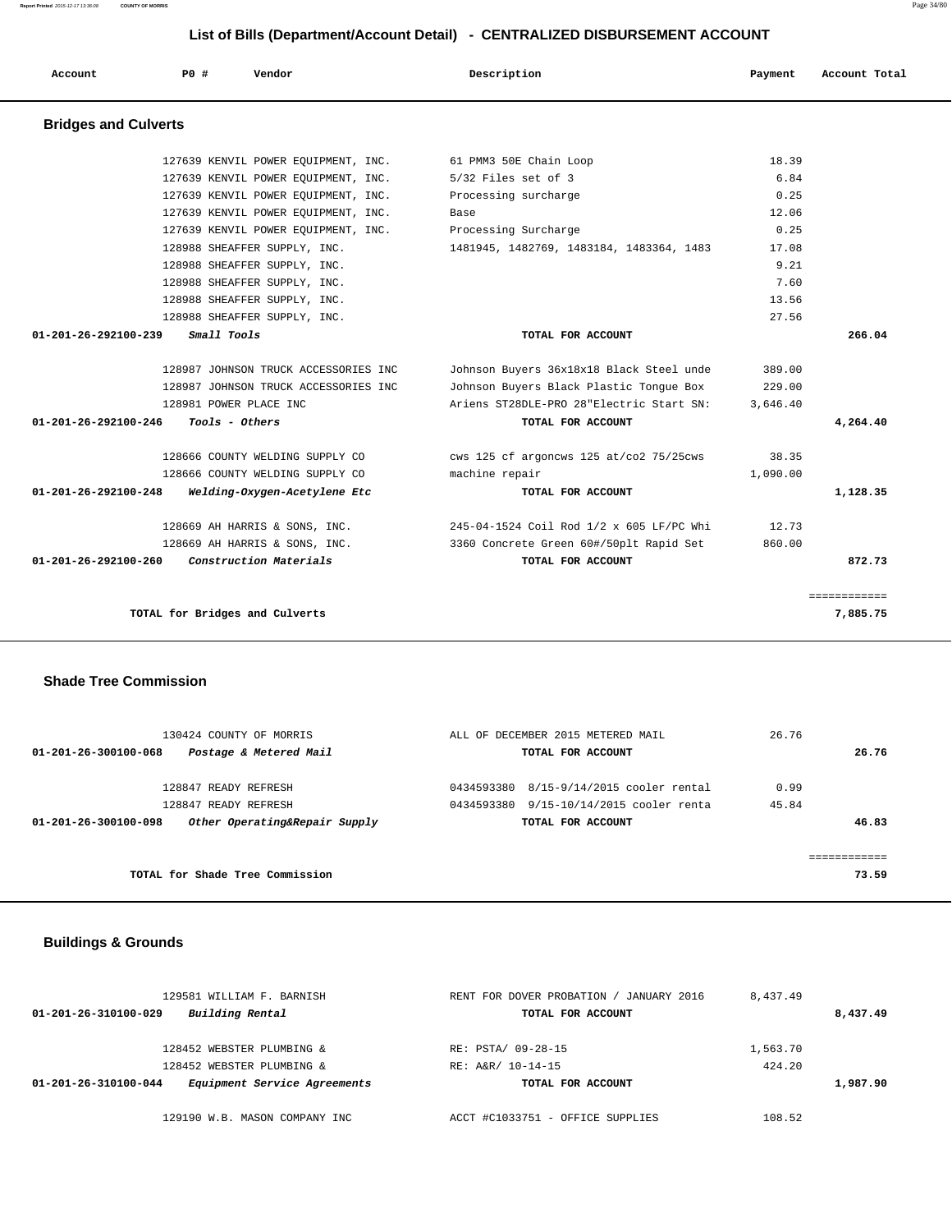**Report Printed** 2015-12-17 13:36:08 **COUNTY OF MORRIS** Page 34/80

### **List of Bills (Department/Account Detail) - CENTRALIZED DISBURSEMENT ACCOUNT**

| Account                        | PO#                            | Vendor                               | Description                              | Payment  | Account Total |
|--------------------------------|--------------------------------|--------------------------------------|------------------------------------------|----------|---------------|
| <b>Bridges and Culverts</b>    |                                |                                      |                                          |          |               |
|                                |                                | 127639 KENVIL POWER EOUIPMENT, INC.  | 61 PMM3 50E Chain Loop                   | 18.39    |               |
|                                |                                | 127639 KENVIL POWER EOUIPMENT, INC.  | 5/32 Files set of 3                      | 6.84     |               |
|                                |                                | 127639 KENVIL POWER EQUIPMENT, INC.  | Processing surcharge                     | 0.25     |               |
|                                |                                | 127639 KENVIL POWER EQUIPMENT, INC.  | Base                                     | 12.06    |               |
|                                |                                | 127639 KENVIL POWER EQUIPMENT, INC.  | Processing Surcharge                     | 0.25     |               |
|                                |                                | 128988 SHEAFFER SUPPLY, INC.         | 1481945, 1482769, 1483184, 1483364, 1483 | 17.08    |               |
|                                |                                | 128988 SHEAFFER SUPPLY, INC.         |                                          | 9.21     |               |
|                                |                                | 128988 SHEAFFER SUPPLY, INC.         |                                          | 7.60     |               |
|                                |                                | 128988 SHEAFFER SUPPLY, INC.         |                                          | 13.56    |               |
|                                |                                | 128988 SHEAFFER SUPPLY, INC.         |                                          | 27.56    |               |
| 01-201-26-292100-239           | Small Tools                    |                                      | TOTAL FOR ACCOUNT                        |          | 266.04        |
|                                |                                | 128987 JOHNSON TRUCK ACCESSORIES INC | Johnson Buyers 36x18x18 Black Steel unde | 389.00   |               |
|                                |                                | 128987 JOHNSON TRUCK ACCESSORIES INC | Johnson Buyers Black Plastic Tongue Box  | 229.00   |               |
|                                |                                |                                      |                                          |          |               |
|                                | 128981 POWER PLACE INC         |                                      | Ariens ST28DLE-PRO 28"Electric Start SN: | 3,646.40 |               |
| $01 - 201 - 26 - 292100 - 246$ | Tools - Others                 |                                      | TOTAL FOR ACCOUNT                        |          | 4,264.40      |
|                                |                                | 128666 COUNTY WELDING SUPPLY CO      | cws 125 cf argoncws 125 at/co2 75/25cws  | 38.35    |               |
|                                |                                | 128666 COUNTY WELDING SUPPLY CO      | machine repair                           | 1,090.00 |               |
| 01-201-26-292100-248           |                                | Welding-Oxygen-Acetylene Etc         | TOTAL FOR ACCOUNT                        |          | 1,128.35      |
|                                |                                | 128669 AH HARRIS & SONS, INC.        | 245-04-1524 Coil Rod 1/2 x 605 LF/PC Whi | 12.73    |               |
|                                |                                | 128669 AH HARRIS & SONS, INC.        | 3360 Concrete Green 60#/50plt Rapid Set  | 860.00   |               |
| 01-201-26-292100-260           |                                | Construction Materials               | TOTAL FOR ACCOUNT                        |          | 872.73        |
|                                |                                |                                      |                                          |          | ============  |
|                                | TOTAL for Bridges and Culverts |                                      |                                          |          | 7,885.75      |

### **Shade Tree Commission**

| 130424 COUNTY OF MORRIS                               | ALL OF DECEMBER 2015 METERED MAIL          | 26.76 |       |
|-------------------------------------------------------|--------------------------------------------|-------|-------|
| Postage & Metered Mail<br>01-201-26-300100-068        | TOTAL FOR ACCOUNT                          |       | 26.76 |
| 128847 READY REFRESH                                  | 8/15-9/14/2015 cooler rental<br>0434593380 | 0.99  |       |
| 128847 READY REFRESH                                  | 9/15-10/14/2015 cooler renta<br>0434593380 | 45.84 |       |
| Other Operating&Repair Supply<br>01-201-26-300100-098 | TOTAL FOR ACCOUNT                          |       | 46.83 |
|                                                       |                                            |       |       |
|                                                       |                                            |       |       |
| TOTAL for Shade Tree Commission                       |                                            |       | 73.59 |
|                                                       |                                            |       |       |

## **Buildings & Grounds**

| 129581 WILLIAM F. BARNISH                            | JANUARY 2016<br>RENT FOR DOVER PROBATION | 8,437.49 |          |
|------------------------------------------------------|------------------------------------------|----------|----------|
| Building Rental<br>01-201-26-310100-029              | TOTAL FOR ACCOUNT                        |          | 8,437.49 |
| 128452 WEBSTER PLUMBING &                            | RE: PSTA/ 09-28-15                       | 1,563.70 |          |
| 128452 WEBSTER PLUMBING &                            | RE: A&R/ 10-14-15                        | 424.20   |          |
| Equipment Service Agreements<br>01-201-26-310100-044 | TOTAL FOR ACCOUNT                        |          | 1,987.90 |
| 129190 W.B. MASON COMPANY INC                        | ACCT #C1033751 - OFFICE SUPPLIES         | 108.52   |          |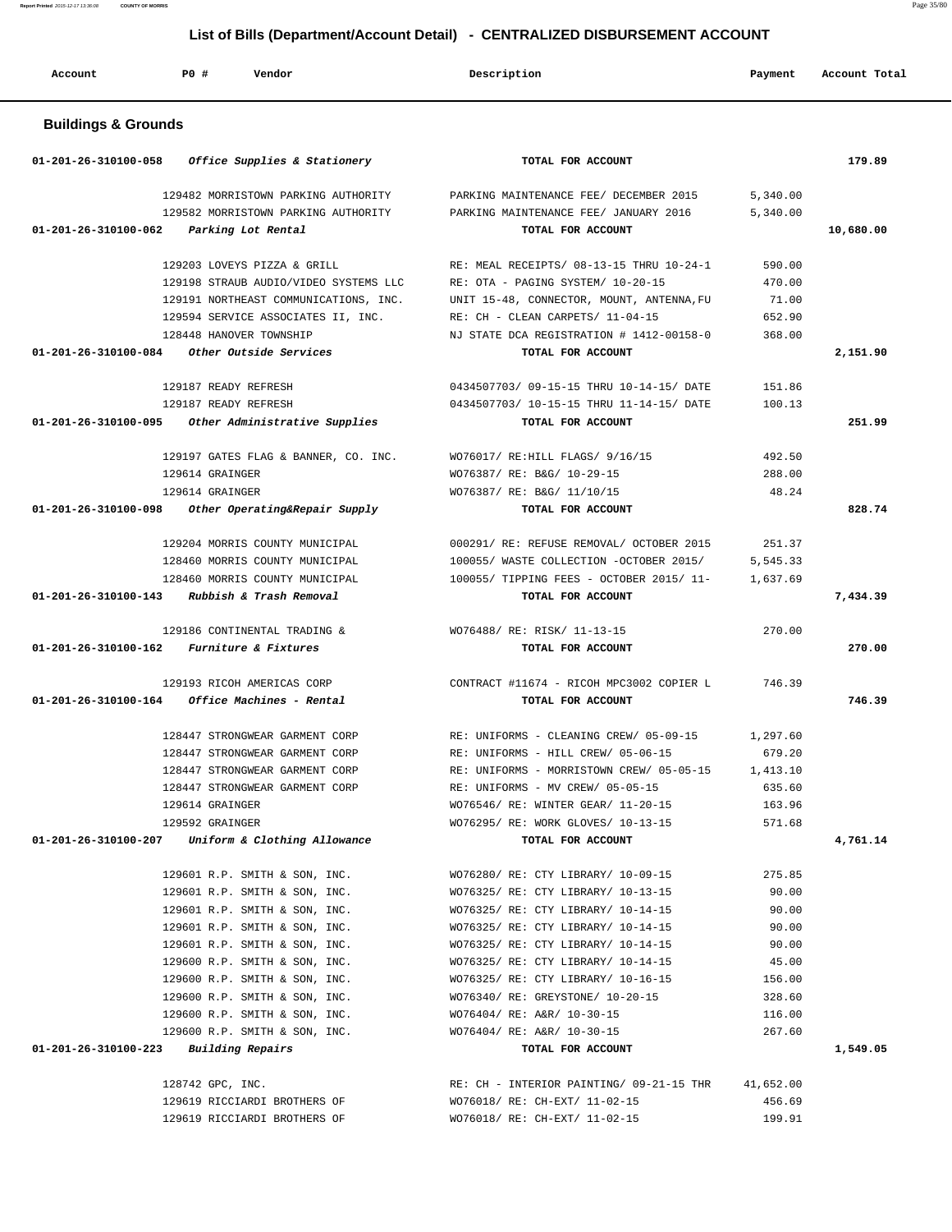**List of Bills (Department/Account Detail) - CENTRALIZED DISBURSEMENT ACCOUNT**

| Account                        | PO#<br>Vendor                                                                                    | Description                                                                                          | Payment              | Account Total |
|--------------------------------|--------------------------------------------------------------------------------------------------|------------------------------------------------------------------------------------------------------|----------------------|---------------|
| <b>Buildings &amp; Grounds</b> |                                                                                                  |                                                                                                      |                      |               |
| 01-201-26-310100-058           | Office Supplies & Stationery                                                                     | TOTAL FOR ACCOUNT                                                                                    |                      | 179.89        |
| 01-201-26-310100-062           | 129482 MORRISTOWN PARKING AUTHORITY<br>129582 MORRISTOWN PARKING AUTHORITY<br>Parking Lot Rental | PARKING MAINTENANCE FEE/ DECEMBER 2015<br>PARKING MAINTENANCE FEE/ JANUARY 2016<br>TOTAL FOR ACCOUNT | 5,340.00<br>5,340.00 | 10,680.00     |
|                                |                                                                                                  |                                                                                                      |                      |               |
|                                | 129203 LOVEYS PIZZA & GRILL                                                                      | RE: MEAL RECEIPTS/ 08-13-15 THRU 10-24-1                                                             | 590.00               |               |
|                                | 129198 STRAUB AUDIO/VIDEO SYSTEMS LLC                                                            | RE: OTA - PAGING SYSTEM/ 10-20-15                                                                    | 470.00               |               |
|                                | 129191 NORTHEAST COMMUNICATIONS, INC.                                                            | UNIT 15-48, CONNECTOR, MOUNT, ANTENNA, FU                                                            | 71.00                |               |
|                                | 129594 SERVICE ASSOCIATES II, INC.                                                               | RE: CH - CLEAN CARPETS/ 11-04-15                                                                     | 652.90               |               |
|                                | 128448 HANOVER TOWNSHIP                                                                          | NJ STATE DCA REGISTRATION # 1412-00158-0                                                             | 368.00               |               |
| 01-201-26-310100-084           | Other Outside Services                                                                           | TOTAL FOR ACCOUNT                                                                                    |                      | 2,151.90      |
|                                | 129187 READY REFRESH                                                                             | 0434507703/09-15-15 THRU 10-14-15/DATE                                                               | 151.86               |               |
|                                | 129187 READY REFRESH                                                                             | 0434507703/ 10-15-15 THRU 11-14-15/ DATE                                                             | 100.13               |               |
| 01-201-26-310100-095           | Other Administrative Supplies                                                                    | TOTAL FOR ACCOUNT                                                                                    |                      | 251.99        |
|                                |                                                                                                  |                                                                                                      |                      |               |
|                                | 129197 GATES FLAG & BANNER, CO. INC.                                                             | WO76017/ RE: HILL FLAGS/ 9/16/15                                                                     | 492.50               |               |
|                                | 129614 GRAINGER                                                                                  | WO76387/ RE: B&G/ 10-29-15                                                                           | 288.00               |               |
|                                | 129614 GRAINGER                                                                                  | WO76387/ RE: B&G/ 11/10/15                                                                           | 48.24                |               |
| 01-201-26-310100-098           | Other Operating&Repair Supply                                                                    | TOTAL FOR ACCOUNT                                                                                    |                      | 828.74        |
|                                |                                                                                                  |                                                                                                      |                      |               |
|                                | 129204 MORRIS COUNTY MUNICIPAL<br>128460 MORRIS COUNTY MUNICIPAL                                 | 000291/ RE: REFUSE REMOVAL/ OCTOBER 2015<br>100055/ WASTE COLLECTION -OCTOBER 2015/                  | 251.37<br>5,545.33   |               |
|                                | 128460 MORRIS COUNTY MUNICIPAL                                                                   | 100055/ TIPPING FEES - OCTOBER 2015/ 11-                                                             | 1,637.69             |               |
| 01-201-26-310100-143           | Rubbish & Trash Removal                                                                          | TOTAL FOR ACCOUNT                                                                                    |                      | 7,434.39      |
|                                |                                                                                                  |                                                                                                      |                      |               |
|                                | 129186 CONTINENTAL TRADING &                                                                     | WO76488/ RE: RISK/ 11-13-15                                                                          | 270.00               |               |
| 01-201-26-310100-162           | Furniture & Fixtures                                                                             | TOTAL FOR ACCOUNT                                                                                    |                      | 270.00        |
|                                |                                                                                                  |                                                                                                      |                      |               |
|                                | 129193 RICOH AMERICAS CORP<br>Office Machines - Rental                                           | CONTRACT #11674 - RICOH MPC3002 COPIER L                                                             | 746.39               | 746.39        |
| 01-201-26-310100-164           |                                                                                                  | TOTAL FOR ACCOUNT                                                                                    |                      |               |
|                                | 128447 STRONGWEAR GARMENT CORP                                                                   | RE: UNIFORMS - CLEANING CREW/ 05-09-15                                                               | 1,297.60             |               |
|                                | 128447 STRONGWEAR GARMENT CORP                                                                   | RE: UNIFORMS - HILL CREW/ 05-06-15                                                                   | 679.20               |               |
|                                | 128447 STRONGWEAR GARMENT CORP                                                                   | RE: UNIFORMS - MORRISTOWN CREW/ 05-05-15                                                             | 1,413.10             |               |
|                                | 128447 STRONGWEAR GARMENT CORP                                                                   | RE: UNIFORMS - MV CREW/ 05-05-15                                                                     | 635.60               |               |
|                                | 129614 GRAINGER                                                                                  | WO76546/ RE: WINTER GEAR/ 11-20-15                                                                   | 163.96               |               |
|                                | 129592 GRAINGER                                                                                  | WO76295/ RE: WORK GLOVES/ 10-13-15                                                                   | 571.68               |               |
|                                | 01-201-26-310100-207 Uniform & Clothing Allowance                                                | TOTAL FOR ACCOUNT                                                                                    |                      | 4,761.14      |
|                                |                                                                                                  |                                                                                                      |                      |               |
|                                | 129601 R.P. SMITH & SON, INC.                                                                    | WO76280/ RE: CTY LIBRARY/ 10-09-15                                                                   | 275.85               |               |
|                                | 129601 R.P. SMITH & SON, INC.                                                                    | WO76325/ RE: CTY LIBRARY/ 10-13-15                                                                   | 90.00                |               |
|                                | 129601 R.P. SMITH & SON, INC.                                                                    | WO76325/ RE: CTY LIBRARY/ 10-14-15                                                                   | 90.00                |               |
|                                | 129601 R.P. SMITH & SON, INC.                                                                    | WO76325/ RE: CTY LIBRARY/ 10-14-15                                                                   | 90.00                |               |
|                                | 129601 R.P. SMITH & SON, INC.                                                                    | WO76325/ RE: CTY LIBRARY/ 10-14-15                                                                   | 90.00<br>45.00       |               |
|                                | 129600 R.P. SMITH & SON, INC.                                                                    | WO76325/ RE: CTY LIBRARY/ 10-14-15                                                                   |                      |               |
|                                | 129600 R.P. SMITH & SON, INC.<br>129600 R.P. SMITH & SON, INC.                                   | WO76325/ RE: CTY LIBRARY/ 10-16-15<br>WO76340/ RE: GREYSTONE/ 10-20-15                               | 156.00<br>328.60     |               |
|                                | 129600 R.P. SMITH & SON, INC.                                                                    | WO76404/ RE: A&R/ 10-30-15                                                                           | 116.00               |               |
|                                | 129600 R.P. SMITH & SON, INC.                                                                    | WO76404/ RE: A&R/ 10-30-15                                                                           | 267.60               |               |
|                                | $01 - 201 - 26 - 310100 - 223$ Building Repairs                                                  | TOTAL FOR ACCOUNT                                                                                    |                      | 1,549.05      |
|                                |                                                                                                  |                                                                                                      |                      |               |
|                                | 128742 GPC, INC.                                                                                 | RE: CH - INTERIOR PAINTING/ 09-21-15 THR                                                             | 41,652.00            |               |
|                                | 129619 RICCIARDI BROTHERS OF                                                                     | WO76018/ RE: CH-EXT/ 11-02-15                                                                        | 456.69               |               |
|                                | 129619 RICCIARDI BROTHERS OF                                                                     | WO76018/ RE: CH-EXT/ 11-02-15                                                                        | 199.91               |               |

**Report Printed** 2015-12-17 13:36:08 **COUNTY OF MORRIS** Page 35/80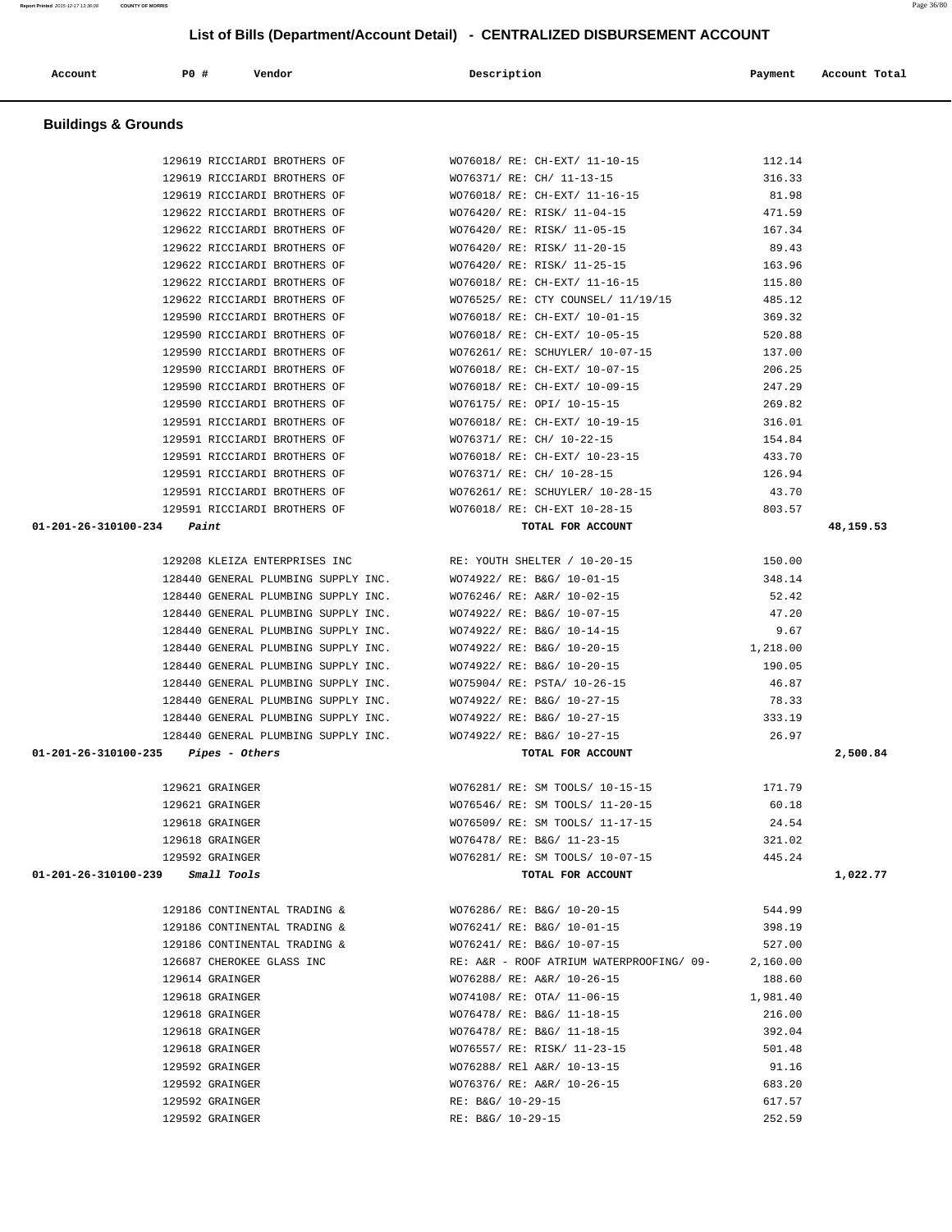| Account                        | P0 #                               | Vendor                              | Description                              | Payment  | Account Total |
|--------------------------------|------------------------------------|-------------------------------------|------------------------------------------|----------|---------------|
| <b>Buildings &amp; Grounds</b> |                                    |                                     |                                          |          |               |
|                                |                                    | 129619 RICCIARDI BROTHERS OF        | WO76018/ RE: CH-EXT/ 11-10-15            | 112.14   |               |
|                                |                                    | 129619 RICCIARDI BROTHERS OF        | WO76371/ RE: CH/ 11-13-15                | 316.33   |               |
|                                |                                    | 129619 RICCIARDI BROTHERS OF        | WO76018/ RE: CH-EXT/ 11-16-15            | 81.98    |               |
|                                |                                    | 129622 RICCIARDI BROTHERS OF        | WO76420/ RE: RISK/ 11-04-15              | 471.59   |               |
|                                |                                    | 129622 RICCIARDI BROTHERS OF        | WO76420/ RE: RISK/ 11-05-15              | 167.34   |               |
|                                |                                    | 129622 RICCIARDI BROTHERS OF        | WO76420/ RE: RISK/ 11-20-15              | 89.43    |               |
|                                |                                    | 129622 RICCIARDI BROTHERS OF        | WO76420/ RE: RISK/ 11-25-15              | 163.96   |               |
|                                |                                    | 129622 RICCIARDI BROTHERS OF        | WO76018/ RE: CH-EXT/ 11-16-15            | 115.80   |               |
|                                |                                    | 129622 RICCIARDI BROTHERS OF        | WO76525/ RE: CTY COUNSEL/ 11/19/15       | 485.12   |               |
|                                |                                    | 129590 RICCIARDI BROTHERS OF        | WO76018/ RE: CH-EXT/ 10-01-15            | 369.32   |               |
|                                |                                    | 129590 RICCIARDI BROTHERS OF        | WO76018/ RE: CH-EXT/ 10-05-15            | 520.88   |               |
|                                |                                    | 129590 RICCIARDI BROTHERS OF        | WO76261/ RE: SCHUYLER/ 10-07-15          | 137.00   |               |
|                                |                                    | 129590 RICCIARDI BROTHERS OF        | WO76018/ RE: CH-EXT/ 10-07-15            | 206.25   |               |
|                                |                                    | 129590 RICCIARDI BROTHERS OF        | WO76018/ RE: CH-EXT/ 10-09-15            | 247.29   |               |
|                                |                                    | 129590 RICCIARDI BROTHERS OF        | WO76175/ RE: OPI/ 10-15-15               | 269.82   |               |
|                                |                                    | 129591 RICCIARDI BROTHERS OF        | WO76018/ RE: CH-EXT/ 10-19-15            | 316.01   |               |
|                                |                                    | 129591 RICCIARDI BROTHERS OF        | WO76371/ RE: CH/ 10-22-15                | 154.84   |               |
|                                |                                    | 129591 RICCIARDI BROTHERS OF        | WO76018/ RE: CH-EXT/ 10-23-15            | 433.70   |               |
|                                |                                    | 129591 RICCIARDI BROTHERS OF        | WO76371/ RE: CH/ 10-28-15                | 126.94   |               |
|                                |                                    | 129591 RICCIARDI BROTHERS OF        | WO76261/ RE: SCHUYLER/ 10-28-15          | 43.70    |               |
|                                |                                    | 129591 RICCIARDI BROTHERS OF        | WO76018/ RE: CH-EXT 10-28-15             | 803.57   |               |
| 01-201-26-310100-234           | Paint                              |                                     | TOTAL FOR ACCOUNT                        |          | 48,159.53     |
|                                |                                    |                                     |                                          |          |               |
|                                |                                    | 129208 KLEIZA ENTERPRISES INC       | RE: YOUTH SHELTER / 10-20-15             | 150.00   |               |
|                                |                                    | 128440 GENERAL PLUMBING SUPPLY INC. | WO74922/ RE: B&G/ 10-01-15               | 348.14   |               |
|                                |                                    | 128440 GENERAL PLUMBING SUPPLY INC. | WO76246/ RE: A&R/ 10-02-15               | 52.42    |               |
|                                |                                    | 128440 GENERAL PLUMBING SUPPLY INC. | WO74922/ RE: B&G/ 10-07-15               | 47.20    |               |
|                                |                                    | 128440 GENERAL PLUMBING SUPPLY INC. | WO74922/ RE: B&G/ 10-14-15               | 9.67     |               |
|                                |                                    | 128440 GENERAL PLUMBING SUPPLY INC. | WO74922/ RE: B&G/ 10-20-15               | 1,218.00 |               |
|                                |                                    | 128440 GENERAL PLUMBING SUPPLY INC. | WO74922/ RE: B&G/ 10-20-15               | 190.05   |               |
|                                |                                    | 128440 GENERAL PLUMBING SUPPLY INC. | WO75904/ RE: PSTA/ 10-26-15              | 46.87    |               |
|                                |                                    | 128440 GENERAL PLUMBING SUPPLY INC. | WO74922/ RE: B&G/ 10-27-15               | 78.33    |               |
|                                |                                    | 128440 GENERAL PLUMBING SUPPLY INC. | WO74922/ RE: B&G/ 10-27-15               | 333.19   |               |
|                                |                                    | 128440 GENERAL PLUMBING SUPPLY INC. | WO74922/ RE: B&G/ 10-27-15               | 26.97    |               |
| 01-201-26-310100-235           | Pipes - Others                     |                                     | TOTAL FOR ACCOUNT                        |          | 2,500.84      |
|                                |                                    |                                     |                                          |          |               |
|                                | 129621 GRAINGER                    |                                     | WO76281/ RE: SM TOOLS/ 10-15-15          | 171.79   |               |
|                                | 129621 GRAINGER                    |                                     | WO76546/ RE: SM TOOLS/ 11-20-15          | 60.18    |               |
|                                | 129618 GRAINGER                    |                                     | WO76509/ RE: SM TOOLS/ 11-17-15          | 24.54    |               |
|                                | 129618 GRAINGER                    |                                     | WO76478/ RE: B&G/ 11-23-15               | 321.02   |               |
|                                | 129592 GRAINGER                    |                                     | WO76281/ RE: SM TOOLS/ 10-07-15          | 445.24   |               |
|                                | $01-201-26-310100-239$ Small Tools |                                     | TOTAL FOR ACCOUNT                        |          | 1,022.77      |
|                                |                                    |                                     |                                          |          |               |
|                                |                                    | 129186 CONTINENTAL TRADING &        | WO76286/ RE: B&G/ 10-20-15               | 544.99   |               |
|                                |                                    | 129186 CONTINENTAL TRADING &        | WO76241/ RE: B&G/ 10-01-15               | 398.19   |               |
|                                |                                    | 129186 CONTINENTAL TRADING &        | WO76241/ RE: B&G/ 10-07-15               | 527.00   |               |
|                                |                                    | 126687 CHEROKEE GLASS INC           | RE: A&R - ROOF ATRIUM WATERPROOFING/ 09- | 2,160.00 |               |
|                                | 129614 GRAINGER                    |                                     | WO76288/ RE: A&R/ 10-26-15               | 188.60   |               |
|                                | 129618 GRAINGER                    |                                     | WO74108/ RE: OTA/ 11-06-15               | 1,981.40 |               |
|                                | 129618 GRAINGER                    |                                     | WO76478/ RE: B&G/ 11-18-15               | 216.00   |               |
|                                | 129618 GRAINGER                    |                                     | WO76478/ RE: B&G/ 11-18-15               | 392.04   |               |
|                                | 129618 GRAINGER                    |                                     | WO76557/ RE: RISK/ 11-23-15              | 501.48   |               |
|                                | 129592 GRAINGER                    |                                     | WO76288/ REl A&R/ 10-13-15               | 91.16    |               |
|                                | 129592 GRAINGER                    |                                     | WO76376/ RE: A&R/ 10-26-15               | 683.20   |               |
|                                | 129592 GRAINGER                    |                                     | RE: B&G/ 10-29-15                        | 617.57   |               |
|                                | 129592 GRAINGER                    |                                     | RE: B&G/ 10-29-15                        | 252.59   |               |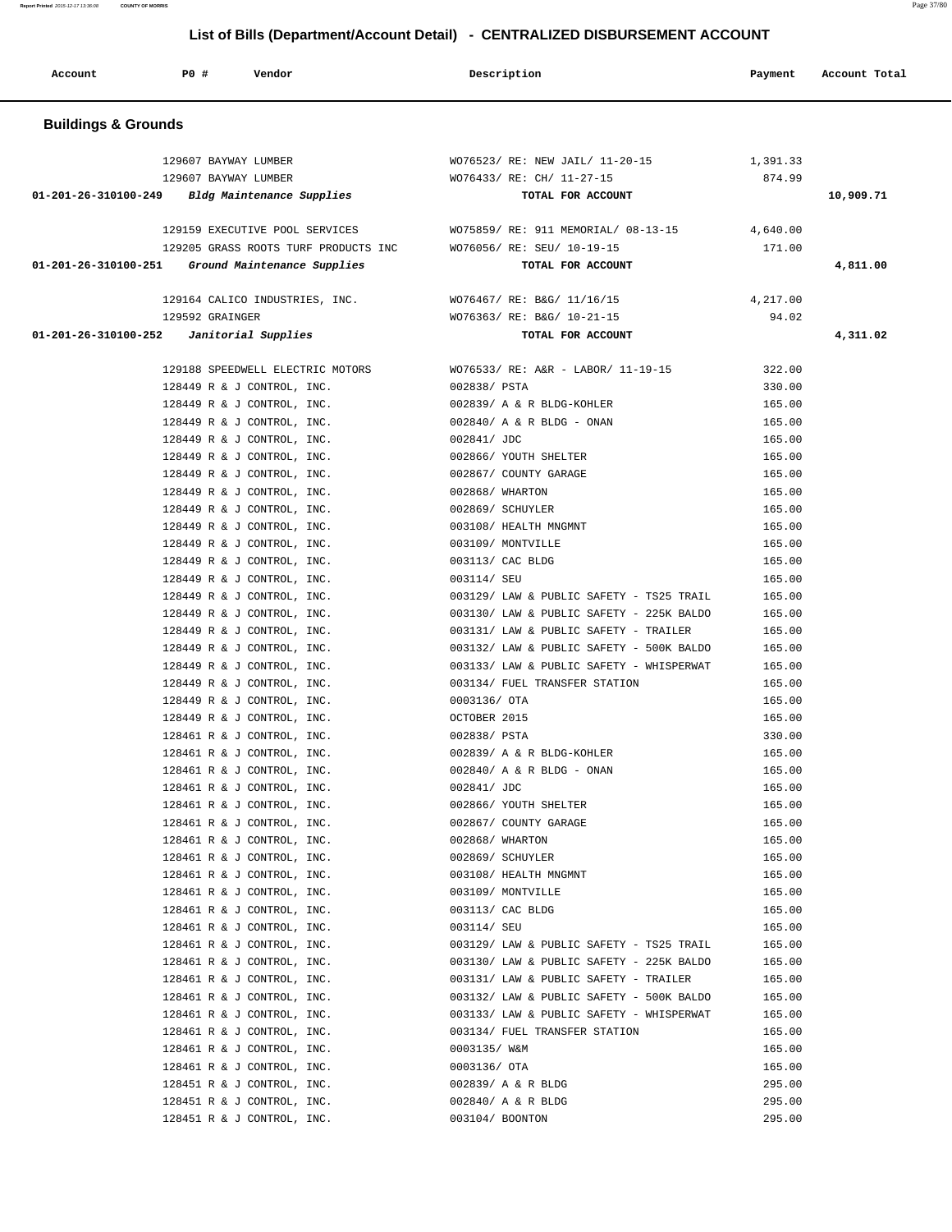| Account                        | <b>PO #</b><br>Vendor                                    | Description                                                                          | Payment            | Account Total |
|--------------------------------|----------------------------------------------------------|--------------------------------------------------------------------------------------|--------------------|---------------|
| <b>Buildings &amp; Grounds</b> |                                                          |                                                                                      |                    |               |
|                                | 129607 BAYWAY LUMBER<br>129607 BAYWAY LUMBER             | WO76523/ RE: NEW JAIL/ 11-20-15<br>WO76433/ RE: CH/ 11-27-15                         | 1,391.33<br>874.99 |               |
| 01-201-26-310100-249           | Bldg Maintenance Supplies                                | TOTAL FOR ACCOUNT                                                                    |                    | 10,909.71     |
|                                | 129159 EXECUTIVE POOL SERVICES                           | WO75859/ RE: 911 MEMORIAL/ 08-13-15                                                  | 4,640.00           |               |
|                                | 129205 GRASS ROOTS TURF PRODUCTS INC                     | WO76056/ RE: SEU/ 10-19-15                                                           | 171.00             |               |
| 01-201-26-310100-251           | Ground Maintenance Supplies                              | TOTAL FOR ACCOUNT                                                                    |                    | 4,811.00      |
|                                | 129164 CALICO INDUSTRIES, INC.                           | WO76467/ RE: B&G/ 11/16/15                                                           | 4,217.00           |               |
|                                | 129592 GRAINGER                                          | WO76363/ RE: B&G/ 10-21-15                                                           | 94.02              |               |
|                                | $01-201-26-310100-252$ Janitorial Supplies               | TOTAL FOR ACCOUNT                                                                    |                    | 4,311.02      |
|                                | 129188 SPEEDWELL ELECTRIC MOTORS                         | WO76533/ RE: A&R - LABOR/ 11-19-15                                                   | 322.00             |               |
|                                | 128449 R & J CONTROL, INC.                               | 002838/ PSTA                                                                         | 330.00             |               |
|                                | 128449 R & J CONTROL, INC.                               | 002839/ A & R BLDG-KOHLER                                                            | 165.00             |               |
|                                | 128449 R & J CONTROL, INC.                               | $002840/$ A & R BLDG - ONAN                                                          | 165.00             |               |
|                                | 128449 R & J CONTROL, INC.                               | 002841/ JDC                                                                          | 165.00             |               |
|                                | 128449 R & J CONTROL, INC.                               | 002866/ YOUTH SHELTER                                                                | 165.00             |               |
|                                | 128449 R & J CONTROL, INC.                               | 002867/ COUNTY GARAGE                                                                | 165.00             |               |
|                                | 128449 R & J CONTROL, INC.                               | 002868/ WHARTON                                                                      | 165.00             |               |
|                                | 128449 R & J CONTROL, INC.                               | 002869/ SCHUYLER                                                                     | 165.00             |               |
|                                | 128449 R & J CONTROL, INC.<br>128449 R & J CONTROL, INC. | 003108/ HEALTH MNGMNT<br>003109/ MONTVILLE                                           | 165.00<br>165.00   |               |
|                                | 128449 R & J CONTROL, INC.                               | 003113/ CAC BLDG                                                                     | 165.00             |               |
|                                | 128449 R & J CONTROL, INC.                               | 003114/ SEU                                                                          | 165.00             |               |
|                                | 128449 R & J CONTROL, INC.                               | 003129/ LAW & PUBLIC SAFETY - TS25 TRAIL                                             | 165.00             |               |
|                                | 128449 R & J CONTROL, INC.                               | 003130/ LAW & PUBLIC SAFETY - 225K BALDO                                             | 165.00             |               |
|                                | 128449 R & J CONTROL, INC.                               | 003131/ LAW & PUBLIC SAFETY - TRAILER                                                | 165.00             |               |
|                                | 128449 R & J CONTROL, INC.                               | 003132/ LAW & PUBLIC SAFETY - 500K BALDO                                             | 165.00             |               |
|                                | 128449 R & J CONTROL, INC.                               | 003133/ LAW & PUBLIC SAFETY - WHISPERWAT                                             | 165.00             |               |
|                                | 128449 R & J CONTROL, INC.                               | 003134/ FUEL TRANSFER STATION                                                        | 165.00             |               |
|                                | 128449 R & J CONTROL, INC.                               | 0003136/ OTA                                                                         | 165.00             |               |
|                                | 128449 R & J CONTROL, INC.                               | OCTOBER 2015                                                                         | 165.00             |               |
|                                | 128461 R & J CONTROL, INC.<br>128461 R & J CONTROL, INC. | 002838/ PSTA<br>002839/ A & R BLDG-KOHLER                                            | 330.00<br>165.00   |               |
|                                | 128461 R & J CONTROL, INC.                               | $002840/$ A & R BLDG - ONAN                                                          | 165.00             |               |
|                                | 128461 R & J CONTROL, INC.                               | 002841/ JDC                                                                          | 165.00             |               |
|                                | 128461 R & J CONTROL, INC.                               | 002866/ YOUTH SHELTER                                                                | 165.00             |               |
|                                | 128461 R & J CONTROL, INC.                               | 002867/ COUNTY GARAGE                                                                | 165.00             |               |
|                                | 128461 R & J CONTROL, INC.                               | 002868/ WHARTON                                                                      | 165.00             |               |
|                                | 128461 R & J CONTROL, INC.                               | 002869/ SCHUYLER                                                                     | 165.00             |               |
|                                | 128461 R & J CONTROL, INC.                               | 003108/ HEALTH MNGMNT                                                                | 165.00             |               |
|                                | 128461 R & J CONTROL, INC.                               | 003109/ MONTVILLE                                                                    | 165.00             |               |
|                                | 128461 R & J CONTROL, INC.                               | 003113/ CAC BLDG                                                                     | 165.00             |               |
|                                | 128461 R & J CONTROL, INC.                               | 003114/ SEU                                                                          | 165.00             |               |
|                                | 128461 R & J CONTROL, INC.<br>128461 R & J CONTROL, INC. | 003129/ LAW & PUBLIC SAFETY - TS25 TRAIL<br>003130/ LAW & PUBLIC SAFETY - 225K BALDO | 165.00<br>165.00   |               |
|                                | 128461 R & J CONTROL, INC.                               | 003131/ LAW & PUBLIC SAFETY - TRAILER                                                | 165.00             |               |
|                                | 128461 R & J CONTROL, INC.                               | 003132/ LAW & PUBLIC SAFETY - 500K BALDO                                             | 165.00             |               |
|                                | 128461 R & J CONTROL, INC.                               | 003133/ LAW & PUBLIC SAFETY - WHISPERWAT                                             | 165.00             |               |
|                                | 128461 R & J CONTROL, INC.                               | 003134/ FUEL TRANSFER STATION                                                        | 165.00             |               |
|                                | 128461 R & J CONTROL, INC.                               | 0003135/ W&M                                                                         | 165.00             |               |
|                                | 128461 R & J CONTROL, INC.                               | 0003136/ OTA                                                                         | 165.00             |               |
|                                | 128451 R & J CONTROL, INC.                               | 002839/ A & R BLDG                                                                   | 295.00             |               |
|                                | 128451 R & J CONTROL, INC.                               | 002840/ A & R BLDG                                                                   | 295.00             |               |
|                                | 128451 R & J CONTROL, INC.                               | 003104/ BOONTON                                                                      | 295.00             |               |

**Report Printed** 2015-12-17 13:36:08 **COUNTY OF MORRIS** Page 37/80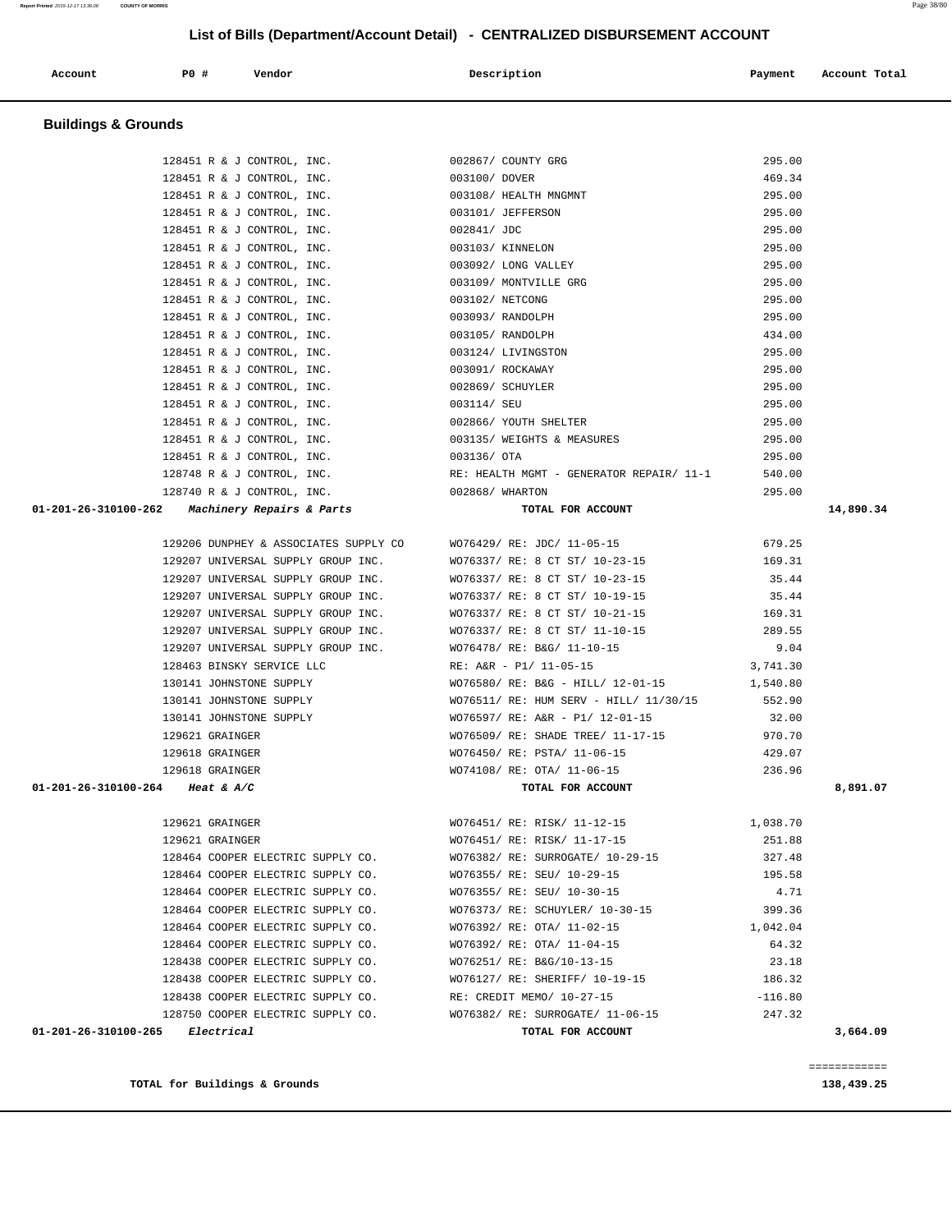**TOTAL for Buildings & Grounds 138,439.25**

| Electrical<br>$01 - 201 - 26 - 310100 - 265$ | TOTAL FOR ACCOUNT                                                  | 3,664.09  |
|----------------------------------------------|--------------------------------------------------------------------|-----------|
|                                              | 128750 COOPER ELECTRIC SUPPLY CO. WO76382/ RE: SURROGATE/ 11-06-15 | 247.32    |
| 128438 COOPER ELECTRIC SUPPLY CO.            | RE: CREDIT MEMO/ 10-27-15                                          | $-116.80$ |
| 128438 COOPER ELECTRIC SUPPLY CO.            | WO76127/ RE: SHERIFF/ 10-19-15                                     | 186.32    |
| 128438 COOPER ELECTRIC SUPPLY CO.            | WO76251/ RE: B&G/10-13-15                                          | 23.18     |
| 128464 COOPER ELECTRIC SUPPLY CO.            | WO76392/ RE: OTA/ 11-04-15                                         | 64.32     |
| 128464 COOPER ELECTRIC SUPPLY CO.            | WO76392/ RE: OTA/ 11-02-15                                         | 1,042.04  |
| 128464 COOPER ELECTRIC SUPPLY CO.            | WO76373/ RE: SCHUYLER/ 10-30-15                                    | 399.36    |
| 128464 COOPER ELECTRIC SUPPLY CO.            | WO76355/ RE: SEU/ 10-30-15                                         | 4.71      |
| 128464 COOPER ELECTRIC SUPPLY CO.            | WO76355/ RE: SEU/ 10-29-15                                         | 195.58    |
| 128464 COOPER ELECTRIC SUPPLY CO.            | WO76382/ RE: SURROGATE/ 10-29-15                                   | 327.48    |
| 129621 GRAINGER                              | WO76451/ RE: RISK/ 11-17-15                                        | 251.88    |
| 129621 GRAINGER                              | WO76451/ RE: RISK/ 11-12-15                                        | 1,038.70  |
|                                              |                                                                    |           |
|                                              |                                                                    |           |

|                        | 129618 GRAINGER                   |                                   | WO74108/ RE: OTA/ 11-06-15       | 236.96   |
|------------------------|-----------------------------------|-----------------------------------|----------------------------------|----------|
| $100 - 264$ Heat & A/C |                                   |                                   | TOTAL FOR ACCOUNT                |          |
|                        |                                   |                                   |                                  |          |
|                        | 129621 GRAINGER                   |                                   | WO76451/ RE: RISK/ 11-12-15      | 1,038.70 |
|                        | 129621 GRAINGER                   |                                   | WO76451/ RE: RISK/ 11-17-15      | 251.88   |
|                        |                                   | 128464 COOPER ELECTRIC SUPPLY CO. | WO76382/ RE: SURROGATE/ 10-29-15 | 327.48   |
|                        | 128464 COOPER ELECTRIC SUPPLY CO. |                                   | WO76355/ RE: SEU/ 10-29-15       | 195.58   |
|                        | 128464 COOPER ELECTRIC SUPPLY CO. |                                   | WO76355/ RE: SEU/ 10-30-15       | 4.71     |
|                        | 128464 COOPER ELECTRIC SUPPLY CO. |                                   | WO76373/ RE: SCHUYLER/ 10-30-15  | 399.36   |
|                        | 128464 COOPER ELECTRIC SUPPLY CO. |                                   | WO76392/ RE: OTA/ 11-02-15       | 1,042.04 |
|                        | 128464 COOPER ELECTRIC SUPPLY CO. |                                   | WO76392/ RE: OTA/ 11-04-15       | 64.32    |
|                        | 128438 COOPER ELECTRIC SUPPLY CO. |                                   | WO76251/ RE: B&G/10-13-15        | 23.18    |
|                        | 128438 COOPER ELECTRIC SUPPLY CO. |                                   | WO76127/ RE: SHERIFF/ 10-19-15   | 186.32   |
|                        |                                   |                                   | ___ ______                       | .        |

| <b>Buildings &amp; Grounds</b>                     |                                          |          |           |
|----------------------------------------------------|------------------------------------------|----------|-----------|
| 128451 R & J CONTROL, INC.                         | 002867/ COUNTY GRG                       | 295.00   |           |
| 128451 R & J CONTROL, INC.                         | 003100/ DOVER                            | 469.34   |           |
| 128451 R & J CONTROL, INC.                         | 003108/ HEALTH MNGMNT                    | 295.00   |           |
| 128451 R & J CONTROL, INC.                         | 003101/ JEFFERSON                        | 295.00   |           |
| 128451 R & J CONTROL, INC.                         | 002841/ JDC                              | 295.00   |           |
| 128451 R & J CONTROL, INC.                         | 003103/ KINNELON                         | 295.00   |           |
| 128451 R & J CONTROL, INC.                         | 003092/ LONG VALLEY                      | 295.00   |           |
| 128451 R & J CONTROL, INC.                         | 003109/ MONTVILLE GRG                    | 295.00   |           |
| 128451 R & J CONTROL, INC.                         | 003102/ NETCONG                          | 295.00   |           |
| 128451 R & J CONTROL, INC.                         | 003093/ RANDOLPH                         | 295.00   |           |
| 128451 R & J CONTROL, INC.                         | 003105/ RANDOLPH                         | 434.00   |           |
| 128451 R & J CONTROL, INC.                         | 003124/ LIVINGSTON                       | 295.00   |           |
| 128451 R & J CONTROL, INC.                         | 003091/ ROCKAWAY                         | 295.00   |           |
| 128451 R & J CONTROL, INC.                         | 002869/ SCHUYLER                         | 295.00   |           |
| 128451 R & J CONTROL, INC.                         | 003114/ SEU                              | 295.00   |           |
| 128451 R & J CONTROL, INC.                         | 002866/ YOUTH SHELTER                    | 295.00   |           |
| 128451 R & J CONTROL, INC.                         | 003135/ WEIGHTS & MEASURES               | 295.00   |           |
| 128451 R & J CONTROL, INC.                         | 003136/ OTA                              | 295.00   |           |
| 128748 R & J CONTROL, INC.                         | RE: HEALTH MGMT - GENERATOR REPAIR/ 11-1 | 540.00   |           |
| 128740 R & J CONTROL, INC.                         | 002868/ WHARTON                          | 295.00   |           |
| 01-201-26-310100-262 Machinery Repairs & Parts     | TOTAL FOR ACCOUNT                        |          | 14,890.34 |
| 129206 DUNPHEY & ASSOCIATES SUPPLY CO              | WO76429/ RE: JDC/ 11-05-15               | 679.25   |           |
| 129207 UNIVERSAL SUPPLY GROUP INC.                 | WO76337/ RE: 8 CT ST/ 10-23-15           | 169.31   |           |
| 129207 UNIVERSAL SUPPLY GROUP INC.                 | WO76337/ RE: 8 CT ST/ 10-23-15           | 35.44    |           |
| 129207 UNIVERSAL SUPPLY GROUP INC.                 | WO76337/ RE: 8 CT ST/ 10-19-15           | 35.44    |           |
| 129207 UNIVERSAL SUPPLY GROUP INC.                 | WO76337/ RE: 8 CT ST/ 10-21-15           | 169.31   |           |
| 129207 UNIVERSAL SUPPLY GROUP INC.                 | WO76337/ RE: 8 CT ST/ 11-10-15           | 289.55   |           |
| 129207 UNIVERSAL SUPPLY GROUP INC.                 | WO76478/ RE: B&G/ 11-10-15               | 9.04     |           |
| 128463 BINSKY SERVICE LLC                          | RE: A&R - P1/ 11-05-15                   | 3,741.30 |           |
| 130141 JOHNSTONE SUPPLY                            | WO76580/ RE: B&G - HILL/ 12-01-15        | 1,540.80 |           |
| 130141 JOHNSTONE SUPPLY                            | WO76511/ RE: HUM SERV - HILL/ 11/30/15   | 552.90   |           |
| 130141 JOHNSTONE SUPPLY                            | WO76597/ RE: A&R - P1/ 12-01-15          | 32.00    |           |
| 129621 GRAINGER                                    | WO76509/ RE: SHADE TREE/ 11-17-15        | 970.70   |           |
| 129618 GRAINGER                                    | WO76450/ RE: PSTA/ 11-06-15              | 429.07   |           |
| 129618 GRAINGER                                    | WO74108/ RE: OTA/ 11-06-15               | 236.96   |           |
|                                                    | TOTAL FOR ACCOUNT                        |          | 8,891.07  |
|                                                    |                                          |          |           |
| 01-201-26-310100-264 Heat & A/C<br>129621 GRAINGER | WO76451/ RE: RISK/ 11-12-15              | 1,038.70 |           |

============

Account **PO #** Vendor **Description Payment Account Total**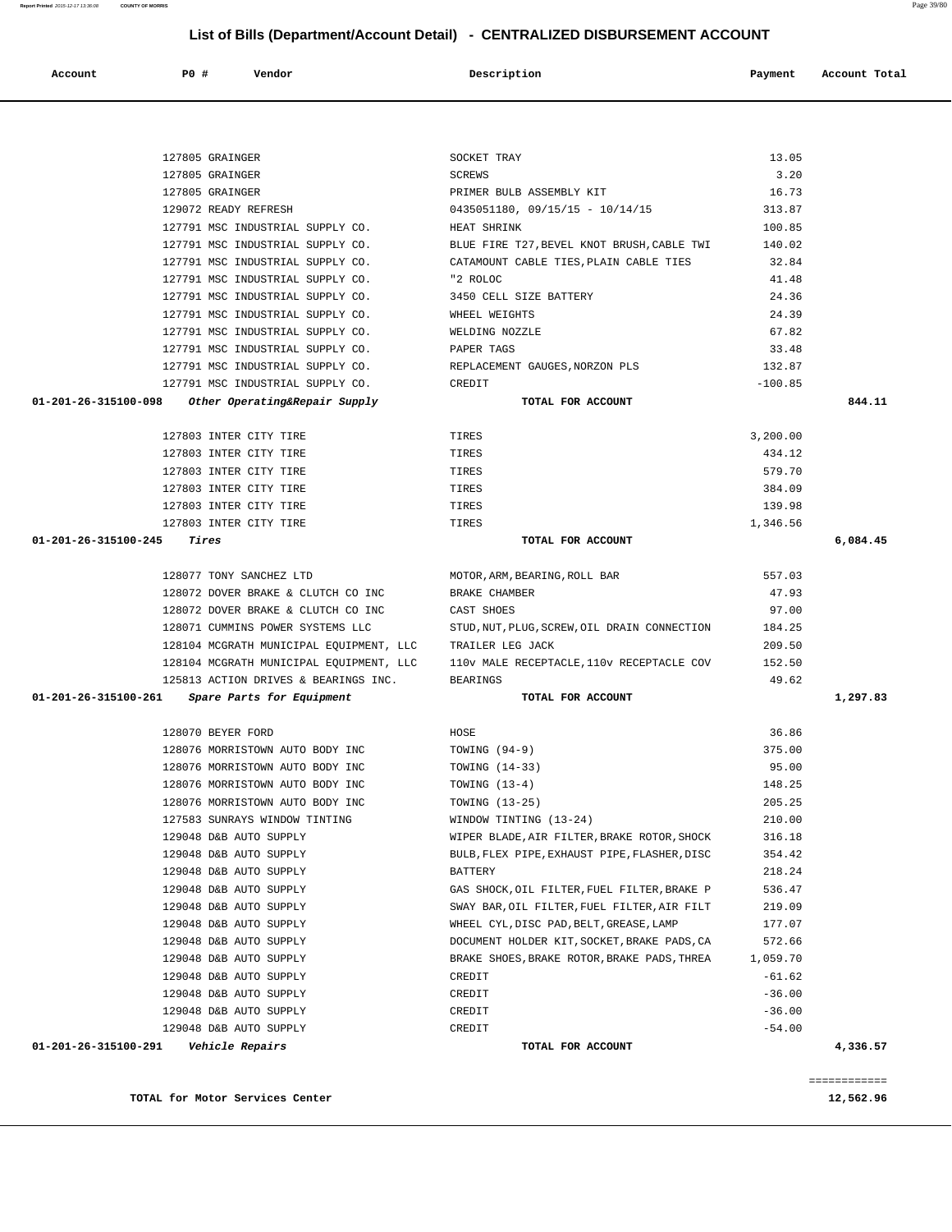**TOTAL for Motor Services Center 12,562.96** 

|  |  |  | ۰ |  |  |
|--|--|--|---|--|--|

| 3,200.00 | TOTAL FOR ACCOUNT                            | 01-201-26-315100-098<br>Other Operating&Repair Supply |
|----------|----------------------------------------------|-------------------------------------------------------|
|          |                                              |                                                       |
|          | TIRES                                        | 127803 INTER CITY TIRE                                |
| 434.12   | TIRES                                        | 127803 INTER CITY TIRE                                |
| 579.70   | TIRES                                        | 127803 INTER CITY TIRE                                |
| 384.09   | TIRES                                        | 127803 INTER CITY TIRE                                |
| 139.98   | TIRES                                        | 127803 INTER CITY TIRE                                |
| 1,346.56 | TIRES                                        | 127803 INTER CITY TIRE                                |
|          | TOTAL FOR ACCOUNT                            | 01-201-26-315100-245<br>Tires                         |
| 557.03   | MOTOR, ARM, BEARING, ROLL BAR                | 128077 TONY SANCHEZ LTD                               |
| 47.93    | BRAKE CHAMBER                                | 128072 DOVER BRAKE & CLUTCH CO INC                    |
| 97.00    | CAST SHOES                                   | 128072 DOVER BRAKE & CLUTCH CO INC                    |
| 184.25   | STUD, NUT, PLUG, SCREW, OIL DRAIN CONNECTION | 128071 CUMMINS POWER SYSTEMS LLC                      |
| 209.50   | TRAILER LEG JACK                             | 128104 MCGRATH MUNICIPAL EQUIPMENT, LLC               |
| 152.50   | 110v MALE RECEPTACLE, 110v RECEPTACLE COV    | 128104 MCGRATH MUNICIPAL EQUIPMENT, LLC               |
| 49.62    | <b>BEARINGS</b>                              | 125813 ACTION DRIVES & BEARINGS INC.                  |
|          | TOTAL FOR ACCOUNT                            | 01-201-26-315100-261<br>Spare Parts for Equipment     |
| 36.86    | HOSE                                         | 128070 BEYER FORD                                     |
| 375.00   | TOWING $(94-9)$                              | 128076 MORRISTOWN AUTO BODY INC                       |
| 95.00    | TOWING (14-33)                               | 128076 MORRISTOWN AUTO BODY INC                       |
| 148.25   | TOWING $(13-4)$                              | 128076 MORRISTOWN AUTO BODY INC                       |
| 205.25   | TOWING (13-25)                               | 128076 MORRISTOWN AUTO BODY INC                       |
| 210.00   | WINDOW TINTING (13-24)                       | 127583 SUNRAYS WINDOW TINTING                         |
| 316.18   | WIPER BLADE, AIR FILTER, BRAKE ROTOR, SHOCK  | 129048 D&B AUTO SUPPLY                                |
| 354.42   | BULB, FLEX PIPE, EXHAUST PIPE, FLASHER, DISC | 129048 D&B AUTO SUPPLY                                |
| 218.24   | <b>BATTERY</b>                               | 129048 D&B AUTO SUPPLY                                |
| 536.47   | GAS SHOCK, OIL FILTER, FUEL FILTER, BRAKE P  | 129048 D&B AUTO SUPPLY                                |
| 219.09   | SWAY BAR, OIL FILTER, FUEL FILTER, AIR FILT  | 129048 D&B AUTO SUPPLY                                |
| 177.07   | WHEEL CYL, DISC PAD, BELT, GREASE, LAMP      | 129048 D&B AUTO SUPPLY                                |
| 572.66   | DOCUMENT HOLDER KIT, SOCKET, BRAKE PADS, CA  | 129048 D&B AUTO SUPPLY                                |
| 1,059.70 | BRAKE SHOES, BRAKE ROTOR, BRAKE PADS, THREA  | 129048 D&B AUTO SUPPLY                                |
| $-61.62$ | CREDIT                                       | 129048 D&B AUTO SUPPLY                                |
| $-36.00$ | CREDIT                                       | 129048 D&B AUTO SUPPLY                                |
| $-36.00$ | CREDIT                                       | 129048 D&B AUTO SUPPLY                                |
| $-54.00$ | CREDIT                                       | 129048 D&B AUTO SUPPLY                                |
|          | TOTAL FOR ACCOUNT                            | 01-201-26-315100-291<br>Vehicle Repairs               |
|          |                                              |                                                       |

| 127805 GRAINGER                  | SOCKET TRAY                                | 13.05     |
|----------------------------------|--------------------------------------------|-----------|
| 127805 GRAINGER                  | SCREWS                                     | 3.20      |
| 127805 GRAINGER                  | PRIMER BULB ASSEMBLY KIT                   | 16.73     |
| 129072 READY REFRESH             | $0435051180, 09/15/15 - 10/14/15$          | 313.87    |
| 127791 MSC INDUSTRIAL SUPPLY CO. | HEAT SHRINK                                | 100.85    |
| 127791 MSC INDUSTRIAL SUPPLY CO. | BLUE FIRE T27, BEVEL KNOT BRUSH, CABLE TWI | 140.02    |
| 127791 MSC INDUSTRIAL SUPPLY CO. | CATAMOUNT CABLE TIES, PLAIN CABLE TIES     | 32.84     |
| 127791 MSC INDUSTRIAL SUPPLY CO. | "2 ROLOC                                   | 41.48     |
| 127791 MSC INDUSTRIAL SUPPLY CO. | 3450 CELL SIZE BATTERY                     | 24.36     |
| 127791 MSC INDUSTRIAL SUPPLY CO. | WHEEL WEIGHTS                              | 24.39     |
| 127791 MSC INDUSTRIAL SUPPLY CO. | WELDING NOZZLE                             | 67.82     |
| 127791 MSC INDUSTRIAL SUPPLY CO. | PAPER TAGS                                 | 33.48     |
| 127791 MSC INDUSTRIAL SUPPLY CO. | REPLACEMENT GAUGES NORZON PLS              | 132.87    |
| 127791 MSC INDUSTRIAL SUPPLY CO. | CREDIT                                     | $-100.85$ |

| Account | PO# | Vendor | Description | Payment | Account Total |
|---------|-----|--------|-------------|---------|---------------|

 **List of Bills (Department/Account Detail) - CENTRALIZED DISBURSEMENT ACCOUNT**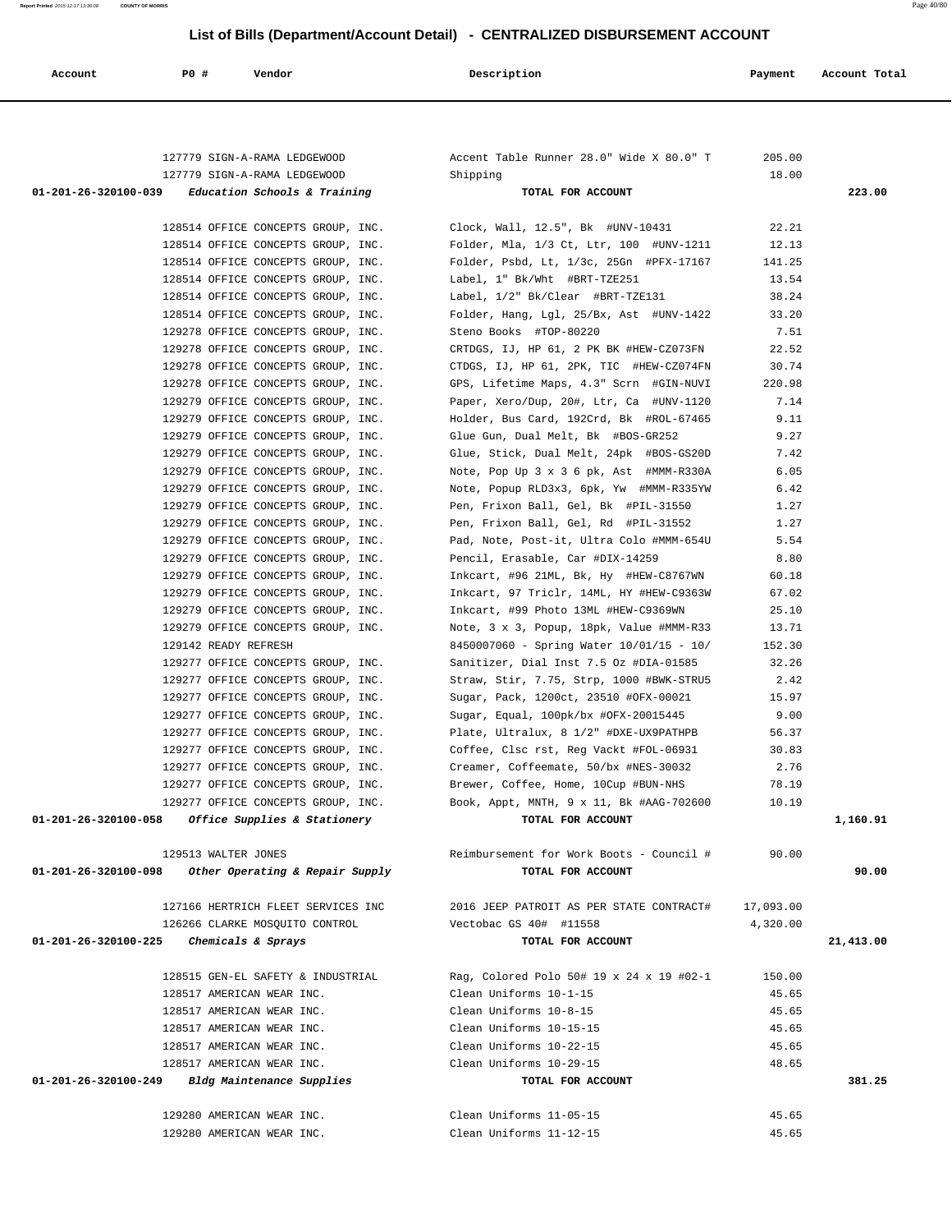**Report Printed** 2015-12-17 13:36:08 **COUNTY OF MORRIS** Page 40/80

| Account                                 | P0 #                 | Vendor                                                                                  | Description                                                   | Payment   | Account Total |
|-----------------------------------------|----------------------|-----------------------------------------------------------------------------------------|---------------------------------------------------------------|-----------|---------------|
|                                         |                      |                                                                                         |                                                               |           |               |
|                                         |                      |                                                                                         |                                                               | 205.00    |               |
|                                         |                      | 127779 SIGN-A-RAMA LEDGEWOOD                                                            | Shipping                                                      | 18.00     |               |
|                                         |                      | $01-201-26-320100-039$ Education Schools & Training                                     | TOTAL FOR ACCOUNT                                             |           | 223.00        |
|                                         |                      | 128514 OFFICE CONCEPTS GROUP, INC.                                                      | Clock, Wall, 12.5", Bk #UNV-10431                             | 22.21     |               |
|                                         |                      | 128514 OFFICE CONCEPTS GROUP, INC.                                                      | Folder, Mla, 1/3 Ct, Ltr, 100 #UNV-1211                       | 12.13     |               |
|                                         |                      | 128514 OFFICE CONCEPTS GROUP, INC.                                                      | Folder, Psbd, Lt, 1/3c, 25Gn #PFX-17167                       | 141.25    |               |
|                                         |                      | 128514 OFFICE CONCEPTS GROUP, INC.                                                      | Label, 1" Bk/Wht #BRT-TZE251                                  | 13.54     |               |
|                                         |                      | 128514 OFFICE CONCEPTS GROUP, INC.                                                      | Label, 1/2" Bk/Clear #BRT-TZE131                              | 38.24     |               |
|                                         |                      | 128514 OFFICE CONCEPTS GROUP, INC.                                                      | Folder, Hang, Lgl, 25/Bx, Ast #UNV-1422                       | 33.20     |               |
|                                         |                      | 129278 OFFICE CONCEPTS GROUP, INC.                                                      | Steno Books #TOP-80220                                        | 7.51      |               |
|                                         |                      | 129278 OFFICE CONCEPTS GROUP, INC.                                                      | CRTDGS, IJ, HP 61, 2 PK BK #HEW-CZ073FN                       | 22.52     |               |
|                                         |                      | 129278 OFFICE CONCEPTS GROUP, INC.                                                      | CTDGS, IJ, HP 61, 2PK, TIC #HEW-CZ074FN                       | 30.74     |               |
|                                         |                      | 129278 OFFICE CONCEPTS GROUP, INC.                                                      | GPS, Lifetime Maps, 4.3" Scrn #GIN-NUVI                       | 220.98    |               |
|                                         |                      | 129279 OFFICE CONCEPTS GROUP, INC.                                                      | Paper, Xero/Dup, 20#, Ltr, Ca #UNV-1120                       | 7.14      |               |
|                                         |                      | 129279 OFFICE CONCEPTS GROUP, INC.                                                      | Holder, Bus Card, 192Crd, Bk #ROL-67465                       | 9.11      |               |
|                                         |                      | 129279 OFFICE CONCEPTS GROUP, INC.                                                      | Glue Gun, Dual Melt, Bk #BOS-GR252                            | 9.27      |               |
|                                         |                      | 129279 OFFICE CONCEPTS GROUP, INC.                                                      | Glue, Stick, Dual Melt, 24pk #BOS-GS20D                       | 7.42      |               |
|                                         |                      | 129279 OFFICE CONCEPTS GROUP, INC.                                                      | Note, Pop Up 3 x 3 6 pk, Ast #MMM-R330A                       | 6.05      |               |
|                                         |                      | 129279 OFFICE CONCEPTS GROUP, INC.                                                      | Note, Popup RLD3x3, 6pk, Yw #MMM-R335YW                       | 6.42      |               |
|                                         |                      | 129279 OFFICE CONCEPTS GROUP, INC.                                                      | Pen, Frixon Ball, Gel, Bk #PIL-31550                          | 1.27      |               |
|                                         |                      | 129279 OFFICE CONCEPTS GROUP, INC.                                                      | Pen, Frixon Ball, Gel, Rd #PIL-31552                          | 1.27      |               |
|                                         |                      | 129279 OFFICE CONCEPTS GROUP, INC.                                                      | Pad, Note, Post-it, Ultra Colo #MMM-654U                      | 5.54      |               |
|                                         |                      | 129279 OFFICE CONCEPTS GROUP, INC.                                                      | Pencil, Erasable, Car #DIX-14259                              | 8.80      |               |
|                                         |                      | 129279 OFFICE CONCEPTS GROUP, INC.                                                      | Inkcart, #96 21ML, Bk, Hy #HEW-C8767WN                        | 60.18     |               |
|                                         |                      | 129279 OFFICE CONCEPTS GROUP, INC.                                                      | Inkcart, 97 Triclr, 14ML, HY #HEW-C9363W                      | 67.02     |               |
|                                         |                      | 129279 OFFICE CONCEPTS GROUP, INC.                                                      | Inkcart, #99 Photo 13ML #HEW-C9369WN                          | 25.10     |               |
|                                         |                      | 129279 OFFICE CONCEPTS GROUP, INC.                                                      | Note, 3 x 3, Popup, 18pk, Value #MMM-R33                      | 13.71     |               |
|                                         | 129142 READY REFRESH |                                                                                         | 8450007060 - Spring Water 10/01/15 - 10/                      | 152.30    |               |
|                                         |                      | 129277 OFFICE CONCEPTS GROUP, INC.                                                      | Sanitizer, Dial Inst 7.5 Oz #DIA-01585                        | 32.26     |               |
|                                         |                      | 129277 OFFICE CONCEPTS GROUP, INC.                                                      | Straw, Stir, 7.75, Strp, 1000 #BWK-STRU5                      | 2.42      |               |
|                                         |                      | 129277 OFFICE CONCEPTS GROUP, INC.                                                      | Sugar, Pack, 1200ct, 23510 #OFX-00021                         | 15.97     |               |
|                                         |                      | 129277 OFFICE CONCEPTS GROUP, INC.                                                      | Sugar, Equal, 100pk/bx #OFX-20015445                          | 9.00      |               |
|                                         |                      | 129277 OFFICE CONCEPTS GROUP, INC.                                                      | Plate, Ultralux, 8 1/2" #DXE-UX9PATHPB                        | 56.37     |               |
|                                         |                      | 129277 OFFICE CONCEPTS GROUP, INC.                                                      | Coffee, Clsc rst, Reg Vackt #FOL-06931                        | 30.83     |               |
|                                         |                      | 129277 OFFICE CONCEPTS GROUP, INC.                                                      | Creamer, Coffeemate, 50/bx #NES-30032                         | 2.76      |               |
|                                         |                      | 129277 OFFICE CONCEPTS GROUP, INC.                                                      | Brewer, Coffee, Home, 10Cup #BUN-NHS                          | 78.19     |               |
|                                         |                      | 129277 OFFICE CONCEPTS GROUP, INC.<br>01-201-26-320100-058 Office Supplies & Stationery | Book, Appt, MNTH, 9 x 11, Bk #AAG-702600<br>TOTAL FOR ACCOUNT | 10.19     | 1,160.91      |
|                                         |                      |                                                                                         |                                                               |           |               |
|                                         | 129513 WALTER JONES  |                                                                                         | Reimbursement for Work Boots - Council #                      | 90.00     |               |
| 01-201-26-320100-098                    |                      | Other Operating & Repair Supply                                                         | TOTAL FOR ACCOUNT                                             |           | 90.00         |
|                                         |                      |                                                                                         |                                                               |           |               |
|                                         |                      | 127166 HERTRICH FLEET SERVICES INC                                                      | 2016 JEEP PATROIT AS PER STATE CONTRACT#                      | 17,093.00 |               |
|                                         |                      | 126266 CLARKE MOSQUITO CONTROL                                                          | Vectobac GS 40# #11558                                        | 4,320.00  |               |
| 01-201-26-320100-225 Chemicals & Sprays |                      |                                                                                         | TOTAL FOR ACCOUNT                                             |           | 21,413.00     |
|                                         |                      | 128515 GEN-EL SAFETY & INDUSTRIAL                                                       | Rag, Colored Polo 50# 19 x 24 x 19 #02-1                      | 150.00    |               |
|                                         |                      | 128517 AMERICAN WEAR INC.                                                               | Clean Uniforms 10-1-15                                        | 45.65     |               |
|                                         |                      | 128517 AMERICAN WEAR INC.                                                               | Clean Uniforms 10-8-15                                        | 45.65     |               |
|                                         |                      | 128517 AMERICAN WEAR INC.                                                               | Clean Uniforms 10-15-15                                       | 45.65     |               |
|                                         |                      | 128517 AMERICAN WEAR INC.                                                               | Clean Uniforms 10-22-15                                       | 45.65     |               |
|                                         |                      | 128517 AMERICAN WEAR INC.                                                               | Clean Uniforms 10-29-15                                       | 48.65     |               |
| 01-201-26-320100-249                    |                      | Bldg Maintenance Supplies                                                               | TOTAL FOR ACCOUNT                                             |           | 381.25        |
|                                         |                      |                                                                                         |                                                               |           |               |
|                                         |                      | 129280 AMERICAN WEAR INC.                                                               | Clean Uniforms 11-05-15                                       | 45.65     |               |

129280 AMERICAN WEAR INC. Clean Uniforms 11-12-15 45.65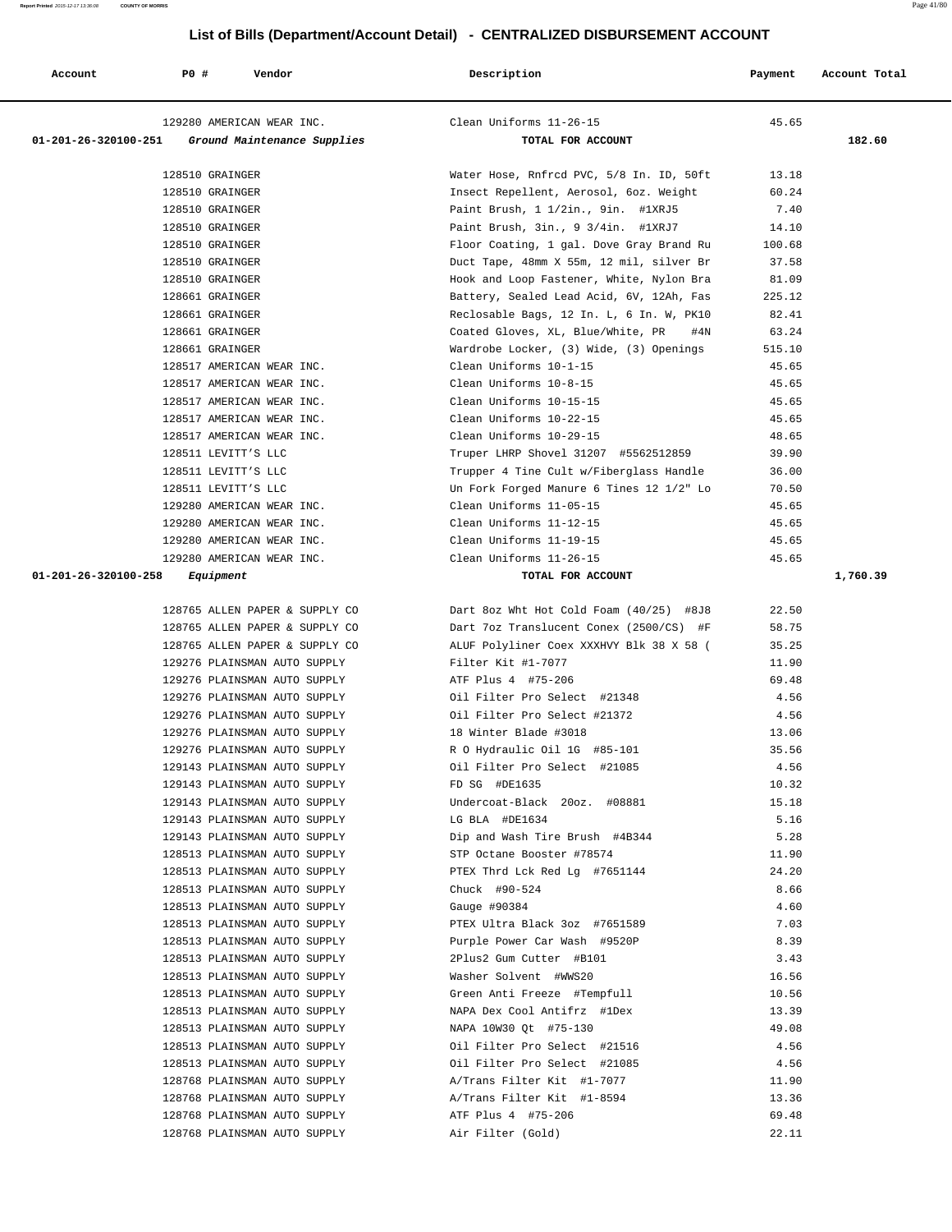| Account              | <b>PO #</b>         | Vendor                                                       | Description                                | Payment        | Account Total |
|----------------------|---------------------|--------------------------------------------------------------|--------------------------------------------|----------------|---------------|
|                      |                     | 129280 AMERICAN WEAR INC.                                    | Clean Uniforms 11-26-15                    | 45.65          |               |
| 01-201-26-320100-251 |                     | Ground Maintenance Supplies                                  | TOTAL FOR ACCOUNT                          |                | 182.60        |
|                      | 128510 GRAINGER     |                                                              | Water Hose, Rnfrcd PVC, 5/8 In. ID, 50ft   | 13.18          |               |
|                      | 128510 GRAINGER     |                                                              | Insect Repellent, Aerosol, 6oz. Weight     | 60.24          |               |
|                      | 128510 GRAINGER     |                                                              | Paint Brush, 1 1/2in., 9in. #1XRJ5         | 7.40           |               |
|                      | 128510 GRAINGER     |                                                              | Paint Brush, 3in., 9 3/4in. #1XRJ7         | 14.10          |               |
|                      | 128510 GRAINGER     |                                                              | Floor Coating, 1 gal. Dove Gray Brand Ru   | 100.68         |               |
|                      | 128510 GRAINGER     |                                                              | Duct Tape, 48mm X 55m, 12 mil, silver Br   | 37.58          |               |
|                      | 128510 GRAINGER     |                                                              | Hook and Loop Fastener, White, Nylon Bra   | 81.09          |               |
|                      | 128661 GRAINGER     |                                                              | Battery, Sealed Lead Acid, 6V, 12Ah, Fas   | 225.12         |               |
|                      | 128661 GRAINGER     |                                                              | Reclosable Bags, 12 In. L, 6 In. W, PK10   | 82.41          |               |
|                      | 128661 GRAINGER     |                                                              | Coated Gloves, XL, Blue/White, PR<br>#4N   | 63.24          |               |
|                      | 128661 GRAINGER     |                                                              | Wardrobe Locker, (3) Wide, (3) Openings    | 515.10         |               |
|                      |                     | 128517 AMERICAN WEAR INC.                                    | Clean Uniforms 10-1-15                     | 45.65          |               |
|                      |                     | 128517 AMERICAN WEAR INC.                                    | Clean Uniforms 10-8-15                     | 45.65          |               |
|                      |                     | 128517 AMERICAN WEAR INC.                                    | Clean Uniforms 10-15-15                    | 45.65          |               |
|                      |                     | 128517 AMERICAN WEAR INC.                                    | Clean Uniforms 10-22-15                    | 45.65          |               |
|                      |                     | 128517 AMERICAN WEAR INC.                                    | Clean Uniforms 10-29-15                    | 48.65          |               |
|                      | 128511 LEVITT'S LLC |                                                              | Truper LHRP Shovel 31207 #5562512859       | 39.90          |               |
|                      | 128511 LEVITT'S LLC |                                                              | Trupper 4 Tine Cult w/Fiberglass Handle    | 36.00          |               |
|                      | 128511 LEVITT'S LLC |                                                              | Un Fork Forged Manure 6 Tines 12 1/2" Lo   | 70.50          |               |
|                      |                     | 129280 AMERICAN WEAR INC.                                    | Clean Uniforms 11-05-15                    | 45.65          |               |
|                      |                     | 129280 AMERICAN WEAR INC.                                    | Clean Uniforms 11-12-15                    | 45.65          |               |
|                      |                     | 129280 AMERICAN WEAR INC.                                    | Clean Uniforms 11-19-15                    | 45.65          |               |
|                      |                     | 129280 AMERICAN WEAR INC.                                    | Clean Uniforms 11-26-15                    | 45.65          |               |
| 01-201-26-320100-258 | Equipment           |                                                              | TOTAL FOR ACCOUNT                          |                | 1,760.39      |
|                      |                     | 128765 ALLEN PAPER & SUPPLY CO                               | Dart 8oz Wht Hot Cold Foam (40/25) #8J8    | 22.50          |               |
|                      |                     | 128765 ALLEN PAPER & SUPPLY CO                               | Dart 7oz Translucent Conex (2500/CS) #F    | 58.75          |               |
|                      |                     | 128765 ALLEN PAPER & SUPPLY CO                               | ALUF Polyliner Coex XXXHVY Blk 38 X 58 (   | 35.25          |               |
|                      |                     | 129276 PLAINSMAN AUTO SUPPLY                                 | Filter Kit #1-7077                         | 11.90          |               |
|                      |                     | 129276 PLAINSMAN AUTO SUPPLY                                 | ATF Plus 4 #75-206                         | 69.48          |               |
|                      |                     | 129276 PLAINSMAN AUTO SUPPLY                                 | Oil Filter Pro Select #21348               | 4.56           |               |
|                      |                     | 129276 PLAINSMAN AUTO SUPPLY                                 | Oil Filter Pro Select #21372               | 4.56           |               |
|                      |                     | 129276 PLAINSMAN AUTO SUPPLY                                 | 18 Winter Blade #3018                      | 13.06          |               |
|                      |                     | 129276 PLAINSMAN AUTO SUPPLY                                 | R O Hydraulic Oil 1G #85-101               | 35.56          |               |
|                      |                     | 129143 PLAINSMAN AUTO SUPPLY                                 | Oil Filter Pro Select #21085               | 4.56           |               |
|                      |                     |                                                              | 129143 PLAINSMAN AUTO SUPPLY FD SG #DE1635 | 10.32          |               |
|                      |                     | 129143 PLAINSMAN AUTO SUPPLY                                 | Undercoat-Black 20oz. #08881               | 15.18          |               |
|                      |                     | 129143 PLAINSMAN AUTO SUPPLY                                 | LG BLA #DE1634                             | 5.16           |               |
|                      |                     | 129143 PLAINSMAN AUTO SUPPLY                                 | Dip and Wash Tire Brush #4B344             | 5.28           |               |
|                      |                     | 128513 PLAINSMAN AUTO SUPPLY                                 | STP Octane Booster #78574                  | 11.90          |               |
|                      |                     | 128513 PLAINSMAN AUTO SUPPLY                                 | PTEX Thrd Lck Red Lg #7651144              | 24.20          |               |
|                      |                     | 128513 PLAINSMAN AUTO SUPPLY                                 | Chuck #90-524                              | 8.66           |               |
|                      |                     | 128513 PLAINSMAN AUTO SUPPLY                                 | Gauge #90384                               | 4.60           |               |
|                      |                     | 128513 PLAINSMAN AUTO SUPPLY                                 | PTEX Ultra Black 3oz #7651589              | 7.03           |               |
|                      |                     | 128513 PLAINSMAN AUTO SUPPLY                                 | Purple Power Car Wash #9520P               | 8.39           |               |
|                      |                     | 128513 PLAINSMAN AUTO SUPPLY                                 | 2Plus2 Gum Cutter #B101                    | 3.43           |               |
|                      |                     | 128513 PLAINSMAN AUTO SUPPLY                                 | Washer Solvent #WWS20                      | 16.56          |               |
|                      |                     | 128513 PLAINSMAN AUTO SUPPLY                                 | Green Anti Freeze #Tempfull                | 10.56          |               |
|                      |                     | 128513 PLAINSMAN AUTO SUPPLY                                 | NAPA Dex Cool Antifrz #1Dex                | 13.39          |               |
|                      |                     | 128513 PLAINSMAN AUTO SUPPLY                                 | NAPA 10W30 Qt #75-130                      | 49.08          |               |
|                      |                     | 128513 PLAINSMAN AUTO SUPPLY                                 | Oil Filter Pro Select #21516               | 4.56           |               |
|                      |                     | 128513 PLAINSMAN AUTO SUPPLY                                 | Oil Filter Pro Select #21085               | 4.56           |               |
|                      |                     | 128768 PLAINSMAN AUTO SUPPLY                                 | A/Trans Filter Kit #1-7077                 | 11.90          |               |
|                      |                     | 128768 PLAINSMAN AUTO SUPPLY                                 | A/Trans Filter Kit #1-8594                 | 13.36          |               |
|                      |                     | 128768 PLAINSMAN AUTO SUPPLY<br>128768 PLAINSMAN AUTO SUPPLY | ATF Plus 4 #75-206                         | 69.48<br>22.11 |               |
|                      |                     |                                                              | Air Filter (Gold)                          |                |               |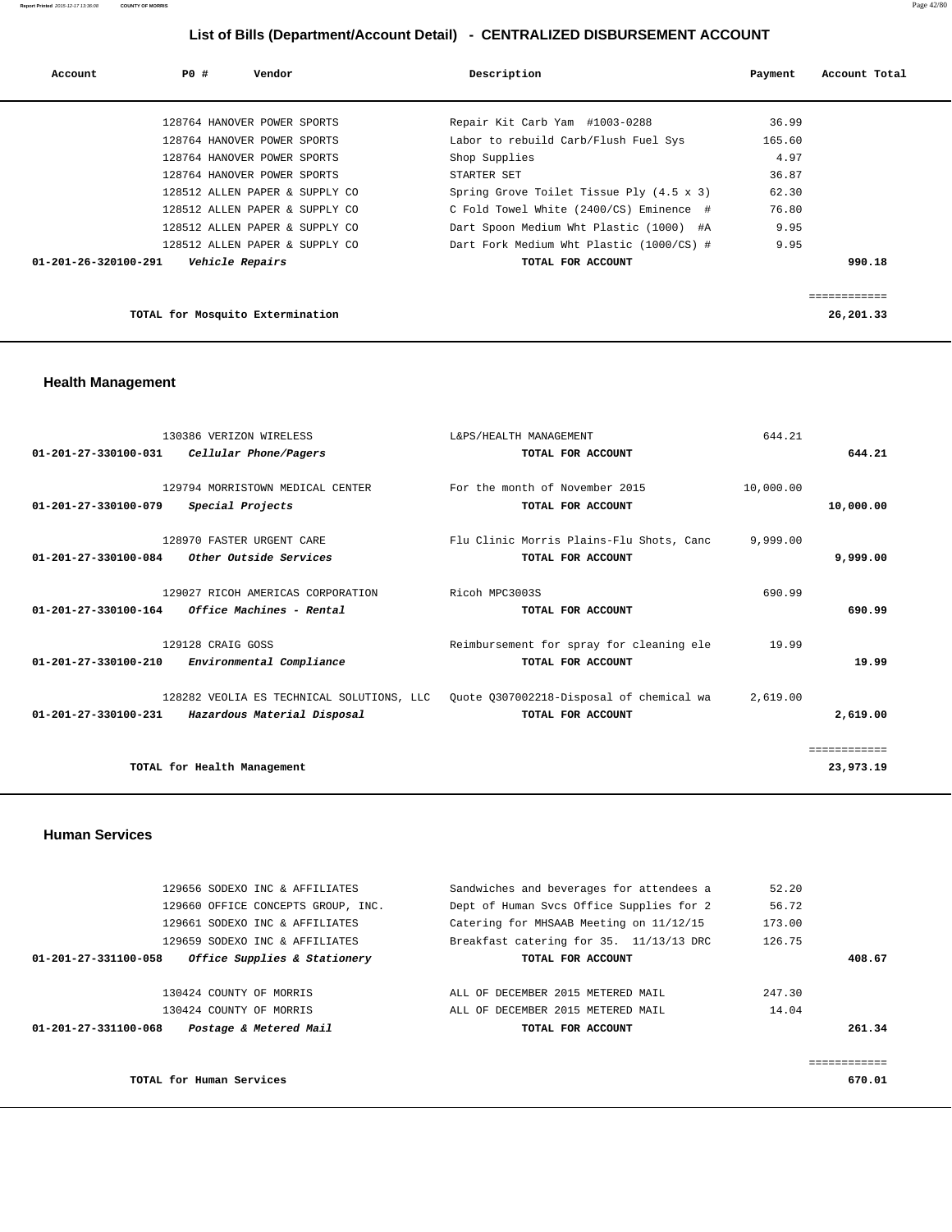| Account                        | PO# | Vendor                           | Description                                     | Payment | Account Total |
|--------------------------------|-----|----------------------------------|-------------------------------------------------|---------|---------------|
|                                |     |                                  |                                                 |         |               |
|                                |     | 128764 HANOVER POWER SPORTS      | Repair Kit Carb Yam #1003-0288                  | 36.99   |               |
|                                |     | 128764 HANOVER POWER SPORTS      | Labor to rebuild Carb/Flush Fuel Sys            | 165.60  |               |
|                                |     | 128764 HANOVER POWER SPORTS      | Shop Supplies                                   | 4.97    |               |
|                                |     | 128764 HANOVER POWER SPORTS      | STARTER SET                                     | 36.87   |               |
|                                |     | 128512 ALLEN PAPER & SUPPLY CO   | Spring Grove Toilet Tissue Ply $(4.5 \times 3)$ | 62.30   |               |
|                                |     | 128512 ALLEN PAPER & SUPPLY CO   | C Fold Towel White (2400/CS) Eminence #         | 76.80   |               |
|                                |     | 128512 ALLEN PAPER & SUPPLY CO   | Dart Spoon Medium Wht Plastic (1000) #A         | 9.95    |               |
|                                |     | 128512 ALLEN PAPER & SUPPLY CO   | Dart Fork Medium Wht Plastic (1000/CS) #        | 9.95    |               |
| $01 - 201 - 26 - 320100 - 291$ |     | <i><b>Vehicle Repairs</b></i>    | TOTAL FOR ACCOUNT                               |         | 990.18        |
|                                |     |                                  |                                                 |         | ============  |
|                                |     | TOTAL for Mosquito Extermination |                                                 |         | 26,201.33     |

# **Health Management**

|                                | 130386 VERIZON WIRELESS           | L&PS/HEALTH MANAGEMENT                                                              | 644.21    |              |
|--------------------------------|-----------------------------------|-------------------------------------------------------------------------------------|-----------|--------------|
| $01 - 201 - 27 - 330100 - 031$ | Cellular Phone/Pagers             | TOTAL FOR ACCOUNT                                                                   |           | 644.21       |
|                                |                                   |                                                                                     |           |              |
|                                | 129794 MORRISTOWN MEDICAL CENTER  | For the month of November 2015                                                      | 10,000.00 |              |
| 01-201-27-330100-079           | Special Projects                  | TOTAL FOR ACCOUNT                                                                   |           | 10,000.00    |
|                                | 128970 FASTER URGENT CARE         | Flu Clinic Morris Plains-Flu Shots, Canc                                            | 9,999.00  |              |
|                                |                                   |                                                                                     |           |              |
| 01-201-27-330100-084           | Other Outside Services            | TOTAL FOR ACCOUNT                                                                   |           | 9,999.00     |
|                                | 129027 RICOH AMERICAS CORPORATION | Ricoh MPC3003S                                                                      | 690.99    |              |
| $01 - 201 - 27 - 330100 - 164$ | Office Machines - Rental          | TOTAL FOR ACCOUNT                                                                   |           | 690.99       |
|                                |                                   |                                                                                     |           |              |
|                                | 129128 CRAIG GOSS                 | Reimbursement for spray for cleaning ele                                            | 19.99     |              |
| $01 - 201 - 27 - 330100 - 210$ | Environmental Compliance          | TOTAL FOR ACCOUNT                                                                   |           | 19.99        |
|                                |                                   |                                                                                     |           |              |
|                                |                                   | 128282 VEOLIA ES TECHNICAL SOLUTIONS, LLC  Ouote 0307002218-Disposal of chemical wa | 2,619.00  |              |
| $01 - 201 - 27 - 330100 - 231$ | Hazardous Material Disposal       | TOTAL FOR ACCOUNT                                                                   |           | 2,619.00     |
|                                |                                   |                                                                                     |           |              |
|                                |                                   |                                                                                     |           | ============ |
|                                | TOTAL for Health Management       |                                                                                     |           | 23,973.19    |
|                                |                                   |                                                                                     |           |              |

## **Human Services**

| 129656 SODEXO INC & AFFILIATES                       | Sandwiches and beverages for attendees a | 52.20  |        |
|------------------------------------------------------|------------------------------------------|--------|--------|
| 129660 OFFICE CONCEPTS GROUP, INC.                   | Dept of Human Svcs Office Supplies for 2 | 56.72  |        |
| 129661 SODEXO INC & AFFILIATES                       | Catering for MHSAAB Meeting on 11/12/15  | 173.00 |        |
| 129659 SODEXO INC & AFFILIATES                       | Breakfast catering for 35. 11/13/13 DRC  | 126.75 |        |
| Office Supplies & Stationery<br>01-201-27-331100-058 | TOTAL FOR ACCOUNT                        |        | 408.67 |
|                                                      |                                          |        |        |
| 130424 COUNTY OF MORRIS                              | ALL OF DECEMBER 2015 METERED MAIL        | 247.30 |        |
| 130424 COUNTY OF MORRIS                              | ALL OF DECEMBER 2015 METERED MAIL        | 14.04  |        |
| Postage & Metered Mail<br>01-201-27-331100-068       | TOTAL FOR ACCOUNT                        |        | 261.34 |
|                                                      |                                          |        |        |
|                                                      |                                          |        |        |
| TOTAL for Human Services                             |                                          |        | 670.01 |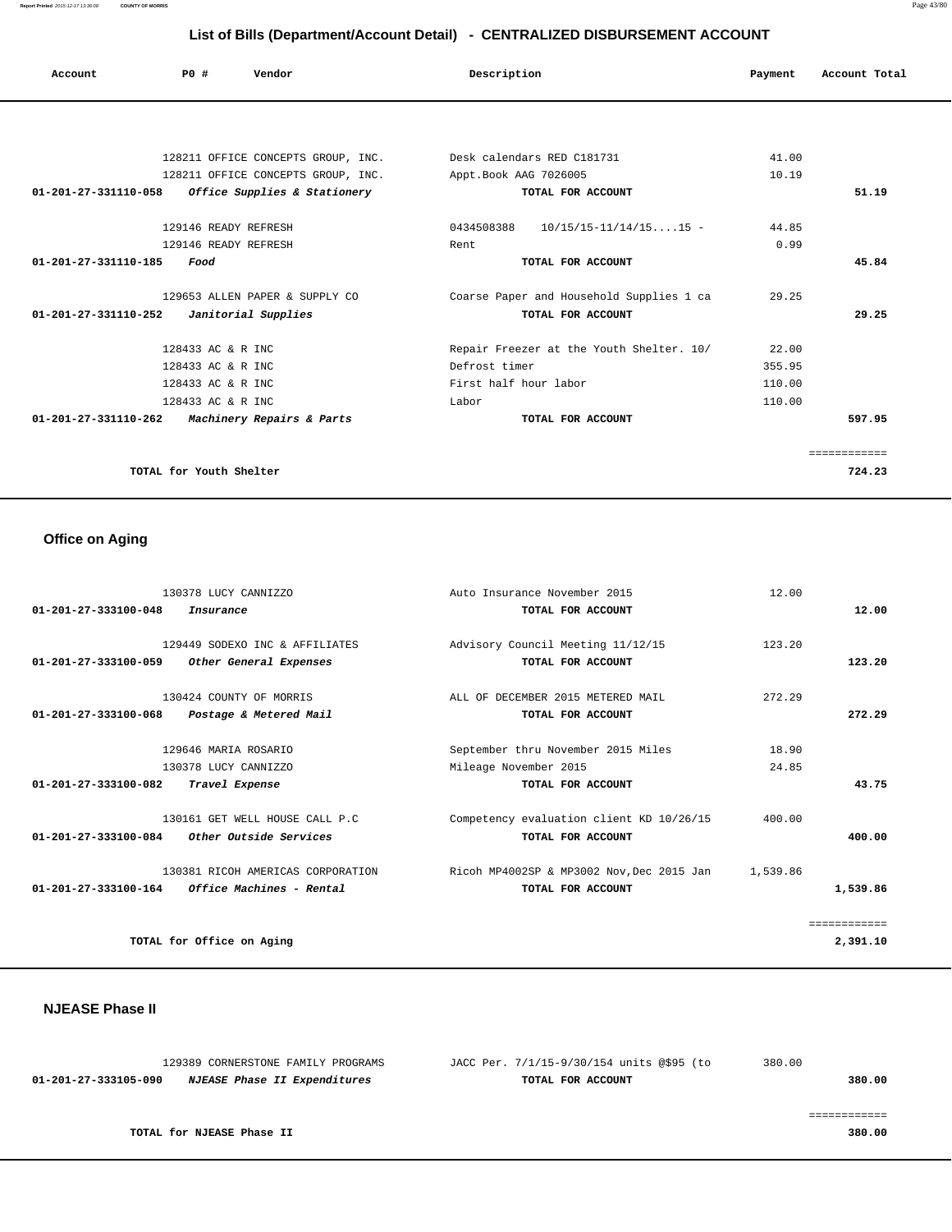**Report Printed** 2015-12-17 13:36:08 **COUNTY OF MORRIS** Page 43/80

# **List of Bills (Department/Account Detail) - CENTRALIZED DISBURSEMENT ACCOUNT**

| Account | Vendor<br>PO#                      | Description                | Account Total<br>Payment |
|---------|------------------------------------|----------------------------|--------------------------|
|         |                                    |                            |                          |
|         | 128211 OFFICE CONCEPTS GROUP, INC. | Desk calendars RED C181731 | 41.00                    |

| TAGAII OPPICE CONCEPIS GROUP, INC.                   | DESK Calendars KED CIOI/JI               | HI.UU  |             |
|------------------------------------------------------|------------------------------------------|--------|-------------|
| 128211 OFFICE CONCEPTS GROUP, INC.                   | Appt.Book AAG 7026005                    | 10.19  |             |
| Office Supplies & Stationery<br>01-201-27-331110-058 | TOTAL FOR ACCOUNT                        |        | 51.19       |
| 129146 READY REFRESH                                 | $10/15/15 - 11/14/1515 -$<br>0434508388  | 44.85  |             |
| 129146 READY REFRESH                                 | Rent                                     | 0.99   |             |
| 01-201-27-331110-185<br>Food                         | TOTAL FOR ACCOUNT                        |        | 45.84       |
| 129653 ALLEN PAPER & SUPPLY CO                       | Coarse Paper and Household Supplies 1 ca | 29.25  |             |
| 01-201-27-331110-252<br>Janitorial Supplies          | TOTAL FOR ACCOUNT                        |        | 29.25       |
| 128433 AC & R INC                                    | Repair Freezer at the Youth Shelter. 10/ | 22.00  |             |
| 128433 AC & R INC                                    | Defrost timer                            | 355.95 |             |
| 128433 AC & R INC                                    | First half hour labor                    | 110.00 |             |
| 128433 AC & R INC                                    | Labor                                    | 110.00 |             |
| $01-201-27-331110-262$ Machinery Repairs & Parts     | TOTAL FOR ACCOUNT                        |        | 597.95      |
|                                                      |                                          |        | =========== |
| TOTAL for Youth Shelter                              |                                          |        | 724.23      |
|                                                      |                                          |        |             |

# **Office on Aging**

| 130378 LUCY CANNIZZO                                     | Auto Insurance November 2015              | 12.00    |              |
|----------------------------------------------------------|-------------------------------------------|----------|--------------|
| $01 - 201 - 27 - 333100 - 048$<br>Insurance              | TOTAL FOR ACCOUNT                         |          | 12.00        |
| 129449 SODEXO INC & AFFILIATES                           | Advisory Council Meeting 11/12/15         | 123.20   |              |
| $01 - 201 - 27 - 333100 - 059$<br>Other General Expenses | TOTAL FOR ACCOUNT                         |          | 123.20       |
| 130424 COUNTY OF MORRIS                                  | ALL OF DECEMBER 2015 METERED MAIL         | 272.29   |              |
| $01 - 201 - 27 - 333100 - 068$<br>Postage & Metered Mail | TOTAL FOR ACCOUNT                         |          | 272.29       |
| 129646 MARIA ROSARIO                                     | September thru November 2015 Miles        | 18.90    |              |
| 130378 LUCY CANNIZZO                                     | Mileage November 2015                     | 24.85    |              |
| 01-201-27-333100-082<br>Travel Expense                   | TOTAL FOR ACCOUNT                         |          | 43.75        |
| 130161 GET WELL HOUSE CALL P.C                           | Competency evaluation client KD 10/26/15  | 400.00   |              |
| $01 - 201 - 27 - 333100 - 084$<br>Other Outside Services | TOTAL FOR ACCOUNT                         |          | 400.00       |
| 130381 RICOH AMERICAS CORPORATION                        | Ricoh MP4002SP & MP3002 Nov, Dec 2015 Jan | 1,539.86 |              |
| 01-201-27-333100-164<br><i>Office Machines - Rental</i>  | TOTAL FOR ACCOUNT                         |          | 1,539.86     |
|                                                          |                                           |          | ============ |
| TOTAL for Office on Aging                                |                                           |          | 2,391.10     |

## **NJEASE Phase II**

| 129389 CORNERSTONE FAMILY PROGRAMS                          | JACC Per. 7/1/15-9/30/154 units @\$95 (to | 380.00 |
|-------------------------------------------------------------|-------------------------------------------|--------|
| <i>NJEASE Phase II Expenditures</i><br>01-201-27-333105-090 | TOTAL FOR ACCOUNT                         | 380.00 |
|                                                             |                                           |        |
|                                                             |                                           |        |
| TOTAL for NJEASE Phase II                                   |                                           | 380.00 |
|                                                             |                                           |        |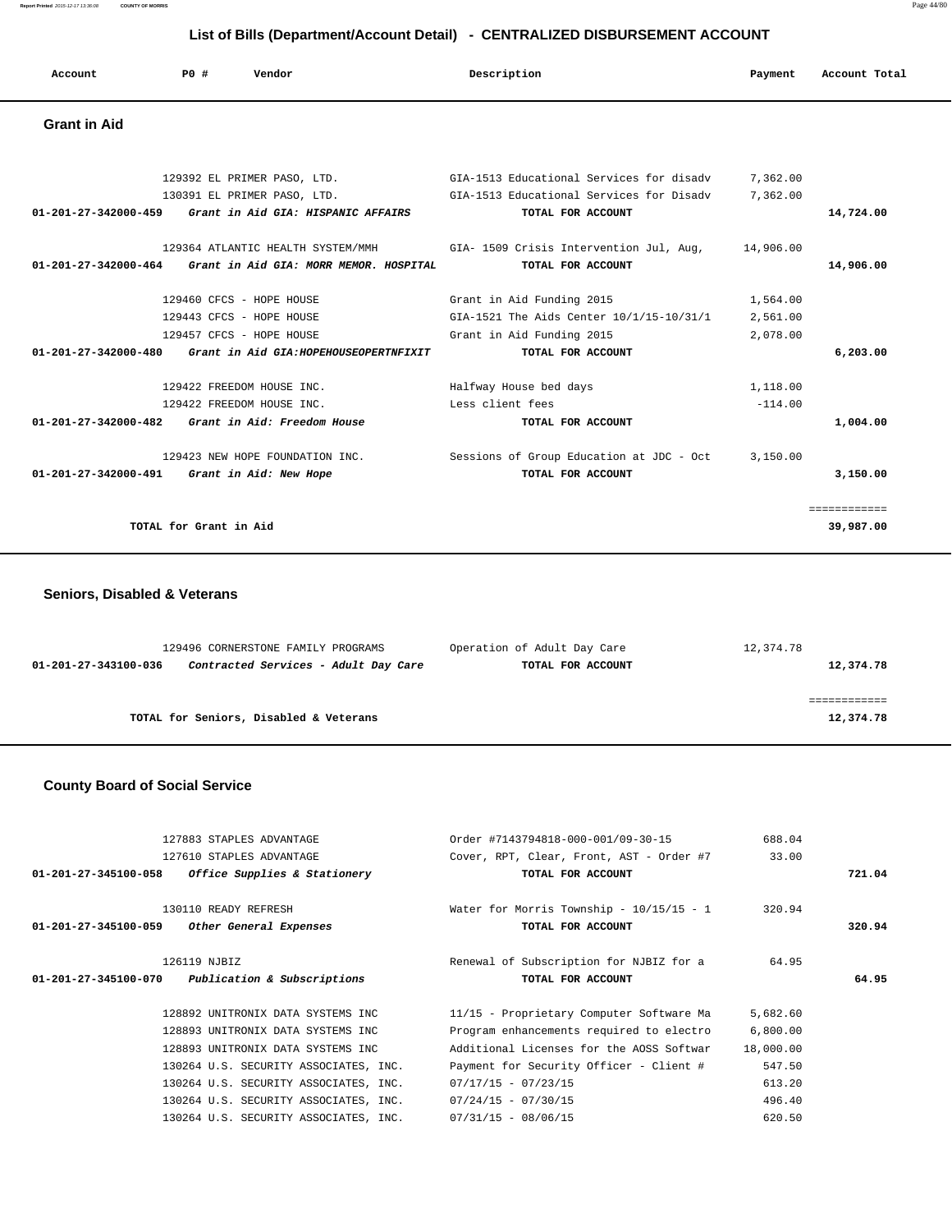| Account             | P0 # | Vendor | Description | Payment | Account Total |
|---------------------|------|--------|-------------|---------|---------------|
| <b>Grant in Aid</b> |      |        |             |         |               |

|                      |                                                             | 129392 EL PRIMER PASO, LTD. 61A-1513 Educational Services for disadv               | 7,362.00  |              |
|----------------------|-------------------------------------------------------------|------------------------------------------------------------------------------------|-----------|--------------|
|                      |                                                             | 130391 EL PRIMER PASO, LTD. 61A-1513 Educational Services for Disadv               | 7,362.00  |              |
| 01-201-27-342000-459 | Grant in Aid GIA: HISPANIC AFFAIRS                          | TOTAL FOR ACCOUNT                                                                  |           | 14,724.00    |
|                      |                                                             |                                                                                    |           |              |
|                      |                                                             | 129364 ATLANTIC HEALTH SYSTEM/MMH GIA-1509 Crisis Intervention Jul, Aug, 14,906.00 |           |              |
|                      | 01-201-27-342000-464 Grant in Aid GIA: MORR MEMOR. HOSPITAL | TOTAL FOR ACCOUNT                                                                  |           | 14,906.00    |
|                      |                                                             |                                                                                    |           |              |
|                      | 129460 CFCS - HOPE HOUSE                                    | Grant in Aid Funding 2015                                                          | 1,564.00  |              |
|                      | 129443 CFCS - HOPE HOUSE                                    | GIA-1521 The Aids Center 10/1/15-10/31/1                                           | 2,561.00  |              |
|                      | 129457 CFCS - HOPE HOUSE                                    | Grant in Aid Funding 2015                                                          | 2,078.00  |              |
| 01-201-27-342000-480 | Grant in Aid GIA:HOPEHOUSEOPERTNFIXIT                       | TOTAL FOR ACCOUNT                                                                  |           | 6,203.00     |
|                      | 129422 FREEDOM HOUSE INC.                                   | Halfway House bed days                                                             | 1,118.00  |              |
|                      | 129422 FREEDOM HOUSE INC.                                   | Less client fees                                                                   | $-114.00$ |              |
|                      | $01-201-27-342000-482$ Grant in Aid: Freedom House          | TOTAL FOR ACCOUNT                                                                  |           | 1,004.00     |
|                      |                                                             |                                                                                    |           |              |
|                      | 129423 NEW HOPE FOUNDATION INC.                             | Sessions of Group Education at JDC - Oct                                           | 3,150.00  |              |
|                      | 01-201-27-342000-491 Grant in Aid: New Hope                 | TOTAL FOR ACCOUNT                                                                  |           | 3,150.00     |
|                      |                                                             |                                                                                    |           | ============ |
|                      | TOTAL for Grant in Aid                                      |                                                                                    |           | 39,987.00    |
|                      |                                                             |                                                                                    |           |              |

## **Seniors, Disabled & Veterans**

|                      | 129496 CORNERSTONE FAMILY PROGRAMS     | Operation of Adult Day Care | 12,374.78 |
|----------------------|----------------------------------------|-----------------------------|-----------|
| 01-201-27-343100-036 | Contracted Services - Adult Day Care   | TOTAL FOR ACCOUNT           | 12,374.78 |
|                      |                                        |                             |           |
|                      |                                        |                             |           |
|                      | TOTAL for Seniors, Disabled & Veterans |                             | 12,374.78 |
|                      |                                        |                             |           |

# **County Board of Social Service**

|                                                    | 127883 STAPLES ADVANTAGE              | Order #7143794818-000-001/09-30-15 |                                              | 688.04    |        |
|----------------------------------------------------|---------------------------------------|------------------------------------|----------------------------------------------|-----------|--------|
|                                                    | 127610 STAPLES ADVANTAGE              |                                    | Cover, RPT, Clear, Front, AST - Order #7     | 33.00     |        |
| 01-201-27-345100-058 Office Supplies & Stationery  |                                       |                                    | TOTAL FOR ACCOUNT                            |           | 721.04 |
|                                                    | 130110 READY REFRESH                  |                                    | Water for Morris Township - $10/15/15$ - $1$ | 320.94    |        |
| $01 - 201 - 27 - 345100 - 059$                     | Other General Expenses                |                                    | TOTAL FOR ACCOUNT                            |           | 320.94 |
| 126119 NJBIZ                                       |                                       |                                    | Renewal of Subscription for NJBIZ for a      | 64.95     |        |
| $01-201-27-345100-070$ Publication & Subscriptions |                                       |                                    | TOTAL FOR ACCOUNT                            |           | 64.95  |
|                                                    | 128892 UNITRONIX DATA SYSTEMS INC     |                                    | 11/15 - Proprietary Computer Software Ma     | 5,682.60  |        |
|                                                    | 128893 UNITRONIX DATA SYSTEMS INC     |                                    | Program enhancements required to electro     | 6,800.00  |        |
|                                                    | 128893 UNITRONIX DATA SYSTEMS INC     |                                    | Additional Licenses for the AOSS Softwar     | 18,000.00 |        |
|                                                    | 130264 U.S. SECURITY ASSOCIATES, INC. |                                    | Payment for Security Officer - Client #      | 547.50    |        |
|                                                    | 130264 U.S. SECURITY ASSOCIATES, INC. | $07/17/15 - 07/23/15$              |                                              | 613.20    |        |
|                                                    | 130264 U.S. SECURITY ASSOCIATES, INC. | $07/24/15 - 07/30/15$              |                                              | 496.40    |        |
|                                                    | 130264 U.S. SECURITY ASSOCIATES, INC. | $07/31/15 - 08/06/15$              |                                              | 620.50    |        |
|                                                    |                                       |                                    |                                              |           |        |

**Report Printed** 2015-12-17 13:36:08 **COUNTY OF MORRIS** Page 44/80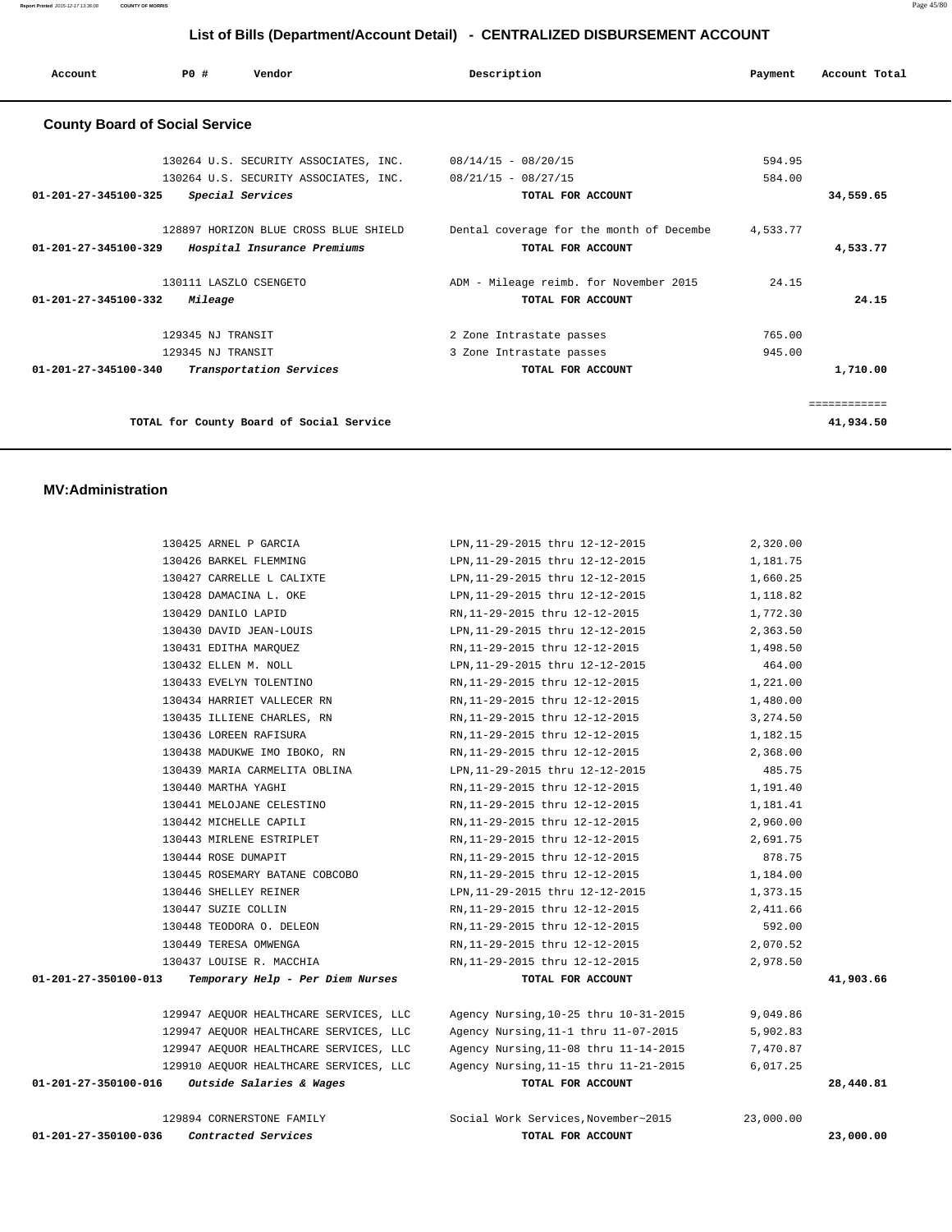| Account                               | Vendor<br>PO#                                                                 | Description                                                   | Payment          | Account Total             |
|---------------------------------------|-------------------------------------------------------------------------------|---------------------------------------------------------------|------------------|---------------------------|
| <b>County Board of Social Service</b> |                                                                               |                                                               |                  |                           |
|                                       | 130264 U.S. SECURITY ASSOCIATES, INC. 08/14/15 - 08/20/15                     |                                                               | 594.95           |                           |
| $01 - 201 - 27 - 345100 - 325$        | 130264 U.S. SECURITY ASSOCIATES, INC. 08/21/15 - 08/27/15<br>Special Services | TOTAL FOR ACCOUNT                                             | 584.00           | 34,559.65                 |
| 01-201-27-345100-329                  | 128897 HORIZON BLUE CROSS BLUE SHIELD<br>Hospital Insurance Premiums          | Dental coverage for the month of Decembe<br>TOTAL FOR ACCOUNT | 4,533.77         | 4,533.77                  |
| 01-201-27-345100-332                  | 130111 LASZLO CSENGETO<br>Mileage                                             | ADM - Mileage reimb. for November 2015<br>TOTAL FOR ACCOUNT   | 24.15            | 24.15                     |
|                                       | 129345 NJ TRANSIT<br>129345 NJ TRANSIT                                        | 2 Zone Intrastate passes<br>3 Zone Intrastate passes          | 765.00<br>945.00 |                           |
| 01-201-27-345100-340                  | Transportation Services                                                       | TOTAL FOR ACCOUNT                                             |                  | 1,710.00                  |
|                                       | TOTAL for County Board of Social Service                                      |                                                               |                  | ============<br>41,934.50 |

## **MV:Administration**

| Contracted Services<br>01-201-27-350100-036              | TOTAL FOR ACCOUNT                                                         |           | 23,000.00 |
|----------------------------------------------------------|---------------------------------------------------------------------------|-----------|-----------|
| 129894 CORNERSTONE FAMILY                                | Social Work Services, November~2015                                       | 23,000.00 |           |
| $01-201-27-350100-016$ Outside Salaries & Wages          | TOTAL FOR ACCOUNT                                                         |           | 28,440.81 |
| 129910 AEQUOR HEALTHCARE SERVICES, LLC                   | Agency Nursing, 11-15 thru 11-21-2015                                     | 6,017.25  |           |
| 129947 AEQUOR HEALTHCARE SERVICES, LLC                   | Agency Nursing, 11-08 thru 11-14-2015                                     | 7,470.87  |           |
| 129947 AEQUOR HEALTHCARE SERVICES, LLC                   | Agency Nursing, 11-1 thru 11-07-2015                                      | 5,902.83  |           |
| 129947 AEQUOR HEALTHCARE SERVICES, LLC                   | Agency Nursing, 10-25 thru 10-31-2015                                     | 9,049.86  |           |
|                                                          |                                                                           |           |           |
| 01-201-27-350100-013<br>Temporary Help - Per Diem Nurses | TOTAL FOR ACCOUNT                                                         |           | 41,903.66 |
| 130437 LOUISE R. MACCHIA                                 | RN,11-29-2015 thru 12-12-2015                                             | 2,978.50  |           |
| 130449 TERESA OMWENGA                                    | RN,11-29-2015 thru 12-12-2015                                             | 2,070.52  |           |
| 130448 TEODORA O. DELEON                                 | RN,11-29-2015 thru 12-12-2015                                             | 592.00    |           |
| 130447 SUZIE COLLIN                                      | RN,11-29-2015 thru 12-12-2015                                             | 2,411.66  |           |
| 130446 SHELLEY REINER                                    | LPN, 11-29-2015 thru 12-12-2015                                           | 1,373.15  |           |
| 130445 ROSEMARY BATANE COBCOBO                           | RN, 11-29-2015 thru 12-12-2015 1, 184.00                                  |           |           |
| 130444 ROSE DUMAPIT                                      | RN, 11-29-2015 thru 12-12-2015                                            | 878.75    |           |
| 130443 MIRLENE ESTRIPLET                                 | RN, 11-29-2015 thru 12-12-2015                                            | 2,691.75  |           |
| 130442 MICHELLE CAPILI                                   | RN, 11-29-2015 thru 12-12-2015                                            | 2,960.00  |           |
| 130441 MELOJANE CELESTINO                                | RN, 11-29-2015 thru 12-12-2015                                            | 1,181.41  |           |
| 130440 MARTHA YAGHI                                      | RN,11-29-2015 thru 12-12-2015                                             | 1,191.40  |           |
| 130439 MARIA CARMELITA OBLINA                            | LPN,11-29-2015 thru 12-12-2015                                            | 485.75    |           |
| 130436 LOREEN RAFISURA<br>130438 MADUKWE IMO IBOKO, RN   | RN, 11-29-2015 thru 12-12-2015 1, 182.15<br>RN,11-29-2015 thru 12-12-2015 | 2,368.00  |           |
| 130435 ILLIENE CHARLES, RN                               | RN,11-29-2015 thru 12-12-2015                                             | 3,274.50  |           |
| 130434 HARRIET VALLECER RN                               | RN,11-29-2015 thru 12-12-2015                                             | 1,480.00  |           |
| 130433 EVELYN TOLENTINO                                  | RN, 11-29-2015 thru 12-12-2015                                            | 1,221.00  |           |
| 130432 ELLEN M. NOLL                                     | LPN, 11-29-2015 thru 12-12-2015                                           | 464.00    |           |
| 130431 EDITHA MARQUEZ                                    | RN,11-29-2015 thru 12-12-2015                                             | 1,498.50  |           |
| 130430 DAVID JEAN-LOUIS                                  | LPN, 11-29-2015 thru 12-12-2015                                           | 2,363.50  |           |
| 130429 DANILO LAPID                                      | RN,11-29-2015 thru 12-12-2015                                             | 1,772.30  |           |
| 130428 DAMACINA L. OKE                                   | LPN,11-29-2015 thru 12-12-2015                                            | 1,118.82  |           |
| 130427 CARRELLE L CALIXTE                                | LPN, 11-29-2015 thru 12-12-2015                                           | 1,660.25  |           |
| 130426 BARKEL FLEMMING                                   | LPN, 11-29-2015 thru 12-12-2015                                           | 1,181.75  |           |
| 130425 ARNEL P GARCIA                                    | LPN, 11-29-2015 thru 12-12-2015                                           | 2,320.00  |           |
|                                                          |                                                                           |           |           |

**Report Printed** 2015-12-17 13:36:08 **COUNTY OF MORRIS** Page 45/80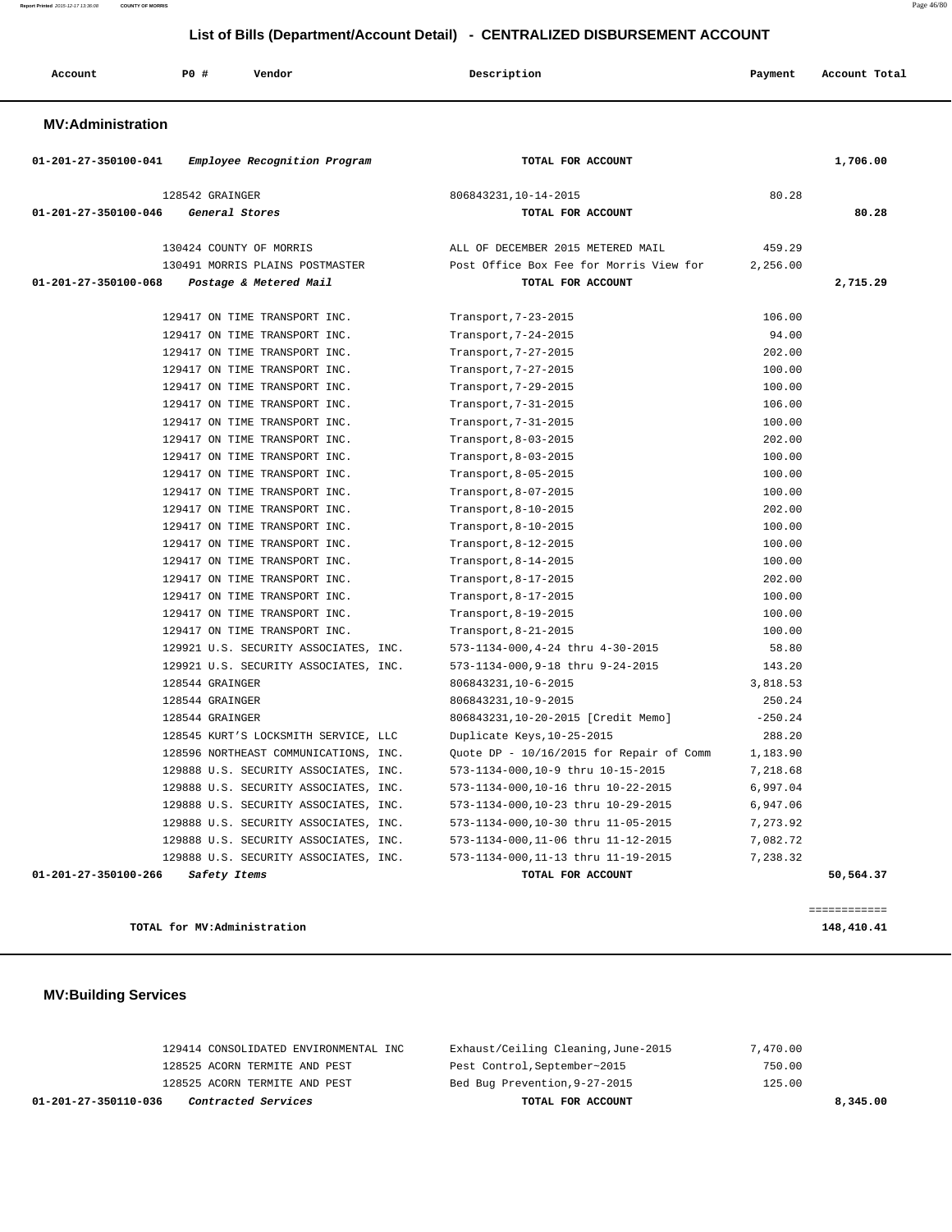**Report Printed** 2015-12-17 13:36:08 **COUNTY OF MORRIS** Page 46/80

# **List of Bills (Department/Account Detail) - CENTRALIZED DISBURSEMENT ACCOUNT**

| Account | <b>PO #</b> | Vendor | Description | Payment | Account Total |
|---------|-------------|--------|-------------|---------|---------------|
|         |             |        |             |         |               |

## **MV:Administration**

| 01-201-27-350100-041 | Employee Recognition Program          | TOTAL FOR ACCOUNT                        |           | 1,706.00  |
|----------------------|---------------------------------------|------------------------------------------|-----------|-----------|
|                      | 128542 GRAINGER                       | 806843231, 10-14-2015                    | 80.28     |           |
| 01-201-27-350100-046 | General Stores                        | TOTAL FOR ACCOUNT                        |           | 80.28     |
|                      |                                       |                                          |           |           |
|                      | 130424 COUNTY OF MORRIS               | ALL OF DECEMBER 2015 METERED MAIL        | 459.29    |           |
|                      | 130491 MORRIS PLAINS POSTMASTER       | Post Office Box Fee for Morris View for  | 2,256.00  |           |
| 01-201-27-350100-068 | Postage & Metered Mail                | TOTAL FOR ACCOUNT                        |           | 2,715.29  |
|                      | 129417 ON TIME TRANSPORT INC.         | Transport, 7-23-2015                     | 106.00    |           |
|                      | 129417 ON TIME TRANSPORT INC.         | Transport, 7-24-2015                     | 94.00     |           |
|                      | 129417 ON TIME TRANSPORT INC.         | Transport, 7-27-2015                     | 202.00    |           |
|                      | 129417 ON TIME TRANSPORT INC.         | Transport, 7-27-2015                     | 100.00    |           |
|                      | 129417 ON TIME TRANSPORT INC.         | Transport, 7-29-2015                     | 100.00    |           |
|                      | 129417 ON TIME TRANSPORT INC.         | Transport, 7-31-2015                     | 106.00    |           |
|                      | 129417 ON TIME TRANSPORT INC.         | Transport, 7-31-2015                     | 100.00    |           |
|                      | 129417 ON TIME TRANSPORT INC.         | Transport, 8-03-2015                     | 202.00    |           |
|                      | 129417 ON TIME TRANSPORT INC.         | Transport, 8-03-2015                     | 100.00    |           |
|                      | 129417 ON TIME TRANSPORT INC.         | Transport, 8-05-2015                     | 100.00    |           |
|                      | 129417 ON TIME TRANSPORT INC.         | Transport, 8-07-2015                     | 100.00    |           |
|                      | 129417 ON TIME TRANSPORT INC.         | Transport, 8-10-2015                     | 202.00    |           |
|                      | 129417 ON TIME TRANSPORT INC.         | Transport, 8-10-2015                     | 100.00    |           |
|                      | 129417 ON TIME TRANSPORT INC.         | Transport, 8-12-2015                     | 100.00    |           |
|                      | 129417 ON TIME TRANSPORT INC.         | Transport, 8-14-2015                     | 100.00    |           |
|                      | 129417 ON TIME TRANSPORT INC.         | Transport, 8-17-2015                     | 202.00    |           |
|                      | 129417 ON TIME TRANSPORT INC.         | Transport, 8-17-2015                     | 100.00    |           |
|                      | 129417 ON TIME TRANSPORT INC.         | Transport, 8-19-2015                     | 100.00    |           |
|                      | 129417 ON TIME TRANSPORT INC.         | Transport, 8-21-2015                     | 100.00    |           |
|                      | 129921 U.S. SECURITY ASSOCIATES, INC. | 573-1134-000,4-24 thru 4-30-2015         | 58.80     |           |
|                      | 129921 U.S. SECURITY ASSOCIATES, INC. | 573-1134-000,9-18 thru 9-24-2015         | 143.20    |           |
|                      | 128544 GRAINGER                       | 806843231, 10-6-2015                     | 3,818.53  |           |
|                      | 128544 GRAINGER                       | 806843231, 10-9-2015                     | 250.24    |           |
|                      | 128544 GRAINGER                       | 806843231,10-20-2015 [Credit Memo]       | $-250.24$ |           |
|                      | 128545 KURT'S LOCKSMITH SERVICE, LLC  | Duplicate Keys, 10-25-2015               | 288.20    |           |
|                      | 128596 NORTHEAST COMMUNICATIONS, INC. | Quote DP - 10/16/2015 for Repair of Comm | 1,183.90  |           |
|                      | 129888 U.S. SECURITY ASSOCIATES, INC. | 573-1134-000,10-9 thru 10-15-2015        | 7,218.68  |           |
|                      | 129888 U.S. SECURITY ASSOCIATES, INC. | 573-1134-000,10-16 thru 10-22-2015       | 6,997.04  |           |
|                      | 129888 U.S. SECURITY ASSOCIATES, INC. | 573-1134-000,10-23 thru 10-29-2015       | 6,947.06  |           |
|                      | 129888 U.S. SECURITY ASSOCIATES, INC. | 573-1134-000,10-30 thru 11-05-2015       | 7,273.92  |           |
|                      | 129888 U.S. SECURITY ASSOCIATES, INC. | 573-1134-000,11-06 thru 11-12-2015       | 7,082.72  |           |
|                      | 129888 U.S. SECURITY ASSOCIATES, INC. | 573-1134-000,11-13 thru 11-19-2015       | 7.238.32  |           |
| 01-201-27-350100-266 | Safety Items                          | TOTAL FOR ACCOUNT                        |           | 50,564.37 |

**TOTAL for MV:Administration 148,410.41**

# **MV:Building Services**

| 01-201-27-350110-036<br><i>Contracted Services</i> | TOTAL FOR ACCOUNT                   | 8,345.00 |
|----------------------------------------------------|-------------------------------------|----------|
| 128525 ACORN TERMITE AND PEST                      | Bed Bug Prevention, 9-27-2015       | 125.00   |
| 128525 ACORN TERMITE AND PEST                      | Pest Control, September~2015        | 750.00   |
| 129414 CONSOLIDATED ENVIRONMENTAL INC              | Exhaust/Ceiling Cleaning, June-2015 | 7,470.00 |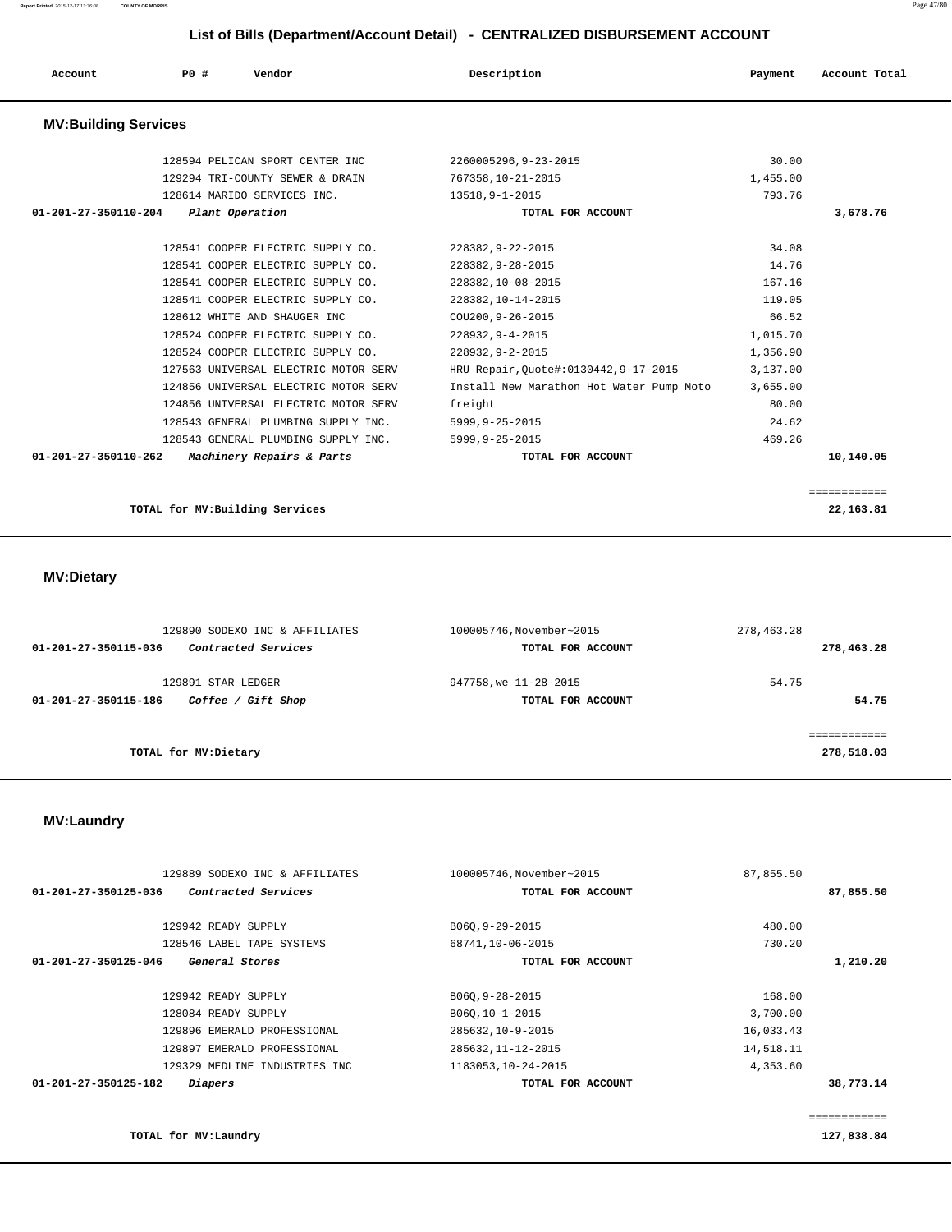**Report Printed** 2015-12-17 13:36:08 **COUNTY OF MORRIS** Page 47/80

# **List of Bills (Department/Account Detail) - CENTRALIZED DISBURSEMENT ACCOUNT**

| Account                     | Vendor<br>PO#                   | Description          | Account Total<br>Payment |
|-----------------------------|---------------------------------|----------------------|--------------------------|
| <b>MV:Building Services</b> |                                 |                      |                          |
|                             | 128594 PELICAN SPORT CENTER INC | 2260005296,9-23-2015 | 30.00                    |
|                             | 129294 TRI-COUNTY SEWER & DRAIN | 767358,10-21-2015    | 1,455.00                 |
|                             | 128614 MARIDO SERVICES INC.     | 13518,9-1-2015       | 793.76                   |
| 01-201-27-350110-204        | Plant Operation                 | TOTAL FOR ACCOUNT    | 3,678.76                 |

| $01 - 201 - 27 - 350110 - 262$ | Machinery Repairs & Parts            | TOTAL FOR ACCOUNT                        |          | 10,140.05 |
|--------------------------------|--------------------------------------|------------------------------------------|----------|-----------|
|                                | 128543 GENERAL PLUMBING SUPPLY INC.  | $5999.9 - 25 - 2015$                     | 469.26   |           |
|                                | 128543 GENERAL PLUMBING SUPPLY INC.  | $5999.9 - 25 - 2015$                     | 24.62    |           |
|                                | 124856 UNIVERSAL ELECTRIC MOTOR SERV | freight                                  | 80.00    |           |
|                                | 124856 UNIVERSAL ELECTRIC MOTOR SERV | Install New Marathon Hot Water Pump Moto | 3,655.00 |           |
|                                | 127563 UNIVERSAL ELECTRIC MOTOR SERV | HRU Repair, Ouote#:0130442, 9-17-2015    | 3,137.00 |           |
|                                | 128524 COOPER ELECTRIC SUPPLY CO.    | 228932, 9-2-2015                         | 1,356.90 |           |
|                                | 128524 COOPER ELECTRIC SUPPLY CO.    | 228932, 9-4-2015                         | 1,015.70 |           |
|                                | 128612 WHITE AND SHAUGER INC         | COU200, 9-26-2015                        | 66.52    |           |
|                                | 128541 COOPER ELECTRIC SUPPLY CO.    | 228382, 10-14-2015                       | 119.05   |           |
|                                | 128541 COOPER ELECTRIC SUPPLY CO.    | 228382, 10-08-2015                       | 167.16   |           |
|                                | 128541 COOPER ELECTRIC SUPPLY CO.    | 228382, 9-28-2015                        | 14.76    |           |
|                                | 128541 COOPER ELECTRIC SUPPLY CO.    | 228382, 9-22-2015                        | 34.08    |           |
|                                |                                      |                                          |          |           |

============

**TOTAL for MV:Building Services 22,163.81**

# **MV:Dietary**

|                      | 129890 SODEXO INC & AFFILIATES | 100005746, November~2015 | 278,463.28   |
|----------------------|--------------------------------|--------------------------|--------------|
| 01-201-27-350115-036 | Contracted Services            | TOTAL FOR ACCOUNT        | 278,463.28   |
|                      | 129891 STAR LEDGER             | 947758, we 11-28-2015    | 54.75        |
| 01-201-27-350115-186 | Coffee / Gift Shop             | TOTAL FOR ACCOUNT        | 54.75        |
|                      |                                |                          | .=========== |
|                      | TOTAL for MV: Dietary          |                          | 278,518.03   |
|                      |                                |                          |              |

# **MV:Laundry**

| 129889 SODEXO INC & AFFILIATES              | 100005746, November~2015 | 87,855.50 |              |
|---------------------------------------------|--------------------------|-----------|--------------|
| 01-201-27-350125-036<br>Contracted Services | TOTAL FOR ACCOUNT        |           | 87,855.50    |
|                                             |                          |           |              |
| 129942 READY SUPPLY                         | B060, 9-29-2015          | 480.00    |              |
| 128546 LABEL TAPE SYSTEMS                   | 68741,10-06-2015         | 730.20    |              |
| 01-201-27-350125-046<br>General Stores      | TOTAL FOR ACCOUNT        |           | 1,210.20     |
|                                             |                          |           |              |
| 129942 READY SUPPLY                         | B060, 9-28-2015          | 168.00    |              |
| 128084 READY SUPPLY                         | B060,10-1-2015           | 3,700.00  |              |
| 129896 EMERALD PROFESSIONAL                 | 285632, 10-9-2015        | 16,033.43 |              |
| 129897 EMERALD PROFESSIONAL                 | 285632, 11-12-2015       | 14,518.11 |              |
| 129329 MEDLINE INDUSTRIES INC               | 1183053, 10-24-2015      | 4,353.60  |              |
| 01-201-27-350125-182<br><i>Diapers</i>      | TOTAL FOR ACCOUNT        |           | 38,773.14    |
|                                             |                          |           |              |
|                                             |                          |           | :=========== |

**TOTAL for MV:Laundry 127,838.84**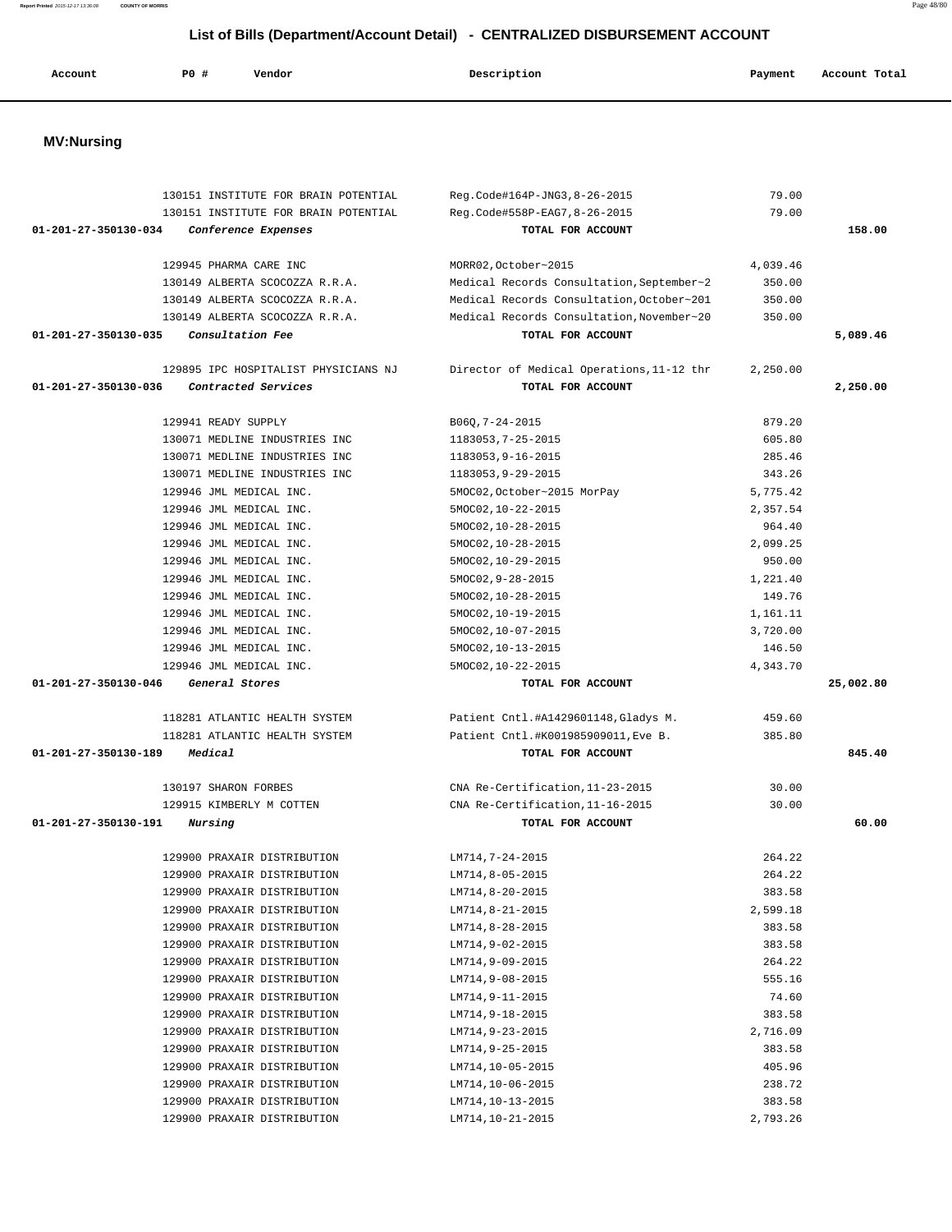| Account              | P0 #                 | Vendor                                                     | Description                               | Payment          | Account Total |
|----------------------|----------------------|------------------------------------------------------------|-------------------------------------------|------------------|---------------|
|                      |                      |                                                            |                                           |                  |               |
| <b>MV:Nursing</b>    |                      |                                                            |                                           |                  |               |
|                      |                      | 130151 INSTITUTE FOR BRAIN POTENTIAL                       | Reg.Code#164P-JNG3,8-26-2015              | 79.00            |               |
|                      |                      | 130151 INSTITUTE FOR BRAIN POTENTIAL                       | Reg.Code#558P-EAG7,8-26-2015              | 79.00            |               |
| 01-201-27-350130-034 |                      | Conference Expenses                                        | TOTAL FOR ACCOUNT                         |                  | 158.00        |
|                      |                      | 129945 PHARMA CARE INC                                     | MORR02, October~2015                      | 4,039.46         |               |
|                      |                      | 130149 ALBERTA SCOCOZZA R.R.A.                             | Medical Records Consultation, September~2 | 350.00           |               |
|                      |                      | 130149 ALBERTA SCOCOZZA R.R.A.                             | Medical Records Consultation, October~201 | 350.00           |               |
|                      |                      | 130149 ALBERTA SCOCOZZA R.R.A.                             | Medical Records Consultation, November~20 | 350.00           |               |
| 01-201-27-350130-035 |                      | Consultation Fee                                           | TOTAL FOR ACCOUNT                         |                  | 5,089.46      |
|                      |                      | 129895 IPC HOSPITALIST PHYSICIANS NJ                       | Director of Medical Operations, 11-12 thr | 2,250.00         |               |
| 01-201-27-350130-036 |                      | Contracted Services                                        | TOTAL FOR ACCOUNT                         |                  | 2,250.00      |
|                      | 129941 READY SUPPLY  |                                                            | $B06Q, 7 - 24 - 2015$                     | 879.20           |               |
|                      |                      | 130071 MEDLINE INDUSTRIES INC                              | 1183053, 7-25-2015                        | 605.80           |               |
|                      |                      | 130071 MEDLINE INDUSTRIES INC                              | 1183053, 9-16-2015                        | 285.46           |               |
|                      |                      | 130071 MEDLINE INDUSTRIES INC                              | 1183053, 9-29-2015                        | 343.26           |               |
|                      |                      | 129946 JML MEDICAL INC.                                    | 5MOC02, October~2015 MorPay               | 5,775.42         |               |
|                      |                      | 129946 JML MEDICAL INC.                                    | 5MOC02, 10-22-2015                        | 2,357.54         |               |
|                      |                      | 129946 JML MEDICAL INC.                                    | 5MOC02, 10-28-2015                        | 964.40           |               |
|                      |                      | 129946 JML MEDICAL INC.                                    | 5MOC02, 10-28-2015                        | 2,099.25         |               |
|                      |                      | 129946 JML MEDICAL INC.                                    | 5MOC02, 10-29-2015                        | 950.00           |               |
|                      |                      | 129946 JML MEDICAL INC.                                    | $5MOC02, 9-28-2015$                       | 1,221.40         |               |
|                      |                      | 129946 JML MEDICAL INC.                                    | 5MOC02, 10-28-2015                        | 149.76           |               |
|                      |                      | 129946 JML MEDICAL INC.                                    | 5MOC02, 10-19-2015                        | 1,161.11         |               |
|                      |                      | 129946 JML MEDICAL INC.                                    | 5MOC02,10-07-2015                         | 3,720.00         |               |
|                      |                      | 129946 JML MEDICAL INC.                                    | 5MOC02, 10-13-2015                        | 146.50           |               |
|                      |                      | 129946 JML MEDICAL INC.                                    | 5MOC02,10-22-2015                         | 4,343.70         |               |
| 01-201-27-350130-046 |                      | General Stores                                             | TOTAL FOR ACCOUNT                         |                  | 25,002.80     |
|                      |                      | 118281 ATLANTIC HEALTH SYSTEM                              | Patient Cntl.#A1429601148,Gladys M.       | 459.60           |               |
|                      |                      | 118281 ATLANTIC HEALTH SYSTEM                              | Patient Cntl.#K001985909011, Eve B.       | 385.80           |               |
| 01-201-27-350130-189 | Medical              |                                                            | TOTAL FOR ACCOUNT                         |                  | 845.40        |
|                      | 130197 SHARON FORBES |                                                            | CNA Re-Certification, 11-23-2015          | 30.00            |               |
|                      |                      | 129915 KIMBERLY M COTTEN                                   | CNA Re-Certification.11-16-2015           | 30.00            |               |
| 01-201-27-350130-191 | <i>Nursing</i>       |                                                            | TOTAL FOR ACCOUNT                         |                  | 60.00         |
|                      |                      | 129900 PRAXAIR DISTRIBUTION                                | LM714,7-24-2015                           | 264.22           |               |
|                      |                      | 129900 PRAXAIR DISTRIBUTION                                | LM714,8-05-2015                           | 264.22           |               |
|                      |                      | 129900 PRAXAIR DISTRIBUTION                                | LM714,8-20-2015                           | 383.58           |               |
|                      |                      | 129900 PRAXAIR DISTRIBUTION                                | $LM714, 8-21-2015$                        | 2,599.18         |               |
|                      |                      | 129900 PRAXAIR DISTRIBUTION                                | LM714,8-28-2015                           | 383.58           |               |
|                      |                      | 129900 PRAXAIR DISTRIBUTION                                | LM714,9-02-2015                           | 383.58           |               |
|                      |                      | 129900 PRAXAIR DISTRIBUTION                                | LM714,9-09-2015                           | 264.22           |               |
|                      |                      | 129900 PRAXAIR DISTRIBUTION                                | LM714,9-08-2015                           | 555.16           |               |
|                      |                      | 129900 PRAXAIR DISTRIBUTION                                | LM714,9-11-2015                           | 74.60            |               |
|                      |                      | 129900 PRAXAIR DISTRIBUTION                                | LM714,9-18-2015                           | 383.58           |               |
|                      |                      | 129900 PRAXAIR DISTRIBUTION                                | LM714, 9-23-2015                          | 2,716.09         |               |
|                      |                      | 129900 PRAXAIR DISTRIBUTION                                | LM714,9-25-2015                           | 383.58           |               |
|                      |                      | 129900 PRAXAIR DISTRIBUTION<br>129900 PRAXAIR DISTRIBUTION | LM714,10-05-2015<br>LM714,10-06-2015      | 405.96<br>238.72 |               |
|                      |                      |                                                            |                                           |                  |               |

 129900 PRAXAIR DISTRIBUTION LM714,10-13-2015 383.58 129900 PRAXAIR DISTRIBUTION LM714,10-21-2015 2,793.26

**Report Printed** 2015-12-17 13:36:08 **COUNTY OF MORRIS** Page 48/80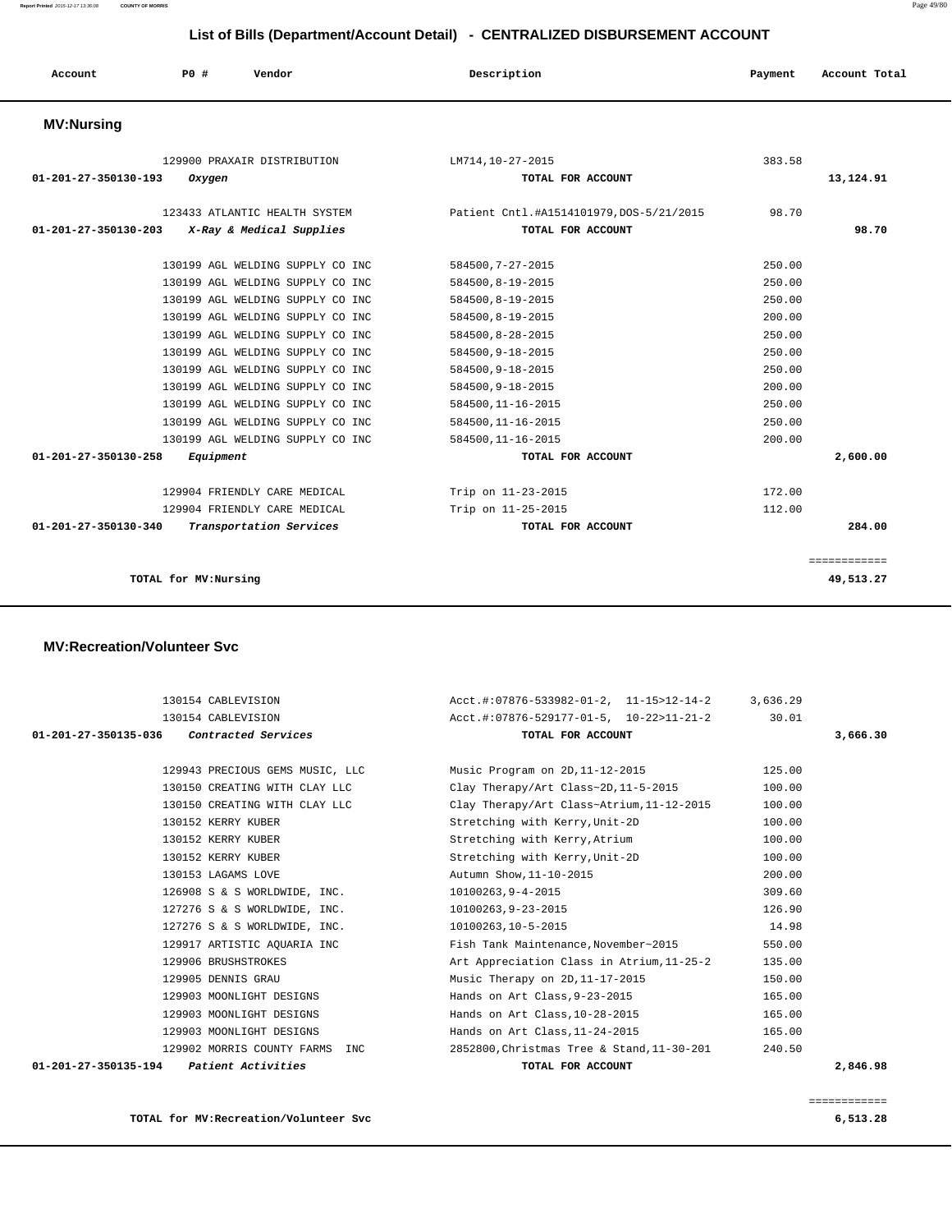**Report Printed** 2015-12-17 13:36:08 **COUNTY OF MORRIS** Page 49/80

| Account              | PO#       | Vendor                           | Description                              | Payment | Account Total |
|----------------------|-----------|----------------------------------|------------------------------------------|---------|---------------|
| <b>MV:Nursing</b>    |           |                                  |                                          |         |               |
|                      |           | 129900 PRAXAIR DISTRIBUTION      | LM714,10-27-2015                         | 383.58  |               |
| 01-201-27-350130-193 | Oxygen    |                                  | TOTAL FOR ACCOUNT                        |         | 13,124.91     |
|                      |           | 123433 ATLANTIC HEALTH SYSTEM    | Patient Cntl.#A1514101979, DOS-5/21/2015 | 98.70   |               |
| 01-201-27-350130-203 |           | X-Ray & Medical Supplies         | TOTAL FOR ACCOUNT                        |         | 98.70         |
|                      |           | 130199 AGL WELDING SUPPLY CO INC | 584500, 7-27-2015                        | 250.00  |               |
|                      |           | 130199 AGL WELDING SUPPLY CO INC | 584500, 8-19-2015                        | 250.00  |               |
|                      |           | 130199 AGL WELDING SUPPLY CO INC | 584500, 8-19-2015                        | 250.00  |               |
|                      |           | 130199 AGL WELDING SUPPLY CO INC | 584500, 8-19-2015                        | 200.00  |               |
|                      |           | 130199 AGL WELDING SUPPLY CO INC | 584500, 8-28-2015                        | 250.00  |               |
|                      |           | 130199 AGL WELDING SUPPLY CO INC | 584500, 9-18-2015                        | 250.00  |               |
|                      |           | 130199 AGL WELDING SUPPLY CO INC | 584500, 9-18-2015                        | 250.00  |               |
|                      |           | 130199 AGL WELDING SUPPLY CO INC | 584500, 9-18-2015                        | 200.00  |               |
|                      |           | 130199 AGL WELDING SUPPLY CO INC | 584500, 11-16-2015                       | 250.00  |               |
|                      |           | 130199 AGL WELDING SUPPLY CO INC | 584500, 11-16-2015                       | 250.00  |               |
|                      |           | 130199 AGL WELDING SUPPLY CO INC | 584500, 11-16-2015                       | 200.00  |               |
| 01-201-27-350130-258 | Equipment |                                  | TOTAL FOR ACCOUNT                        |         | 2,600.00      |
|                      |           | 129904 FRIENDLY CARE MEDICAL     | Trip on 11-23-2015                       | 172.00  |               |
|                      |           | 129904 FRIENDLY CARE MEDICAL     | Trip on 11-25-2015                       | 112.00  |               |
| 01-201-27-350130-340 |           | Transportation Services          | TOTAL FOR ACCOUNT                        |         | 284.00        |

#### **TOTAL for MV:Nursing 49,513.27**

## **MV:Recreation/Volunteer Svc**

| 130154 CABLEVISION                         | $Acct.$ #:07876-533982-01-2, 11-15>12-14-2 3,636.29 |          |
|--------------------------------------------|-----------------------------------------------------|----------|
| 130154 CABLEVISION                         | Acct.#:07876-529177-01-5, 10-22>11-21-2             | 30.01    |
| 01-201-27-350135-036 Contracted Services   | TOTAL FOR ACCOUNT                                   | 3,666.30 |
|                                            |                                                     |          |
| 129943 PRECIOUS GEMS MUSIC, LLC            | Music Program on 2D, 11-12-2015                     | 125.00   |
| 130150 CREATING WITH CLAY LLC              | Clay Therapy/Art Class~2D, 11-5-2015                | 100.00   |
| 130150 CREATING WITH CLAY LLC              | Clay Therapy/Art Class~Atrium, 11-12-2015           | 100.00   |
| 130152 KERRY KUBER                         | Stretching with Kerry, Unit-2D                      | 100.00   |
| 130152 KERRY KUBER                         | Stretching with Kerry, Atrium                       | 100.00   |
| 130152 KERRY KUBER                         | Stretching with Kerry, Unit-2D                      | 100.00   |
| 130153 LAGAMS LOVE                         | Autumn Show, 11-10-2015                             | 200.00   |
| 126908 S & S WORLDWIDE, INC.               | 10100263,9-4-2015                                   | 309.60   |
| 127276 S & S WORLDWIDE, INC.               | 10100263.9-23-2015                                  | 126.90   |
| 127276 S & S WORLDWIDE, INC.               | 10100263,10-5-2015                                  | 14.98    |
| 129917 ARTISTIC AQUARIA INC                | Fish Tank Maintenance, November~2015                | 550.00   |
| 129906 BRUSHSTROKES                        | Art Appreciation Class in Atrium, 11-25-2           | 135.00   |
| 129905 DENNIS GRAU                         | Music Therapy on 2D, 11-17-2015                     | 150.00   |
| 129903 MOONLIGHT DESIGNS                   | Hands on Art Class, 9-23-2015                       | 165.00   |
| 129903 MOONLIGHT DESIGNS                   | Hands on Art Class, 10-28-2015                      | 165.00   |
| 129903 MOONLIGHT DESIGNS                   | Hands on Art Class, $11-24-2015$                    | 165.00   |
| 129902 MORRIS COUNTY FARMS INC             | 2852800, Christmas Tree & Stand, 11-30-201          | 240.50   |
| 01-201-27-350135-194<br>Patient Activities | TOTAL FOR ACCOUNT                                   | 2,846.98 |
|                                            |                                                     |          |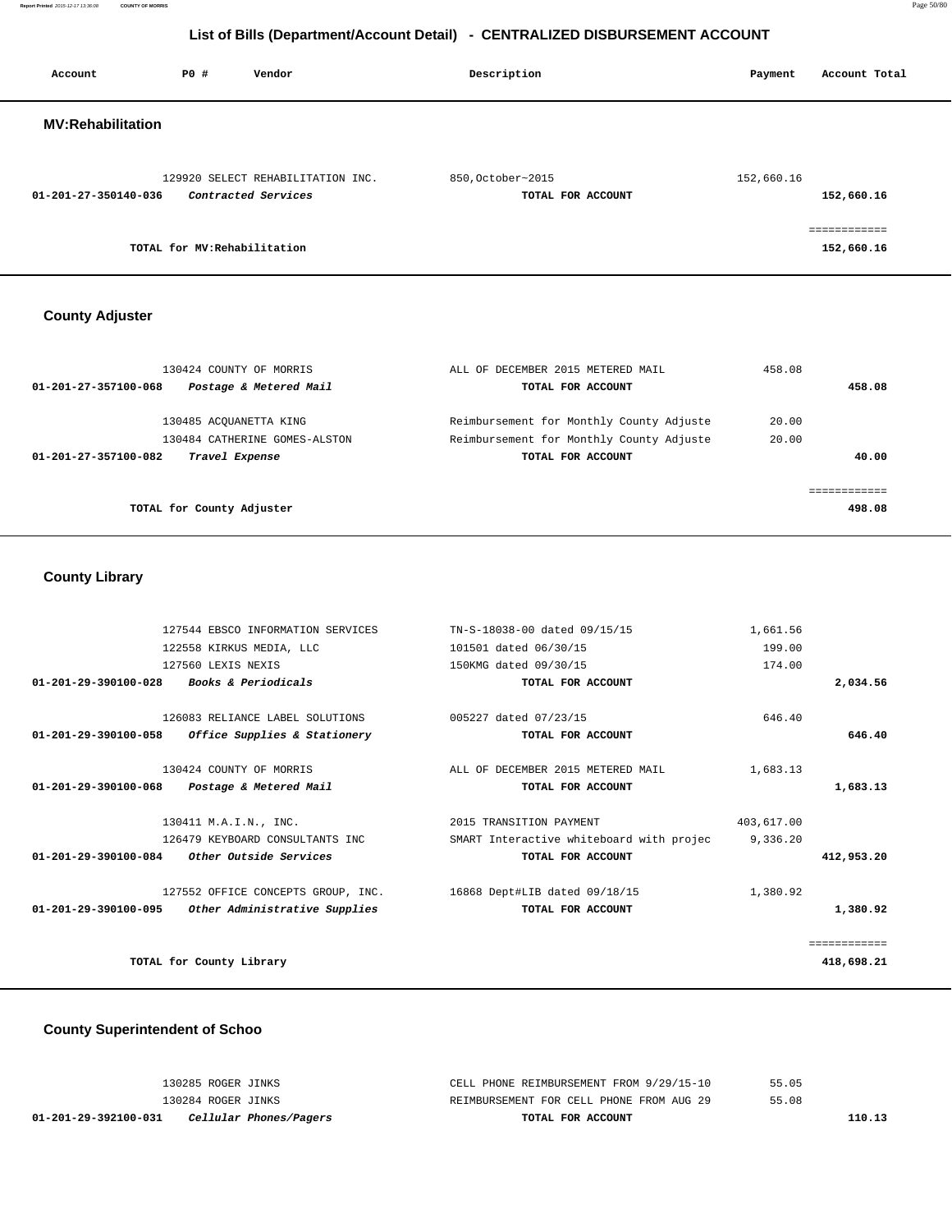**Report Printed** 2015-12-17 13:36:08 **COUNTY OF MORRIS** Page 50/80

# **List of Bills (Department/Account Detail) - CENTRALIZED DISBURSEMENT ACCOUNT**

| Account                  | P0#                          | Vendor                                                   | Description       |                   | Payment    | Account Total              |
|--------------------------|------------------------------|----------------------------------------------------------|-------------------|-------------------|------------|----------------------------|
| <b>MV:Rehabilitation</b> |                              |                                                          |                   |                   |            |                            |
| 01-201-27-350140-036     |                              | 129920 SELECT REHABILITATION INC.<br>Contracted Services | 850, October~2015 | TOTAL FOR ACCOUNT | 152,660.16 | 152,660.16                 |
|                          | TOTAL for MV: Rehabilitation |                                                          |                   |                   |            | eessessesses<br>152,660.16 |

# **County Adjuster**

| 130424 COUNTY OF MORRIS<br>Postage & Metered Mail<br>01-201-27-357100-068 | ALL OF DECEMBER 2015 METERED MAIL<br>TOTAL FOR ACCOUNT                               | 458.08<br>458.08 |
|---------------------------------------------------------------------------|--------------------------------------------------------------------------------------|------------------|
| 130485 ACOUANETTA KING<br>130484 CATHERINE GOMES-ALSTON                   | Reimbursement for Monthly County Adjuste<br>Reimbursement for Monthly County Adjuste | 20.00<br>20.00   |
| 01-201-27-357100-082<br>Travel Expense                                    | TOTAL FOR ACCOUNT                                                                    | 40.00            |
| TOTAL for County Adjuster                                                 |                                                                                      | 498.08           |

# **County Library**

|              | 1,661.56   | TN-S-18038-00 dated 09/15/15             | 127544 EBSCO INFORMATION SERVICES                 |                                |
|--------------|------------|------------------------------------------|---------------------------------------------------|--------------------------------|
|              | 199.00     | 101501 dated 06/30/15                    | 122558 KIRKUS MEDIA, LLC                          |                                |
|              | 174.00     | 150KMG dated 09/30/15                    | 127560 LEXIS NEXIS                                |                                |
| 2,034.56     |            | TOTAL FOR ACCOUNT                        | <i>Books &amp; Periodicals</i>                    | $01 - 201 - 29 - 390100 - 028$ |
|              |            |                                          |                                                   |                                |
|              | 646.40     | 005227 dated 07/23/15                    | 126083 RELIANCE LABEL SOLUTIONS                   |                                |
| 646.40       |            | TOTAL FOR ACCOUNT                        | 01-201-29-390100-058 Office Supplies & Stationery |                                |
|              | 1,683.13   | ALL OF DECEMBER 2015 METERED MAIL        | 130424 COUNTY OF MORRIS                           |                                |
| 1,683.13     |            | TOTAL FOR ACCOUNT                        | Postage & Metered Mail                            | $01 - 201 - 29 - 390100 - 068$ |
|              | 403,617.00 | 2015 TRANSITION PAYMENT                  | 130411 M.A.I.N., INC.                             |                                |
|              | 9,336.20   | SMART Interactive whiteboard with projec | 126479 KEYBOARD CONSULTANTS INC                   |                                |
| 412,953.20   |            | TOTAL FOR ACCOUNT                        | <i>Other Outside Services</i>                     | 01-201-29-390100-084           |
|              | 1,380.92   | 16868 Dept#LIB dated 09/18/15            | 127552 OFFICE CONCEPTS GROUP, INC.                |                                |
| 1,380.92     |            | TOTAL FOR ACCOUNT                        | Other Administrative Supplies                     | 01-201-29-390100-095           |
| ============ |            |                                          |                                                   |                                |
|              |            |                                          |                                                   |                                |
| 418,698.21   |            |                                          | TOTAL for County Library                          |                                |

# **County Superintendent of Schoo**

| 01-201-29-392100-031 | Cellular Phones/Pagers | TOTAL FOR ACCOUNT                        |       | 110.13 |
|----------------------|------------------------|------------------------------------------|-------|--------|
|                      | 130284 ROGER JINKS     | REIMBURSEMENT FOR CELL PHONE FROM AUG 29 | 55.08 |        |
|                      | 130285 ROGER JINKS     | CELL PHONE REIMBURSEMENT FROM 9/29/15-10 | 55.05 |        |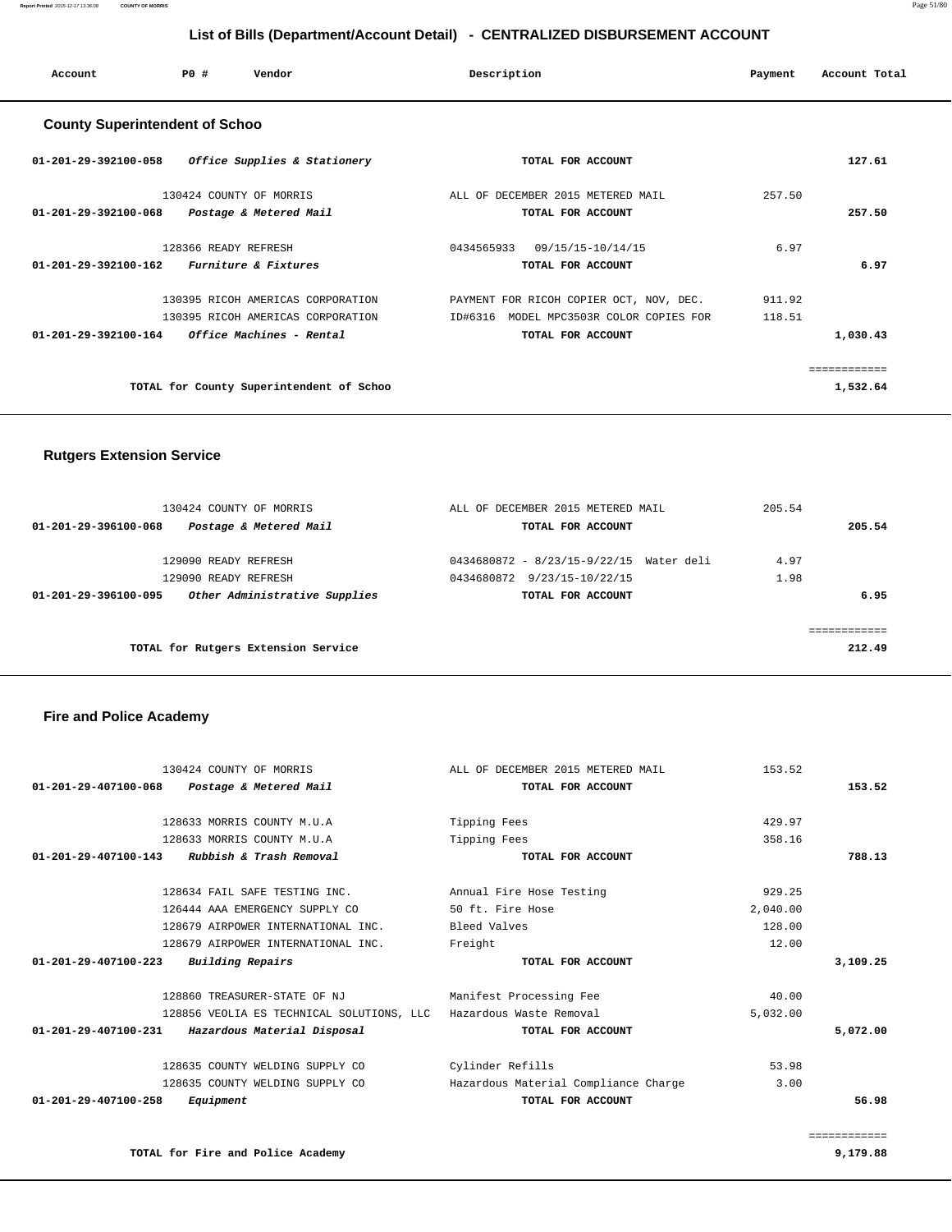|                                | 130424 COUNTY OF MORRIS                                           | ALL OF DECEMBER 2015 METERED MAIL    | 153.52   |              |
|--------------------------------|-------------------------------------------------------------------|--------------------------------------|----------|--------------|
| $01 - 201 - 29 - 407100 - 068$ | Postage & Metered Mail                                            | TOTAL FOR ACCOUNT                    |          | 153.52       |
|                                | 128633 MORRIS COUNTY M.U.A                                        | Tipping Fees                         | 429.97   |              |
|                                | 128633 MORRIS COUNTY M.U.A                                        | Tipping Fees                         | 358.16   |              |
| $01 - 201 - 29 - 407100 - 143$ | Rubbish & Trash Removal                                           | TOTAL FOR ACCOUNT                    |          | 788.13       |
|                                | 128634 FAIL SAFE TESTING INC.                                     | Annual Fire Hose Testing             | 929.25   |              |
|                                | 126444 AAA EMERGENCY SUPPLY CO                                    | 50 ft. Fire Hose                     | 2,040.00 |              |
|                                | 128679 AIRPOWER INTERNATIONAL INC.                                | Bleed Valves                         | 128.00   |              |
|                                | 128679 AIRPOWER INTERNATIONAL INC.                                | Freight                              | 12.00    |              |
| $01 - 201 - 29 - 407100 - 223$ | Building Repairs                                                  | TOTAL FOR ACCOUNT                    |          | 3,109.25     |
|                                | 128860 TREASURER-STATE OF NJ                                      | Manifest Processing Fee              | 40.00    |              |
|                                | 128856 VEOLIA ES TECHNICAL SOLUTIONS, LLC Hazardous Waste Removal |                                      | 5,032.00 |              |
| 01-201-29-407100-231           | Hazardous Material Disposal                                       | TOTAL FOR ACCOUNT                    |          | 5,072.00     |
|                                | 128635 COUNTY WELDING SUPPLY CO                                   | Cylinder Refills                     | 53.98    |              |
|                                | 128635 COUNTY WELDING SUPPLY CO                                   | Hazardous Material Compliance Charge | 3.00     |              |
| 01-201-29-407100-258           | Equipment                                                         | TOTAL FOR ACCOUNT                    |          | 56.98        |
|                                |                                                                   |                                      |          | ============ |
|                                | TOTAL for Fire and Police Academy                                 |                                      |          | 9,179.88     |

## **Fire and Police Academy**

| 130424 COUNTY OF MORRIS<br>Postage & Metered Mail<br>01-201-29-396100-068                             | ALL OF DECEMBER 2015 METERED MAIL<br>TOTAL FOR ACCOUNT                                      | 205.54<br>205.54     |
|-------------------------------------------------------------------------------------------------------|---------------------------------------------------------------------------------------------|----------------------|
| 129090 READY REFRESH<br>129090 READY REFRESH<br>Other Administrative Supplies<br>01-201-29-396100-095 | 0434680872 - 8/23/15-9/22/15 Water deli<br>0434680872 9/23/15-10/22/15<br>TOTAL FOR ACCOUNT | 4.97<br>1.98<br>6.95 |
| TOTAL for Rutgers Extension Service                                                                   |                                                                                             | 212.49               |

# **Rutgers Extension Service**

| 127.61   |        | TOTAL FOR ACCOUNT                          | Office Supplies & Stationery<br>01-201-29-392100-058       |
|----------|--------|--------------------------------------------|------------------------------------------------------------|
|          | 257.50 | ALL OF DECEMBER 2015 METERED MAIL          | 130424 COUNTY OF MORRIS                                    |
| 257.50   |        | TOTAL FOR ACCOUNT                          | 01-201-29-392100-068<br>Postage & Metered Mail             |
|          | 6.97   | 09/15/15-10/14/15<br>0434565933            | 128366 READY REFRESH                                       |
| 6.97     |        | TOTAL FOR ACCOUNT                          | 01-201-29-392100-162<br>Furniture & Fixtures               |
|          | 911.92 | PAYMENT FOR RICOH COPIER OCT, NOV, DEC.    | 130395 RICOH AMERICAS CORPORATION                          |
|          | 118.51 | MODEL MPC3503R COLOR COPIES FOR<br>ID#6316 | 130395 RICOH AMERICAS CORPORATION                          |
| 1,030.43 |        | TOTAL FOR ACCOUNT                          | $01 - 201 - 29 - 392100 - 164$<br>Office Machines - Rental |

# **List of Bills (Department/Account Detail) - CENTRALIZED DISBURSEMENT ACCOUNT**

 **Account P0 # Vendor Description Payment Account Total**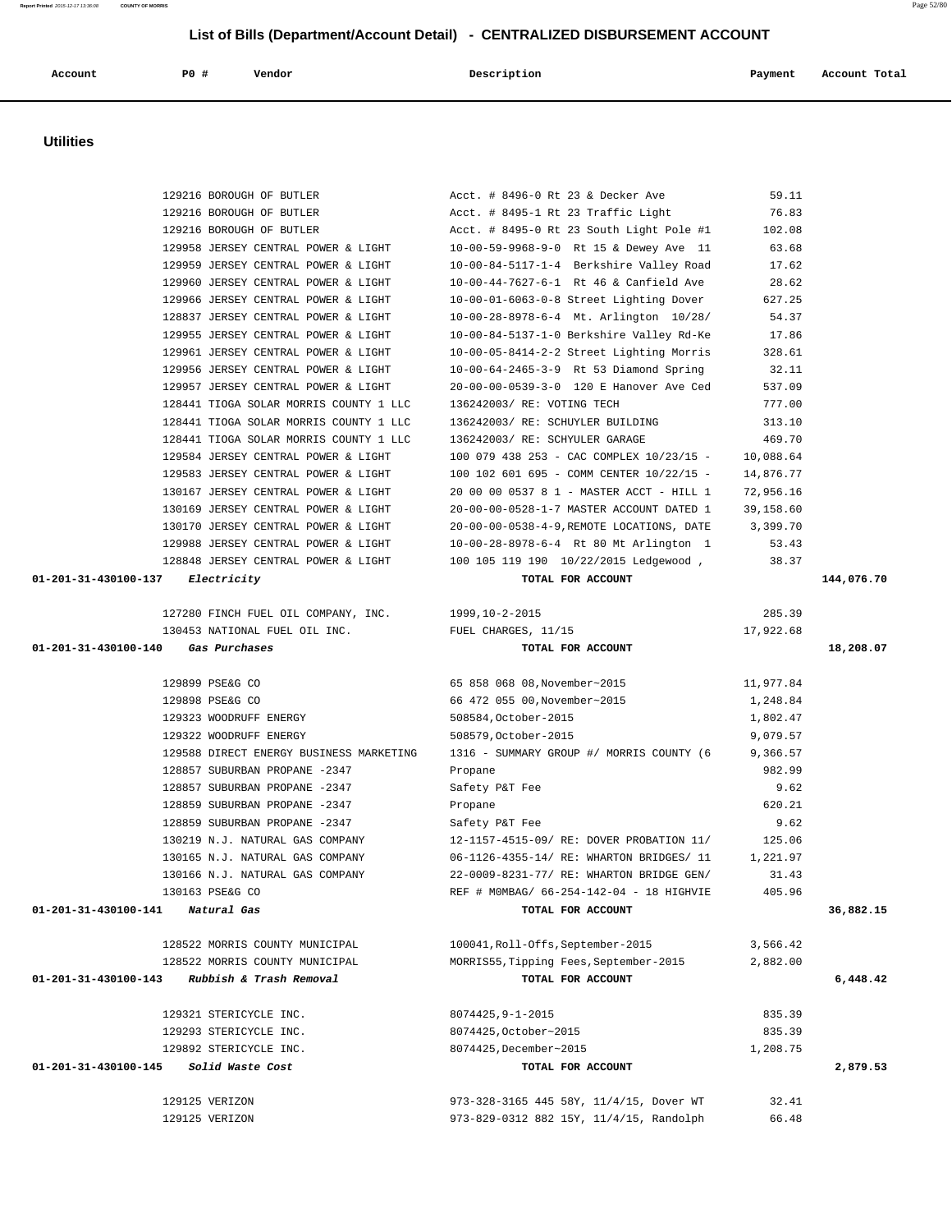| <b>Utilities</b>                 |                                                  |                                                 |                    |            |
|----------------------------------|--------------------------------------------------|-------------------------------------------------|--------------------|------------|
|                                  |                                                  |                                                 |                    |            |
|                                  | 129216 BOROUGH OF BUTLER                         | Acct. # 8496-0 Rt 23 & Decker Ave               | 59.11              |            |
|                                  | 129216 BOROUGH OF BUTLER                         | Acct. # 8495-1 Rt 23 Traffic Light              | 76.83              |            |
|                                  | 129216 BOROUGH OF BUTLER                         | Acct. # 8495-0 Rt 23 South Light Pole #1        | 102.08             |            |
|                                  | 129958 JERSEY CENTRAL POWER & LIGHT              | 10-00-59-9968-9-0 Rt 15 & Dewey Ave 11          | 63.68              |            |
|                                  | 129959 JERSEY CENTRAL POWER & LIGHT              | 10-00-84-5117-1-4 Berkshire Valley Road         | 17.62              |            |
|                                  | 129960 JERSEY CENTRAL POWER & LIGHT              | 10-00-44-7627-6-1 Rt 46 & Canfield Ave          | 28.62              |            |
|                                  | 129966 JERSEY CENTRAL POWER & LIGHT              | 10-00-01-6063-0-8 Street Lighting Dover         | 627.25             |            |
|                                  | 128837 JERSEY CENTRAL POWER & LIGHT              | 10-00-28-8978-6-4 Mt. Arlington 10/28/          | 54.37              |            |
|                                  | 129955 JERSEY CENTRAL POWER & LIGHT              | 10-00-84-5137-1-0 Berkshire Valley Rd-Ke        | 17.86              |            |
|                                  | 129961 JERSEY CENTRAL POWER & LIGHT              | 10-00-05-8414-2-2 Street Lighting Morris        | 328.61             |            |
|                                  | 129956 JERSEY CENTRAL POWER & LIGHT              | 10-00-64-2465-3-9 Rt 53 Diamond Spring          | 32.11              |            |
|                                  | 129957 JERSEY CENTRAL POWER & LIGHT              | 20-00-00-0539-3-0 120 E Hanover Ave Ced         | 537.09             |            |
|                                  | 128441 TIOGA SOLAR MORRIS COUNTY 1 LLC           | 136242003/ RE: VOTING TECH                      | 777.00             |            |
|                                  | 128441 TIOGA SOLAR MORRIS COUNTY 1 LLC           | 136242003/ RE: SCHUYLER BUILDING                | 313.10             |            |
|                                  | 128441 TIOGA SOLAR MORRIS COUNTY 1 LLC           | 136242003/ RE: SCHYULER GARAGE                  | 469.70             |            |
|                                  | 129584 JERSEY CENTRAL POWER & LIGHT              | 100 079 438 253 - CAC COMPLEX 10/23/15 -        | 10,088.64          |            |
|                                  | 129583 JERSEY CENTRAL POWER & LIGHT              | 100 102 601 695 - COMM CENTER 10/22/15 -        | 14,876.77          |            |
|                                  | 130167 JERSEY CENTRAL POWER & LIGHT              | 20 00 00 0537 8 1 - MASTER ACCT - HILL 1        | 72,956.16          |            |
|                                  | 130169 JERSEY CENTRAL POWER & LIGHT              | 20-00-00-0528-1-7 MASTER ACCOUNT DATED 1        | 39,158.60          |            |
|                                  | 130170 JERSEY CENTRAL POWER & LIGHT              | 20-00-00-0538-4-9, REMOTE LOCATIONS, DATE       | 3,399.70           |            |
|                                  | 129988 JERSEY CENTRAL POWER & LIGHT              | 10-00-28-8978-6-4 Rt 80 Mt Arlington 1          | 53.43              |            |
|                                  | 128848 JERSEY CENTRAL POWER & LIGHT              | 100 105 119 190 10/22/2015 Ledgewood,           | 38.37              |            |
| 01-201-31-430100-137             | Electricity                                      | TOTAL FOR ACCOUNT                               |                    | 144,076.70 |
|                                  | 127280 FINCH FUEL OIL COMPANY, INC.              | 1999,10-2-2015                                  | 285.39             |            |
|                                  | 130453 NATIONAL FUEL OIL INC.                    | FUEL CHARGES, 11/15                             | 17,922.68          |            |
| 01-201-31-430100-140             | Gas Purchases                                    | TOTAL FOR ACCOUNT                               |                    | 18,208.07  |
|                                  | 129899 PSE&G CO                                  | 65 858 068 08, November~2015                    | 11,977.84          |            |
|                                  | 129898 PSE&G CO                                  | 66 472 055 00, November~2015                    | 1,248.84           |            |
|                                  | 129323 WOODRUFF ENERGY                           | 508584, October-2015                            | 1,802.47           |            |
|                                  | 129322 WOODRUFF ENERGY                           | 508579, October-2015                            | 9,079.57           |            |
|                                  | 129588 DIRECT ENERGY BUSINESS MARKETING          | 1316 - SUMMARY GROUP #/ MORRIS COUNTY (6        | 9,366.57           |            |
|                                  | 128857 SUBURBAN PROPANE -2347                    | Propane                                         | 982.99             |            |
|                                  | 128857 SUBURBAN PROPANE -2347                    | Safety P&T Fee                                  | 9.62               |            |
|                                  | 128859 SUBURBAN PROPANE -2347                    | Propane                                         | 620.21             |            |
|                                  | 128859 SUBURBAN PROPANE -2347                    | Safety P&T Fee                                  | 9.62               |            |
|                                  | 130219 N.J. NATURAL GAS COMPANY                  | 12-1157-4515-09/ RE: DOVER PROBATION 11/        | 125.06             |            |
|                                  | 130165 N.J. NATURAL GAS COMPANY                  | 06-1126-4355-14/ RE: WHARTON BRIDGES/ 11        | 1,221.97           |            |
|                                  | 130166 N.J. NATURAL GAS COMPANY                  | 22-0009-8231-77/ RE: WHARTON BRIDGE GEN/        | 31.43              |            |
|                                  | 130163 PSE&G CO                                  | REF # MOMBAG/ 66-254-142-04 - 18 HIGHVIE        | 405.96             |            |
| 01-201-31-430100-141 Natural Gas |                                                  | TOTAL FOR ACCOUNT                               |                    | 36,882.15  |
|                                  | 128522 MORRIS COUNTY MUNICIPAL                   | 100041, Roll-Offs, September-2015               | 3,566.42           |            |
|                                  | 128522 MORRIS COUNTY MUNICIPAL                   | MORRIS55, Tipping Fees, September-2015          | 2,882.00           |            |
|                                  | 01-201-31-430100-143 Rubbish & Trash Removal     | TOTAL FOR ACCOUNT                               |                    | 6,448.42   |
|                                  | 129321 STERICYCLE INC.                           | $8074425, 9 - 1 - 2015$                         | 835.39             |            |
|                                  |                                                  |                                                 |                    |            |
|                                  | 129293 STERICYCLE INC.<br>129892 STERICYCLE INC. | 8074425, October~2015<br>8074425, December~2015 | 835.39<br>1,208.75 |            |
|                                  |                                                  | TOTAL FOR ACCOUNT                               |                    |            |
|                                  |                                                  |                                                 |                    | 2,879.53   |
|                                  | Solid Waste Cost                                 |                                                 |                    |            |
| 01-201-31-430100-145             | 129125 VERIZON                                   | 973-328-3165 445 58Y, 11/4/15, Dover WT         | 32.41              |            |

 **List of Bills (Department/Account Detail) - CENTRALIZED DISBURSEMENT ACCOUNT Account P0 # Vendor Description Payment Account Total**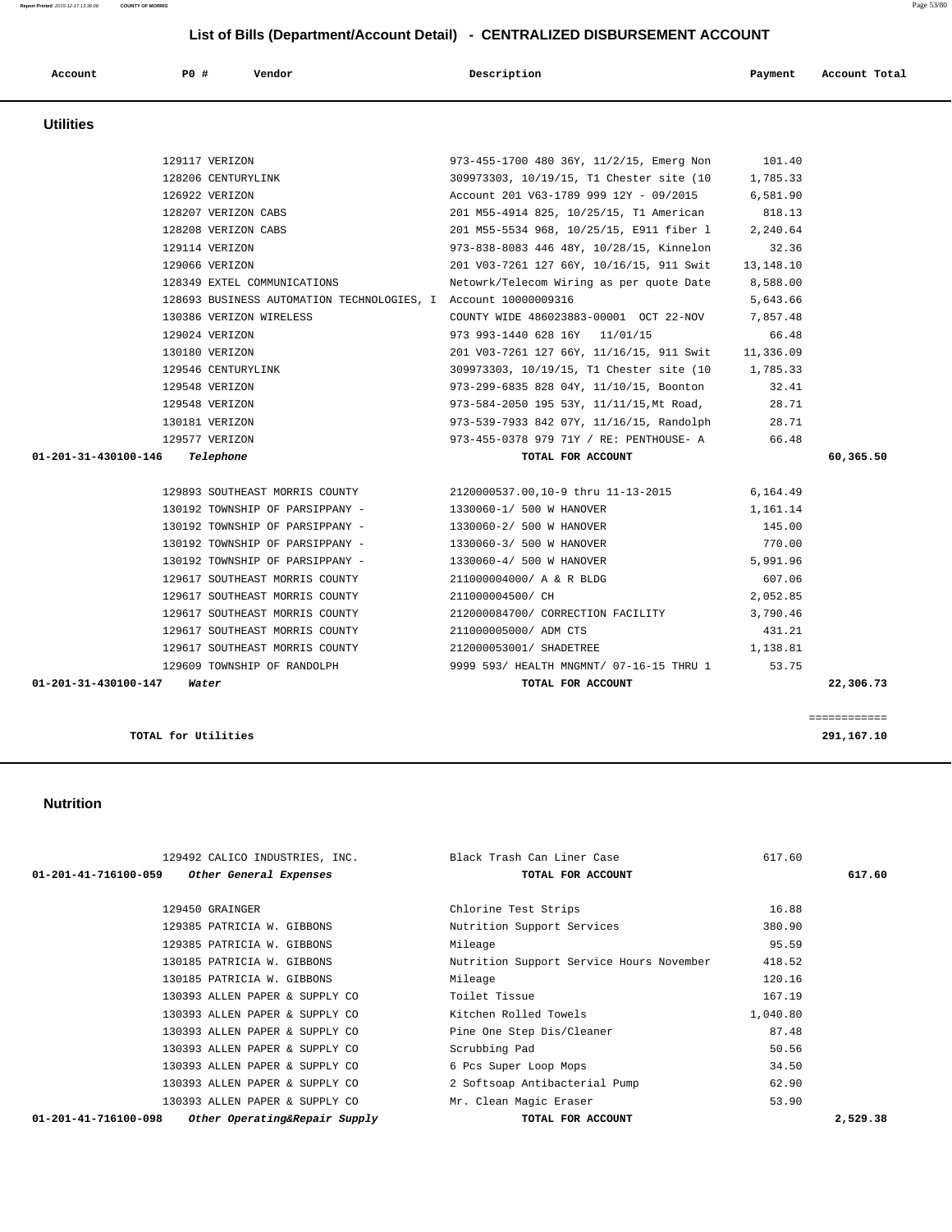| Account          | PO# | Vendor | Description | Payment | Account Total |
|------------------|-----|--------|-------------|---------|---------------|
| <b>Utilities</b> |     |        |             |         |               |

 **Utilities** 

|                            | 129117 VERIZON                                                 | 973-455-1700 480 36Y, 11/2/15, Emerg Non | 101.40          |              |
|----------------------------|----------------------------------------------------------------|------------------------------------------|-----------------|--------------|
|                            | 128206 CENTURYLINK                                             | 309973303, 10/19/15, T1 Chester site (10 | 1,785.33        |              |
|                            | 126922 VERIZON                                                 | Account 201 V63-1789 999 12Y - 09/2015   | 6,581.90        |              |
|                            | 128207 VERIZON CABS                                            | 201 M55-4914 825, 10/25/15, T1 American  | 818.13          |              |
|                            | 128208 VERIZON CABS                                            | 201 M55-5534 968, 10/25/15, E911 fiber 1 | 2,240.64        |              |
|                            | 129114 VERIZON                                                 | 973-838-8083 446 48Y, 10/28/15, Kinnelon | 32.36           |              |
|                            | 129066 VERIZON                                                 | 201 V03-7261 127 66Y, 10/16/15, 911 Swit | 13,148.10       |              |
|                            | 128349 EXTEL COMMUNICATIONS                                    | Netowrk/Telecom Wiring as per quote Date | 8,588.00        |              |
|                            | 128693 BUSINESS AUTOMATION TECHNOLOGIES, I Account 10000009316 |                                          | 5,643.66        |              |
|                            | 130386 VERIZON WIRELESS                                        | COUNTY WIDE 486023883-00001 OCT 22-NOV   | 7,857.48        |              |
|                            | 129024 VERIZON                                                 | 973 993-1440 628 16Y 11/01/15            | 66.48           |              |
|                            | 130180 VERIZON                                                 | 201 V03-7261 127 66Y, 11/16/15, 911 Swit | 11,336.09       |              |
|                            | 129546 CENTURYLINK                                             | 309973303, 10/19/15, T1 Chester site (10 | 1,785.33        |              |
|                            | 129548 VERIZON                                                 | 973-299-6835 828 04Y, 11/10/15, Boonton  | 32.41           |              |
|                            | 129548 VERIZON                                                 | 973-584-2050 195 53Y, 11/11/15, Mt Road, | 28.71           |              |
|                            | 130181 VERIZON                                                 | 973-539-7933 842 07Y, 11/16/15, Randolph | 28.71           |              |
|                            | 129577 VERIZON                                                 | 973-455-0378 979 71Y / RE: PENTHOUSE- A  | 66.48           |              |
| 01-201-31-430100-146       | Telephone                                                      | TOTAL FOR ACCOUNT                        |                 | 60,365.50    |
|                            |                                                                |                                          |                 |              |
|                            | 129893 SOUTHEAST MORRIS COUNTY                                 | 2120000537.00,10-9 thru 11-13-2015       | 6,164.49        |              |
|                            | 130192 TOWNSHIP OF PARSIPPANY -                                | 1330060-1/ 500 W HANOVER                 | 1,161.14        |              |
|                            | 130192 TOWNSHIP OF PARSIPPANY -                                | 1330060-2/ 500 W HANOVER                 | 145.00          |              |
|                            | 130192 TOWNSHIP OF PARSIPPANY -                                | 1330060-3/ 500 W HANOVER                 | 770.00          |              |
|                            | 130192 TOWNSHIP OF PARSIPPANY -                                | 1330060-4/ 500 W HANOVER                 | 5,991.96        |              |
|                            | 129617 SOUTHEAST MORRIS COUNTY                                 | 211000004000/ A & R BLDG                 | 607.06          |              |
|                            | 129617 SOUTHEAST MORRIS COUNTY                                 | 211000004500/ CH                         | 2,052.85        |              |
|                            | 129617 SOUTHEAST MORRIS COUNTY                                 | 212000084700/ CORRECTION FACILITY        | 3,790.46        |              |
|                            | 129617 SOUTHEAST MORRIS COUNTY                                 | 211000005000/ ADM CTS                    | 431.21          |              |
|                            | 129617 SOUTHEAST MORRIS COUNTY                                 | 212000053001/ SHADETREE                  | 1,138.81        |              |
|                            | 129609 TOWNSHIP OF RANDOLPH                                    | 9999 593/ HEALTH MNGMNT/ 07-16-15 THRU 1 | 53.75           |              |
| 01-201-31-430100-147 Water |                                                                | TOTAL FOR ACCOUNT                        |                 | 22,306.73    |
|                            |                                                                |                                          |                 |              |
|                            |                                                                |                                          |                 | ============ |
| TOTAL for Utilities        |                                                                |                                          |                 | 291,167.10   |
|                            |                                                                |                                          |                 |              |
|                            |                                                                |                                          |                 |              |
|                            |                                                                |                                          |                 |              |
| <b>Nutrition</b>           |                                                                |                                          |                 |              |
|                            |                                                                |                                          |                 |              |
|                            |                                                                |                                          |                 |              |
|                            | 129492 CALICO INDUSTRIES, INC.                                 | Black Trash Can Liner Case               | 617.60          |              |
| 01-201-41-716100-059       | Other General Expenses                                         | TOTAL FOR ACCOUNT                        |                 | 617.60       |
|                            |                                                                |                                          |                 |              |
|                            | 129450 GRAINGER<br>129385 PATRICIA W. GIBBONS                  | Chlorine Test Strips                     | 16.88<br>380.90 |              |
|                            | 129385 PATRICIA W. GIBBONS                                     | Nutrition Support Services<br>Mileage    | 95.59           |              |
|                            |                                                                |                                          |                 |              |

130185 PATRICIA W. GIBBONS Nutrition Support Service Hours November 418.52

 130393 ALLEN PAPER & SUPPLY CO 6 Pcs Super Loop Mops 34.50 130393 ALLEN PAPER & SUPPLY CO 2 Softsoap Antibacterial Pump 62.90 130393 ALLEN PAPER & SUPPLY CO Mr. Clean Magic Eraser 653.90

 **01-201-41-716100-098 Other Operating&Repair Supply TOTAL FOR ACCOUNT 2,529.38**

130185 PATRICIA W. GIBBONS Mileage Mileage 120.16 130393 ALLEN PAPER & SUPPLY CO Toilet Tissue 167.19 130393 ALLEN PAPER & SUPPLY CO Kitchen Rolled Towels 1,040.80 130393 ALLEN PAPER & SUPPLY CO Pine One Step Dis/Cleaner 87.48 130393 ALLEN PAPER & SUPPLY CO Scrubbing Pad 50.56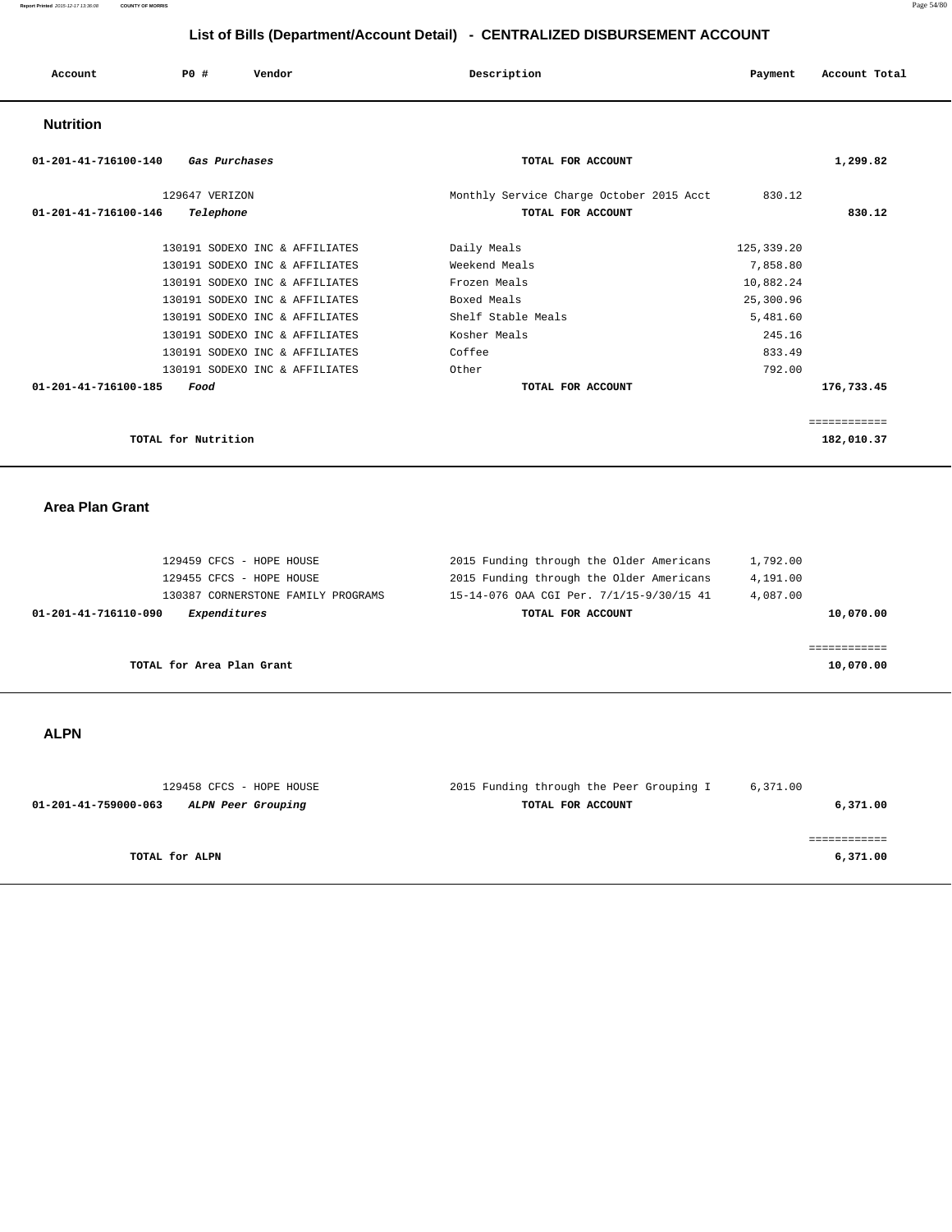|  | Account<br>. | P0 # | Vendor | Description | Payment<br>Account Total<br>.<br>. |
|--|--------------|------|--------|-------------|------------------------------------|
|--|--------------|------|--------|-------------|------------------------------------|

## **Nutrition**

| $01 - 201 - 41 - 716100 - 140$<br>Gas Purchases | TOTAL FOR ACCOUNT                        | 1,299.82     |  |
|-------------------------------------------------|------------------------------------------|--------------|--|
| 129647 VERIZON                                  | Monthly Service Charge October 2015 Acct | 830.12       |  |
| 01-201-41-716100-146<br>Telephone               | TOTAL FOR ACCOUNT                        | 830.12       |  |
| 130191 SODEXO INC & AFFILIATES                  | Daily Meals                              | 125, 339.20  |  |
| 130191 SODEXO INC & AFFILIATES                  | Weekend Meals                            | 7,858.80     |  |
| 130191 SODEXO INC & AFFILIATES                  | Frozen Meals                             | 10,882.24    |  |
| 130191 SODEXO INC & AFFILIATES                  | Boxed Meals                              | 25,300.96    |  |
| 130191 SODEXO INC & AFFILIATES                  | Shelf Stable Meals                       | 5,481.60     |  |
| 130191 SODEXO INC & AFFILIATES                  | Kosher Meals                             | 245.16       |  |
| 130191 SODEXO INC & AFFILIATES                  | Coffee                                   | 833.49       |  |
| 130191 SODEXO INC & AFFILIATES                  | Other                                    | 792.00       |  |
| 01-201-41-716100-185<br>Food                    | TOTAL FOR ACCOUNT                        | 176,733.45   |  |
|                                                 |                                          | ============ |  |
| TOTAL for Nutrition                             |                                          | 182,010.37   |  |

 **Area Plan Grant** 

| 129459 CFCS - HOPE HOUSE             | 2015 Funding through the Older Americans | 1,792.00  |
|--------------------------------------|------------------------------------------|-----------|
| 129455 CFCS - HOPE HOUSE             | 2015 Funding through the Older Americans | 4,191.00  |
| 130387 CORNERSTONE FAMILY PROGRAMS   | 15-14-076 OAA CGI Per. 7/1/15-9/30/15 41 | 4,087.00  |
| Expenditures<br>01-201-41-716110-090 | TOTAL FOR ACCOUNT                        | 10,070.00 |
|                                      |                                          |           |
|                                      |                                          |           |
| TOTAL for Area Plan Grant            |                                          | 10,070.00 |
|                                      |                                          |           |

# **ALPN**

| 129458 CFCS - HOPE HOUSE                   | 2015 Funding through the Peer Grouping I | 6,371.00 |
|--------------------------------------------|------------------------------------------|----------|
| 01-201-41-759000-063<br>ALPN Peer Grouping | TOTAL FOR ACCOUNT                        | 6,371.00 |
|                                            |                                          |          |
|                                            |                                          |          |
| TOTAL for ALPN                             |                                          | 6,371.00 |
|                                            |                                          |          |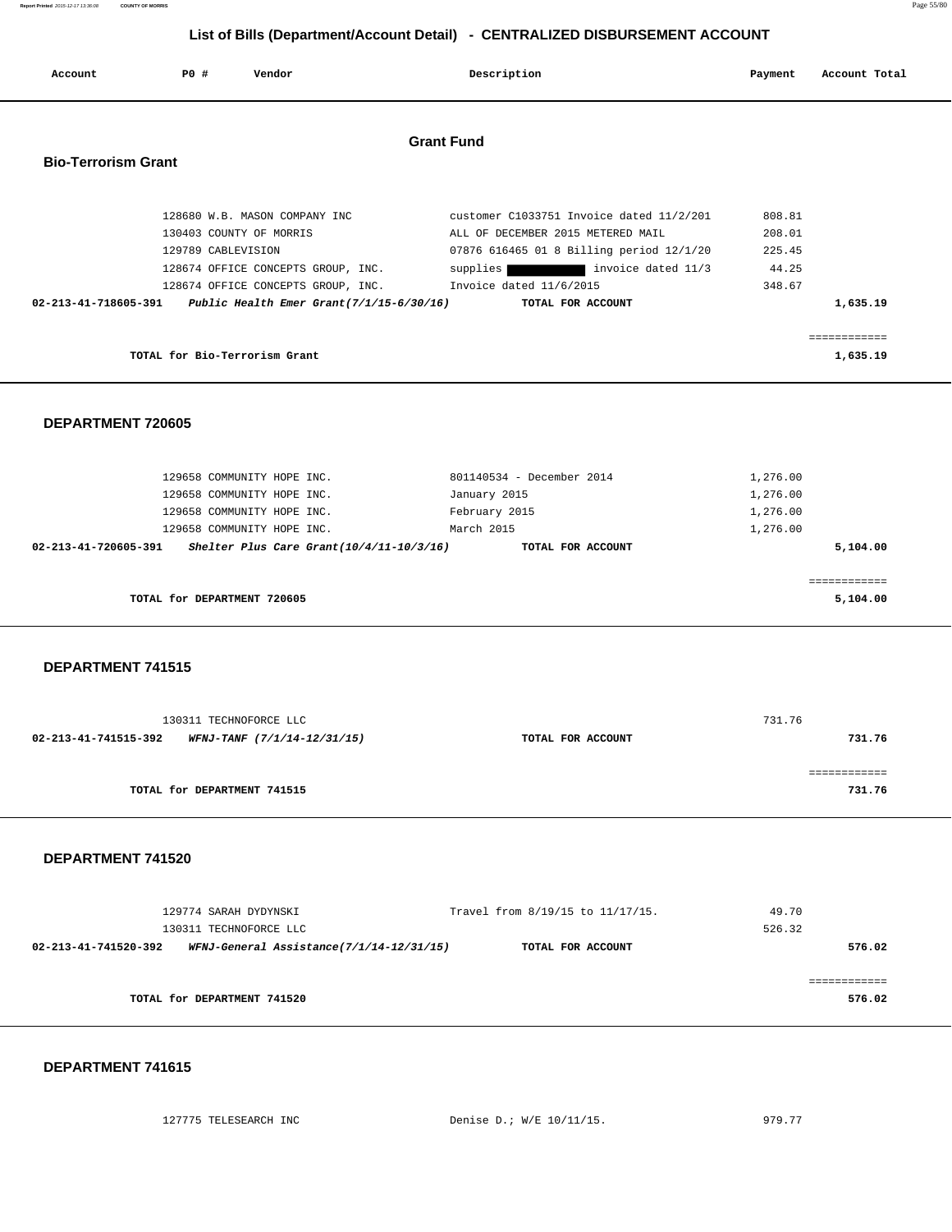| Report Printed 2015-12-17 13:36:08 | <b>COUNTY OF MORRIS</b>       |                                             |                                                                              |          | Page 55/80    |
|------------------------------------|-------------------------------|---------------------------------------------|------------------------------------------------------------------------------|----------|---------------|
|                                    |                               |                                             | List of Bills (Department/Account Detail) - CENTRALIZED DISBURSEMENT ACCOUNT |          |               |
| Account                            | P0 #                          | Vendor                                      | Description                                                                  | Payment  | Account Total |
|                                    |                               |                                             | <b>Grant Fund</b>                                                            |          |               |
| <b>Bio-Terrorism Grant</b>         |                               |                                             |                                                                              |          |               |
|                                    |                               | 128680 W.B. MASON COMPANY INC               | customer C1033751 Invoice dated 11/2/201                                     | 808.81   |               |
|                                    |                               | 130403 COUNTY OF MORRIS                     | ALL OF DECEMBER 2015 METERED MAIL                                            | 208.01   |               |
|                                    | 129789 CABLEVISION            |                                             | 07876 616465 01 8 Billing period 12/1/20                                     | 225.45   |               |
|                                    |                               | 128674 OFFICE CONCEPTS GROUP, INC.          | supplies invoice dated 11/3                                                  | 44.25    |               |
|                                    |                               | 128674 OFFICE CONCEPTS GROUP, INC.          | Invoice dated 11/6/2015                                                      | 348.67   |               |
| 02-213-41-718605-391               |                               | Public Health Emer Grant $(7/1/15-6/30/16)$ | TOTAL FOR ACCOUNT                                                            |          | 1,635.19      |
|                                    |                               |                                             |                                                                              |          | ------------  |
|                                    | TOTAL for Bio-Terrorism Grant |                                             |                                                                              |          | 1,635.19      |
| DEPARTMENT 720605                  |                               |                                             |                                                                              |          |               |
|                                    |                               | 129658 COMMUNITY HOPE INC.                  | 801140534 - December 2014                                                    | 1,276.00 |               |
|                                    |                               | 129658 COMMUNITY HOPE INC.                  | January 2015                                                                 | 1,276.00 |               |
|                                    |                               | 129658 COMMUNITY HOPE INC.                  | February 2015                                                                | 1,276.00 |               |
|                                    |                               | 129658 COMMUNITY HOPE INC.                  | March 2015                                                                   | 1,276.00 |               |
| 02-213-41-720605-391               |                               | Shelter Plus Care Grant $(10/4/11-10/3/16)$ | TOTAL FOR ACCOUNT                                                            |          | 5,104.00      |
|                                    |                               |                                             |                                                                              |          | ============  |
|                                    | TOTAL for DEPARTMENT 720605   |                                             |                                                                              |          | 5,104.00      |
|                                    |                               |                                             |                                                                              |          |               |
| DEPARTMENT 741515                  |                               |                                             |                                                                              |          |               |

| 130311 TECHNOFORCE LLC                              |                   | 731.76 |
|-----------------------------------------------------|-------------------|--------|
| 02-213-41-741515-392<br>WFNJ-TANF (7/1/14-12/31/15) | TOTAL FOR ACCOUNT | 731.76 |
|                                                     |                   |        |
|                                                     |                   |        |
| TOTAL for DEPARTMENT 741515                         |                   | 731.76 |
|                                                     |                   |        |

# **DEPARTMENT 741520**

| 129774 SARAH DYDYNSKI<br>130311 TECHNOFORCE LLC                  | Travel from 8/19/15 to 11/17/15. | 49.70<br>526.32 |
|------------------------------------------------------------------|----------------------------------|-----------------|
| WFNJ-General Assistance(7/1/14-12/31/15)<br>02-213-41-741520-392 | TOTAL FOR ACCOUNT                | 576.02          |
| TOTAL for DEPARTMENT 741520                                      |                                  | 576.02          |

| 127775 TELESEARCH INC |  |
|-----------------------|--|
|                       |  |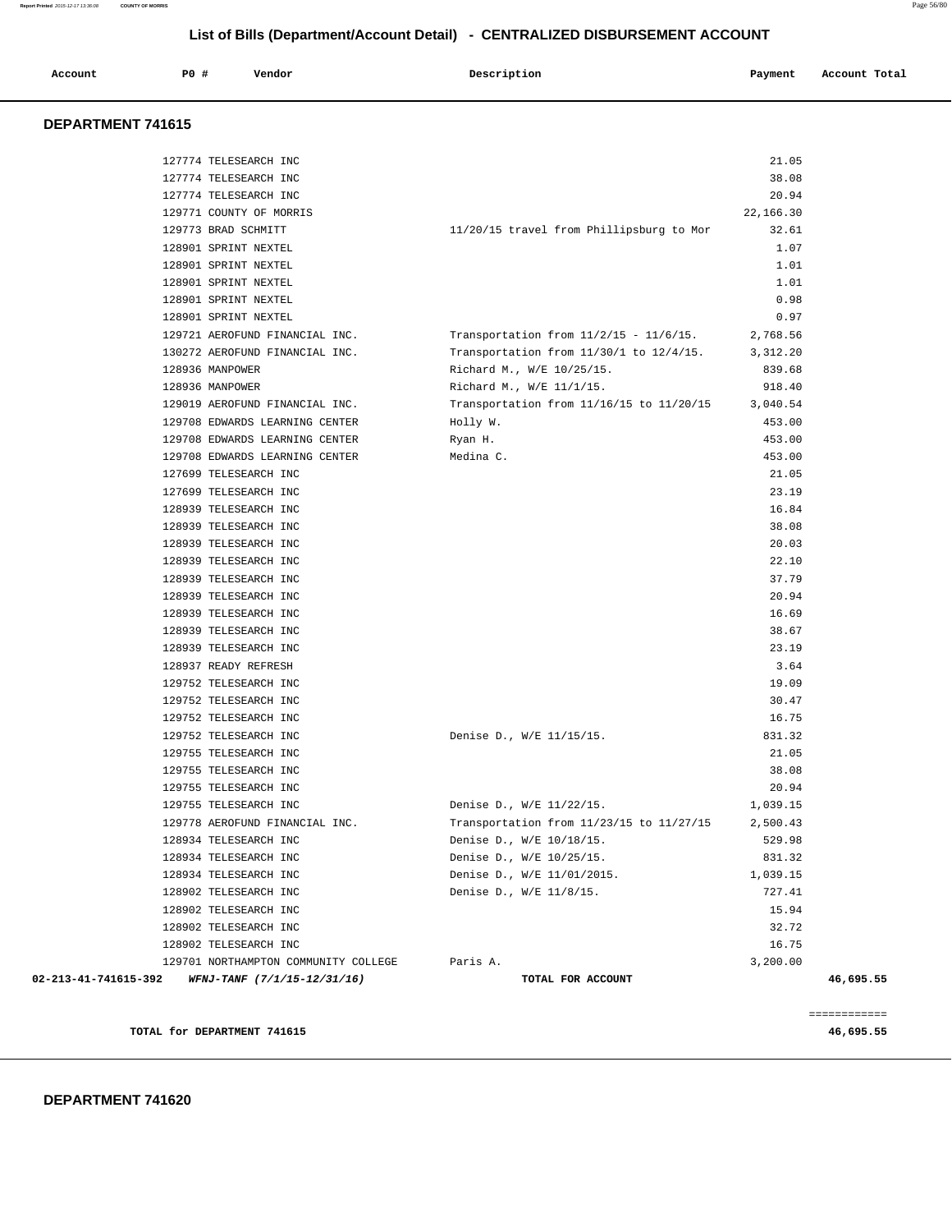**DEPARTMENT 741615** 

| TOTAL for DEPARTMENT 741615                             |                                                                               |                | 46,695.55    |
|---------------------------------------------------------|-------------------------------------------------------------------------------|----------------|--------------|
|                                                         |                                                                               |                | ============ |
| 02-213-41-741615-392 WFNJ-TANF $(7/1/15-12/31/16)$      | TOTAL FOR ACCOUNT                                                             |                | 46,695.55    |
| 129701 NORTHAMPTON COMMUNITY COLLEGE                    | Paris A.                                                                      | 3,200.00       |              |
| 128902 TELESEARCH INC                                   |                                                                               | 16.75          |              |
| 128902 TELESEARCH INC                                   |                                                                               | 32.72          |              |
| 128902 TELESEARCH INC                                   |                                                                               | 15.94          |              |
| 128902 TELESEARCH INC                                   | Denise D., W/E 11/8/15.                                                       | 727.41         |              |
| 128934 TELESEARCH INC                                   | Denise D., W/E 11/01/2015.                                                    | 1,039.15       |              |
| 128934 TELESEARCH INC                                   | Denise D., W/E 10/25/15.                                                      | 831.32         |              |
| 128934 TELESEARCH INC                                   | Transportation from 11/23/15 to 11/27/15 2,500.43<br>Denise D., W/E 10/18/15. | 529.98         |              |
| 129755 TELESEARCH INC<br>129778 AEROFUND FINANCIAL INC. | Denise D., W/E 11/22/15.                                                      | 1,039.15       |              |
| 129755 TELESEARCH INC                                   |                                                                               | 20.94          |              |
| 129755 TELESEARCH INC                                   |                                                                               |                |              |
| 129755 TELESEARCH INC                                   |                                                                               | 21.05<br>38.08 |              |
| 129752 TELESEARCH INC                                   | Denise D., W/E 11/15/15.                                                      | 831.32         |              |
| 129752 TELESEARCH INC                                   |                                                                               | 16.75          |              |
| 129752 TELESEARCH INC                                   |                                                                               | 30.47          |              |
| 129752 TELESEARCH INC                                   |                                                                               | 19.09          |              |
| 128937 READY REFRESH                                    |                                                                               | 3.64           |              |
| 128939 TELESEARCH INC                                   |                                                                               | 23.19          |              |
| 128939 TELESEARCH INC                                   |                                                                               | 38.67          |              |
| 128939 TELESEARCH INC                                   |                                                                               | 16.69          |              |
| 128939 TELESEARCH INC                                   |                                                                               | 20.94          |              |
| 128939 TELESEARCH INC                                   |                                                                               | 37.79          |              |
| 128939 TELESEARCH INC                                   |                                                                               | 22.10          |              |
| 128939 TELESEARCH INC                                   |                                                                               | 20.03          |              |
| 128939 TELESEARCH INC                                   |                                                                               | 38.08          |              |
| 128939 TELESEARCH INC                                   |                                                                               | 16.84          |              |
| 127699 TELESEARCH INC                                   |                                                                               | 23.19          |              |
| 127699 TELESEARCH INC                                   |                                                                               | 21.05          |              |
| 129708 EDWARDS LEARNING CENTER                          | Medina C.                                                                     | 453.00         |              |
| 129708 EDWARDS LEARNING CENTER                          | Ryan H.                                                                       | 453.00         |              |
| 129708 EDWARDS LEARNING CENTER                          | Holly W.                                                                      | 453.00         |              |
| 129019 AEROFUND FINANCIAL INC.                          | Transportation from 11/16/15 to 11/20/15 3,040.54                             |                |              |
| 128936 MANPOWER                                         | Richard M., W/E 11/1/15.                                                      | 918.40         |              |
| 128936 MANPOWER                                         | Richard M., W/E 10/25/15.                                                     | 839.68         |              |
| 130272 AEROFUND FINANCIAL INC.                          | Transportation from $11/30/1$ to $12/4/15$ .                                  | 3,312.20       |              |
| 129721 AEROFUND FINANCIAL INC.                          | Transportation from $11/2/15$ - $11/6/15$ .                                   | 2,768.56       |              |
| 128901 SPRINT NEXTEL                                    |                                                                               | 0.97           |              |
| 128901 SPRINT NEXTEL                                    |                                                                               | 0.98           |              |
| 128901 SPRINT NEXTEL                                    |                                                                               | 1.01           |              |
| 128901 SPRINT NEXTEL                                    |                                                                               | 1.01           |              |
| 128901 SPRINT NEXTEL                                    |                                                                               | 1.07           |              |
| 129773 BRAD SCHMITT                                     | 11/20/15 travel from Phillipsburg to Mor                                      | 32.61          |              |
| 129771 COUNTY OF MORRIS                                 |                                                                               | 22,166.30      |              |
| 127774 TELESEARCH INC                                   |                                                                               | 20.94          |              |
| 127774 TELESEARCH INC                                   |                                                                               | 38.08          |              |

# **List of Bills (Department/Account Detail) - CENTRALIZED DISBURSEMENT ACCOUNT**

 **Account P0 # Vendor Description Payment Account Total**

127774 TELESEARCH INC 21.05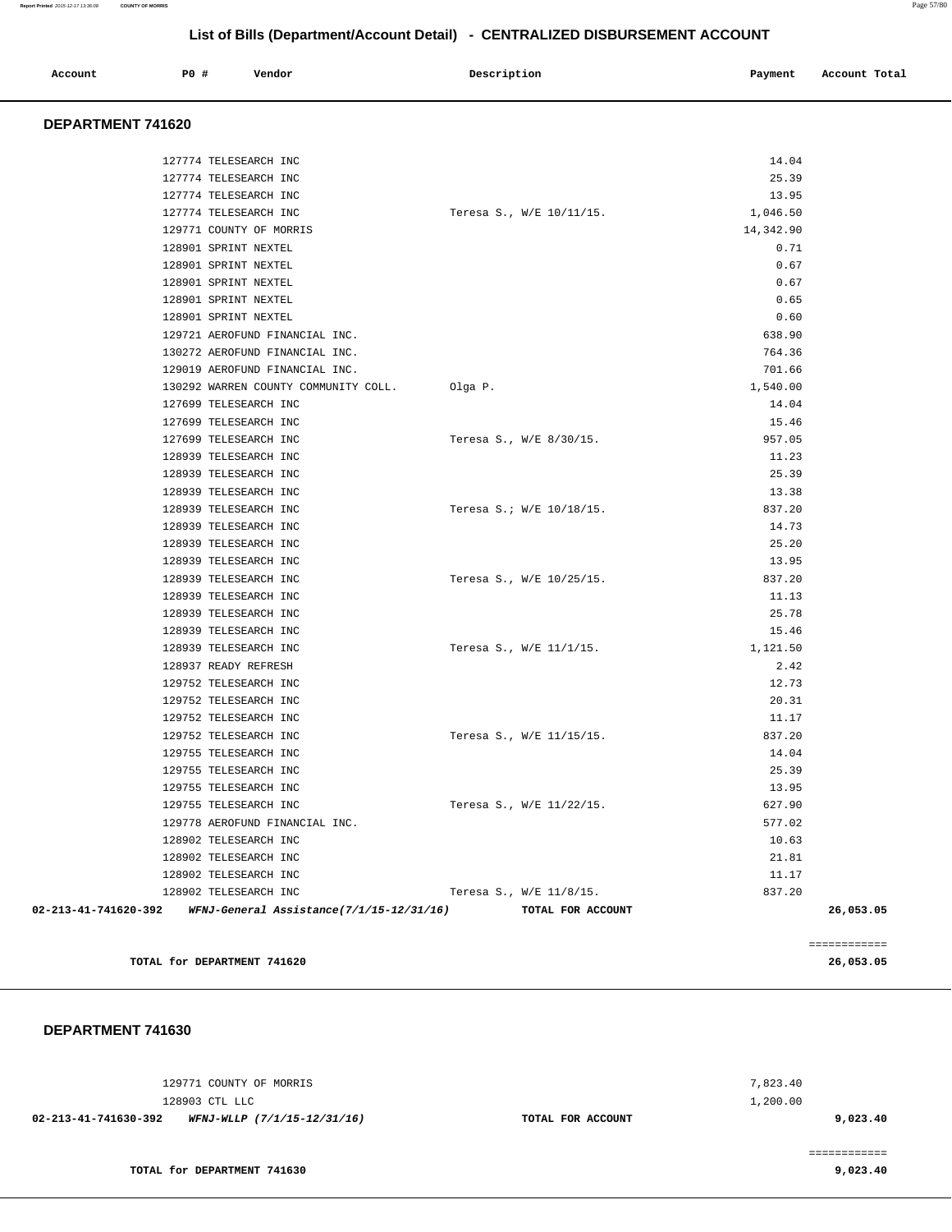| Account<br>. | <b>PO #</b> | Vendor | Description | Payment<br>. . | Account Total |
|--------------|-------------|--------|-------------|----------------|---------------|
|              |             |        |             |                |               |

### **DEPARTMENT 741620**

| 02-213-41-741620-392 | WFNJ-General Assistance(7/1/15-12/31/16)       |         | TOTAL FOR ACCOUNT        | 26,053.05      |
|----------------------|------------------------------------------------|---------|--------------------------|----------------|
|                      | 128902 TELESEARCH INC                          |         | Teresa S., W/E 11/8/15.  | 837.20         |
|                      | 128902 TELESEARCH INC                          |         |                          | 11.17          |
|                      | 128902 TELESEARCH INC                          |         |                          | 21.81          |
|                      | 128902 TELESEARCH INC                          |         |                          | 10.63          |
|                      | 129778 AEROFUND FINANCIAL INC.                 |         |                          | 577.02         |
|                      | 129755 TELESEARCH INC                          |         | Teresa S., W/E 11/22/15. | 627.90         |
|                      | 129755 TELESEARCH INC                          |         |                          | 13.95          |
|                      | 129755 TELESEARCH INC                          |         |                          | 25.39          |
|                      | 129755 TELESEARCH INC                          |         |                          | 14.04          |
|                      | 129752 TELESEARCH INC                          |         | Teresa S., W/E 11/15/15. | 837.20         |
|                      | 129752 TELESEARCH INC                          |         |                          | 11.17          |
|                      | 129752 TELESEARCH INC                          |         |                          | 20.31          |
|                      | 129752 TELESEARCH INC                          |         |                          | 12.73          |
|                      | 128937 READY REFRESH                           |         |                          | 2.42           |
|                      | 128939 TELESEARCH INC                          |         | Teresa S., W/E 11/1/15.  | 1,121.50       |
|                      | 128939 TELESEARCH INC                          |         |                          | 15.46          |
|                      | 128939 TELESEARCH INC                          |         |                          | 25.78          |
|                      | 128939 TELESEARCH INC                          |         |                          | 11.13          |
|                      | 128939 TELESEARCH INC                          |         | Teresa S., W/E 10/25/15. | 837.20         |
|                      | 128939 TELESEARCH INC                          |         |                          | 13.95          |
|                      | 128939 TELESEARCH INC                          |         |                          | 25.20          |
|                      | 128939 TELESEARCH INC                          |         |                          | 14.73          |
|                      | 128939 TELESEARCH INC                          |         | Teresa S.; W/E 10/18/15. | 837.20         |
|                      | 128939 TELESEARCH INC                          |         |                          | 13.38          |
|                      | 128939 TELESEARCH INC                          |         |                          | 25.39          |
|                      | 128939 TELESEARCH INC                          |         |                          | 11.23          |
|                      | 127699 TELESEARCH INC                          |         | Teresa S., W/E 8/30/15.  | 957.05         |
|                      | 127699 TELESEARCH INC                          |         |                          | 15.46          |
|                      | 127699 TELESEARCH INC                          |         |                          | 14.04          |
|                      | 130292 WARREN COUNTY COMMUNITY COLL.           | Olga P. |                          | 1,540.00       |
|                      | 129019 AEROFUND FINANCIAL INC.                 |         |                          | 701.66         |
|                      | 130272 AEROFUND FINANCIAL INC.                 |         |                          | 764.36         |
|                      | 129721 AEROFUND FINANCIAL INC.                 |         |                          | 638.90         |
|                      | 128901 SPRINT NEXTEL                           |         |                          | 0.60           |
|                      | 128901 SPRINT NEXTEL                           |         |                          | 0.65           |
|                      | 128901 SPRINT NEXTEL                           |         |                          | 0.67           |
|                      | 128901 SPRINT NEXTEL                           |         |                          | 0.67           |
|                      | 128901 SPRINT NEXTEL                           |         |                          | 0.71           |
|                      | 129771 COUNTY OF MORRIS                        |         |                          | 14,342.90      |
|                      | 127774 TELESEARCH INC                          |         | Teresa S., W/E 10/11/15. | 1,046.50       |
|                      | 127774 TELESEARCH INC                          |         |                          | 13.95          |
|                      | 127774 TELESEARCH INC<br>127774 TELESEARCH INC |         |                          | 14.04<br>25.39 |
|                      |                                                |         |                          |                |

**TOTAL for DEPARTMENT 741620 26,053.05**

============

| 129771 COUNTY OF MORRIS                             |                   | 7,823.40 |
|-----------------------------------------------------|-------------------|----------|
| 128903 CTL LLC                                      |                   | 1,200.00 |
| WFNJ-WLLP (7/1/15-12/31/16)<br>02-213-41-741630-392 | TOTAL FOR ACCOUNT | 9,023.40 |
|                                                     |                   |          |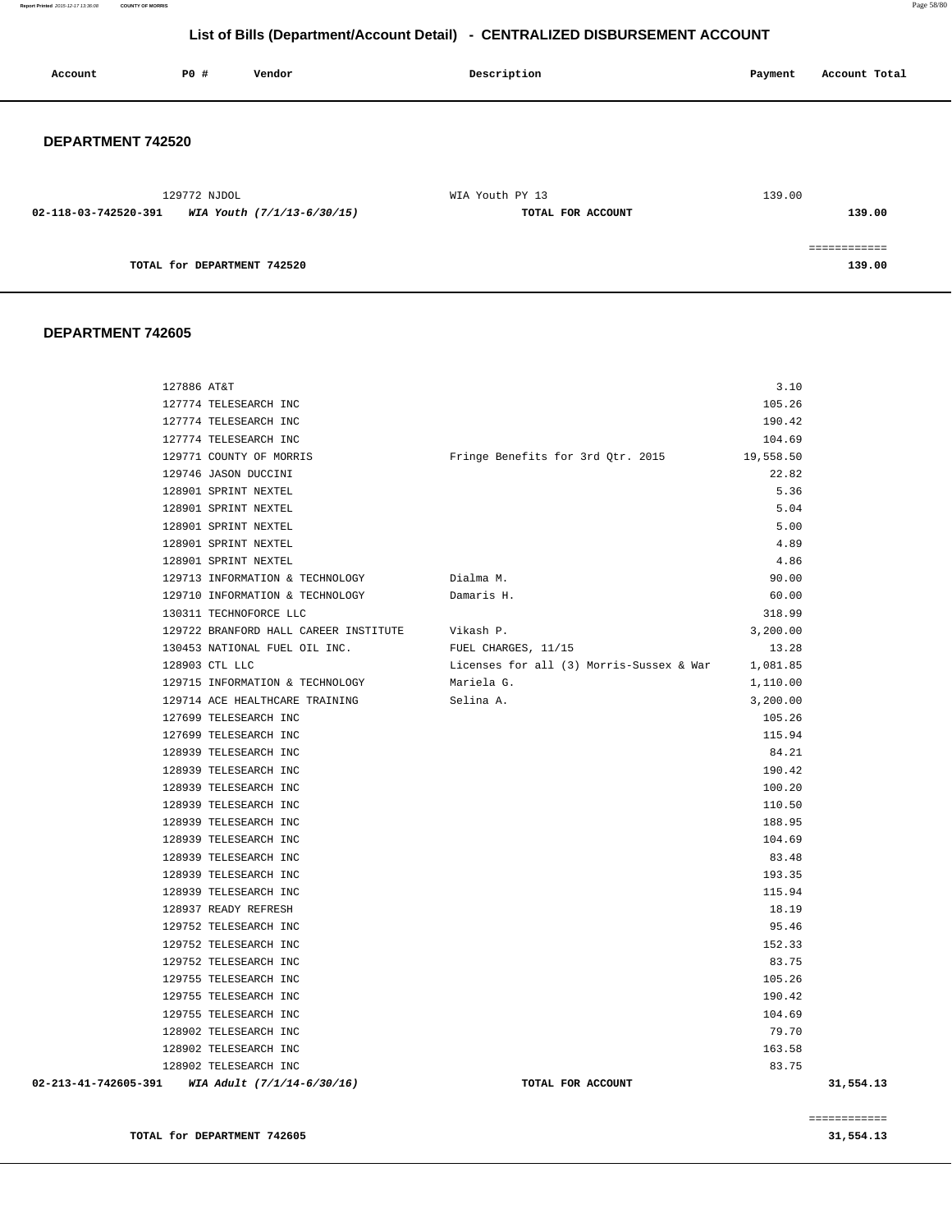**Report Printed** 2015-12-17 13:36:08 **COUNTY OF MORRIS** Page 58/80

# **List of Bills (Department/Account Detail) - CENTRALIZED DISBURSEMENT ACCOUNT**

| Account              | PO#                         | Vendor                     | Description       | Account Total<br>Payment |
|----------------------|-----------------------------|----------------------------|-------------------|--------------------------|
| DEPARTMENT 742520    |                             |                            |                   |                          |
|                      | 129772 NJDOL                |                            | WIA Youth PY 13   | 139.00                   |
| 02-118-03-742520-391 |                             | WIA Youth (7/1/13-6/30/15) | TOTAL FOR ACCOUNT | 139.00                   |
|                      |                             |                            |                   | ------------             |
|                      | TOTAL for DEPARTMENT 742520 |                            |                   | 139.00                   |

### **DEPARTMENT 742605**

| 127886 AT&T          |                                       |                                             | 3.10     |           |
|----------------------|---------------------------------------|---------------------------------------------|----------|-----------|
|                      | 127774 TELESEARCH INC                 |                                             | 105.26   |           |
|                      | 127774 TELESEARCH INC                 |                                             | 190.42   |           |
|                      | 127774 TELESEARCH INC                 |                                             | 104.69   |           |
|                      | 129771 COUNTY OF MORRIS               | Fringe Benefits for 3rd Qtr. 2015 19,558.50 |          |           |
|                      | 129746 JASON DUCCINI                  |                                             | 22.82    |           |
|                      | 128901 SPRINT NEXTEL                  |                                             | 5.36     |           |
|                      | 128901 SPRINT NEXTEL                  |                                             | 5.04     |           |
|                      | 128901 SPRINT NEXTEL                  |                                             | 5.00     |           |
|                      | 128901 SPRINT NEXTEL                  |                                             | 4.89     |           |
|                      | 128901 SPRINT NEXTEL                  |                                             | 4.86     |           |
|                      | 129713 INFORMATION & TECHNOLOGY       | Dialma M.                                   | 90.00    |           |
|                      | 129710 INFORMATION & TECHNOLOGY       | Damaris H.                                  | 60.00    |           |
|                      | 130311 TECHNOFORCE LLC                |                                             | 318.99   |           |
|                      | 129722 BRANFORD HALL CAREER INSTITUTE | Vikash P.                                   | 3,200.00 |           |
|                      | 130453 NATIONAL FUEL OIL INC.         | FUEL CHARGES, 11/15                         | 13.28    |           |
|                      | 128903 CTL LLC                        | Licenses for all (3) Morris-Sussex & War    | 1,081.85 |           |
|                      | 129715 INFORMATION & TECHNOLOGY       | Mariela G.                                  | 1,110.00 |           |
|                      | 129714 ACE HEALTHCARE TRAINING        | Selina A.                                   | 3,200.00 |           |
|                      | 127699 TELESEARCH INC                 |                                             | 105.26   |           |
|                      | 127699 TELESEARCH INC                 |                                             | 115.94   |           |
|                      | 128939 TELESEARCH INC                 |                                             | 84.21    |           |
|                      | 128939 TELESEARCH INC                 |                                             | 190.42   |           |
|                      | 128939 TELESEARCH INC                 |                                             | 100.20   |           |
|                      | 128939 TELESEARCH INC                 |                                             | 110.50   |           |
|                      | 128939 TELESEARCH INC                 |                                             | 188.95   |           |
|                      | 128939 TELESEARCH INC                 |                                             | 104.69   |           |
|                      | 128939 TELESEARCH INC                 |                                             | 83.48    |           |
|                      | 128939 TELESEARCH INC                 |                                             | 193.35   |           |
|                      | 128939 TELESEARCH INC                 |                                             | 115.94   |           |
|                      | 128937 READY REFRESH                  |                                             | 18.19    |           |
|                      | 129752 TELESEARCH INC                 |                                             | 95.46    |           |
|                      | 129752 TELESEARCH INC                 |                                             | 152.33   |           |
|                      | 129752 TELESEARCH INC                 |                                             | 83.75    |           |
|                      | 129755 TELESEARCH INC                 |                                             | 105.26   |           |
|                      | 129755 TELESEARCH INC                 |                                             | 190.42   |           |
|                      | 129755 TELESEARCH INC                 |                                             | 104.69   |           |
|                      | 128902 TELESEARCH INC                 |                                             | 79.70    |           |
|                      | 128902 TELESEARCH INC                 |                                             | 163.58   |           |
|                      | 128902 TELESEARCH INC                 |                                             | 83.75    |           |
| 02-213-41-742605-391 | WIA Adult (7/1/14-6/30/16)            | TOTAL FOR ACCOUNT                           |          | 31,554.13 |

**TOTAL for DEPARTMENT 742605 31,554.13**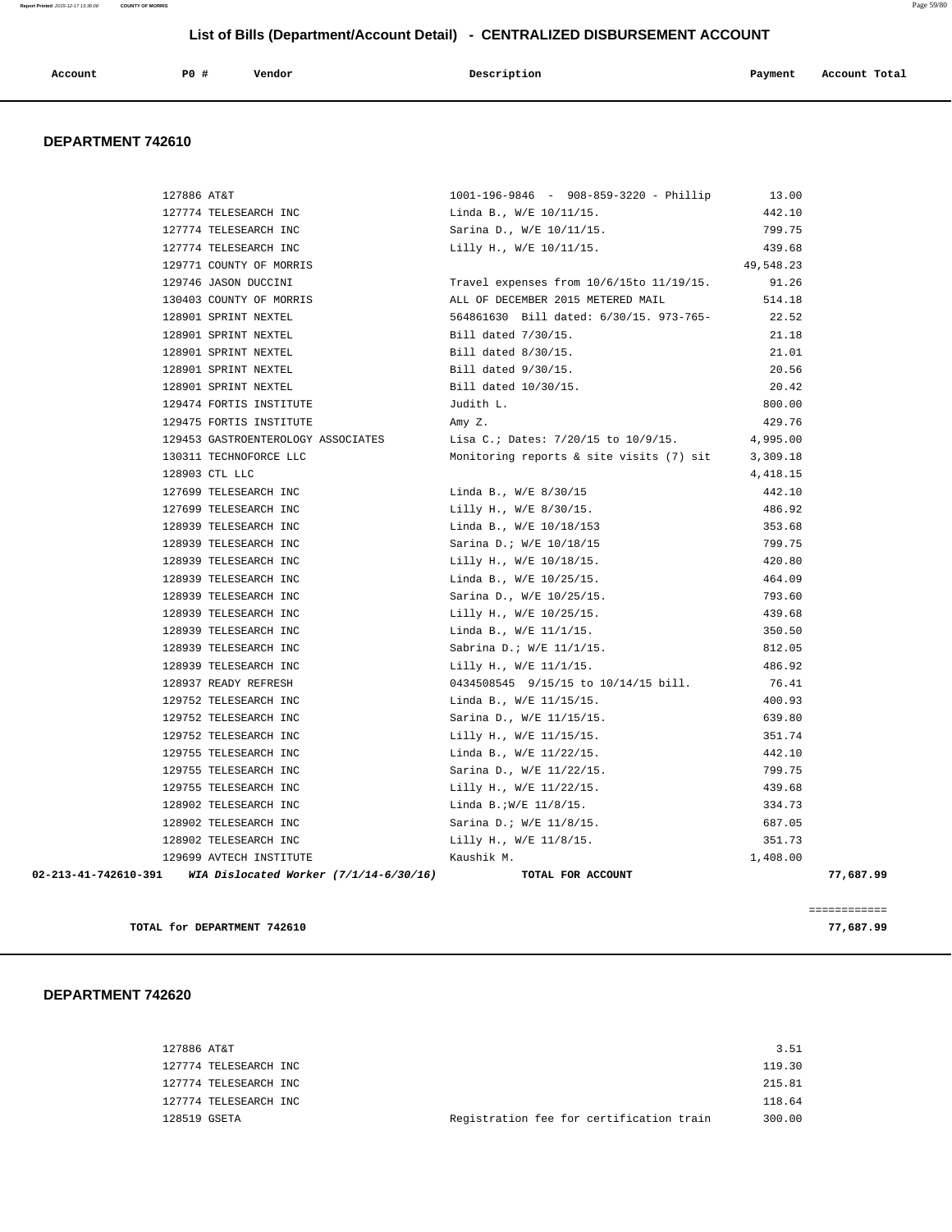| Account<br>. | PO# | Vendor<br>. | Description<br>$\sim$ $\sim$ | Payment<br>___ | Account Total |
|--------------|-----|-------------|------------------------------|----------------|---------------|
|              |     |             |                              |                |               |

### **DEPARTMENT 742610**

| 02-213-41-742610-391 WIA Dislocated Worker (7/1/14-6/30/16) | TOTAL FOR ACCOUNT                                   | 77,687.99 |  |
|-------------------------------------------------------------|-----------------------------------------------------|-----------|--|
| 129699 AVTECH INSTITUTE                                     | Kaushik M.                                          | 1,408.00  |  |
| 128902 TELESEARCH INC                                       | Lilly H., W/E 11/8/15.                              | 351.73    |  |
| 128902 TELESEARCH INC                                       | Sarina D.; W/E 11/8/15.                             | 687.05    |  |
| 128902 TELESEARCH INC                                       | Linda B.;W/E 11/8/15.                               | 334.73    |  |
| 129755 TELESEARCH INC                                       | Lilly H., W/E 11/22/15.                             | 439.68    |  |
| 129755 TELESEARCH INC                                       | Sarina D., W/E 11/22/15.                            | 799.75    |  |
| 129755 TELESEARCH INC                                       | Linda B., W/E 11/22/15.                             | 442.10    |  |
| 129752 TELESEARCH INC                                       | Lilly H., W/E 11/15/15.                             | 351.74    |  |
| 129752 TELESEARCH INC                                       | Sarina D., W/E 11/15/15.                            | 639.80    |  |
| 129752 TELESEARCH INC                                       | Linda B., W/E 11/15/15.                             | 400.93    |  |
| 128937 READY REFRESH                                        | 0434508545 9/15/15 to 10/14/15 bill.                | 76.41     |  |
| 128939 TELESEARCH INC                                       | Lilly H., W/E 11/1/15.                              | 486.92    |  |
| 128939 TELESEARCH INC                                       | Sabrina D.; W/E 11/1/15.                            | 812.05    |  |
| 128939 TELESEARCH INC                                       | Linda B., W/E 11/1/15.                              | 350.50    |  |
| 128939 TELESEARCH INC                                       | Lilly H., W/E 10/25/15.                             | 439.68    |  |
| 128939 TELESEARCH INC                                       | Sarina D., W/E 10/25/15.                            | 793.60    |  |
| 128939 TELESEARCH INC                                       | Linda B., W/E 10/25/15.                             | 464.09    |  |
| 128939 TELESEARCH INC                                       | Lilly H., W/E 10/18/15.                             | 420.80    |  |
| 128939 TELESEARCH INC                                       | Sarina D.; W/E 10/18/15                             | 799.75    |  |
| 128939 TELESEARCH INC                                       | Linda B., W/E 10/18/153                             | 353.68    |  |
| 127699 TELESEARCH INC                                       | Lilly H., W/E 8/30/15.                              | 486.92    |  |
| 127699 TELESEARCH INC                                       | Linda B., W/E 8/30/15                               | 442.10    |  |
| 128903 CTL LLC                                              |                                                     | 4, 418.15 |  |
| 130311 TECHNOFORCE LLC                                      | Monitoring reports & site visits $(7)$ sit 3,309.18 |           |  |
| 129453 GASTROENTEROLOGY ASSOCIATES                          | Lisa C.; Dates: 7/20/15 to 10/9/15.                 | 4,995.00  |  |
| 129475 FORTIS INSTITUTE                                     | Amy Z.                                              | 429.76    |  |
| 129474 FORTIS INSTITUTE                                     | Judith L.                                           | 800.00    |  |
| 128901 SPRINT NEXTEL                                        | Bill dated 10/30/15.                                | 20.42     |  |
| 128901 SPRINT NEXTEL                                        | Bill dated 9/30/15.                                 | 20.56     |  |
| 128901 SPRINT NEXTEL                                        | Bill dated 8/30/15.                                 | 21.01     |  |
| 128901 SPRINT NEXTEL                                        | Bill dated 7/30/15.                                 | 21.18     |  |
| 128901 SPRINT NEXTEL                                        | 564861630 Bill dated: 6/30/15. 973-765-             | 22.52     |  |
| 130403 COUNTY OF MORRIS                                     | ALL OF DECEMBER 2015 METERED MAIL                   | 514.18    |  |
| 129746 JASON DUCCINI                                        | Travel expenses from 10/6/15to 11/19/15.            | 91.26     |  |
| 129771 COUNTY OF MORRIS                                     |                                                     | 49,548.23 |  |
| 127774 TELESEARCH INC                                       | Lilly H., W/E 10/11/15.                             | 439.68    |  |
| 127774 TELESEARCH INC                                       | Sarina D., W/E 10/11/15.                            | 799.75    |  |
| 127774 TELESEARCH INC                                       | Linda B., W/E 10/11/15.                             | 442.10    |  |
| 127886 AT&T                                                 | 1001-196-9846 - 908-859-3220 - Phillip              | 13.00     |  |

**TOTAL for DEPARTMENT 742610 77,687.99**

## **DEPARTMENT 742620**

| 127886 AT&T  |                       |                                          | 3.51   |
|--------------|-----------------------|------------------------------------------|--------|
|              | 127774 TELESEARCH INC |                                          | 119.30 |
|              | 127774 TELESEARCH INC |                                          | 215.81 |
|              | 127774 TELESEARCH INC |                                          | 118.64 |
| 128519 GSETA |                       | Registration fee for certification train | 300.00 |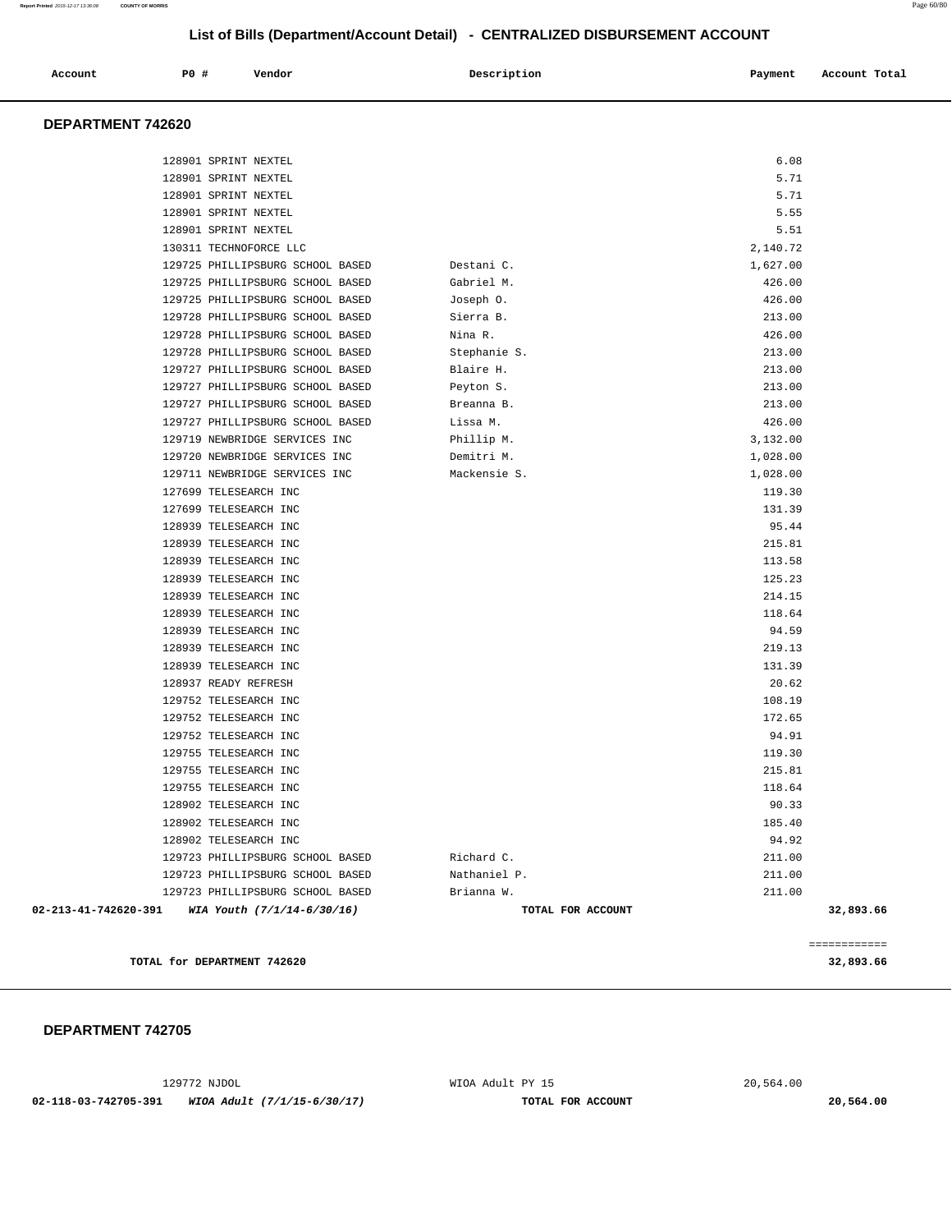| Account | P0# | Vendor | Description | Payment | Account Total |
|---------|-----|--------|-------------|---------|---------------|
|         |     |        |             |         |               |

### **DEPARTMENT 742620**

| $02 - 213 - 41 - 742620 - 391$ | WIA Youth (7/1/14-6/30/16)                                           | TOTAL FOR ACCOUNT         |                  | 32,893.66 |
|--------------------------------|----------------------------------------------------------------------|---------------------------|------------------|-----------|
|                                | 129723 PHILLIPSBURG SCHOOL BASED                                     | Brianna W.                | 211.00           |           |
|                                | 129723 PHILLIPSBURG SCHOOL BASED                                     | Nathaniel P.              | 211.00           |           |
|                                | 129723 PHILLIPSBURG SCHOOL BASED                                     | Richard C.                | 211.00           |           |
|                                | 128902 TELESEARCH INC                                                |                           | 94.92            |           |
|                                | 128902 TELESEARCH INC                                                |                           | 185.40           |           |
|                                | 128902 TELESEARCH INC                                                |                           | 90.33            |           |
|                                | 129755 TELESEARCH INC                                                |                           | 118.64           |           |
|                                | 129755 TELESEARCH INC                                                |                           | 215.81           |           |
|                                | 129755 TELESEARCH INC                                                |                           | 119.30           |           |
|                                | 129752 TELESEARCH INC                                                |                           | 94.91            |           |
|                                | 129752 TELESEARCH INC                                                |                           | 172.65           |           |
|                                | 129752 TELESEARCH INC                                                |                           | 108.19           |           |
|                                | 128937 READY REFRESH                                                 |                           | 20.62            |           |
|                                | 128939 TELESEARCH INC                                                |                           | 131.39           |           |
|                                | 128939 TELESEARCH INC                                                |                           | 219.13           |           |
|                                | 128939 TELESEARCH INC                                                |                           | 94.59            |           |
|                                | 128939 TELESEARCH INC                                                |                           | 118.64           |           |
|                                | 128939 TELESEARCH INC                                                |                           | 214.15           |           |
|                                | 128939 TELESEARCH INC                                                |                           | 125.23           |           |
|                                | 128939 TELESEARCH INC                                                |                           | 113.58           |           |
|                                | 128939 TELESEARCH INC                                                |                           | 215.81           |           |
|                                | 128939 TELESEARCH INC                                                |                           | 95.44            |           |
|                                | 127699 TELESEARCH INC                                                |                           | 131.39           |           |
|                                | 127699 TELESEARCH INC                                                |                           | 119.30           |           |
|                                | 129711 NEWBRIDGE SERVICES INC                                        | Mackensie S.              | 1,028.00         |           |
|                                | 129720 NEWBRIDGE SERVICES INC                                        | Demitri M.                | 1,028.00         |           |
|                                | 129719 NEWBRIDGE SERVICES INC                                        | Phillip M.                | 3,132.00         |           |
|                                | 129727 PHILLIPSBURG SCHOOL BASED                                     | Lissa M.                  | 426.00           |           |
|                                | 129727 PHILLIPSBURG SCHOOL BASED                                     | Breanna B.                | 213.00           |           |
|                                | 129727 PHILLIPSBURG SCHOOL BASED                                     | Peyton S.                 | 213.00           |           |
|                                | 129727 PHILLIPSBURG SCHOOL BASED                                     | Stephanie S.<br>Blaire H. | 213.00           |           |
|                                | 129728 PHILLIPSBURG SCHOOL BASED<br>129728 PHILLIPSBURG SCHOOL BASED | Nina R.                   | 426.00<br>213.00 |           |
|                                | 129728 PHILLIPSBURG SCHOOL BASED                                     | Sierra B.                 | 213.00           |           |
|                                | 129725 PHILLIPSBURG SCHOOL BASED                                     | Joseph 0.                 | 426.00           |           |
|                                | 129725 PHILLIPSBURG SCHOOL BASED                                     | Gabriel M.                | 426.00           |           |
|                                | 129725 PHILLIPSBURG SCHOOL BASED                                     | Destani C.                | 1,627.00         |           |
|                                | 130311 TECHNOFORCE LLC                                               |                           | 2,140.72         |           |
|                                | 128901 SPRINT NEXTEL                                                 |                           | 5.51             |           |
|                                | 128901 SPRINT NEXTEL                                                 |                           | 5.55             |           |
|                                | 128901 SPRINT NEXTEL                                                 |                           | 5.71             |           |
|                                | 128901 SPRINT NEXTEL                                                 |                           | 5.71             |           |
|                                | 128901 SPRINT NEXTEL                                                 |                           | 6.08             |           |
|                                |                                                                      |                           |                  |           |

**TOTAL for DEPARTMENT 742620 32,893.66**

 **DEPARTMENT 742705** 

129772 NJDOL WIOA Adult PY 15 20,564.00

 **02-118-03-742705-391 WIOA Adult (7/1/15-6/30/17) TOTAL FOR ACCOUNT 20,564.00**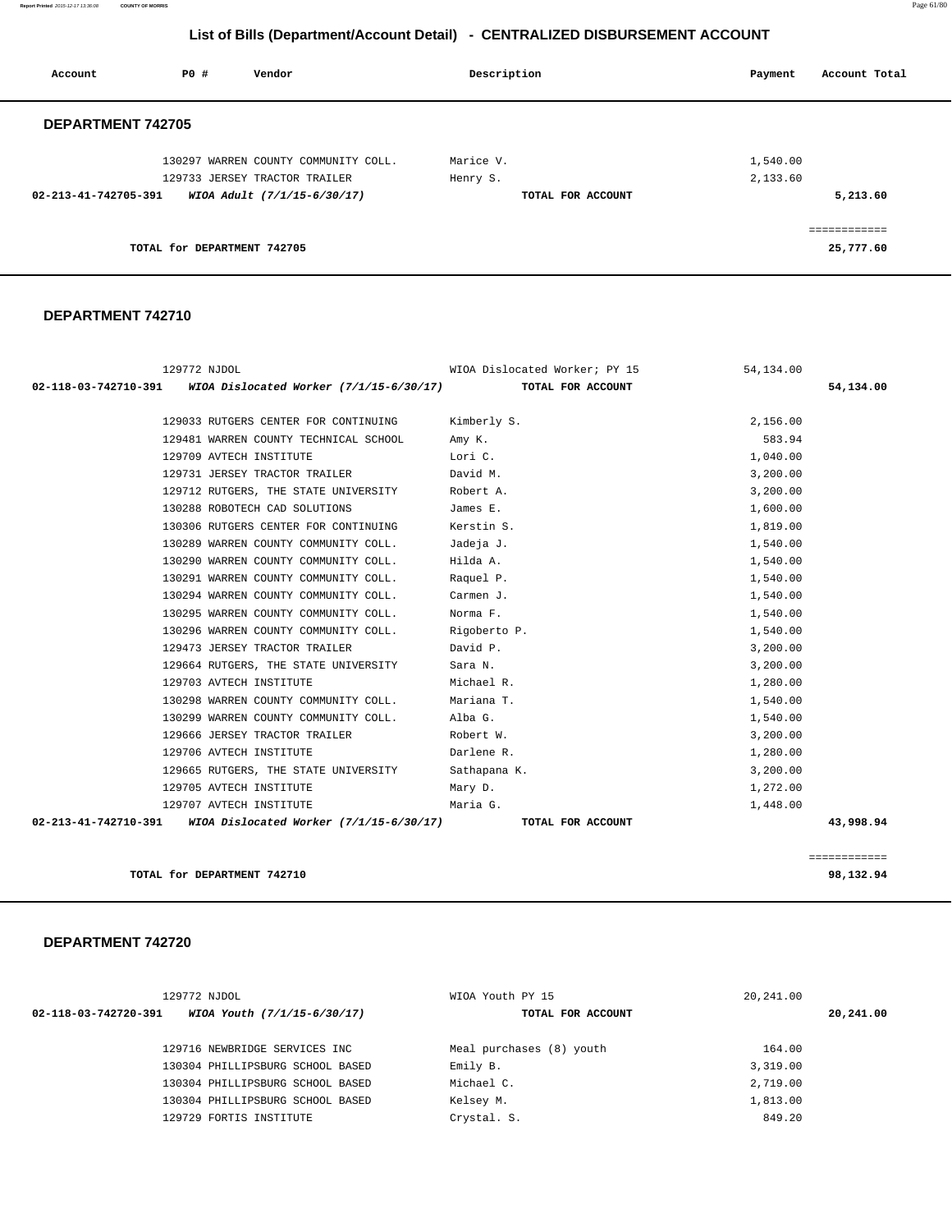**Report Printed** 2015-12-17 13:36:08 **COUNTY OF MORRIS** Page 61/80

# **List of Bills (Department/Account Detail) - CENTRALIZED DISBURSEMENT ACCOUNT**

| Account                  | P0 #                        | Vendor                                                                | Description           | Account Total<br>Payment  |
|--------------------------|-----------------------------|-----------------------------------------------------------------------|-----------------------|---------------------------|
| <b>DEPARTMENT 742705</b> |                             |                                                                       |                       |                           |
|                          |                             | 130297 WARREN COUNTY COMMUNITY COLL.<br>129733 JERSEY TRACTOR TRAILER | Marice V.<br>Henry S. | 1,540.00<br>2,133.60      |
| 02-213-41-742705-391     |                             | WIOA Adult (7/1/15-6/30/17)                                           | TOTAL FOR ACCOUNT     | 5,213.60                  |
|                          | TOTAL for DEPARTMENT 742705 |                                                                       |                       | ============<br>25,777.60 |

### **DEPARTMENT 742710**

| 129772 NJDOL                                                     | WIOA Dislocated Worker; PY 15 | 54,134.00    |
|------------------------------------------------------------------|-------------------------------|--------------|
| 02-118-03-742710-391 WIOA Dislocated Worker (7/1/15-6/30/17)     | TOTAL FOR ACCOUNT             | 54,134.00    |
| 129033 RUTGERS CENTER FOR CONTINUING                             | Kimberly S.                   | 2,156.00     |
|                                                                  |                               |              |
| 129481 WARREN COUNTY TECHNICAL SCHOOL                            | Amy K.                        | 583.94       |
| 129709 AVTECH INSTITUTE                                          | Lori C.                       | 1,040.00     |
| 129731 JERSEY TRACTOR TRAILER                                    | David M.                      | 3,200.00     |
| 129712 RUTGERS, THE STATE UNIVERSITY                             | Robert A.                     | 3,200.00     |
| 130288 ROBOTECH CAD SOLUTIONS                                    | James E.                      | 1,600.00     |
| 130306 RUTGERS CENTER FOR CONTINUING                             | Kerstin S.                    | 1,819.00     |
| 130289 WARREN COUNTY COMMUNITY COLL.                             | Jadeja J.                     | 1,540.00     |
| 130290 WARREN COUNTY COMMUNITY COLL.                             | Hilda A.                      | 1,540.00     |
| 130291 WARREN COUNTY COMMUNITY COLL.                             | Raquel P.                     | 1,540.00     |
| 130294 WARREN COUNTY COMMUNITY COLL.                             | Carmen J.                     | 1,540.00     |
| 130295 WARREN COUNTY COMMUNITY COLL.                             | Norma F.                      | 1,540.00     |
| 130296 WARREN COUNTY COMMUNITY COLL. Rigoberto P.                |                               | 1,540.00     |
| 129473 JERSEY TRACTOR TRAILER                                    | David P.                      | 3,200.00     |
| 129664 RUTGERS, THE STATE UNIVERSITY                             | Sara N.                       | 3,200.00     |
| 129703 AVTECH INSTITUTE                                          | Michael R.                    | 1,280.00     |
| 130298 WARREN COUNTY COMMUNITY COLL.                             | Mariana T.                    | 1,540.00     |
| 130299 WARREN COUNTY COMMUNITY COLL.                             | Alba G.                       | 1,540.00     |
| 129666 JERSEY TRACTOR TRAILER                                    | Robert W.                     | 3,200.00     |
| 129706 AVTECH INSTITUTE                                          | Darlene R.                    | 1,280.00     |
| 129665 RUTGERS, THE STATE UNIVERSITY Sathapana K.                |                               | 3,200.00     |
| 129705 AVTECH INSTITUTE                                          | Mary D.                       | 1,272.00     |
| 129707 AVTECH INSTITUTE                                          | Maria G.                      | 1,448.00     |
| 02-213-41-742710-391     WIOA Dislocated Worker (7/1/15-6/30/17) | TOTAL FOR ACCOUNT             | 43,998.94    |
|                                                                  |                               |              |
|                                                                  |                               | ============ |
| TOTAL for DEPARTMENT 742710                                      |                               | 98,132.94    |

| 129772 NJDOL                                        | WIOA Youth PY 15         | 20,241.00 |
|-----------------------------------------------------|--------------------------|-----------|
| 02-118-03-742720-391<br>WIOA Youth (7/1/15-6/30/17) | TOTAL FOR ACCOUNT        | 20,241.00 |
| 129716 NEWBRIDGE SERVICES INC                       | Meal purchases (8) youth | 164.00    |
| 130304 PHILLIPSBURG SCHOOL BASED                    | Emily B.                 | 3,319.00  |
| 130304 PHILLIPSBURG SCHOOL BASED                    | Michael C.               | 2,719.00  |
| 130304 PHILLIPSBURG SCHOOL BASED                    | Kelsey M.                | 1,813.00  |
| 129729 FORTIS INSTITUTE                             | Crystal. S.              | 849.20    |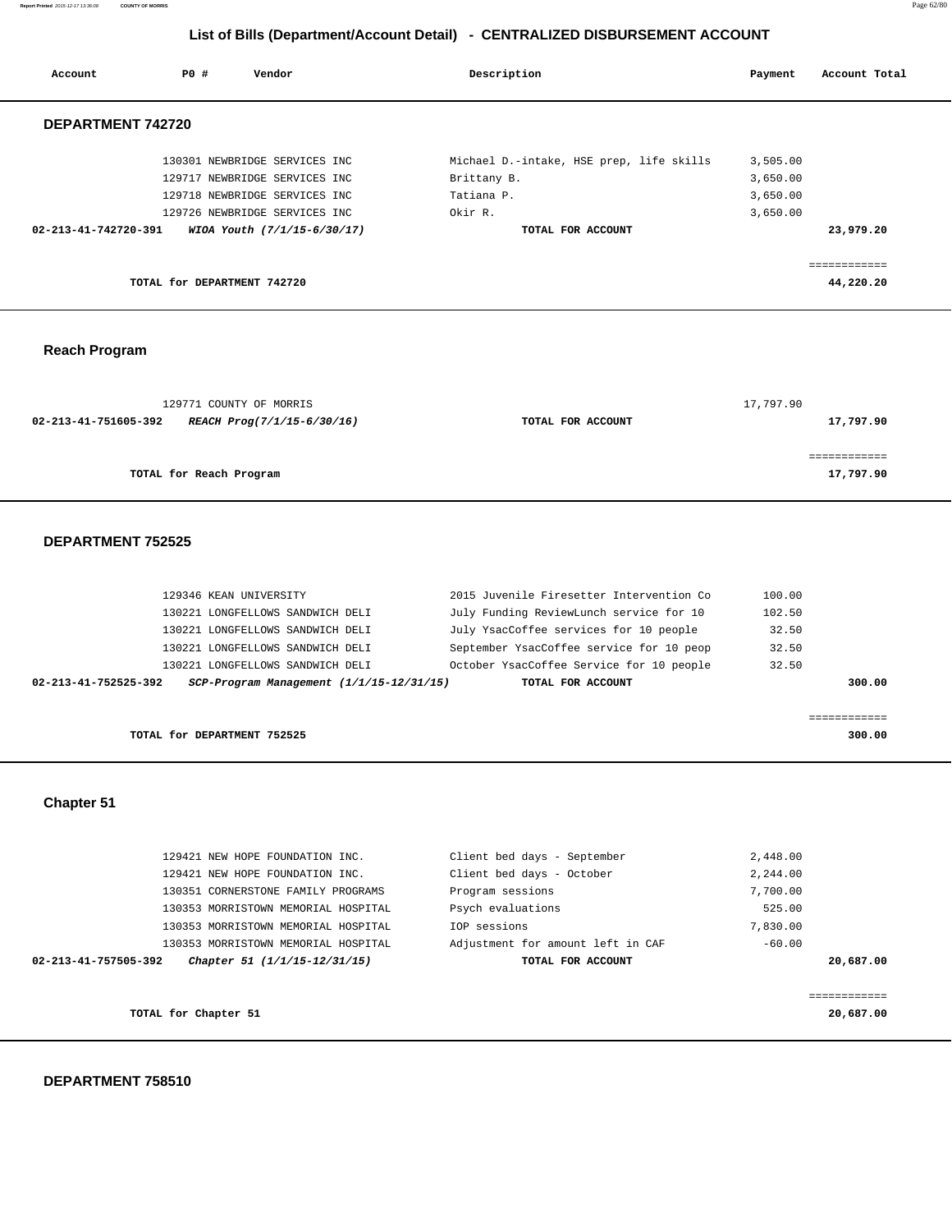**Report Printed** 2015-12-17 13:36:08 **COUNTY OF MORRIS** Page 62/80

# **List of Bills (Department/Account Detail) - CENTRALIZED DISBURSEMENT ACCOUNT**

| Account              | <b>PO #</b>                 | Vendor                        | Description                              | Payment  | Account Total |
|----------------------|-----------------------------|-------------------------------|------------------------------------------|----------|---------------|
| DEPARTMENT 742720    |                             |                               |                                          |          |               |
|                      |                             | 130301 NEWBRIDGE SERVICES INC | Michael D.-intake, HSE prep, life skills | 3,505.00 |               |
|                      |                             | 129717 NEWBRIDGE SERVICES INC | Brittany B.                              | 3,650.00 |               |
|                      |                             | 129718 NEWBRIDGE SERVICES INC | Tatiana P.                               | 3,650.00 |               |
|                      |                             | 129726 NEWBRIDGE SERVICES INC | Okir R.                                  | 3,650.00 |               |
| 02-213-41-742720-391 |                             | WIOA Youth (7/1/15-6/30/17)   | TOTAL FOR ACCOUNT                        |          | 23,979.20     |
|                      |                             |                               |                                          |          | ---------     |
|                      | TOTAL for DEPARTMENT 742720 |                               |                                          |          | 44,220.20     |
|                      |                             |                               |                                          |          |               |
|                      |                             |                               |                                          |          |               |
|                      |                             |                               |                                          |          |               |

# **Reach Program**

| 129771 COUNTY OF MORRIS                            |                   | 17,797.90 |
|----------------------------------------------------|-------------------|-----------|
| 02-213-41-751605-392<br>REACH Prog(7/1/15-6/30/16) | TOTAL FOR ACCOUNT | 17,797.90 |
|                                                    |                   |           |
|                                                    |                   |           |
| TOTAL for Reach Program                            |                   | 17,797.90 |
|                                                    |                   |           |

### **DEPARTMENT 752525**

| 129346 KEAN UNIVERSITY |                                              | 2015 Juvenile Firesetter Intervention Co | 100.00 |        |
|------------------------|----------------------------------------------|------------------------------------------|--------|--------|
|                        | 130221 LONGFELLOWS SANDWICH DELI             | July Funding ReviewLunch service for 10  | 102.50 |        |
|                        | 130221 LONGFELLOWS SANDWICH DELI             | July YsacCoffee services for 10 people   | 32.50  |        |
|                        | 130221 LONGFELLOWS SANDWICH DELI             | September YsacCoffee service for 10 peop | 32.50  |        |
|                        | 130221 LONGFELLOWS SANDWICH DELI             | October YsacCoffee Service for 10 people | 32.50  |        |
| 02-213-41-752525-392   | $SCP-Program$ Management $(1/1/15-12/31/15)$ | TOTAL FOR ACCOUNT                        |        | 300.00 |
|                        |                                              |                                          |        |        |
|                        |                                              |                                          |        |        |

**TOTAL for DEPARTMENT 752525 300.00**

 **Chapter 51** 

|                      | 129421 NEW HOPE FOUNDATION INC.     | Client bed days - September       | 2,448.00    |
|----------------------|-------------------------------------|-----------------------------------|-------------|
|                      | 129421 NEW HOPE FOUNDATION INC.     | Client bed days - October         | 2,244.00    |
|                      | 130351 CORNERSTONE FAMILY PROGRAMS  | Program sessions                  | 7,700.00    |
|                      | 130353 MORRISTOWN MEMORIAL HOSPITAL | Psych evaluations                 | 525.00      |
|                      | 130353 MORRISTOWN MEMORIAL HOSPITAL | TOP sessions                      | 7,830.00    |
|                      | 130353 MORRISTOWN MEMORIAL HOSPITAL | Adjustment for amount left in CAF | $-60.00$    |
| 02-213-41-757505-392 | Chapter 51 (1/1/15-12/31/15)        | TOTAL FOR ACCOUNT                 | 20,687.00   |
|                      |                                     |                                   |             |
|                      |                                     |                                   | =========== |
|                      | TOTAL for Chapter 51                |                                   | 20,687.00   |
|                      |                                     |                                   |             |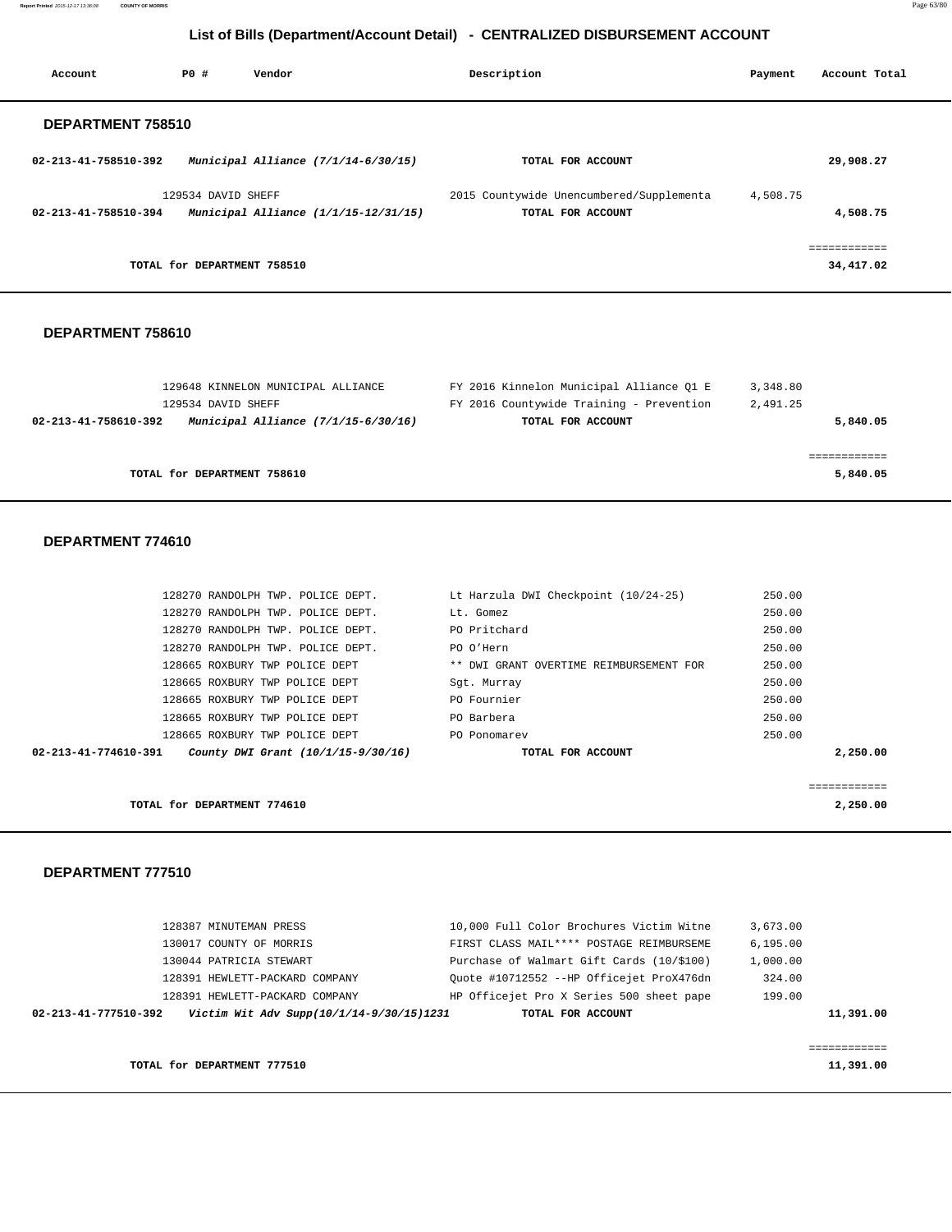**Report Printed** 2015-12-17 13:36:08 **COUNTY OF MORRIS** Page 63/80

# **List of Bills (Department/Account Detail) - CENTRALIZED DISBURSEMENT ACCOUNT**

| Account              | PO#                         | Vendor                                 | Description                              | Payment  | Account Total |
|----------------------|-----------------------------|----------------------------------------|------------------------------------------|----------|---------------|
| DEPARTMENT 758510    |                             |                                        |                                          |          |               |
| 02-213-41-758510-392 |                             | Municipal Alliance (7/1/14-6/30/15)    | TOTAL FOR ACCOUNT                        |          | 29,908.27     |
|                      | 129534 DAVID SHEFF          |                                        | 2015 Countywide Unencumbered/Supplementa | 4,508.75 |               |
| 02-213-41-758510-394 |                             | Municipal Alliance $(1/1/15-12/31/15)$ | TOTAL FOR ACCOUNT                        |          | 4,508.75      |
|                      |                             |                                        |                                          |          | ------------  |
|                      | TOTAL for DEPARTMENT 758510 |                                        |                                          |          | 34,417.02     |
|                      |                             |                                        |                                          |          |               |

### **DEPARTMENT 758610**

| 129648 KINNELON MUNICIPAL ALLIANCE                            | FY 2016 Kinnelon Municipal Alliance O1 E | 3,348.80 |
|---------------------------------------------------------------|------------------------------------------|----------|
| 129534 DAVID SHEFF                                            | FY 2016 Countywide Training - Prevention | 2,491.25 |
| Municipal Alliance $(7/1/15-6/30/16)$<br>02-213-41-758610-392 | TOTAL FOR ACCOUNT                        | 5,840.05 |
|                                                               |                                          |          |
|                                                               |                                          |          |
| TOTAL for DEPARTMENT 758610                                   |                                          | 5,840.05 |

#### **DEPARTMENT 774610**

| 02-213-41-774610-391 | County DWI Grant (10/1/15-9/30/16) | TOTAL FOR ACCOUNT                       | 2,250.00 |
|----------------------|------------------------------------|-----------------------------------------|----------|
|                      | 128665 ROXBURY TWP POLICE DEPT     | PO Ponomarev                            | 250.00   |
|                      | 128665 ROXBURY TWP POLICE DEPT     | PO Barbera                              | 250.00   |
|                      | 128665 ROXBURY TWP POLICE DEPT     | PO Fournier                             | 250.00   |
|                      | 128665 ROXBURY TWP POLICE DEPT     | Sqt. Murray                             | 250.00   |
|                      | 128665 ROXBURY TWP POLICE DEPT     | ** DWI GRANT OVERTIME REIMBURSEMENT FOR | 250.00   |
|                      | 128270 RANDOLPH TWP. POLICE DEPT.  | PO O'Hern                               | 250.00   |
|                      | 128270 RANDOLPH TWP. POLICE DEPT.  | PO Pritchard                            | 250.00   |
|                      | 128270 RANDOLPH TWP. POLICE DEPT.  | Lt. Gomez                               | 250.00   |
|                      | 128270 RANDOLPH TWP. POLICE DEPT.  | Lt Harzula DWI Checkpoint (10/24-25)    | 250.00   |

**TOTAL for DEPARTMENT 774610 2,250.00**

## **DEPARTMENT 777510**

| 02-213-41-777510-392    | Victim Wit Adv Supp(10/1/14-9/30/15)1231 | TOTAL FOR ACCOUNT                         |          | 11,391.00 |
|-------------------------|------------------------------------------|-------------------------------------------|----------|-----------|
|                         | 128391 HEWLETT-PACKARD COMPANY           | HP Officejet Pro X Series 500 sheet pape  | 199.00   |           |
|                         | 128391 HEWLETT-PACKARD COMPANY           | Ouote #10712552 --HP Officejet ProX476dn  | 324.00   |           |
| 130044 PATRICIA STEWART |                                          | Purchase of Walmart Gift Cards (10/\$100) | 1,000.00 |           |
| 130017 COUNTY OF MORRIS |                                          | FIRST CLASS MAIL**** POSTAGE REIMBURSEME  | 6.195.00 |           |
| 128387 MINUTEMAN PRESS  |                                          | 10,000 Full Color Brochures Victim Witne  | 3,673.00 |           |

**TOTAL for DEPARTMENT 777510** 11,391.00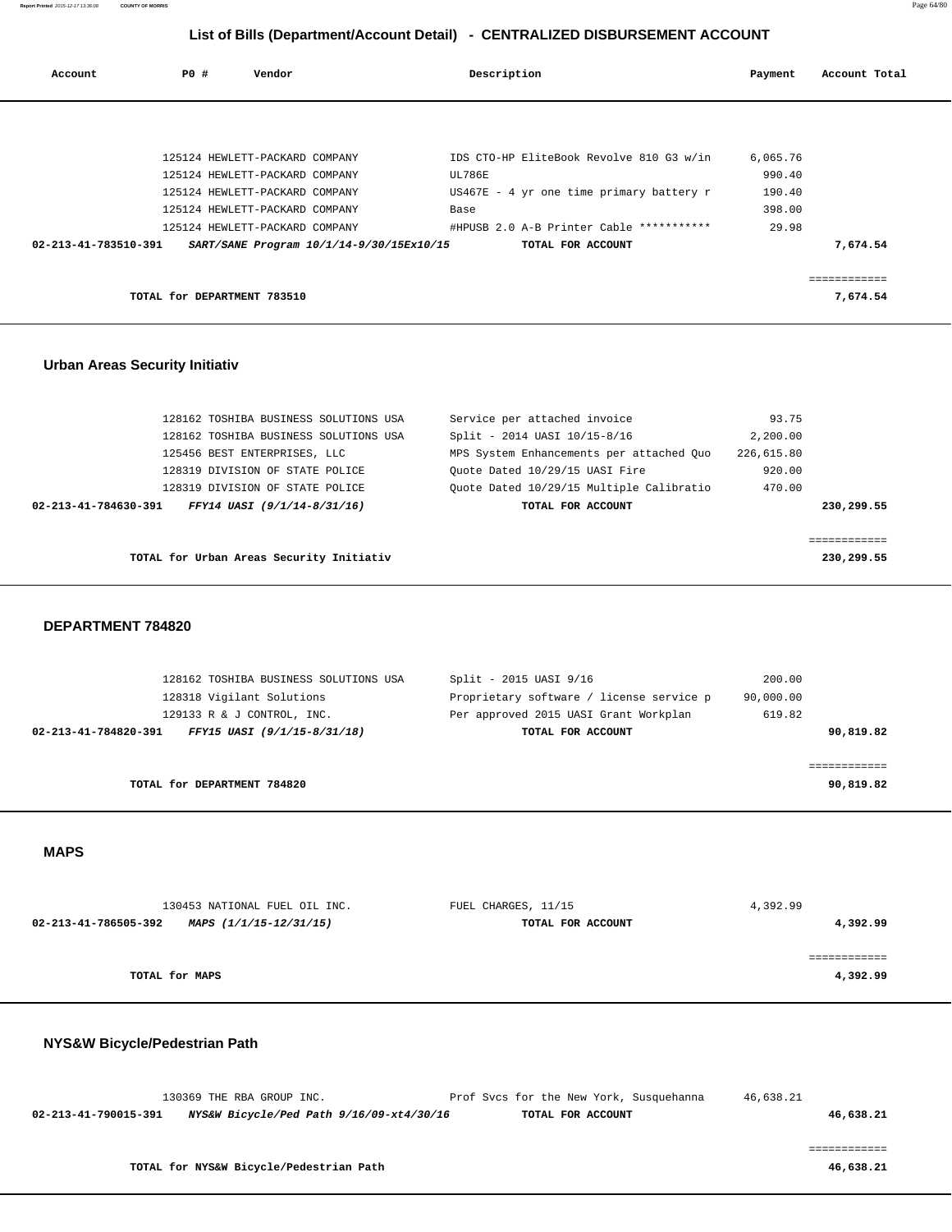| Account              | PO# | Vendor                         |                                          | Description                                | Payment  | Account Total |
|----------------------|-----|--------------------------------|------------------------------------------|--------------------------------------------|----------|---------------|
|                      |     |                                |                                          |                                            |          |               |
|                      |     |                                |                                          |                                            |          |               |
|                      |     | 125124 HEWLETT-PACKARD COMPANY |                                          | IDS CTO-HP EliteBook Revolve 810 G3 w/in   | 6,065.76 |               |
|                      |     | 125124 HEWLETT-PACKARD COMPANY |                                          | UL786E                                     | 990.40   |               |
|                      |     | 125124 HEWLETT-PACKARD COMPANY |                                          | $US467E - 4 yr$ one time primary battery r | 190.40   |               |
|                      |     | 125124 HEWLETT-PACKARD COMPANY |                                          | Base                                       | 398.00   |               |
|                      |     | 125124 HEWLETT-PACKARD COMPANY |                                          | #HPUSB 2.0 A-B Printer Cable ***********   | 29.98    |               |
| 02-213-41-783510-391 |     |                                | SART/SANE Program 10/1/14-9/30/15Ex10/15 | TOTAL FOR ACCOUNT                          |          | 7,674.54      |
|                      |     |                                |                                          |                                            |          |               |
|                      |     |                                |                                          |                                            |          |               |
|                      |     | TOTAL for DEPARTMENT 783510    |                                          |                                            |          | 7,674.54      |

## **Urban Areas Security Initiativ**

| 128162 TOSHIBA BUSINESS SOLUTIONS USA               | Service per attached invoice             | 93.75      |            |
|-----------------------------------------------------|------------------------------------------|------------|------------|
| 128162 TOSHIBA BUSINESS SOLUTIONS USA               | Split - 2014 UASI 10/15-8/16             | 2,200.00   |            |
| 125456 BEST ENTERPRISES, LLC                        | MPS System Enhancements per attached Quo | 226,615.80 |            |
| 128319 DIVISION OF STATE POLICE                     | Ouote Dated 10/29/15 UASI Fire           | 920.00     |            |
| 128319 DIVISION OF STATE POLICE                     | Quote Dated 10/29/15 Multiple Calibratio | 470.00     |            |
| FFY14 UASI (9/1/14-8/31/16)<br>02-213-41-784630-391 | TOTAL FOR ACCOUNT                        |            | 230,299.55 |
|                                                     |                                          |            |            |
|                                                     |                                          |            |            |
| TOTAL for Urban Areas Security Initiativ            |                                          |            | 230,299.55 |

### **DEPARTMENT 784820**

| 128162 TOSHIBA BUSINESS SOLUTIONS USA               | Split - 2015 UASI 9/16                   | 200.00    |
|-----------------------------------------------------|------------------------------------------|-----------|
| 128318 Vigilant Solutions                           | Proprietary software / license service p | 90,000.00 |
| 129133 R & J CONTROL, INC.                          | Per approved 2015 UASI Grant Workplan    | 619.82    |
| 02-213-41-784820-391<br>FFY15 UASI (9/1/15-8/31/18) | TOTAL FOR ACCOUNT                        | 90,819.82 |
|                                                     |                                          |           |
|                                                     |                                          |           |
| TOTAL for DEPARTMENT 784820                         |                                          | 90,819.82 |

## **MAPS**

| 130453 NATIONAL FUEL OIL INC.                  | FUEL CHARGES, 11/15 | 4,392.99 |
|------------------------------------------------|---------------------|----------|
| 02-213-41-786505-392<br>MAPS (1/1/15-12/31/15) | TOTAL FOR ACCOUNT   | 4,392.99 |
|                                                |                     |          |
|                                                |                     |          |
| TOTAL for MAPS                                 |                     | 4,392.99 |

# **NYS&W Bicycle/Pedestrian Path**

|                      | 130369 THE RBA GROUP INC. |                                          | Prof Svcs for the New York, Susquehanna | 46,638.21 |           |
|----------------------|---------------------------|------------------------------------------|-----------------------------------------|-----------|-----------|
| 02-213-41-790015-391 |                           | NYS&W Bicycle/Ped Path 9/16/09-xt4/30/16 | TOTAL FOR ACCOUNT                       |           | 46,638.21 |
|                      |                           |                                          |                                         |           |           |
|                      |                           |                                          |                                         |           |           |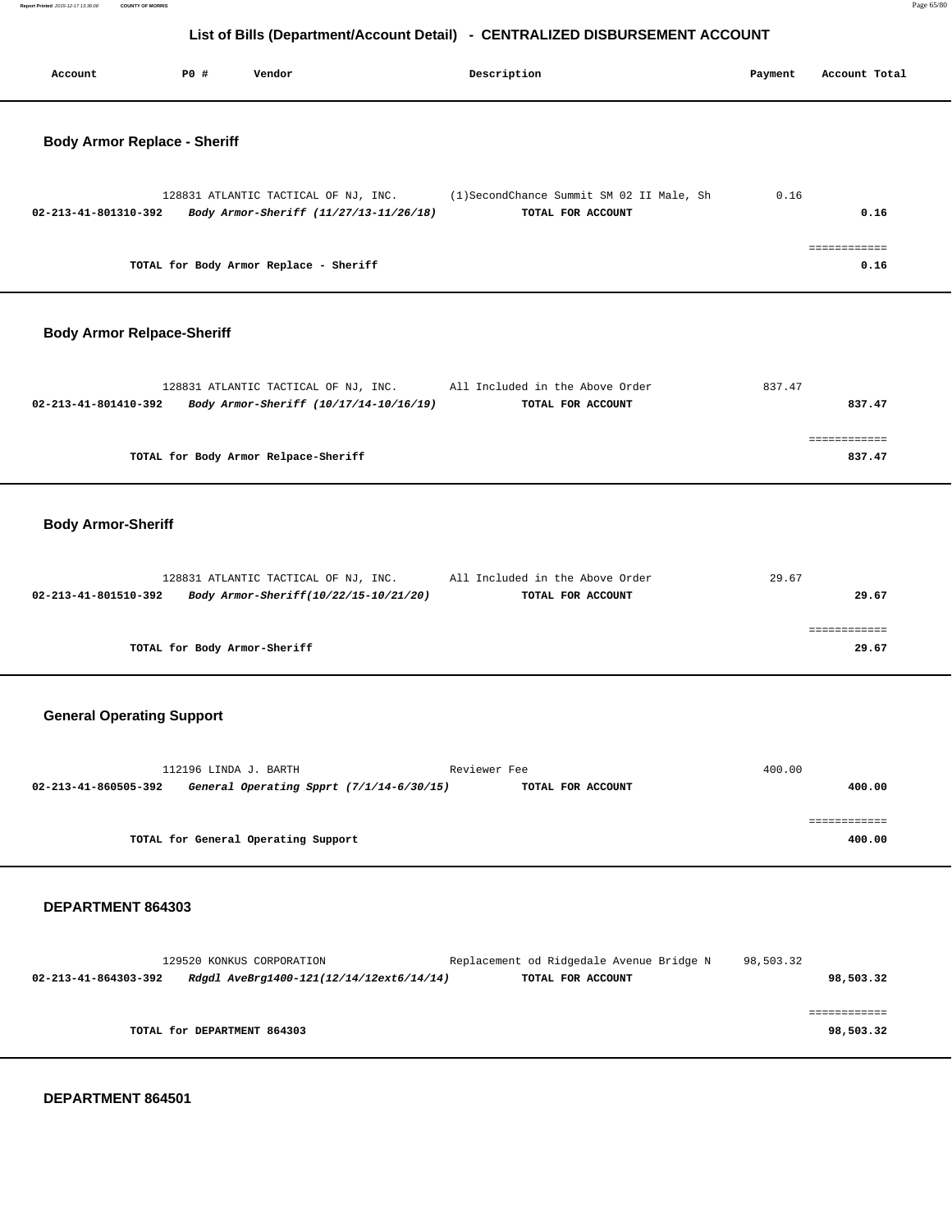**Report Printed** 2015-12-17 13:36:08 **COUNTY OF MORRIS** Page 65/80

# **List of Bills (Department/Account Detail) - CENTRALIZED DISBURSEMENT ACCOUNT**

| P0 #<br>Vendor<br>Description<br>Account                                                                                                                                | Payment   | Account Total             |
|-------------------------------------------------------------------------------------------------------------------------------------------------------------------------|-----------|---------------------------|
| <b>Body Armor Replace - Sheriff</b>                                                                                                                                     |           |                           |
| 128831 ATLANTIC TACTICAL OF NJ, INC.<br>(1)SecondChance Summit SM 02 II Male, Sh<br>Body Armor-Sheriff (11/27/13-11/26/18)<br>02-213-41-801310-392<br>TOTAL FOR ACCOUNT | 0.16      | 0.16                      |
| TOTAL for Body Armor Replace - Sheriff                                                                                                                                  |           | ============<br>0.16      |
| <b>Body Armor Relpace-Sheriff</b>                                                                                                                                       |           |                           |
| 128831 ATLANTIC TACTICAL OF NJ, INC.<br>All Included in the Above Order<br>Body Armor-Sheriff (10/17/14-10/16/19)<br>02-213-41-801410-392<br>TOTAL FOR ACCOUNT          | 837.47    | 837.47                    |
| TOTAL for Body Armor Relpace-Sheriff                                                                                                                                    |           | ============<br>837.47    |
| <b>Body Armor-Sheriff</b>                                                                                                                                               |           |                           |
| 128831 ATLANTIC TACTICAL OF NJ, INC.<br>All Included in the Above Order<br>02-213-41-801510-392<br>Body Armor-Sheriff(10/22/15-10/21/20)<br>TOTAL FOR ACCOUNT           | 29.67     | 29.67                     |
| TOTAL for Body Armor-Sheriff                                                                                                                                            |           | ============<br>29.67     |
| <b>General Operating Support</b>                                                                                                                                        |           |                           |
| 112196 LINDA J. BARTH<br>Reviewer Fee<br>General Operating Spprt (7/1/14-6/30/15)<br>02-213-41-860505-392<br>TOTAL FOR ACCOUNT                                          | 400.00    | 400.00                    |
| TOTAL for General Operating Support                                                                                                                                     |           | ============<br>400.00    |
| DEPARTMENT 864303                                                                                                                                                       |           |                           |
| 129520 KONKUS CORPORATION<br>Replacement od Ridgedale Avenue Bridge N<br>02-213-41-864303-392<br>Rdgdl AveBrg1400-121(12/14/12ext6/14/14)<br>TOTAL FOR ACCOUNT          | 98,503.32 | 98,503.32                 |
| TOTAL for DEPARTMENT 864303                                                                                                                                             |           | ============<br>98,503.32 |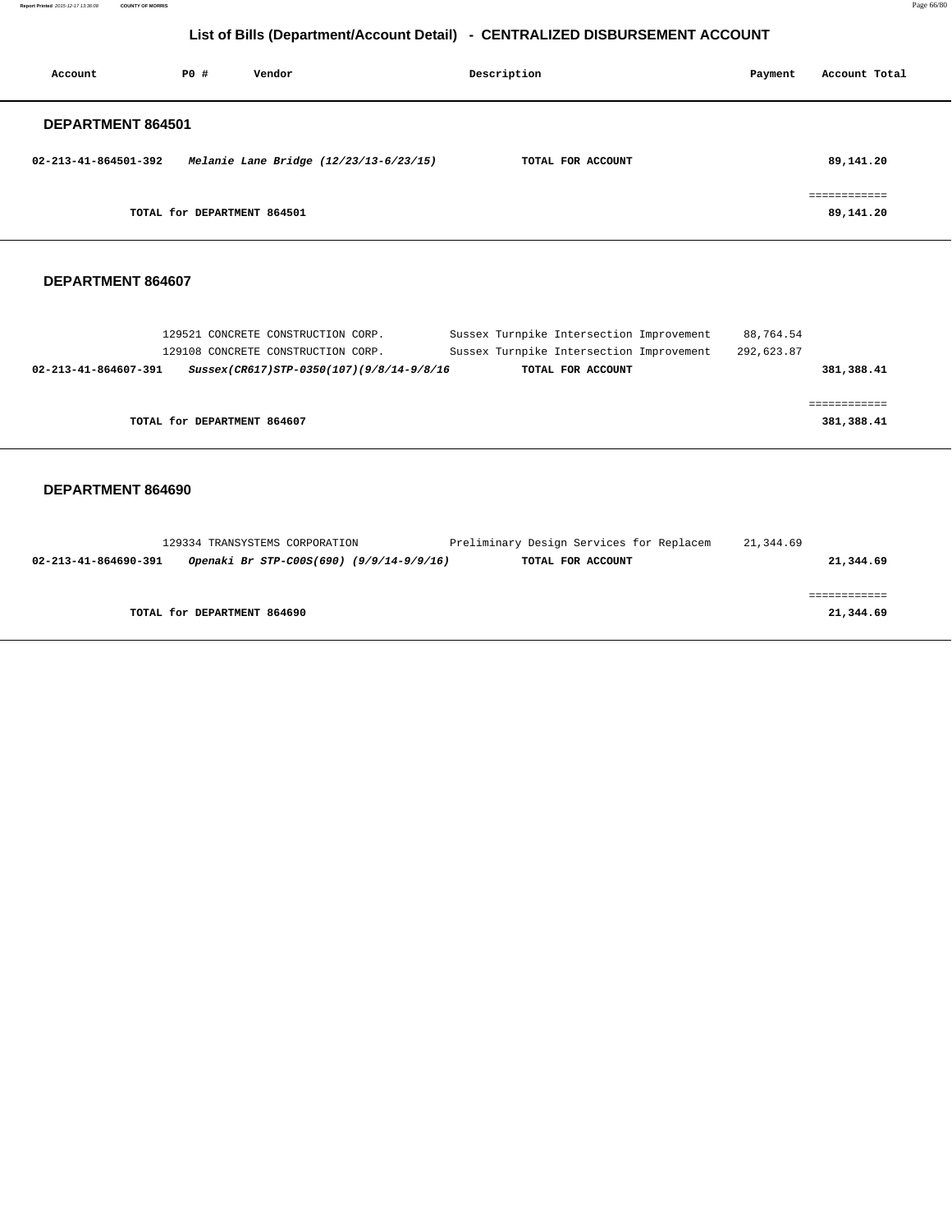**Report Printed** 2015-12-17 13:36:08 **COUNTY OF MORRIS** Page 66/80

# **List of Bills (Department/Account Detail) - CENTRALIZED DISBURSEMENT ACCOUNT**

| Account              | PO#                         | Vendor                                 | Description<br>Payment |  | Account Total             |
|----------------------|-----------------------------|----------------------------------------|------------------------|--|---------------------------|
| DEPARTMENT 864501    |                             |                                        |                        |  |                           |
| 02-213-41-864501-392 |                             | Melanie Lane Bridge (12/23/13-6/23/15) | TOTAL FOR ACCOUNT      |  | 89,141.20                 |
|                      | TOTAL for DEPARTMENT 864501 |                                        |                        |  | :===========<br>89,141.20 |

## **DEPARTMENT 864607**

| 129521 CONCRETE CONSTRUCTION CORP.                               | Sussex Turnpike Intersection Improvement | 88,764.54  |
|------------------------------------------------------------------|------------------------------------------|------------|
| 129108 CONCRETE CONSTRUCTION CORP.                               | Sussex Turnpike Intersection Improvement | 292,623.87 |
| 02-213-41-864607-391<br>Sussex(CR617)STP-0350(107)(9/8/14-9/8/16 | TOTAL FOR ACCOUNT                        | 381,388.41 |
|                                                                  |                                          |            |
|                                                                  |                                          |            |
| TOTAL for DEPARTMENT 864607                                      |                                          | 381,388.41 |
|                                                                  |                                          |            |

|                      | 129334 TRANSYSTEMS CORPORATION           | Preliminary Design Services for Replacem | 21,344.69 |
|----------------------|------------------------------------------|------------------------------------------|-----------|
| 02-213-41-864690-391 | Openaki Br STP-C00S(690) (9/9/14-9/9/16) | TOTAL FOR ACCOUNT                        | 21,344.69 |
|                      |                                          |                                          |           |
|                      |                                          |                                          |           |
|                      | TOTAL for DEPARTMENT 864690              |                                          | 21,344.69 |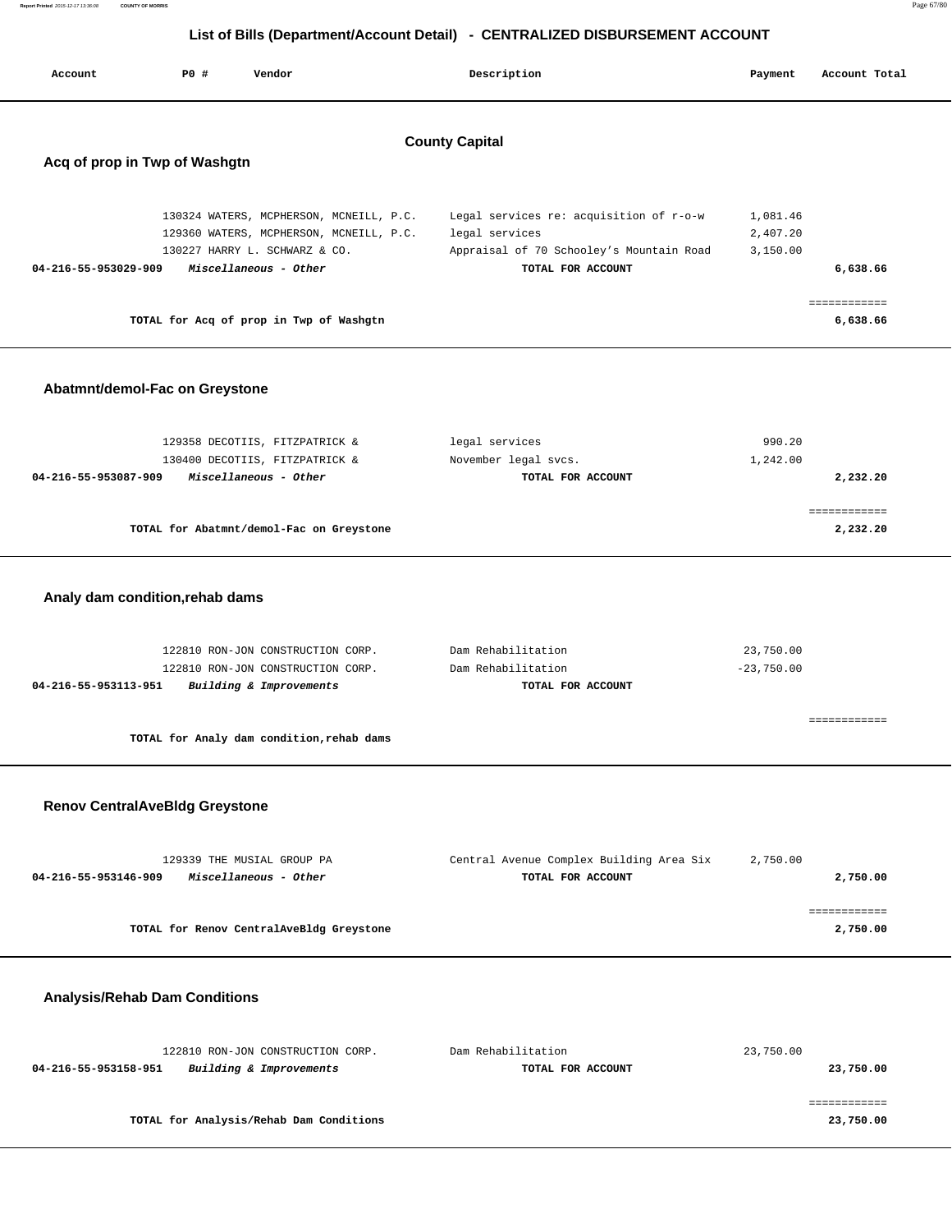| List of Bills (Department/Account Detail) - CENTRALIZED DISBURSEMENT ACCOUNT |                                                        |                                                                                                                                                                                         |                                                                                                                            |                                  |                                      |  |  |  |
|------------------------------------------------------------------------------|--------------------------------------------------------|-----------------------------------------------------------------------------------------------------------------------------------------------------------------------------------------|----------------------------------------------------------------------------------------------------------------------------|----------------------------------|--------------------------------------|--|--|--|
| Account                                                                      | <b>PO #</b>                                            | Vendor                                                                                                                                                                                  | Description                                                                                                                | Payment                          | Account Total                        |  |  |  |
|                                                                              | <b>County Capital</b><br>Acq of prop in Twp of Washgtn |                                                                                                                                                                                         |                                                                                                                            |                                  |                                      |  |  |  |
| 04-216-55-953029-909                                                         |                                                        | 130324 WATERS, MCPHERSON, MCNEILL, P.C.<br>129360 WATERS, MCPHERSON, MCNEILL, P.C.<br>130227 HARRY L. SCHWARZ & CO.<br>Miscellaneous - Other<br>TOTAL for Acq of prop in Twp of Washgtn | Legal services re: acquisition of r-o-w<br>legal services<br>Appraisal of 70 Schooley's Mountain Road<br>TOTAL FOR ACCOUNT | 1,081.46<br>2,407.20<br>3,150.00 | 6,638.66<br>============<br>6,638.66 |  |  |  |
|                                                                              | Abatmnt/demol-Fac on Greystone                         |                                                                                                                                                                                         |                                                                                                                            |                                  |                                      |  |  |  |
| 04-216-55-953087-909                                                         |                                                        | 129358 DECOTIIS, FITZPATRICK &<br>130400 DECOTIIS, FITZPATRICK &<br>Miscellaneous - Other                                                                                               | legal services<br>November legal svcs.<br>TOTAL FOR ACCOUNT                                                                | 990.20<br>1,242.00               | 2,232.20                             |  |  |  |
|                                                                              |                                                        | TOTAL for Abatmnt/demol-Fac on Greystone                                                                                                                                                |                                                                                                                            |                                  | ============<br>2,232.20             |  |  |  |
|                                                                              | Analy dam condition, rehab dams                        |                                                                                                                                                                                         |                                                                                                                            |                                  |                                      |  |  |  |
| 04-216-55-953113-951                                                         |                                                        | 122810 RON-JON CONSTRUCTION CORP.<br>122810 RON-JON CONSTRUCTION CORP.<br>Building & Improvements                                                                                       | Dam Rehabilitation<br>Dam Rehabilitation<br>TOTAL FOR ACCOUNT                                                              | 23,750.00<br>$-23,750.00$        |                                      |  |  |  |
|                                                                              |                                                        | TOTAL for Analy dam condition, rehab dams                                                                                                                                               |                                                                                                                            |                                  | ============                         |  |  |  |
|                                                                              | <b>Renov CentralAveBldg Greystone</b>                  |                                                                                                                                                                                         |                                                                                                                            |                                  |                                      |  |  |  |
| 04-216-55-953146-909                                                         |                                                        | 129339 THE MUSIAL GROUP PA<br>Miscellaneous - Other                                                                                                                                     | Central Avenue Complex Building Area Six<br>TOTAL FOR ACCOUNT                                                              | 2,750.00                         | 2,750.00                             |  |  |  |
|                                                                              |                                                        | TOTAL for Renov CentralAveBldg Greystone                                                                                                                                                |                                                                                                                            |                                  | ============<br>2,750.00             |  |  |  |
|                                                                              | <b>Analysis/Rehab Dam Conditions</b>                   |                                                                                                                                                                                         |                                                                                                                            |                                  |                                      |  |  |  |
| 04-216-55-953158-951                                                         |                                                        | 122810 RON-JON CONSTRUCTION CORP.<br>Building & Improvements                                                                                                                            | Dam Rehabilitation<br>TOTAL FOR ACCOUNT                                                                                    | 23,750.00                        | 23,750.00                            |  |  |  |

 ============ **TOTAL for Analysis/Rehab Dam Conditions 23,750.00**

**Report Printed** 2015-12-17 13:36:08 **COUNTY OF MORRIS** Page 67/80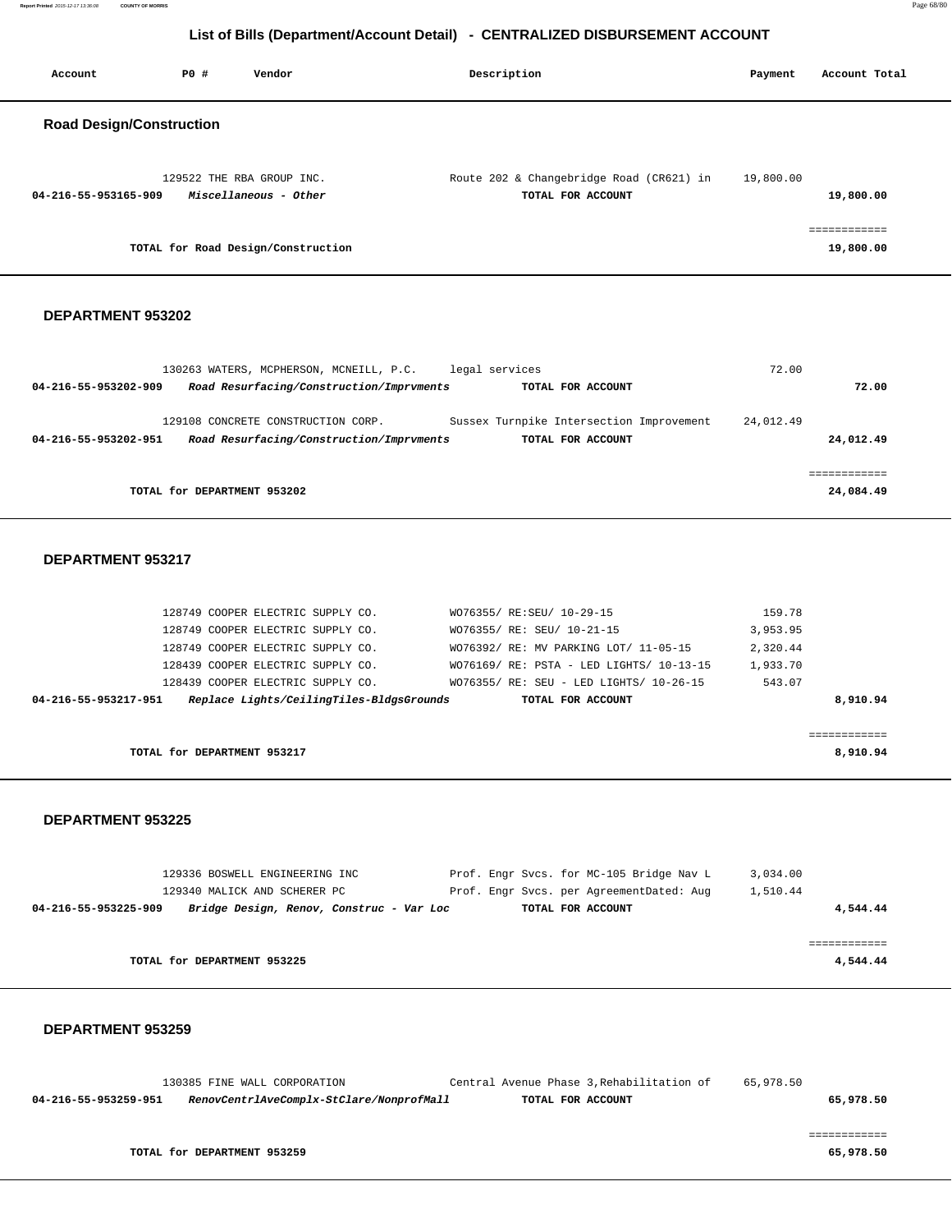| Report Printed 2015-12-17 13:36:08<br><b>COUNTY OF MORRIS</b>                                                                                                                                                                                                                                                                                                                                                                                                                                                                                                                                                                                                                                                                                                                                                                                                                                                                                                                                                                                                                                                                                                                                                                                                                                                                                                                                                                                                                                                                                    |                             |                   |         | Page 68/80                |  |  |  |
|--------------------------------------------------------------------------------------------------------------------------------------------------------------------------------------------------------------------------------------------------------------------------------------------------------------------------------------------------------------------------------------------------------------------------------------------------------------------------------------------------------------------------------------------------------------------------------------------------------------------------------------------------------------------------------------------------------------------------------------------------------------------------------------------------------------------------------------------------------------------------------------------------------------------------------------------------------------------------------------------------------------------------------------------------------------------------------------------------------------------------------------------------------------------------------------------------------------------------------------------------------------------------------------------------------------------------------------------------------------------------------------------------------------------------------------------------------------------------------------------------------------------------------------------------|-----------------------------|-------------------|---------|---------------------------|--|--|--|
|                                                                                                                                                                                                                                                                                                                                                                                                                                                                                                                                                                                                                                                                                                                                                                                                                                                                                                                                                                                                                                                                                                                                                                                                                                                                                                                                                                                                                                                                                                                                                  |                             |                   |         |                           |  |  |  |
|                                                                                                                                                                                                                                                                                                                                                                                                                                                                                                                                                                                                                                                                                                                                                                                                                                                                                                                                                                                                                                                                                                                                                                                                                                                                                                                                                                                                                                                                                                                                                  |                             |                   |         |                           |  |  |  |
| Account                                                                                                                                                                                                                                                                                                                                                                                                                                                                                                                                                                                                                                                                                                                                                                                                                                                                                                                                                                                                                                                                                                                                                                                                                                                                                                                                                                                                                                                                                                                                          | P0 #<br>Vendor              | Description       | Payment | Account Total             |  |  |  |
|                                                                                                                                                                                                                                                                                                                                                                                                                                                                                                                                                                                                                                                                                                                                                                                                                                                                                                                                                                                                                                                                                                                                                                                                                                                                                                                                                                                                                                                                                                                                                  |                             |                   |         |                           |  |  |  |
|                                                                                                                                                                                                                                                                                                                                                                                                                                                                                                                                                                                                                                                                                                                                                                                                                                                                                                                                                                                                                                                                                                                                                                                                                                                                                                                                                                                                                                                                                                                                                  |                             |                   |         |                           |  |  |  |
|                                                                                                                                                                                                                                                                                                                                                                                                                                                                                                                                                                                                                                                                                                                                                                                                                                                                                                                                                                                                                                                                                                                                                                                                                                                                                                                                                                                                                                                                                                                                                  |                             |                   |         |                           |  |  |  |
| 04-216-55-953165-909                                                                                                                                                                                                                                                                                                                                                                                                                                                                                                                                                                                                                                                                                                                                                                                                                                                                                                                                                                                                                                                                                                                                                                                                                                                                                                                                                                                                                                                                                                                             | Miscellaneous - Other       | TOTAL FOR ACCOUNT |         | 19,800.00                 |  |  |  |
|                                                                                                                                                                                                                                                                                                                                                                                                                                                                                                                                                                                                                                                                                                                                                                                                                                                                                                                                                                                                                                                                                                                                                                                                                                                                                                                                                                                                                                                                                                                                                  |                             |                   |         | ============              |  |  |  |
| List of Bills (Department/Account Detail) - CENTRALIZED DISBURSEMENT ACCOUNT<br><b>Road Design/Construction</b><br>129522 THE RBA GROUP INC.<br>Route 202 & Changebridge Road (CR621) in 19,800.00<br>TOTAL for Road Design/Construction<br>DEPARTMENT 953202<br>130263 WATERS, MCPHERSON, MCNEILL, P.C. legal services<br>72.00<br>Road Resurfacing/Construction/Imprvments<br>04-216-55-953202-909<br>TOTAL FOR ACCOUNT<br>129108 CONCRETE CONSTRUCTION CORP.<br>Sussex Turnpike Intersection Improvement<br>24,012.49<br>Road Resurfacing/Construction/Imprvments<br>TOTAL FOR ACCOUNT<br>04-216-55-953202-951<br>TOTAL for DEPARTMENT 953202<br>DEPARTMENT 953217<br>159.78<br>128749 COOPER ELECTRIC SUPPLY CO.<br>WO76355/ RE:SEU/ 10-29-15<br>128749 COOPER ELECTRIC SUPPLY CO.<br>WO76355/ RE: SEU/ 10-21-15<br>3,953.95<br>128749 COOPER ELECTRIC SUPPLY CO.<br>WO76392/ RE: MV PARKING LOT/ 11-05-15<br>2,320.44<br>128439 COOPER ELECTRIC SUPPLY CO.<br>WO76169/ RE: PSTA - LED LIGHTS/ 10-13-15<br>1,933.70<br>543.07<br>128439 COOPER ELECTRIC SUPPLY CO.<br>WO76355/ RE: SEU - LED LIGHTS/ 10-26-15<br>04-216-55-953217-951<br>Replace Lights/CeilingTiles-BldgsGrounds<br>TOTAL FOR ACCOUNT<br>TOTAL for DEPARTMENT 953217<br><b>DEPARTMENT 953225</b><br>Prof. Engr Svcs. for MC-105 Bridge Nav L<br>129336 BOSWELL ENGINEERING INC<br>3,034.00<br>129340 MALICK AND SCHERER PC<br>Prof. Engr Svcs. per AgreementDated: Aug<br>1,510.44<br>TOTAL FOR ACCOUNT<br>04-216-55-953225-909<br>Bridge Design, Renov, Construc - Var Loc |                             | 19,800.00         |         |                           |  |  |  |
|                                                                                                                                                                                                                                                                                                                                                                                                                                                                                                                                                                                                                                                                                                                                                                                                                                                                                                                                                                                                                                                                                                                                                                                                                                                                                                                                                                                                                                                                                                                                                  |                             |                   |         |                           |  |  |  |
|                                                                                                                                                                                                                                                                                                                                                                                                                                                                                                                                                                                                                                                                                                                                                                                                                                                                                                                                                                                                                                                                                                                                                                                                                                                                                                                                                                                                                                                                                                                                                  |                             |                   |         |                           |  |  |  |
|                                                                                                                                                                                                                                                                                                                                                                                                                                                                                                                                                                                                                                                                                                                                                                                                                                                                                                                                                                                                                                                                                                                                                                                                                                                                                                                                                                                                                                                                                                                                                  |                             |                   |         |                           |  |  |  |
|                                                                                                                                                                                                                                                                                                                                                                                                                                                                                                                                                                                                                                                                                                                                                                                                                                                                                                                                                                                                                                                                                                                                                                                                                                                                                                                                                                                                                                                                                                                                                  |                             |                   |         | 72.00                     |  |  |  |
|                                                                                                                                                                                                                                                                                                                                                                                                                                                                                                                                                                                                                                                                                                                                                                                                                                                                                                                                                                                                                                                                                                                                                                                                                                                                                                                                                                                                                                                                                                                                                  |                             |                   |         |                           |  |  |  |
|                                                                                                                                                                                                                                                                                                                                                                                                                                                                                                                                                                                                                                                                                                                                                                                                                                                                                                                                                                                                                                                                                                                                                                                                                                                                                                                                                                                                                                                                                                                                                  |                             |                   |         | 24,012.49                 |  |  |  |
|                                                                                                                                                                                                                                                                                                                                                                                                                                                                                                                                                                                                                                                                                                                                                                                                                                                                                                                                                                                                                                                                                                                                                                                                                                                                                                                                                                                                                                                                                                                                                  |                             |                   |         |                           |  |  |  |
|                                                                                                                                                                                                                                                                                                                                                                                                                                                                                                                                                                                                                                                                                                                                                                                                                                                                                                                                                                                                                                                                                                                                                                                                                                                                                                                                                                                                                                                                                                                                                  |                             |                   |         | ============<br>24,084.49 |  |  |  |
|                                                                                                                                                                                                                                                                                                                                                                                                                                                                                                                                                                                                                                                                                                                                                                                                                                                                                                                                                                                                                                                                                                                                                                                                                                                                                                                                                                                                                                                                                                                                                  |                             |                   |         |                           |  |  |  |
|                                                                                                                                                                                                                                                                                                                                                                                                                                                                                                                                                                                                                                                                                                                                                                                                                                                                                                                                                                                                                                                                                                                                                                                                                                                                                                                                                                                                                                                                                                                                                  |                             |                   |         |                           |  |  |  |
|                                                                                                                                                                                                                                                                                                                                                                                                                                                                                                                                                                                                                                                                                                                                                                                                                                                                                                                                                                                                                                                                                                                                                                                                                                                                                                                                                                                                                                                                                                                                                  |                             |                   |         |                           |  |  |  |
|                                                                                                                                                                                                                                                                                                                                                                                                                                                                                                                                                                                                                                                                                                                                                                                                                                                                                                                                                                                                                                                                                                                                                                                                                                                                                                                                                                                                                                                                                                                                                  |                             |                   |         |                           |  |  |  |
|                                                                                                                                                                                                                                                                                                                                                                                                                                                                                                                                                                                                                                                                                                                                                                                                                                                                                                                                                                                                                                                                                                                                                                                                                                                                                                                                                                                                                                                                                                                                                  |                             |                   |         |                           |  |  |  |
|                                                                                                                                                                                                                                                                                                                                                                                                                                                                                                                                                                                                                                                                                                                                                                                                                                                                                                                                                                                                                                                                                                                                                                                                                                                                                                                                                                                                                                                                                                                                                  |                             |                   |         |                           |  |  |  |
|                                                                                                                                                                                                                                                                                                                                                                                                                                                                                                                                                                                                                                                                                                                                                                                                                                                                                                                                                                                                                                                                                                                                                                                                                                                                                                                                                                                                                                                                                                                                                  |                             |                   |         |                           |  |  |  |
|                                                                                                                                                                                                                                                                                                                                                                                                                                                                                                                                                                                                                                                                                                                                                                                                                                                                                                                                                                                                                                                                                                                                                                                                                                                                                                                                                                                                                                                                                                                                                  |                             |                   |         |                           |  |  |  |
|                                                                                                                                                                                                                                                                                                                                                                                                                                                                                                                                                                                                                                                                                                                                                                                                                                                                                                                                                                                                                                                                                                                                                                                                                                                                                                                                                                                                                                                                                                                                                  |                             |                   |         | 8,910.94                  |  |  |  |
|                                                                                                                                                                                                                                                                                                                                                                                                                                                                                                                                                                                                                                                                                                                                                                                                                                                                                                                                                                                                                                                                                                                                                                                                                                                                                                                                                                                                                                                                                                                                                  |                             |                   |         | ============              |  |  |  |
|                                                                                                                                                                                                                                                                                                                                                                                                                                                                                                                                                                                                                                                                                                                                                                                                                                                                                                                                                                                                                                                                                                                                                                                                                                                                                                                                                                                                                                                                                                                                                  |                             |                   |         | 8,910.94                  |  |  |  |
|                                                                                                                                                                                                                                                                                                                                                                                                                                                                                                                                                                                                                                                                                                                                                                                                                                                                                                                                                                                                                                                                                                                                                                                                                                                                                                                                                                                                                                                                                                                                                  |                             |                   |         |                           |  |  |  |
|                                                                                                                                                                                                                                                                                                                                                                                                                                                                                                                                                                                                                                                                                                                                                                                                                                                                                                                                                                                                                                                                                                                                                                                                                                                                                                                                                                                                                                                                                                                                                  |                             |                   |         |                           |  |  |  |
|                                                                                                                                                                                                                                                                                                                                                                                                                                                                                                                                                                                                                                                                                                                                                                                                                                                                                                                                                                                                                                                                                                                                                                                                                                                                                                                                                                                                                                                                                                                                                  |                             |                   |         |                           |  |  |  |
|                                                                                                                                                                                                                                                                                                                                                                                                                                                                                                                                                                                                                                                                                                                                                                                                                                                                                                                                                                                                                                                                                                                                                                                                                                                                                                                                                                                                                                                                                                                                                  |                             |                   |         |                           |  |  |  |
|                                                                                                                                                                                                                                                                                                                                                                                                                                                                                                                                                                                                                                                                                                                                                                                                                                                                                                                                                                                                                                                                                                                                                                                                                                                                                                                                                                                                                                                                                                                                                  |                             |                   |         |                           |  |  |  |
|                                                                                                                                                                                                                                                                                                                                                                                                                                                                                                                                                                                                                                                                                                                                                                                                                                                                                                                                                                                                                                                                                                                                                                                                                                                                                                                                                                                                                                                                                                                                                  |                             |                   |         | 4,544.44                  |  |  |  |
|                                                                                                                                                                                                                                                                                                                                                                                                                                                                                                                                                                                                                                                                                                                                                                                                                                                                                                                                                                                                                                                                                                                                                                                                                                                                                                                                                                                                                                                                                                                                                  |                             |                   |         | ============              |  |  |  |
|                                                                                                                                                                                                                                                                                                                                                                                                                                                                                                                                                                                                                                                                                                                                                                                                                                                                                                                                                                                                                                                                                                                                                                                                                                                                                                                                                                                                                                                                                                                                                  | TOTAL for DEPARTMENT 953225 |                   |         | 4,544.44                  |  |  |  |
|                                                                                                                                                                                                                                                                                                                                                                                                                                                                                                                                                                                                                                                                                                                                                                                                                                                                                                                                                                                                                                                                                                                                                                                                                                                                                                                                                                                                                                                                                                                                                  |                             |                   |         |                           |  |  |  |

## **DEPARTMENT 953259**

 130385 FINE WALL CORPORATION Central Avenue Phase 3,Rehabilitation of 65,978.50  **04-216-55-953259-951 RenovCentrlAveComplx-StClare/NonprofMall TOTAL FOR ACCOUNT 65,978.50** ============ **TOTAL for DEPARTMENT 953259 65,978.50**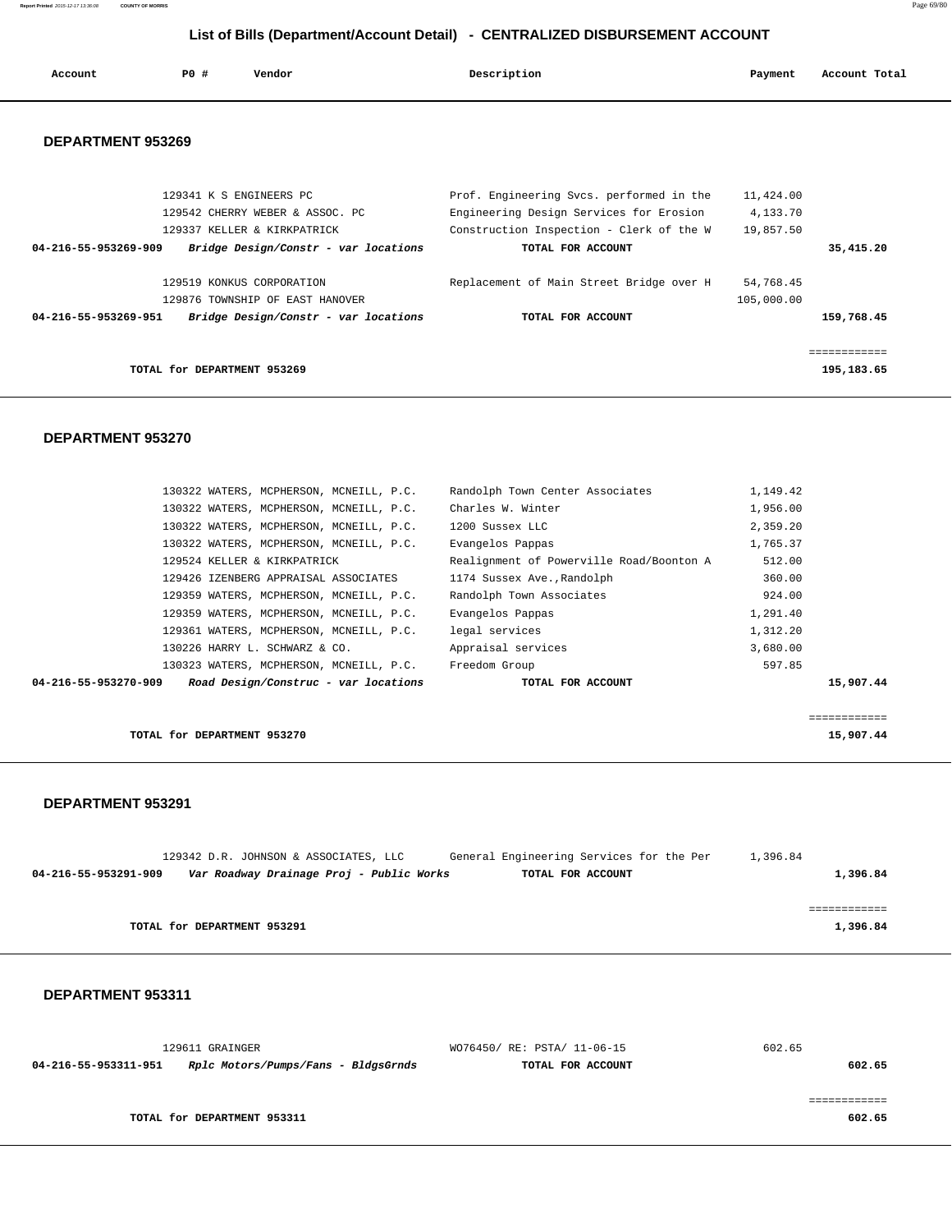**Report Printed** 2015-12-17 13:36:08 **COUNTY OF MORRIS** Page 69/80

# **List of Bills (Department/Account Detail) - CENTRALIZED DISBURSEMENT ACCOUNT**

| Account              | PO#                         | Vendor                               | Description                                      | Payment    | Account Total |
|----------------------|-----------------------------|--------------------------------------|--------------------------------------------------|------------|---------------|
| DEPARTMENT 953269    |                             |                                      |                                                  |            |               |
|                      |                             | 129341 K S ENGINEERS PC              | Prof. Engineering Svcs. performed in the         | 11,424.00  |               |
|                      |                             | 129542 CHERRY WEBER & ASSOC. PC      | Engineering Design Services for Erosion 4,133.70 |            |               |
|                      |                             | 129337 KELLER & KIRKPATRICK          | Construction Inspection - Clerk of the W         | 19,857.50  |               |
| 04-216-55-953269-909 |                             | Bridge Design/Constr - var locations | TOTAL FOR ACCOUNT                                |            | 35,415.20     |
|                      |                             | 129519 KONKUS CORPORATION            | Replacement of Main Street Bridge over H         | 54,768.45  |               |
|                      |                             | 129876 TOWNSHIP OF EAST HANOVER      |                                                  | 105,000.00 |               |
| 04-216-55-953269-951 |                             | Bridge Design/Constr - var locations | TOTAL FOR ACCOUNT                                |            | 159,768.45    |
|                      |                             |                                      |                                                  |            |               |
|                      | TOTAL for DEPARTMENT 953269 |                                      |                                                  |            | 195,183.65    |
|                      |                             |                                      |                                                  |            |               |

## **DEPARTMENT 953270**

| 130322 WATERS, MCPHERSON, MCNEILL, P.C.                      | Randolph Town Center Associates          | 1,149.42  |  |
|--------------------------------------------------------------|------------------------------------------|-----------|--|
| 130322 WATERS, MCPHERSON, MCNEILL, P.C.                      | Charles W. Winter                        | 1,956.00  |  |
| 130322 WATERS, MCPHERSON, MCNEILL, P.C.                      | 1200 Sussex LLC                          | 2,359.20  |  |
| 130322 WATERS, MCPHERSON, MCNEILL, P.C.                      | Evangelos Pappas                         | 1,765.37  |  |
| 129524 KELLER & KIRKPATRICK                                  | Realignment of Powerville Road/Boonton A | 512.00    |  |
| 129426 IZENBERG APPRAISAL ASSOCIATES                         | 1174 Sussex Ave., Randolph               | 360.00    |  |
| 129359 WATERS, MCPHERSON, MCNEILL, P.C.                      | Randolph Town Associates                 | 924.00    |  |
| 129359 WATERS, MCPHERSON, MCNEILL, P.C.                      | Evangelos Pappas                         | 1,291.40  |  |
| 129361 WATERS, MCPHERSON, MCNEILL, P.C.                      | legal services                           | 1,312.20  |  |
| 130226 HARRY L. SCHWARZ & CO.                                | Appraisal services                       | 3,680.00  |  |
| 130323 WATERS, MCPHERSON, MCNEILL, P.C.                      | Freedom Group                            | 597.85    |  |
| Road Design/Construc - var locations<br>04-216-55-953270-909 | TOTAL FOR ACCOUNT                        | 15,907.44 |  |
|                                                              |                                          |           |  |
|                                                              |                                          |           |  |

**TOTAL for DEPARTMENT 953270** 15,907.44

## **DEPARTMENT 953291**

|                      |                             | 129342 D.R. JOHNSON & ASSOCIATES, LLC    |  | General Engineering Services for the Per |  | 1,396.84 |          |
|----------------------|-----------------------------|------------------------------------------|--|------------------------------------------|--|----------|----------|
| 04-216-55-953291-909 |                             | Var Roadway Drainage Proj - Public Works |  | TOTAL FOR ACCOUNT                        |  |          | 1,396.84 |
|                      |                             |                                          |  |                                          |  |          |          |
|                      |                             |                                          |  |                                          |  |          |          |
|                      | TOTAL for DEPARTMENT 953291 |                                          |  |                                          |  |          | 1,396.84 |
|                      |                             |                                          |  |                                          |  |          |          |

|                      | 129611 GRAINGER                     | WO76450/ RE: PSTA/ 11-06-15 | 602.65 |
|----------------------|-------------------------------------|-----------------------------|--------|
| 04-216-55-953311-951 | Rplc Motors/Pumps/Fans - BldgsGrnds | TOTAL FOR ACCOUNT           | 602.65 |
|                      |                                     |                             |        |
|                      |                                     |                             |        |
|                      | TOTAL for DEPARTMENT 953311         |                             | 602.65 |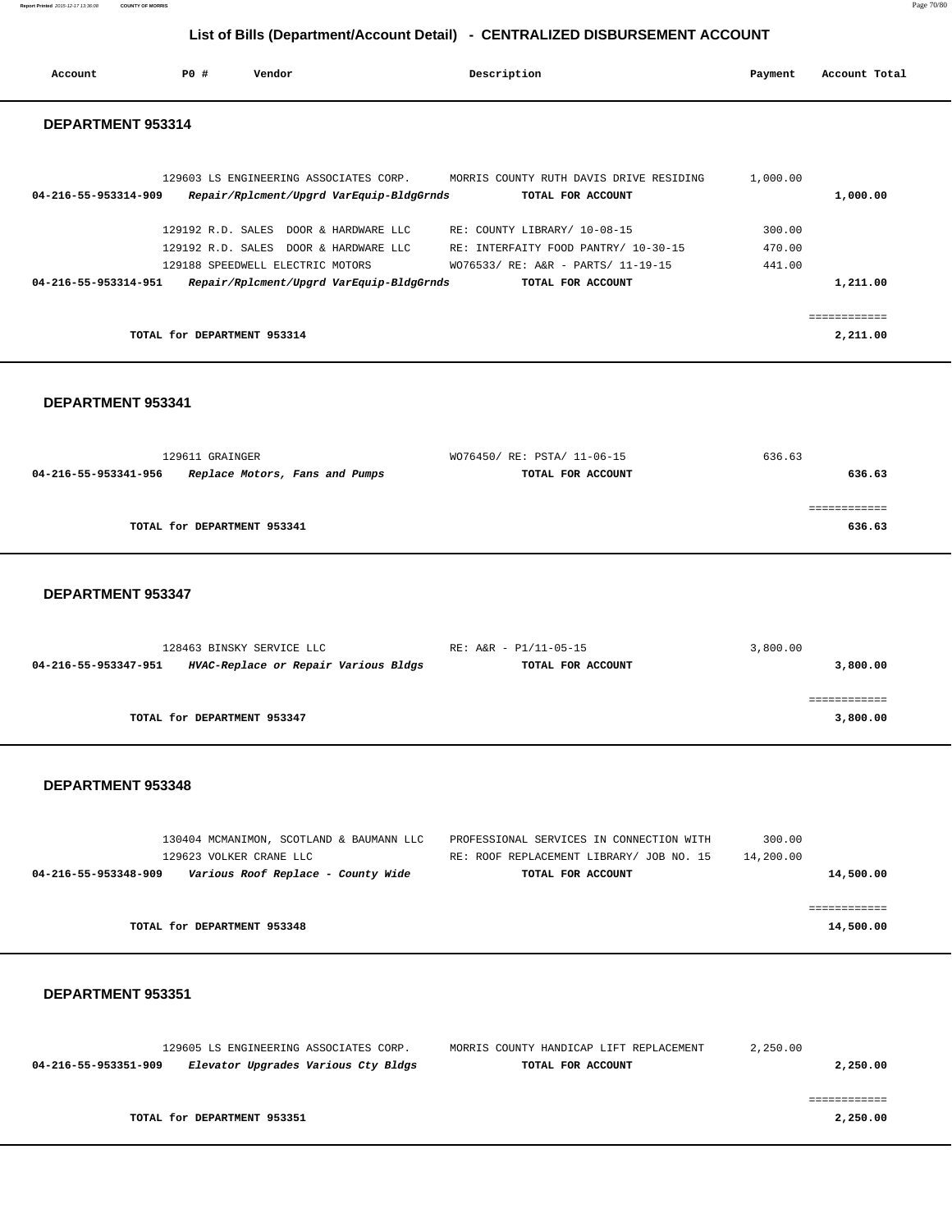**Report Printed** 2015-12-17 13:36:08 **COUNTY OF MORRIS** Page 70/80

# **List of Bills (Department/Account Detail) - CENTRALIZED DISBURSEMENT ACCOUNT**

|                      |                             |                                        |                                          | <u> VIII III IIIII II IIVI VIIVIIII II II VUUVUUTI I</u>     |          |                         |
|----------------------|-----------------------------|----------------------------------------|------------------------------------------|--------------------------------------------------------------|----------|-------------------------|
| Account              | <b>PO #</b>                 | Vendor                                 |                                          | Description                                                  | Payment  | Account Total           |
| DEPARTMENT 953314    |                             |                                        |                                          |                                                              |          |                         |
| 04-216-55-953314-909 |                             | 129603 LS ENGINEERING ASSOCIATES CORP. | Repair/Rplcment/Upgrd VarEquip-BldgGrnds | MORRIS COUNTY RUTH DAVIS DRIVE RESIDING<br>TOTAL FOR ACCOUNT | 1,000.00 | 1,000.00                |
|                      |                             | 129192 R.D. SALES DOOR & HARDWARE LLC  |                                          | RE: COUNTY LIBRARY/ 10-08-15                                 | 300.00   |                         |
|                      |                             | 129192 R.D. SALES DOOR & HARDWARE LLC  |                                          | RE: INTERFAITY FOOD PANTRY/ 10-30-15                         | 470.00   |                         |
|                      |                             | 129188 SPEEDWELL ELECTRIC MOTORS       |                                          | WO76533/ RE: A&R - PARTS/ 11-19-15                           | 441.00   |                         |
| 04-216-55-953314-951 |                             |                                        | Repair/Rplcment/Upgrd VarEquip-BldgGrnds | TOTAL FOR ACCOUNT                                            |          | 1,211.00                |
|                      |                             |                                        |                                          |                                                              |          |                         |
|                      |                             |                                        |                                          |                                                              |          | , = = = = = = = = = = = |
|                      | TOTAL for DEPARTMENT 953314 |                                        |                                          |                                                              |          | 2,211.00                |

 **DEPARTMENT 953341** 

| 129611 GRAINGER                                        | WO76450/ RE: PSTA/ 11-06-15 | 636.63 |
|--------------------------------------------------------|-----------------------------|--------|
| 04-216-55-953341-956<br>Replace Motors, Fans and Pumps | TOTAL FOR ACCOUNT           | 636.63 |
|                                                        |                             |        |
|                                                        |                             |        |
| TOTAL for DEPARTMENT 953341                            |                             | 636.63 |
|                                                        |                             |        |

 **DEPARTMENT 953347** 

|                      | 128463 BINSKY SERVICE LLC            | RE: A&R - P1/11-05-15 | 3,800.00 |
|----------------------|--------------------------------------|-----------------------|----------|
| 04-216-55-953347-951 | HVAC-Replace or Repair Various Bldgs | TOTAL FOR ACCOUNT     | 3,800.00 |
|                      |                                      |                       |          |
|                      |                                      |                       |          |
|                      | TOTAL for DEPARTMENT 953347          |                       | 3,800.00 |
|                      |                                      |                       |          |

### **DEPARTMENT 953348**

|           | 300.00    | PROFESSIONAL SERVICES IN CONNECTION WITH | 130404 MCMANIMON, SCOTLAND & BAUMANN LLC |                      |
|-----------|-----------|------------------------------------------|------------------------------------------|----------------------|
|           | 14,200.00 | RE: ROOF REPLACEMENT LIBRARY/ JOB NO. 15 | 129623 VOLKER CRANE LLC                  |                      |
| 14,500.00 |           | TOTAL FOR ACCOUNT                        | Various Roof Replace - County Wide       | 04-216-55-953348-909 |
|           |           |                                          |                                          |                      |
|           |           |                                          |                                          |                      |
| 14,500.00 |           |                                          | TOTAL for DEPARTMENT 953348              |                      |
|           |           |                                          |                                          |                      |

|                      | 129605 LS ENGINEERING ASSOCIATES CORP. | MORRIS COUNTY HANDICAP LIFT REPLACEMENT | 2,250.00 |
|----------------------|----------------------------------------|-----------------------------------------|----------|
| 04-216-55-953351-909 | Elevator Upgrades Various Cty Bldgs    | TOTAL FOR ACCOUNT                       | 2,250.00 |
|                      |                                        |                                         |          |
|                      |                                        |                                         |          |
|                      | TOTAL for DEPARTMENT 953351            |                                         | 2,250.00 |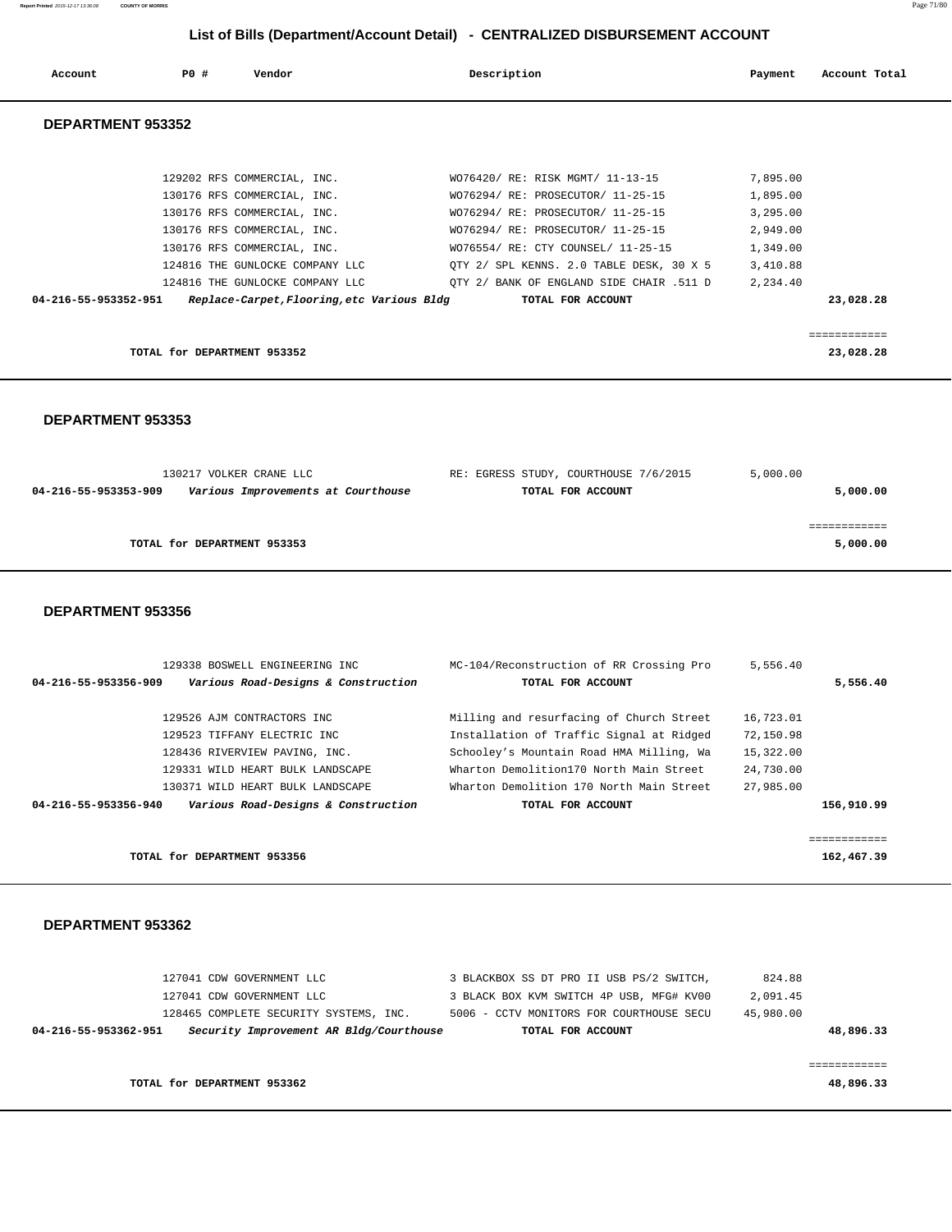| Account              | PO#                         | Vendor                                     | Description                              | Payment  | Account Total |
|----------------------|-----------------------------|--------------------------------------------|------------------------------------------|----------|---------------|
| DEPARTMENT 953352    |                             |                                            |                                          |          |               |
|                      |                             |                                            |                                          |          |               |
|                      |                             | 129202 RFS COMMERCIAL, INC.                | WO76420/ RE: RISK MGMT/ 11-13-15         | 7,895.00 |               |
|                      |                             | 130176 RFS COMMERCIAL, INC.                | WO76294/ RE: PROSECUTOR/ 11-25-15        | 1,895.00 |               |
|                      |                             | 130176 RFS COMMERCIAL, INC.                | WO76294/ RE: PROSECUTOR/ 11-25-15        | 3,295.00 |               |
|                      |                             | 130176 RFS COMMERCIAL, INC.                | WO76294/ RE: PROSECUTOR/ 11-25-15        | 2,949.00 |               |
|                      |                             | 130176 RFS COMMERCIAL, INC.                | WO76554/ RE: CTY COUNSEL/ 11-25-15       | 1,349.00 |               |
|                      |                             | 124816 THE GUNLOCKE COMPANY LLC            | OTY 2/ SPL KENNS. 2.0 TABLE DESK, 30 X 5 | 3,410.88 |               |
|                      |                             | 124816 THE GUNLOCKE COMPANY LLC            | OTY 2/ BANK OF ENGLAND SIDE CHAIR .511 D | 2,234.40 |               |
| 04-216-55-953352-951 |                             | Replace-Carpet, Flooring, etc Various Bldg | TOTAL FOR ACCOUNT                        |          | 23,028.28     |
|                      |                             |                                            |                                          |          |               |
|                      |                             |                                            |                                          |          | ------------  |
|                      | TOTAL for DEPARTMENT 953352 |                                            |                                          |          | 23,028.28     |

 **DEPARTMENT 953353** 

| 130217 VOLKER CRANE LLC                                    | RE: EGRESS STUDY, COURTHOUSE 7/6/2015 | 5,000.00 |
|------------------------------------------------------------|---------------------------------------|----------|
| 04-216-55-953353-909<br>Various Improvements at Courthouse | TOTAL FOR ACCOUNT                     | 5,000.00 |
|                                                            |                                       |          |
|                                                            |                                       |          |
| TOTAL for DEPARTMENT 953353                                |                                       | 5,000.00 |
|                                                            |                                       |          |

### **DEPARTMENT 953356**

| 129338 BOSWELL ENGINEERING INC                              | MC-104/Reconstruction of RR Crossing Pro | 5,556.40  |            |
|-------------------------------------------------------------|------------------------------------------|-----------|------------|
| Various Road-Designs & Construction<br>04-216-55-953356-909 | TOTAL FOR ACCOUNT                        |           | 5,556.40   |
| 129526 AJM CONTRACTORS INC                                  | Milling and resurfacing of Church Street | 16,723.01 |            |
| 129523 TIFFANY ELECTRIC INC                                 | Installation of Traffic Signal at Ridged | 72,150.98 |            |
| 128436 RIVERVIEW PAVING, INC.                               | Schooley's Mountain Road HMA Milling, Wa | 15,322.00 |            |
| 129331 WILD HEART BULK LANDSCAPE                            | Wharton Demolition170 North Main Street  | 24,730.00 |            |
| 130371 WILD HEART BULK LANDSCAPE                            | Wharton Demolition 170 North Main Street | 27,985.00 |            |
| Various Road-Designs & Construction<br>04-216-55-953356-940 | TOTAL FOR ACCOUNT                        |           | 156,910.99 |
|                                                             |                                          |           |            |
|                                                             |                                          |           |            |
| TOTAL for DEPARTMENT 953356                                 |                                          |           | 162,467.39 |

| 127041 CDW GOVERNMENT LLC   |                                         | 3 BLACKBOX SS DT PRO II USB PS/2 SWITCH, | 824.88    |           |
|-----------------------------|-----------------------------------------|------------------------------------------|-----------|-----------|
| 127041 CDW GOVERNMENT LLC   |                                         | 3 BLACK BOX KVM SWITCH 4P USB, MFG# KV00 | 2,091.45  |           |
|                             | 128465 COMPLETE SECURITY SYSTEMS, INC.  | 5006 - CCTV MONITORS FOR COURTHOUSE SECU | 45,980.00 |           |
| 04-216-55-953362-951        | Security Improvement AR Bldg/Courthouse | TOTAL FOR ACCOUNT                        |           | 48,896.33 |
|                             |                                         |                                          |           |           |
|                             |                                         |                                          |           |           |
| TOTAL for DEPARTMENT 953362 |                                         |                                          |           | 48,896.33 |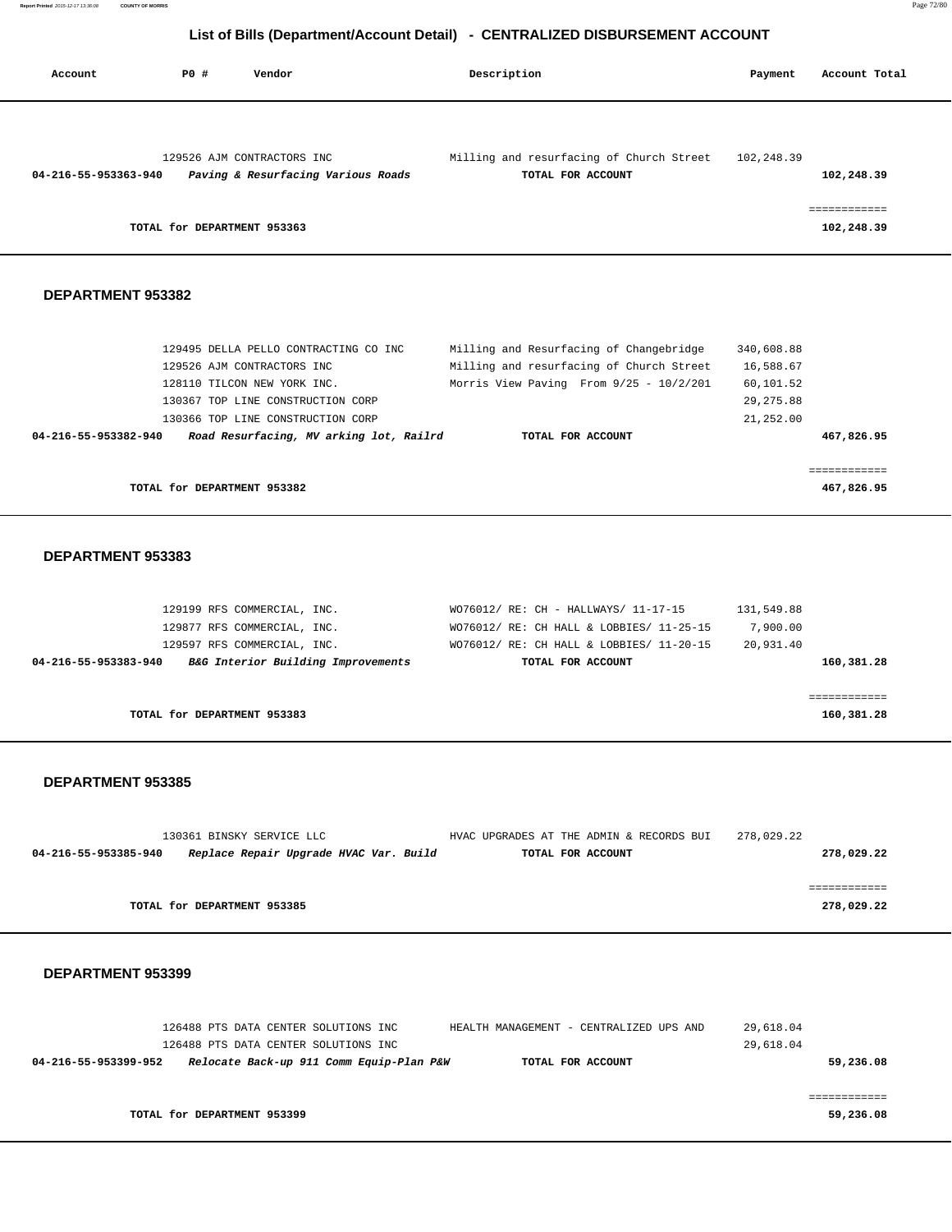**Report Printed** 2015-12-17 13:36:08 **COUNTY OF MORRIS** Page 72/80

# **List of Bills (Department/Account Detail) - CENTRALIZED DISBURSEMENT ACCOUNT**

| Account              | PO#<br>Vendor                                                                                                                                                                                                           | Description                                                                                                                                         | Payment                                                         | Account Total              |
|----------------------|-------------------------------------------------------------------------------------------------------------------------------------------------------------------------------------------------------------------------|-----------------------------------------------------------------------------------------------------------------------------------------------------|-----------------------------------------------------------------|----------------------------|
| 04-216-55-953363-940 | 129526 AJM CONTRACTORS INC<br>Paving & Resurfacing Various Roads                                                                                                                                                        | Milling and resurfacing of Church Street<br>TOTAL FOR ACCOUNT                                                                                       | 102,248.39                                                      | 102,248.39                 |
|                      | TOTAL for DEPARTMENT 953363                                                                                                                                                                                             |                                                                                                                                                     |                                                                 | ============<br>102,248.39 |
| DEPARTMENT 953382    |                                                                                                                                                                                                                         |                                                                                                                                                     |                                                                 |                            |
| 04-216-55-953382-940 | 129495 DELLA PELLO CONTRACTING CO INC<br>129526 AJM CONTRACTORS INC<br>128110 TILCON NEW YORK INC.<br>130367 TOP LINE CONSTRUCTION CORP<br>130366 TOP LINE CONSTRUCTION CORP<br>Road Resurfacing, MV arking lot, Railrd | Milling and Resurfacing of Changebridge<br>Milling and resurfacing of Church Street<br>Morris View Paving From 9/25 - 10/2/201<br>TOTAL FOR ACCOUNT | 340,608.88<br>16,588.67<br>60,101.52<br>29, 275.88<br>21,252.00 | 467,826.95                 |
|                      | TOTAL for DEPARTMENT 953382                                                                                                                                                                                             |                                                                                                                                                     |                                                                 | ============<br>467,826.95 |
| DEPARTMENT 953383    |                                                                                                                                                                                                                         |                                                                                                                                                     |                                                                 |                            |
|                      | 129199 RFS COMMERCIAL, INC.<br>129877 RFS COMMERCIAL, INC.<br>129597 RFS COMMERCIAL, INC.                                                                                                                               | WO76012/ RE: CH - HALLWAYS/ 11-17-15<br>WO76012/ RE: CH HALL & LOBBIES/ 11-25-15<br>WO76012/ RE: CH HALL & LOBBIES/ 11-20-15                        | 131,549.88<br>7,900.00<br>20,931.40                             |                            |

| 04-216-55-953383-940 | B&G Interior Building Improvements | TOTAL FOR ACCOUNT | 160,381.28 |
|----------------------|------------------------------------|-------------------|------------|
|                      |                                    |                   |            |
|                      |                                    |                   |            |
|                      | TOTAL for DEPARTMENT 953383        |                   | 160,381.28 |

## **DEPARTMENT 953385**

|                      | 130361 BINSKY SERVICE LLC              | HVAC UPGRADES AT THE ADMIN & RECORDS BUI | 278,029.22 |
|----------------------|----------------------------------------|------------------------------------------|------------|
| 04-216-55-953385-940 | Replace Repair Upgrade HVAC Var. Build | TOTAL FOR ACCOUNT                        | 278,029.22 |
|                      |                                        |                                          |            |
|                      |                                        |                                          |            |
|                      | TOTAL for DEPARTMENT 953385            |                                          | 278,029.22 |

|                      | 126488 PTS DATA CENTER SOLUTIONS INC |                                          | HEALTH MANAGEMENT - CENTRALIZED UPS AND | 29,618.04 |           |
|----------------------|--------------------------------------|------------------------------------------|-----------------------------------------|-----------|-----------|
|                      | 126488 PTS DATA CENTER SOLUTIONS INC |                                          |                                         | 29,618.04 |           |
| 04-216-55-953399-952 |                                      | Relocate Back-up 911 Comm Equip-Plan P&W | TOTAL FOR ACCOUNT                       |           | 59,236.08 |
|                      |                                      |                                          |                                         |           |           |
|                      |                                      |                                          |                                         |           |           |
|                      | TOTAL for DEPARTMENT 953399          |                                          |                                         |           | 59,236.08 |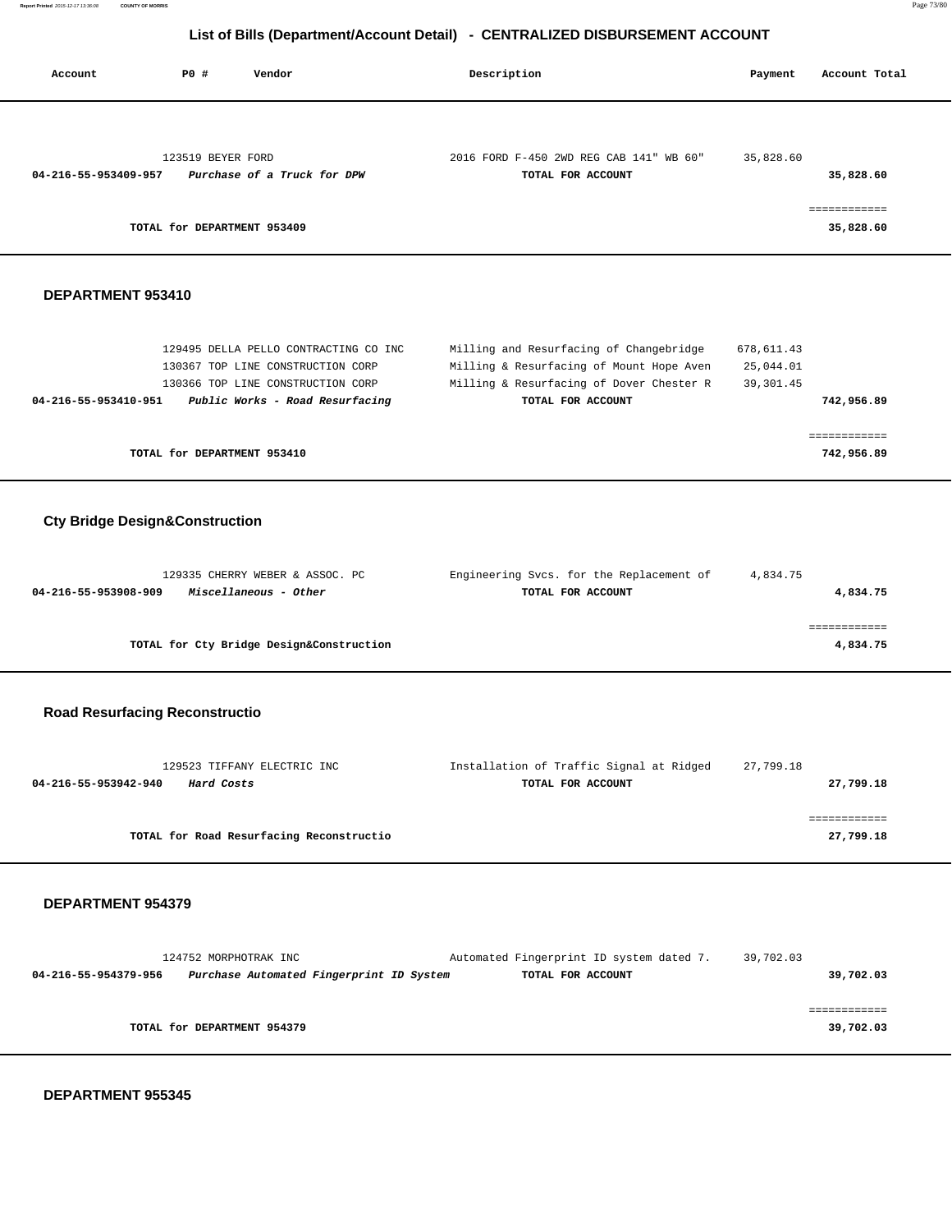**Report Printed** 2015-12-17 13:36:08 **COUNTY OF MORRIS** Page 73/80

# **List of Bills (Department/Account Detail) - CENTRALIZED DISBURSEMENT ACCOUNT**

| LIST OF DIIIS (Department/Account Detail) - CENTRALIZED DISBURSEMENT ACCOUNT |                             |                                                                                                                                                    |                                                                                                                                                      |                                       |                            |  |  |  |  |  |
|------------------------------------------------------------------------------|-----------------------------|----------------------------------------------------------------------------------------------------------------------------------------------------|------------------------------------------------------------------------------------------------------------------------------------------------------|---------------------------------------|----------------------------|--|--|--|--|--|
| Account                                                                      | <b>PO #</b>                 | Vendor                                                                                                                                             | Description                                                                                                                                          | Payment                               | Account Total              |  |  |  |  |  |
| 04-216-55-953409-957                                                         | 123519 BEYER FORD           | Purchase of a Truck for DPW                                                                                                                        | 2016 FORD F-450 2WD REG CAB 141" WB 60"<br>TOTAL FOR ACCOUNT                                                                                         | 35,828.60                             | 35,828.60                  |  |  |  |  |  |
|                                                                              | TOTAL for DEPARTMENT 953409 |                                                                                                                                                    |                                                                                                                                                      |                                       | ============<br>35,828.60  |  |  |  |  |  |
| DEPARTMENT 953410                                                            |                             |                                                                                                                                                    |                                                                                                                                                      |                                       |                            |  |  |  |  |  |
| 04-216-55-953410-951                                                         |                             | 129495 DELLA PELLO CONTRACTING CO INC<br>130367 TOP LINE CONSTRUCTION CORP<br>130366 TOP LINE CONSTRUCTION CORP<br>Public Works - Road Resurfacing | Milling and Resurfacing of Changebridge<br>Milling & Resurfacing of Mount Hope Aven<br>Milling & Resurfacing of Dover Chester R<br>TOTAL FOR ACCOUNT | 678,611.43<br>25,044.01<br>39, 301.45 | 742,956.89                 |  |  |  |  |  |
|                                                                              | TOTAL for DEPARTMENT 953410 |                                                                                                                                                    |                                                                                                                                                      |                                       | ============<br>742,956.89 |  |  |  |  |  |
| <b>Cty Bridge Design&amp;Construction</b>                                    |                             |                                                                                                                                                    |                                                                                                                                                      |                                       |                            |  |  |  |  |  |
| 04-216-55-953908-909                                                         |                             | 129335 CHERRY WEBER & ASSOC. PC<br>Miscellaneous - Other                                                                                           | Engineering Svcs. for the Replacement of<br>TOTAL FOR ACCOUNT                                                                                        | 4,834.75                              | 4,834.75                   |  |  |  |  |  |
|                                                                              |                             | TOTAL for Cty Bridge Design&Construction                                                                                                           |                                                                                                                                                      |                                       | ============<br>4,834.75   |  |  |  |  |  |
| <b>Road Resurfacing Reconstructio</b>                                        |                             |                                                                                                                                                    |                                                                                                                                                      |                                       |                            |  |  |  |  |  |
| 04-216-55-953942-940                                                         | Hard Costs                  | 129523 TIFFANY ELECTRIC INC                                                                                                                        | Installation of Traffic Signal at Ridged<br>TOTAL FOR ACCOUNT                                                                                        | 27,799.18                             | 27,799.18                  |  |  |  |  |  |
|                                                                              |                             | TOTAL for Road Resurfacing Reconstructio                                                                                                           |                                                                                                                                                      |                                       | ============<br>27,799.18  |  |  |  |  |  |
| <b>DEPARTMENT 954379</b>                                                     |                             |                                                                                                                                                    |                                                                                                                                                      |                                       |                            |  |  |  |  |  |
| 04-216-55-954379-956                                                         | 124752 MORPHOTRAK INC       | Purchase Automated Fingerprint ID System                                                                                                           | Automated Fingerprint ID system dated 7.<br>TOTAL FOR ACCOUNT                                                                                        | 39,702.03                             | 39,702.03                  |  |  |  |  |  |
|                                                                              | TOTAL for DEPARTMENT 954379 |                                                                                                                                                    |                                                                                                                                                      |                                       | ============<br>39,702.03  |  |  |  |  |  |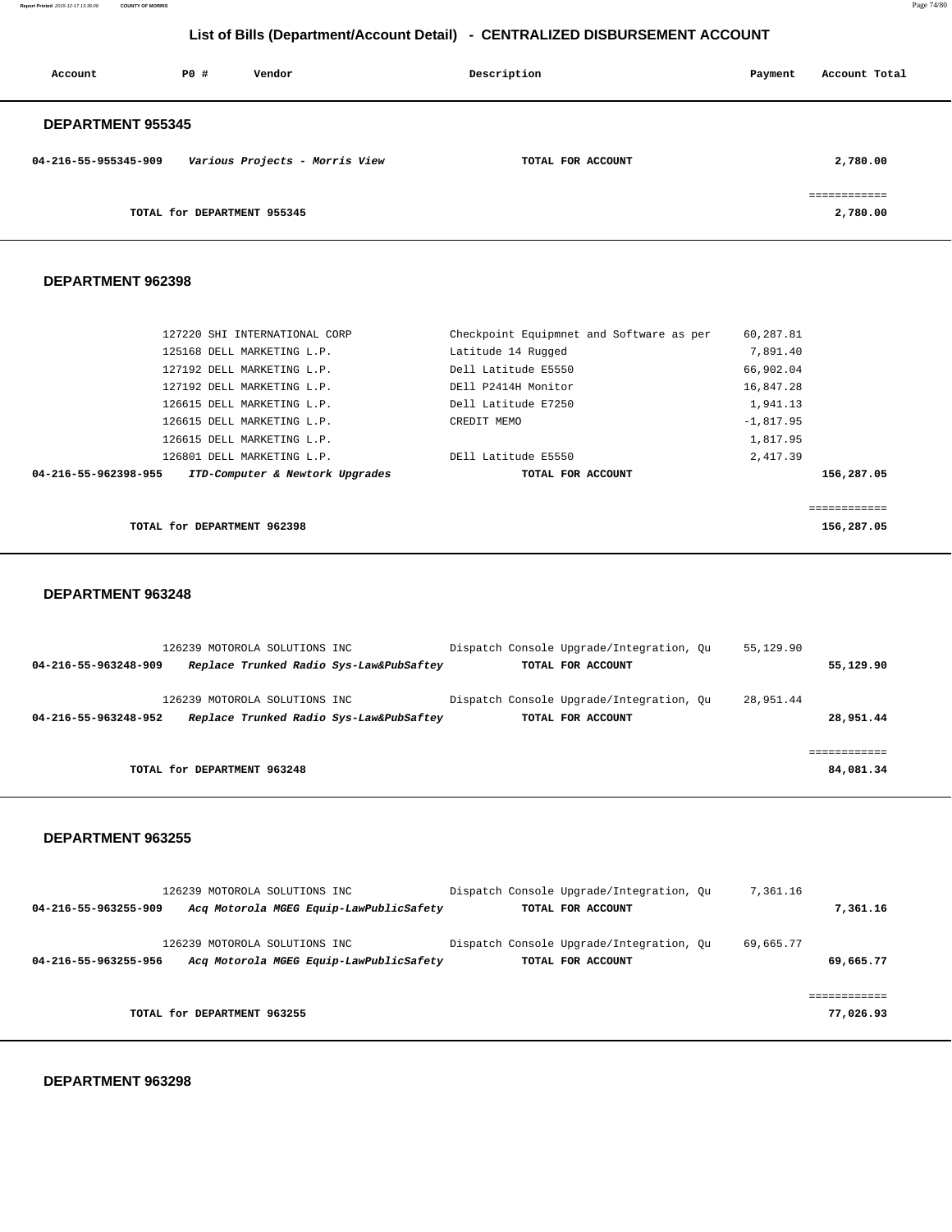**Report Printed** 2015-12-17 13:36:08 **COUNTY OF MORRIS** Page 74/80

# **List of Bills (Department/Account Detail) - CENTRALIZED DISBURSEMENT ACCOUNT**

| Account                  | PO#                         | Vendor                         | Description       | Payment | Account Total            |
|--------------------------|-----------------------------|--------------------------------|-------------------|---------|--------------------------|
| <b>DEPARTMENT 955345</b> |                             |                                |                   |         |                          |
| 04-216-55-955345-909     |                             | Various Projects - Morris View | TOTAL FOR ACCOUNT |         | 2,780.00                 |
|                          | TOTAL for DEPARTMENT 955345 |                                |                   |         | essessessess<br>2,780.00 |

## **DEPARTMENT 962398**

| 127220 SHI INTERNATIONAL CORP                           | Checkpoint Equipmnet and Software as per | 60,287.81   |
|---------------------------------------------------------|------------------------------------------|-------------|
| 125168 DELL MARKETING L.P.                              | Latitude 14 Rugged                       | 7,891.40    |
| 127192 DELL MARKETING L.P.                              | Dell Latitude E5550                      | 66,902.04   |
| 127192 DELL MARKETING L.P.                              | DEll P2414H Monitor                      | 16,847.28   |
| 126615 DELL MARKETING L.P.                              | Dell Latitude E7250                      | 1,941.13    |
| 126615 DELL MARKETING L.P.                              | CREDIT MEMO                              | $-1,817.95$ |
| 126615 DELL MARKETING L.P.                              |                                          | 1,817.95    |
| 126801 DELL MARKETING L.P.                              | DEll Latitude E5550                      | 2,417.39    |
| 04-216-55-962398-955<br>ITD-Computer & Newtork Upgrades | TOTAL FOR ACCOUNT                        | 156,287.05  |
|                                                         |                                          |             |
|                                                         |                                          |             |
| TOTAL for DEPARTMENT 962398                             |                                          | 156,287.05  |

### **DEPARTMENT 963248**

|                      | 126239 MOTOROLA SOLUTIONS INC.          |  | Dispatch Console Upgrade/Integration, Ou | 55,129.90 |           |
|----------------------|-----------------------------------------|--|------------------------------------------|-----------|-----------|
| 04-216-55-963248-909 | Replace Trunked Radio Sys-Law&PubSaftey |  | TOTAL FOR ACCOUNT                        |           | 55,129.90 |
|                      | 126239 MOTOROLA SOLUTIONS INC           |  | Dispatch Console Upgrade/Integration, Ou | 28,951.44 |           |
| 04-216-55-963248-952 | Replace Trunked Radio Sys-Law&PubSaftey |  | TOTAL FOR ACCOUNT                        |           | 28,951.44 |
|                      |                                         |  |                                          |           |           |
|                      | TOTAL for DEPARTMENT 963248             |  |                                          |           | 84,081.34 |
|                      |                                         |  |                                          |           |           |

### **DEPARTMENT 963255**

|                      | 126239 MOTOROLA SOLUTIONS INC.                                           | Dispatch Console Upgrade/Integration, Ou                      | 7,361.16  |                |
|----------------------|--------------------------------------------------------------------------|---------------------------------------------------------------|-----------|----------------|
| 04-216-55-963255-909 | Acq Motorola MGEG Equip-LawPublicSafety                                  | TOTAL FOR ACCOUNT                                             |           | 7,361.16       |
| 04-216-55-963255-956 | 126239 MOTOROLA SOLUTIONS INC<br>Acq Motorola MGEG Equip-LawPublicSafety | Dispatch Console Upgrade/Integration, Ou<br>TOTAL FOR ACCOUNT | 69,665.77 | 69,665.77      |
|                      | TOTAL for DEPARTMENT 963255                                              |                                                               |           | .<br>77,026.93 |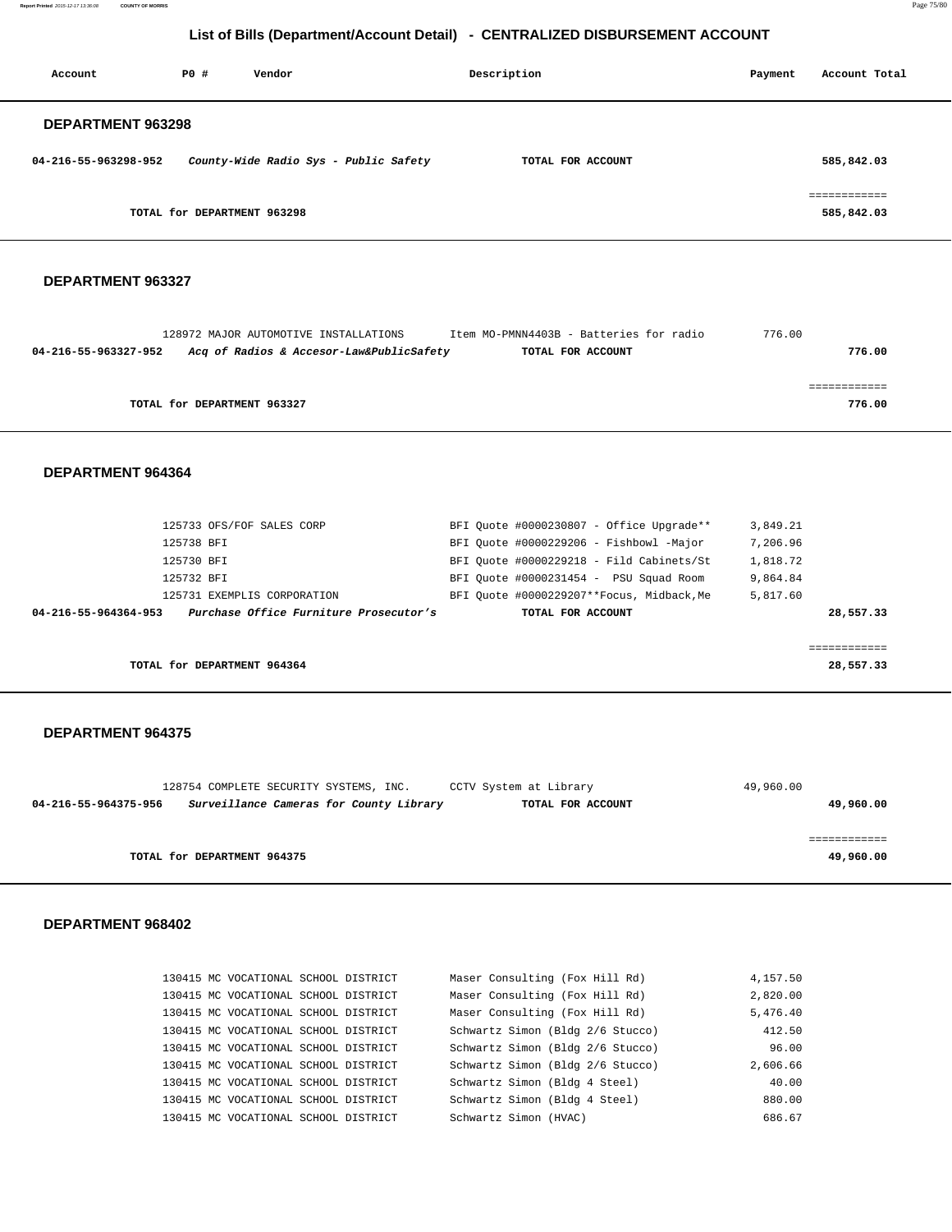**Report Printed** 2015-12-17 13:36:08 **COUNTY OF MORRIS** Page 75/80

# **List of Bills (Department/Account Detail) - CENTRALIZED DISBURSEMENT ACCOUNT**

| Account              | PO#                         | Vendor                                | Description       | Payment | Account Total              |
|----------------------|-----------------------------|---------------------------------------|-------------------|---------|----------------------------|
| DEPARTMENT 963298    |                             |                                       |                   |         |                            |
| 04-216-55-963298-952 |                             | County-Wide Radio Sys - Public Safety | TOTAL FOR ACCOUNT |         | 585,842.03                 |
|                      | TOTAL for DEPARTMENT 963298 |                                       |                   |         | ============<br>585,842.03 |

## **DEPARTMENT 963327**

|                      | 128972 MAJOR AUTOMOTIVE INSTALLATIONS    | Item MO-PMNN4403B - Batteries for radio | 776.00 |
|----------------------|------------------------------------------|-----------------------------------------|--------|
| 04-216-55-963327-952 | Acq of Radios & Accesor-Law&PublicSafety | TOTAL FOR ACCOUNT                       | 776.00 |
|                      |                                          |                                         |        |
|                      |                                          |                                         |        |
|                      | TOTAL for DEPARTMENT 963327              |                                         | 776.00 |
|                      |                                          |                                         |        |

## **DEPARTMENT 964364**

| 125733 OFS/FOF SALES CORP                                      | BFI Ouote #0000230807 - Office Upgrade**  | 3,849.21  |
|----------------------------------------------------------------|-------------------------------------------|-----------|
| 125738 BFT                                                     | BFI Ouote #0000229206 - Fishbowl -Major   | 7,206.96  |
| 125730 BFT                                                     | BFI Ouote #0000229218 - Fild Cabinets/St  | 1,818.72  |
| 125732 BFT                                                     | BFI Ouote #0000231454 - PSU Squad Room    | 9,864.84  |
| 125731 EXEMPLIS CORPORATION                                    | BFI Ouote #0000229207**Focus, Midback, Me | 5,817.60  |
| Purchase Office Furniture Prosecutor's<br>04-216-55-964364-953 | TOTAL FOR ACCOUNT                         | 28,557.33 |
|                                                                |                                           |           |
|                                                                |                                           | ========= |
| TOTAL for DEPARTMENT 964364                                    |                                           | 28,557.33 |

### **DEPARTMENT 964375**

|                      | 128754 COMPLETE SECURITY SYSTEMS, INC.  |  |  | CCTV System at Library |                   | 49,960.00 |           |
|----------------------|-----------------------------------------|--|--|------------------------|-------------------|-----------|-----------|
| 04-216-55-964375-956 | Surveillance Cameras for County Library |  |  |                        | TOTAL FOR ACCOUNT |           | 49,960.00 |
|                      |                                         |  |  |                        |                   |           |           |
|                      |                                         |  |  |                        |                   |           |           |
|                      | TOTAL for DEPARTMENT 964375             |  |  |                        |                   |           | 49,960.00 |
|                      |                                         |  |  |                        |                   |           |           |

| 130415 MC VOCATIONAL SCHOOL DISTRICT | Maser Consulting (Fox Hill Rd)   | 4,157.50 |
|--------------------------------------|----------------------------------|----------|
| 130415 MC VOCATIONAL SCHOOL DISTRICT | Maser Consulting (Fox Hill Rd)   | 2,820.00 |
| 130415 MC VOCATIONAL SCHOOL DISTRICT | Maser Consulting (Fox Hill Rd)   | 5,476.40 |
| 130415 MC VOCATIONAL SCHOOL DISTRICT | Schwartz Simon (Bldg 2/6 Stucco) | 412.50   |
| 130415 MC VOCATIONAL SCHOOL DISTRICT | Schwartz Simon (Bldg 2/6 Stucco) | 96.00    |
| 130415 MC VOCATIONAL SCHOOL DISTRICT | Schwartz Simon (Bldg 2/6 Stucco) | 2,606.66 |
| 130415 MC VOCATIONAL SCHOOL DISTRICT | Schwartz Simon (Bldg 4 Steel)    | 40.00    |
| 130415 MC VOCATIONAL SCHOOL DISTRICT | Schwartz Simon (Bldg 4 Steel)    | 880.00   |
| 130415 MC VOCATIONAL SCHOOL DISTRICT | Schwartz Simon (HVAC)            | 686.67   |
|                                      |                                  |          |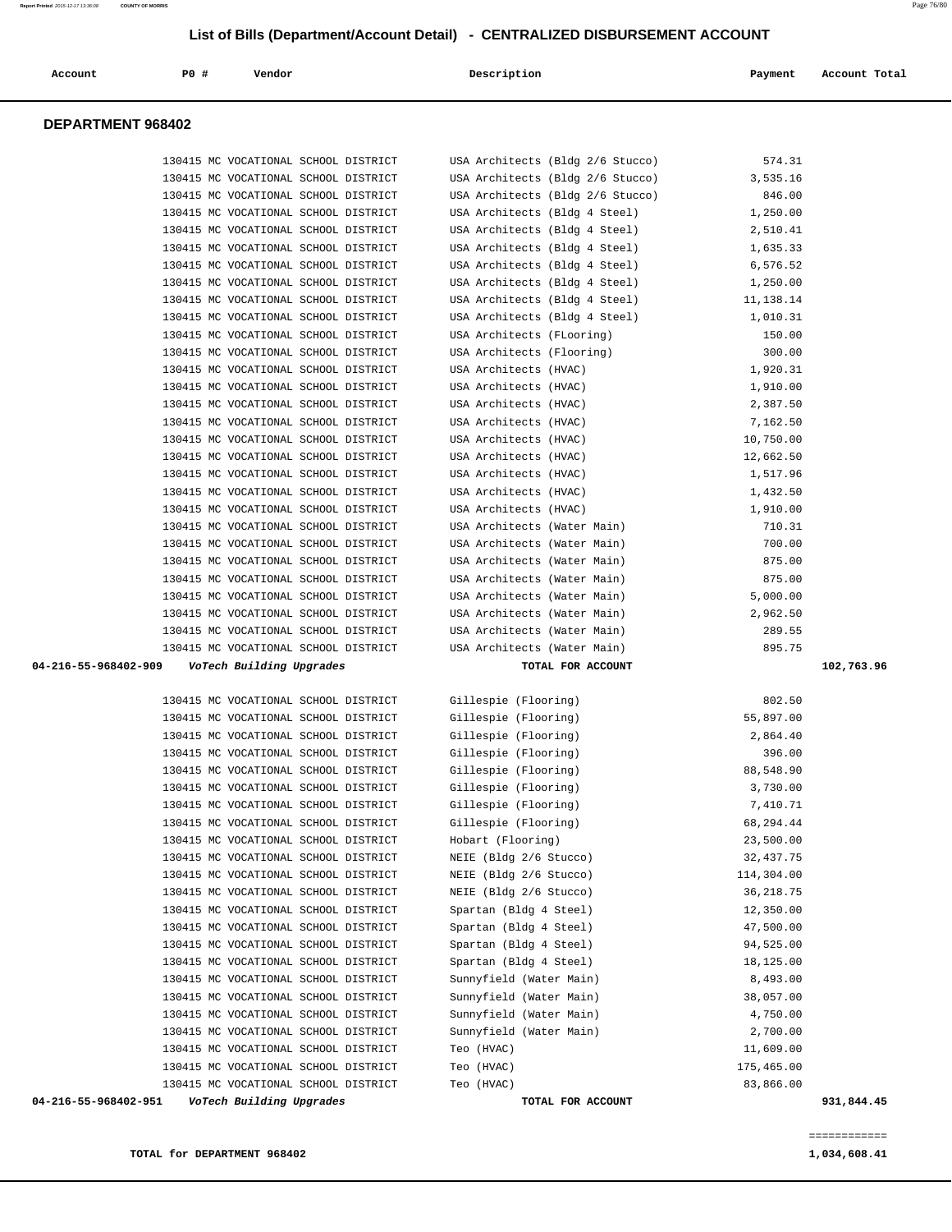### **TOTAL for DEPARTMENT 968402** 1,034,608.41

| 04-216-55-968402-951 | VoTech Building Upgrades                                                     |                               | TOTAL FOR ACCOUNT             |                    | 931,844.45 |
|----------------------|------------------------------------------------------------------------------|-------------------------------|-------------------------------|--------------------|------------|
|                      | 130415 MC VOCATIONAL SCHOOL DISTRICT                                         | Teo (HVAC)                    |                               | 83,866.00          |            |
|                      | 130415 MC VOCATIONAL SCHOOL DISTRICT                                         | Teo (HVAC)                    |                               | 175,465.00         |            |
|                      | 130415 MC VOCATIONAL SCHOOL DISTRICT                                         | Teo (HVAC)                    |                               | 11,609.00          |            |
|                      | 130415 MC VOCATIONAL SCHOOL DISTRICT                                         | Sunnyfield (Water Main)       |                               | 2,700.00           |            |
|                      | 130415 MC VOCATIONAL SCHOOL DISTRICT                                         | Sunnyfield (Water Main)       |                               | 4,750.00           |            |
|                      | 130415 MC VOCATIONAL SCHOOL DISTRICT                                         | Sunnyfield (Water Main)       |                               | 38,057.00          |            |
|                      | 130415 MC VOCATIONAL SCHOOL DISTRICT                                         | Sunnyfield (Water Main)       |                               | 8,493.00           |            |
|                      | 130415 MC VOCATIONAL SCHOOL DISTRICT                                         | Spartan (Bldg 4 Steel)        |                               | 18,125.00          |            |
|                      | 130415 MC VOCATIONAL SCHOOL DISTRICT                                         | Spartan (Bldg 4 Steel)        |                               | 94,525.00          |            |
|                      | 130415 MC VOCATIONAL SCHOOL DISTRICT                                         | Spartan (Bldg 4 Steel)        |                               | 47,500.00          |            |
|                      | 130415 MC VOCATIONAL SCHOOL DISTRICT                                         | Spartan (Bldg 4 Steel)        |                               | 12,350.00          |            |
|                      | 130415 MC VOCATIONAL SCHOOL DISTRICT                                         | NEIE (Bldg 2/6 Stucco)        |                               | 36, 218.75         |            |
|                      | 130415 MC VOCATIONAL SCHOOL DISTRICT                                         | NEIE (Bldg 2/6 Stucco)        |                               | 114,304.00         |            |
|                      | 130415 MC VOCATIONAL SCHOOL DISTRICT                                         | NEIE (Bldg 2/6 Stucco)        |                               | 32,437.75          |            |
|                      | 130415 MC VOCATIONAL SCHOOL DISTRICT                                         | Hobart (Flooring)             |                               | 23,500.00          |            |
|                      | 130415 MC VOCATIONAL SCHOOL DISTRICT                                         | Gillespie (Flooring)          |                               | 68,294.44          |            |
|                      | 130415 MC VOCATIONAL SCHOOL DISTRICT                                         | Gillespie (Flooring)          |                               | 7,410.71           |            |
|                      | 130415 MC VOCATIONAL SCHOOL DISTRICT                                         | Gillespie (Flooring)          |                               | 3,730.00           |            |
|                      | 130415 MC VOCATIONAL SCHOOL DISTRICT                                         | Gillespie (Flooring)          |                               | 88,548.90          |            |
|                      | 130415 MC VOCATIONAL SCHOOL DISTRICT                                         | Gillespie (Flooring)          |                               | 396.00             |            |
|                      | 130415 MC VOCATIONAL SCHOOL DISTRICT                                         | Gillespie (Flooring)          |                               | 2,864.40           |            |
|                      | 130415 MC VOCATIONAL SCHOOL DISTRICT                                         | Gillespie (Flooring)          |                               | 55,897.00          |            |
|                      | 130415 MC VOCATIONAL SCHOOL DISTRICT                                         | Gillespie (Flooring)          |                               | 802.50             |            |
|                      |                                                                              |                               |                               |                    |            |
| 04-216-55-968402-909 | VoTech Building Upgrades                                                     |                               | TOTAL FOR ACCOUNT             |                    | 102,763.96 |
|                      | 130415 MC VOCATIONAL SCHOOL DISTRICT                                         | USA Architects (Water Main)   |                               | 895.75             |            |
|                      | 130415 MC VOCATIONAL SCHOOL DISTRICT                                         | USA Architects (Water Main)   |                               | 289.55             |            |
|                      | 130415 MC VOCATIONAL SCHOOL DISTRICT                                         | USA Architects (Water Main)   |                               | 2,962.50           |            |
|                      | 130415 MC VOCATIONAL SCHOOL DISTRICT                                         | USA Architects (Water Main)   |                               | 5,000.00           |            |
|                      | 130415 MC VOCATIONAL SCHOOL DISTRICT                                         | USA Architects (Water Main)   |                               | 875.00             |            |
|                      | 130415 MC VOCATIONAL SCHOOL DISTRICT                                         | USA Architects (Water Main)   |                               | 875.00             |            |
|                      | 130415 MC VOCATIONAL SCHOOL DISTRICT                                         | USA Architects (Water Main)   |                               | 700.00             |            |
|                      | 130415 MC VOCATIONAL SCHOOL DISTRICT                                         |                               | USA Architects (Water Main)   | 710.31             |            |
|                      | 130415 MC VOCATIONAL SCHOOL DISTRICT                                         | USA Architects (HVAC)         |                               | 1,910.00           |            |
|                      | 130415 MC VOCATIONAL SCHOOL DISTRICT                                         | USA Architects (HVAC)         |                               | 1,432.50           |            |
|                      | 130415 MC VOCATIONAL SCHOOL DISTRICT                                         | USA Architects (HVAC)         |                               | 1,517.96           |            |
|                      | 130415 MC VOCATIONAL SCHOOL DISTRICT                                         | USA Architects (HVAC)         |                               | 12,662.50          |            |
|                      | 130415 MC VOCATIONAL SCHOOL DISTRICT                                         | USA Architects (HVAC)         |                               | 10,750.00          |            |
|                      | 130415 MC VOCATIONAL SCHOOL DISTRICT                                         | USA Architects (HVAC)         |                               | 7,162.50           |            |
|                      | 130415 MC VOCATIONAL SCHOOL DISTRICT                                         | USA Architects (HVAC)         |                               | 2,387.50           |            |
|                      | 130415 MC VOCATIONAL SCHOOL DISTRICT                                         | USA Architects (HVAC)         |                               | 1,910.00           |            |
|                      | 130415 MC VOCATIONAL SCHOOL DISTRICT                                         | USA Architects (HVAC)         |                               | 1,920.31           |            |
|                      | 130415 MC VOCATIONAL SCHOOL DISTRICT<br>130415 MC VOCATIONAL SCHOOL DISTRICT | USA Architects (FLooring)     | USA Architects (Flooring)     | 300.00             |            |
|                      | 130415 MC VOCATIONAL SCHOOL DISTRICT                                         |                               | USA Architects (Bldg 4 Steel) | 1,010.31<br>150.00 |            |
|                      | 130415 MC VOCATIONAL SCHOOL DISTRICT                                         |                               | USA Architects (Bldg 4 Steel) | 11,138.14          |            |
|                      | 130415 MC VOCATIONAL SCHOOL DISTRICT                                         |                               | USA Architects (Bldg 4 Steel) | 1,250.00           |            |
|                      | 130415 MC VOCATIONAL SCHOOL DISTRICT                                         |                               | USA Architects (Bldg 4 Steel) | 6,576.52           |            |
|                      | 130415 MC VOCATIONAL SCHOOL DISTRICT                                         |                               | USA Architects (Bldg 4 Steel) | 1,635.33           |            |
|                      | 130415 MC VOCATIONAL SCHOOL DISTRICT                                         |                               | USA Architects (Bldg 4 Steel) | 2,510.41           |            |
|                      | 130415 MC VOCATIONAL SCHOOL DISTRICT                                         | USA Architects (Bldg 4 Steel) |                               | 1,250.00           |            |

## **DEPARTMENT 968402**

 130415 MC VOCATIONAL SCHOOL DISTRICT USA Architects (Bldg 2/6 Stucco) 574.31 130415 MC VOCATIONAL SCHOOL DISTRICT USA Architects (Bldg 2/6 Stucco) 3,535.16

 **Account P0 # Vendor Description Payment Account Total**

130415 MC VOCATIONAL SCHOOL DISTRICT USA Architects (Bldg 2/6 Stucco) 846.00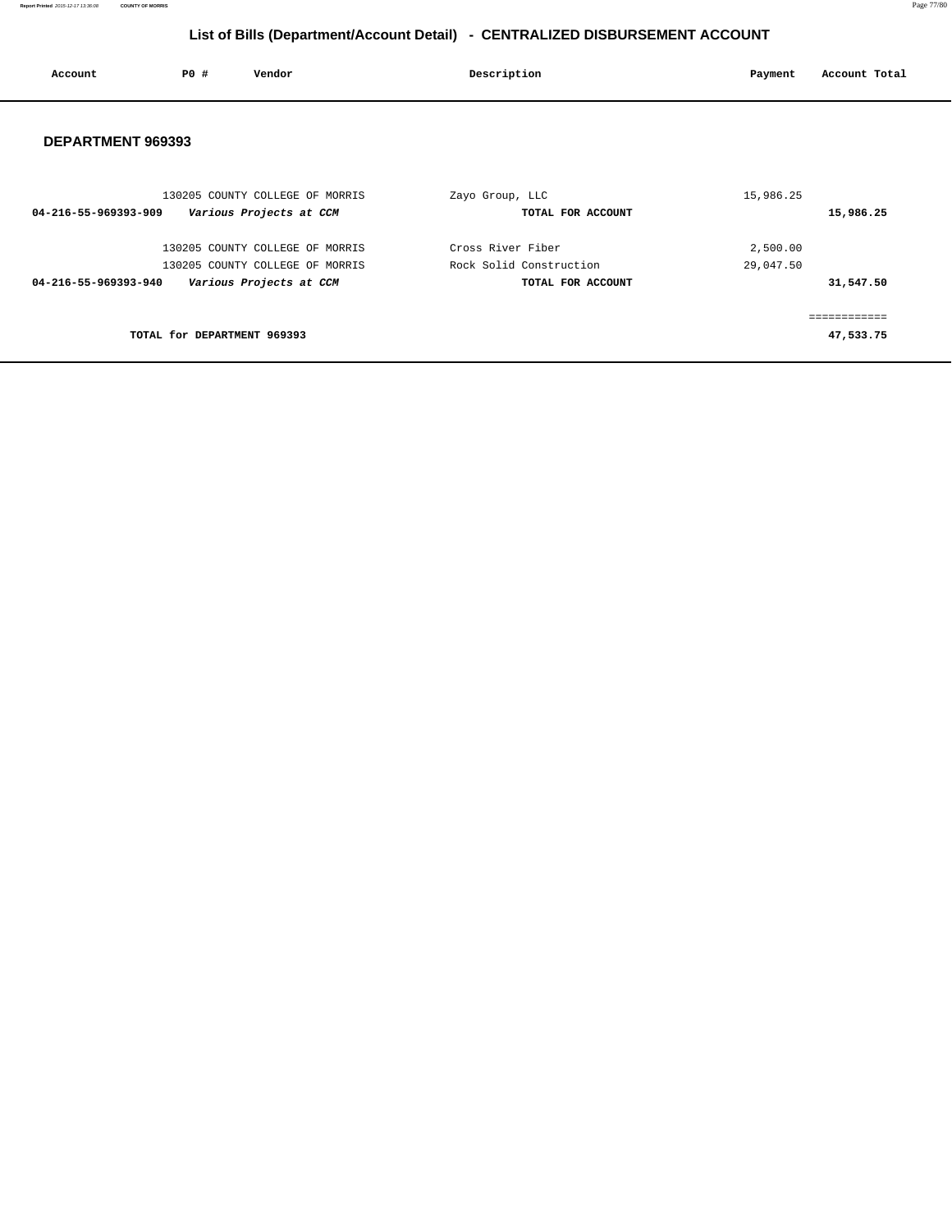**Report Printed** 2015-12-17 13:36:08 **COUNTY OF MORRIS** Page 77/80

# **List of Bills (Department/Account Detail) - CENTRALIZED DISBURSEMENT ACCOUNT**

| Account           | PO# | Vendor | Description | Payment | Account Total |
|-------------------|-----|--------|-------------|---------|---------------|
| DEPARTMENT 969393 |     |        |             |         |               |

| 130205 COUNTY COLLEGE OF MORRIS                 | Zayo Group, LLC         | 15,986.25    |
|-------------------------------------------------|-------------------------|--------------|
| Various Projects at CCM<br>04-216-55-969393-909 | TOTAL FOR ACCOUNT       | 15,986.25    |
| 130205 COUNTY COLLEGE OF MORRIS                 | Cross River Fiber       | 2,500.00     |
| 130205 COUNTY COLLEGE OF MORRIS                 | Rock Solid Construction | 29,047.50    |
| Various Projects at CCM<br>04-216-55-969393-940 | TOTAL FOR ACCOUNT       | 31,547.50    |
|                                                 |                         | ------------ |
| TOTAL for DEPARTMENT 969393                     |                         | 47,533.75    |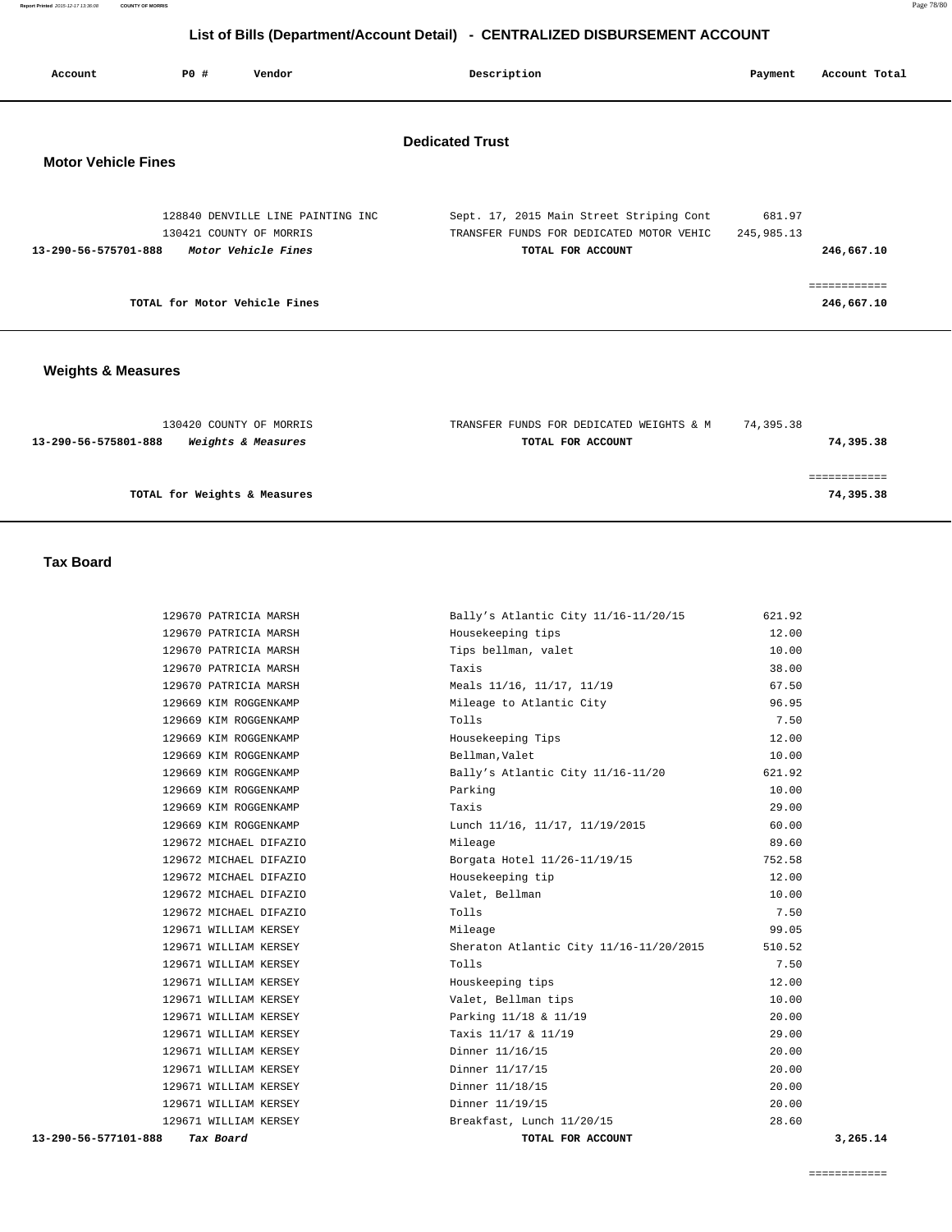# **List of Bills (Department/Account Detail) - CENTRALIZED DISBURSEMENT ACCOUNT**

| Account                                              | P0 # | Vendor                                                                              | Description                                                                                               | Payment              | Account Total              |
|------------------------------------------------------|------|-------------------------------------------------------------------------------------|-----------------------------------------------------------------------------------------------------------|----------------------|----------------------------|
| <b>Dedicated Trust</b><br><b>Motor Vehicle Fines</b> |      |                                                                                     |                                                                                                           |                      |                            |
| 13-290-56-575701-888                                 |      | 128840 DENVILLE LINE PAINTING INC<br>130421 COUNTY OF MORRIS<br>Motor Vehicle Fines | Sept. 17, 2015 Main Street Striping Cont<br>TRANSFER FUNDS FOR DEDICATED MOTOR VEHIC<br>TOTAL FOR ACCOUNT | 681.97<br>245,985.13 | 246,667.10                 |
|                                                      |      | TOTAL for Motor Vehicle Fines                                                       |                                                                                                           |                      | ------------<br>246,667.10 |

## **Weights & Measures**

| 130420 COUNTY OF MORRIS                               | TRANSFER FUNDS FOR DEDICATED WEIGHTS & M | 74,395.38 |
|-------------------------------------------------------|------------------------------------------|-----------|
| 13-290-56-575801-888<br><i>Weights &amp; Measures</i> | TOTAL FOR ACCOUNT                        | 74,395.38 |
|                                                       |                                          |           |
|                                                       |                                          |           |
| TOTAL for Weights & Measures                          |                                          | 74,395.38 |
|                                                       |                                          |           |

## **Tax Board**

|                         | 129670 PATRICIA MARSH  |
|-------------------------|------------------------|
|                         | 129670 PATRICIA MARSH  |
|                         | 129670 PATRICIA MARSH  |
|                         | 129670 PATRICIA MARSH  |
|                         | 129670 PATRICIA MARSH  |
|                         | 129669 KIM ROGGENKAMP  |
|                         | 129669 KIM ROGGENKAMP  |
|                         | 129669 KIM ROGGENKAMP  |
|                         | 129669 KIM ROGGENKAMP  |
|                         | 129669 KIM ROGGENKAMP  |
|                         | 129669 KIM ROGGENKAMP  |
|                         | 129669 KIM ROGGENKAMP  |
|                         | 129669 KIM ROGGENKAMP  |
|                         | 129672 MICHAEL DIFAZIO |
|                         | 129672 MICHAEL DIFAZIO |
|                         | 129672 MICHAEL DIFAZIO |
|                         | 129672 MICHAEL DIFAZIO |
|                         | 129672 MICHAEL DIFAZIO |
|                         | 129671 WILLIAM KERSEY  |
|                         | 129671 WILLIAM KERSEY  |
|                         | 129671 WILLIAM KERSEY  |
|                         | 129671 WILLIAM KERSEY  |
|                         | 129671 WILLIAM KERSEY  |
|                         | 129671 WILLIAM KERSEY  |
|                         | 129671 WILLIAM KERSEY  |
|                         | 129671 WILLIAM KERSEY  |
|                         | 129671 WILLIAM KERSEY  |
|                         | 129671 WILLIAM KERSEY  |
|                         | 129671 WILLIAM KERSEY  |
|                         | 129671 WILLIAM KERSEY  |
| $000$ $\pi$ ax $B$ aama |                        |

| 13-290-56-577101-888 | Tax Board                                      | TOTAL FOR ACCOUNT                        | 3,265.14 |
|----------------------|------------------------------------------------|------------------------------------------|----------|
|                      | 129671 WILLIAM KERSEY                          | Breakfast, Lunch 11/20/15                | 28.60    |
|                      | 129671 WILLIAM KERSEY                          | Dinner 11/19/15                          | 20.00    |
|                      | 129671 WILLIAM KERSEY                          | Dinner 11/18/15                          | 20.00    |
|                      | 129671 WILLIAM KERSEY                          | Dinner 11/17/15                          | 20.00    |
|                      | 129671 WILLIAM KERSEY                          | Dinner 11/16/15                          | 20.00    |
|                      | 129671 WILLIAM KERSEY                          | Taxis 11/17 & 11/19                      | 29.00    |
|                      | 129671 WILLIAM KERSEY                          | Parking 11/18 & 11/19                    | 20.00    |
|                      | 129671 WILLIAM KERSEY                          | Valet, Bellman tips                      | 10.00    |
|                      | 129671 WILLIAM KERSEY                          | Houskeeping tips                         | 12.00    |
|                      | 129671 WILLIAM KERSEY                          | Tolls                                    | 7.50     |
|                      | 129671 WILLIAM KERSEY                          | Sheraton Atlantic City 11/16-11/20/2015  | 510.52   |
|                      | 129671 WILLIAM KERSEY                          | Mileage                                  | 99.05    |
|                      | 129672 MICHAEL DIFAZIO                         | Tolls                                    | 7.50     |
|                      | 129672 MICHAEL DIFAZIO                         | Valet, Bellman                           | 10.00    |
|                      | 129672 MICHAEL DIFAZIO                         | Housekeeping tip                         | 12.00    |
|                      | 129672 MICHAEL DIFAZIO                         | Borgata Hotel 11/26-11/19/15             | 752.58   |
|                      | 129672 MICHAEL DIFAZIO                         | Mileage                                  | 89.60    |
|                      | 129669 KIM ROGGENKAMP                          | Lunch 11/16, 11/17, 11/19/2015           | 60.00    |
|                      | 129669 KIM ROGGENKAMP                          | Taxis                                    | 29.00    |
|                      | 129669 KIM ROGGENKAMP                          | Parking                                  | 10.00    |
|                      | 129669 KIM ROGGENKAMP                          | Bally's Atlantic City 11/16-11/20        | 621.92   |
|                      | 129669 KIM ROGGENKAMP                          | Bellman, Valet                           | 10.00    |
|                      | 129669 KIM ROGGENKAMP                          | Housekeeping Tips                        | 12.00    |
|                      | 129669 KIM ROGGENKAMP                          | Tolls                                    | 7.50     |
|                      | 129669 KIM ROGGENKAMP                          | Mileage to Atlantic City                 | 96.95    |
|                      | 129670 PATRICIA MARSH                          | Meals 11/16, 11/17, 11/19                | 67.50    |
|                      | 129670 PATRICIA MARSH                          | Taxis                                    | 38.00    |
|                      | 129670 PATRICIA MARSH<br>129670 PATRICIA MARSH | Housekeeping tips<br>Tips bellman, valet | 10.00    |
|                      |                                                |                                          | 12.00    |
|                      | 129670 PATRICIA MARSH                          | Bally's Atlantic City 11/16-11/20/15     | 621.92   |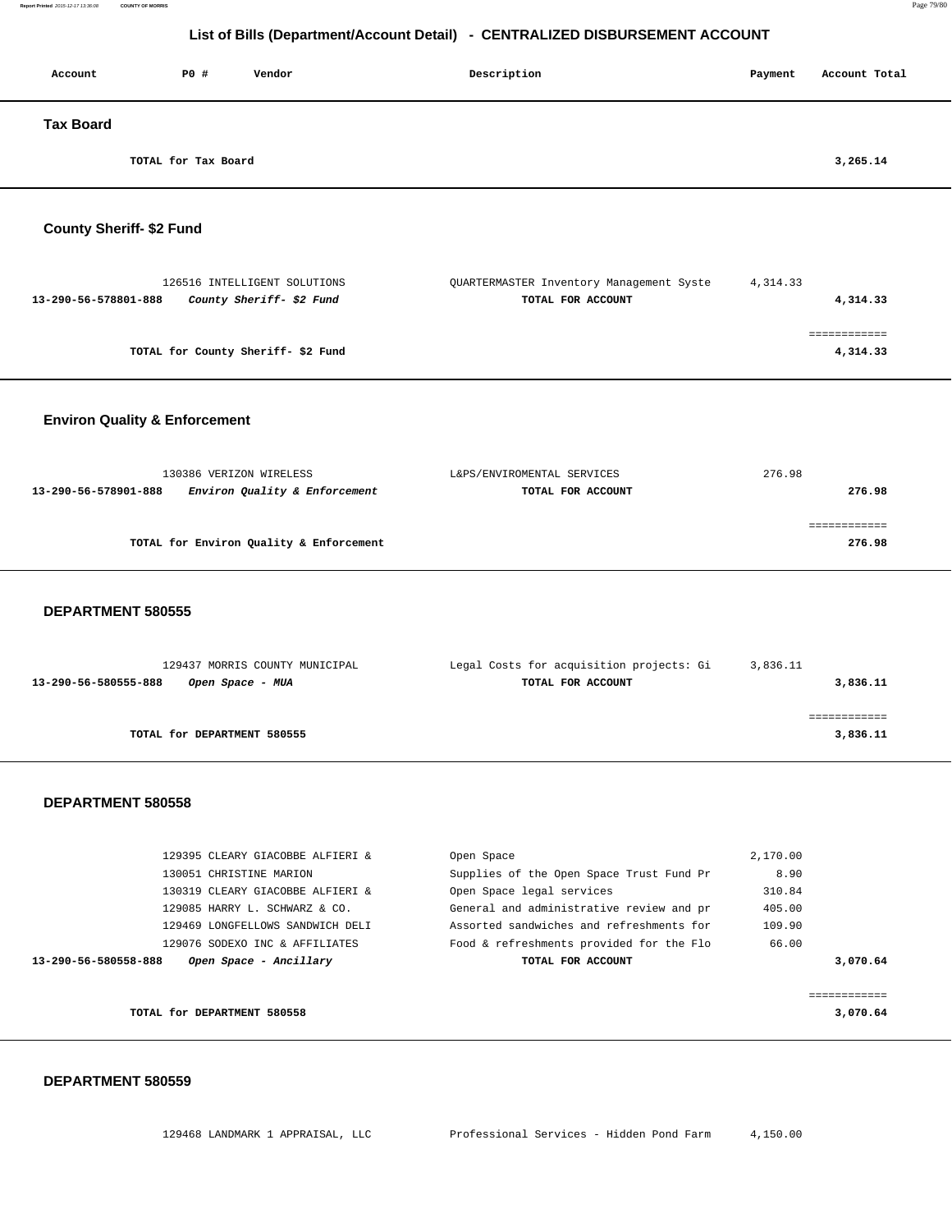# **List of Bills (Department/Account Detail) - CENTRALIZED DISBURSEMENT ACCOUNT**

| Account          | P0 #                | Vendor | Description | Payment | Account Total |
|------------------|---------------------|--------|-------------|---------|---------------|
| <b>Tax Board</b> |                     |        |             |         |               |
|                  | TOTAL for Tax Board |        |             |         | 3,265.14      |

## **County Sheriff- \$2 Fund**

| 126516 INTELLIGENT SOLUTIONS                     | OUARTERMASTER Inventory Management Syste | 4, 314, 33 |
|--------------------------------------------------|------------------------------------------|------------|
| County Sheriff- \$2 Fund<br>13-290-56-578801-888 | TOTAL FOR ACCOUNT                        | 4,314.33   |
|                                                  |                                          |            |
|                                                  |                                          |            |
| TOTAL for County Sheriff-\$2 Fund                |                                          | 4,314.33   |

## **Environ Quality & Enforcement**

| 130386 VERIZON WIRELESS                               | L&PS/ENVIROMENTAL SERVICES | 276.98 |
|-------------------------------------------------------|----------------------------|--------|
| Environ Quality & Enforcement<br>13-290-56-578901-888 | TOTAL FOR ACCOUNT          | 276.98 |
|                                                       |                            |        |
|                                                       |                            |        |
| TOTAL for Environ Quality & Enforcement               |                            | 276.98 |
|                                                       |                            |        |

## **DEPARTMENT 580555**

| 129437 MORRIS COUNTY MUNICIPAL           | Legal Costs for acquisition projects: Gi | 3,836.11 |
|------------------------------------------|------------------------------------------|----------|
| 13-290-56-580555-888<br>Open Space - MUA | TOTAL FOR ACCOUNT                        | 3,836.11 |
|                                          |                                          |          |
|                                          |                                          |          |
| TOTAL for DEPARTMENT 580555              |                                          | 3,836.11 |
|                                          |                                          |          |

### **DEPARTMENT 580558**

| TOTAL for DEPARTMENT 580558                    |                           |                                                    | 3,070.64 |
|------------------------------------------------|---------------------------|----------------------------------------------------|----------|
| 13-290-56-580558-888<br>Open Space - Ancillary |                           | TOTAL FOR ACCOUNT                                  | 3,070.64 |
| 129076 SODEXO INC & AFFILIATES                 |                           | 66.00<br>Food & refreshments provided for the Flo  |          |
| 129469 LONGFELLOWS SANDWICH DELI               |                           | 109.90<br>Assorted sandwiches and refreshments for |          |
| 129085 HARRY L. SCHWARZ & CO.                  |                           | General and administrative review and pr<br>405.00 |          |
| 130319 CLEARY GIACOBBE ALFIERI &               | Open Space legal services | 310.84                                             |          |
| 130051 CHRISTINE MARION                        |                           | 8.90<br>Supplies of the Open Space Trust Fund Pr   |          |
| 129395 CLEARY GIACOBBE ALFIERI &               | Open Space                | 2,170.00                                           |          |
|                                                |                           |                                                    |          |